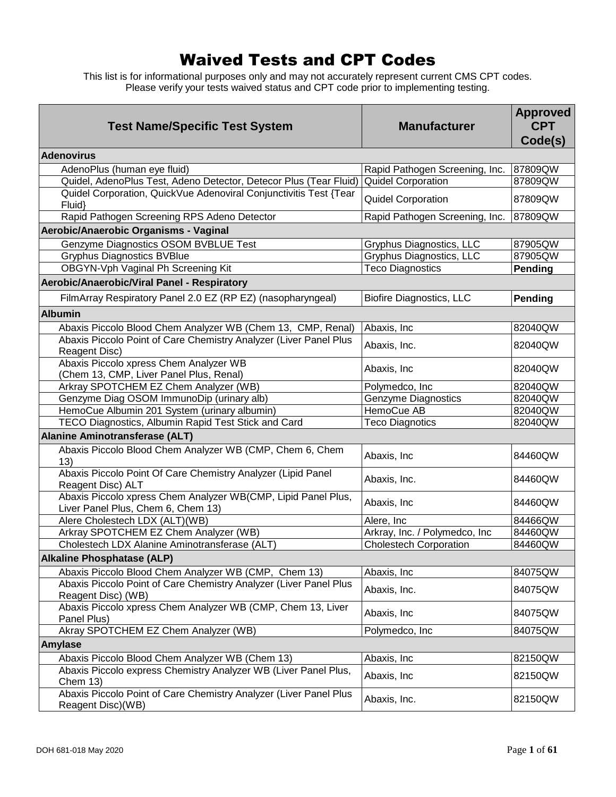## Waived Tests and CPT Codes

This list is for informational purposes only and may not accurately represent current CMS CPT codes. Please verify your tests waived status and CPT code prior to implementing testing.

| <b>Test Name/Specific Test System</b>                                                               | <b>Manufacturer</b>             | <b>Approved</b><br><b>CPT</b><br>Code(s) |
|-----------------------------------------------------------------------------------------------------|---------------------------------|------------------------------------------|
| <b>Adenovirus</b>                                                                                   |                                 |                                          |
| AdenoPlus (human eye fluid)                                                                         | Rapid Pathogen Screening, Inc.  | 87809QW                                  |
| Quidel, AdenoPlus Test, Adeno Detector, Detecor Plus (Tear Fluid)                                   | <b>Quidel Corporation</b>       | 87809QW                                  |
| Quidel Corporation, QuickVue Adenoviral Conjunctivitis Test {Tear<br>Fluid}                         | <b>Quidel Corporation</b>       | 87809QW                                  |
| Rapid Pathogen Screening RPS Adeno Detector                                                         | Rapid Pathogen Screening, Inc.  | 87809QW                                  |
| Aerobic/Anaerobic Organisms - Vaginal                                                               |                                 |                                          |
| Genzyme Diagnostics OSOM BVBLUE Test                                                                | Gryphus Diagnostics, LLC        | 87905QW                                  |
| <b>Gryphus Diagnostics BVBlue</b>                                                                   | Gryphus Diagnostics, LLC        | 87905QW                                  |
| OBGYN-Vph Vaginal Ph Screening Kit                                                                  | <b>Teco Diagnostics</b>         | Pending                                  |
| Aerobic/Anaerobic/Viral Panel - Respiratory                                                         |                                 |                                          |
| FilmArray Respiratory Panel 2.0 EZ (RP EZ) (nasopharyngeal)                                         | <b>Biofire Diagnostics, LLC</b> | Pending                                  |
| <b>Albumin</b>                                                                                      |                                 |                                          |
| Abaxis Piccolo Blood Chem Analyzer WB (Chem 13, CMP, Renal)                                         | Abaxis, Inc                     | 82040QW                                  |
| Abaxis Piccolo Point of Care Chemistry Analyzer (Liver Panel Plus                                   |                                 |                                          |
| Reagent Disc)                                                                                       | Abaxis, Inc.                    | 82040QW                                  |
| Abaxis Piccolo xpress Chem Analyzer WB<br>(Chem 13, CMP, Liver Panel Plus, Renal)                   | Abaxis, Inc                     | 82040QW                                  |
| Arkray SPOTCHEM EZ Chem Analyzer (WB)                                                               | Polymedco, Inc                  | 82040QW                                  |
| Genzyme Diag OSOM ImmunoDip (urinary alb)                                                           | <b>Genzyme Diagnostics</b>      | 82040QW                                  |
| HemoCue Albumin 201 System (urinary albumin)                                                        | HemoCue AB                      | 82040QW                                  |
| <b>TECO Diagnostics, Albumin Rapid Test Stick and Card</b>                                          | <b>Teco Diagnotics</b>          | 82040QW                                  |
| Alanine Aminotransferase (ALT)                                                                      |                                 |                                          |
| Abaxis Piccolo Blood Chem Analyzer WB (CMP, Chem 6, Chem<br>13)                                     | Abaxis, Inc                     | 84460QW                                  |
| Abaxis Piccolo Point Of Care Chemistry Analyzer (Lipid Panel<br>Reagent Disc) ALT                   | Abaxis, Inc.                    | 84460QW                                  |
| Abaxis Piccolo xpress Chem Analyzer WB(CMP, Lipid Panel Plus,<br>Liver Panel Plus, Chem 6, Chem 13) | Abaxis, Inc                     | 84460QW                                  |
| Alere Cholestech LDX (ALT)(WB)                                                                      | Alere, Inc                      | 84466QW                                  |
| Arkray SPOTCHEM EZ Chem Analyzer (WB)                                                               | Arkray, Inc. / Polymedco, Inc   | 84460QW                                  |
| Cholestech LDX Alanine Aminotransferase (ALT)                                                       | <b>Cholestech Corporation</b>   | 84460QW                                  |
| <b>Alkaline Phosphatase (ALP)</b>                                                                   |                                 |                                          |
| Abaxis Piccolo Blood Chem Analyzer WB (CMP, Chem 13)                                                | Abaxis, Inc                     | 84075QW                                  |
| Abaxis Piccolo Point of Care Chemistry Analyzer (Liver Panel Plus<br>Reagent Disc) (WB)             | Abaxis, Inc.                    | 84075QW                                  |
| Abaxis Piccolo xpress Chem Analyzer WB (CMP, Chem 13, Liver<br>Panel Plus)                          | Abaxis, Inc                     | 84075QW                                  |
| Akray SPOTCHEM EZ Chem Analyzer (WB)                                                                | Polymedco, Inc                  | 84075QW                                  |
| <b>Amylase</b>                                                                                      |                                 |                                          |
| Abaxis Piccolo Blood Chem Analyzer WB (Chem 13)                                                     | Abaxis, Inc                     | 82150QW                                  |
| Abaxis Piccolo express Chemistry Analyzer WB (Liver Panel Plus,<br><b>Chem 13)</b>                  | Abaxis, Inc                     | 82150QW                                  |
| Abaxis Piccolo Point of Care Chemistry Analyzer (Liver Panel Plus<br>Reagent Disc)(WB)              | Abaxis, Inc.                    | 82150QW                                  |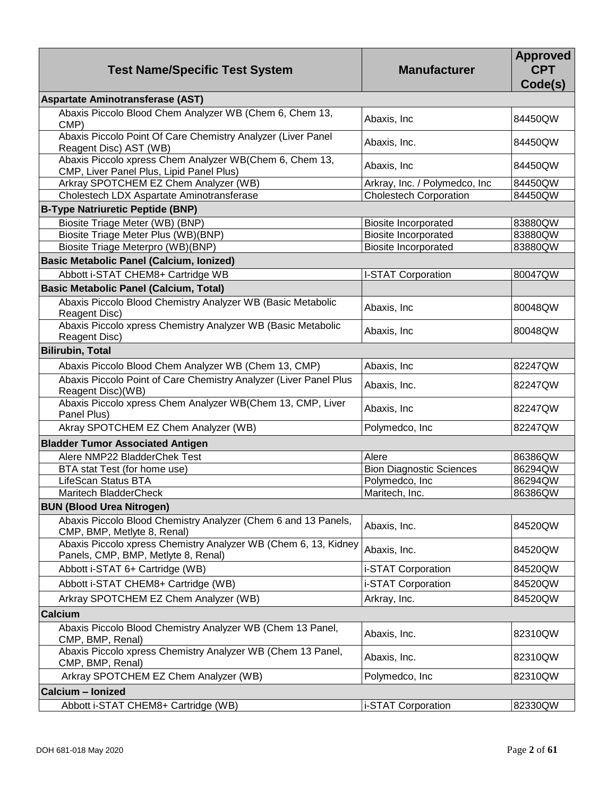| <b>Test Name/Specific Test System</b>                                                                  | <b>Manufacturer</b>             | <b>Approved</b><br><b>CPT</b><br>Code(s) |
|--------------------------------------------------------------------------------------------------------|---------------------------------|------------------------------------------|
| Aspartate Aminotransferase (AST)                                                                       |                                 |                                          |
| Abaxis Piccolo Blood Chem Analyzer WB (Chem 6, Chem 13,<br>CMP)                                        | Abaxis, Inc                     | 84450QW                                  |
| Abaxis Piccolo Point Of Care Chemistry Analyzer (Liver Panel<br>Reagent Disc) AST (WB)                 | Abaxis, Inc.                    | 84450QW                                  |
| Abaxis Piccolo xpress Chem Analyzer WB(Chem 6, Chem 13,<br>CMP, Liver Panel Plus, Lipid Panel Plus)    | Abaxis, Inc                     | 84450QW                                  |
| Arkray SPOTCHEM EZ Chem Analyzer (WB)                                                                  | Arkray, Inc. / Polymedco, Inc   | 84450QW                                  |
| Cholestech LDX Aspartate Aminotransferase                                                              | <b>Cholestech Corporation</b>   | 84450QW                                  |
| <b>B-Type Natriuretic Peptide (BNP)</b>                                                                |                                 |                                          |
| Biosite Triage Meter (WB) (BNP)                                                                        | <b>Biosite Incorporated</b>     | 83880QW                                  |
| Biosite Triage Meter Plus (WB)(BNP)                                                                    | <b>Biosite Incorporated</b>     | 83880QW                                  |
| Biosite Triage Meterpro (WB)(BNP)                                                                      | <b>Biosite Incorporated</b>     | 83880QW                                  |
| <b>Basic Metabolic Panel (Calcium, Ionized)</b>                                                        |                                 |                                          |
| Abbott i-STAT CHEM8+ Cartridge WB                                                                      | I-STAT Corporation              | 80047QW                                  |
| <b>Basic Metabolic Panel (Calcium, Total)</b>                                                          |                                 |                                          |
| Abaxis Piccolo Blood Chemistry Analyzer WB (Basic Metabolic<br>Reagent Disc)                           | Abaxis, Inc                     | 80048QW                                  |
| Abaxis Piccolo xpress Chemistry Analyzer WB (Basic Metabolic<br>Reagent Disc)                          | Abaxis, Inc                     | 80048QW                                  |
| <b>Bilirubin, Total</b>                                                                                |                                 |                                          |
| Abaxis Piccolo Blood Chem Analyzer WB (Chem 13, CMP)                                                   | Abaxis, Inc                     | 82247QW                                  |
| Abaxis Piccolo Point of Care Chemistry Analyzer (Liver Panel Plus<br>Reagent Disc)(WB)                 | Abaxis, Inc.                    | 82247QW                                  |
| Abaxis Piccolo xpress Chem Analyzer WB(Chem 13, CMP, Liver<br>Panel Plus)                              | Abaxis, Inc                     | 82247QW                                  |
| Akray SPOTCHEM EZ Chem Analyzer (WB)                                                                   | Polymedco, Inc                  | 82247QW                                  |
| <b>Bladder Tumor Associated Antigen</b>                                                                |                                 |                                          |
| Alere NMP22 BladderChek Test                                                                           | Alere                           | 86386QW                                  |
| BTA stat Test (for home use)                                                                           | <b>Bion Diagnostic Sciences</b> | 86294QW                                  |
| LifeScan Status BTA                                                                                    | Polymedco, Inc                  | 86294QW                                  |
| Maritech BladderCheck                                                                                  | Maritech, Inc.                  | 86386QW                                  |
| <b>BUN (Blood Urea Nitrogen)</b>                                                                       |                                 |                                          |
| Abaxis Piccolo Blood Chemistry Analyzer (Chem 6 and 13 Panels,<br>CMP, BMP, Metlyte 8, Renal)          | Abaxis, Inc.                    | 84520QW                                  |
| Abaxis Piccolo xpress Chemistry Analyzer WB (Chem 6, 13, Kidney<br>Panels, CMP, BMP, Metlyte 8, Renal) | Abaxis, Inc.                    | 84520QW                                  |
| Abbott i-STAT 6+ Cartridge (WB)                                                                        | i-STAT Corporation              | 84520QW                                  |
| Abbott i-STAT CHEM8+ Cartridge (WB)                                                                    | i-STAT Corporation              | 84520QW                                  |
| Arkray SPOTCHEM EZ Chem Analyzer (WB)                                                                  | Arkray, Inc.                    | 84520QW                                  |
| <b>Calcium</b>                                                                                         |                                 |                                          |
| Abaxis Piccolo Blood Chemistry Analyzer WB (Chem 13 Panel,<br>CMP, BMP, Renal)                         | Abaxis, Inc.                    | 82310QW                                  |
| Abaxis Piccolo xpress Chemistry Analyzer WB (Chem 13 Panel,<br>CMP, BMP, Renal)                        | Abaxis, Inc.                    | 82310QW                                  |
| Arkray SPOTCHEM EZ Chem Analyzer (WB)                                                                  | Polymedco, Inc                  | 82310QW                                  |
| Calcium - Ionized                                                                                      |                                 |                                          |
| Abbott i-STAT CHEM8+ Cartridge (WB)                                                                    | i-STAT Corporation              | 82330QW                                  |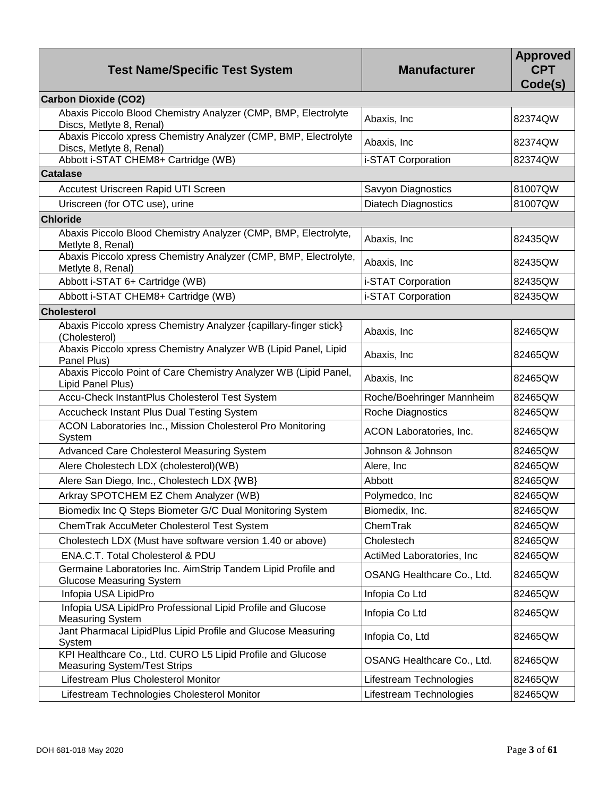| <b>Test Name/Specific Test System</b>                                                             | <b>Manufacturer</b>        | <b>Approved</b><br><b>CPT</b><br>Code(s) |
|---------------------------------------------------------------------------------------------------|----------------------------|------------------------------------------|
| <b>Carbon Dioxide (CO2)</b>                                                                       |                            |                                          |
| Abaxis Piccolo Blood Chemistry Analyzer (CMP, BMP, Electrolyte<br>Discs, Metlyte 8, Renal)        | Abaxis, Inc                | 82374QW                                  |
| Abaxis Piccolo xpress Chemistry Analyzer (CMP, BMP, Electrolyte<br>Discs, Metlyte 8, Renal)       | Abaxis, Inc                | 82374QW                                  |
| Abbott i-STAT CHEM8+ Cartridge (WB)                                                               | i-STAT Corporation         | 82374QW                                  |
| <b>Catalase</b>                                                                                   |                            |                                          |
| Accutest Uriscreen Rapid UTI Screen                                                               | Savyon Diagnostics         | 81007QW                                  |
| Uriscreen (for OTC use), urine                                                                    | <b>Diatech Diagnostics</b> | 81007QW                                  |
| <b>Chloride</b>                                                                                   |                            |                                          |
| Abaxis Piccolo Blood Chemistry Analyzer (CMP, BMP, Electrolyte,<br>Metlyte 8, Renal)              | Abaxis, Inc                | 82435QW                                  |
| Abaxis Piccolo xpress Chemistry Analyzer (CMP, BMP, Electrolyte,<br>Metlyte 8, Renal)             | Abaxis, Inc                | 82435QW                                  |
| Abbott i-STAT 6+ Cartridge (WB)                                                                   | i-STAT Corporation         | 82435QW                                  |
| Abbott i-STAT CHEM8+ Cartridge (WB)                                                               | i-STAT Corporation         | 82435QW                                  |
| <b>Cholesterol</b>                                                                                |                            |                                          |
| Abaxis Piccolo xpress Chemistry Analyzer {capillary-finger stick}<br>(Cholesterol)                | Abaxis, Inc                | 82465QW                                  |
| Abaxis Piccolo xpress Chemistry Analyzer WB (Lipid Panel, Lipid<br>Panel Plus)                    | Abaxis, Inc                | 82465QW                                  |
| Abaxis Piccolo Point of Care Chemistry Analyzer WB (Lipid Panel,<br>Lipid Panel Plus)             | Abaxis, Inc                | 82465QW                                  |
| Accu-Check InstantPlus Cholesterol Test System                                                    | Roche/Boehringer Mannheim  | 82465QW                                  |
| Accucheck Instant Plus Dual Testing System                                                        | Roche Diagnostics          | 82465QW                                  |
| ACON Laboratories Inc., Mission Cholesterol Pro Monitoring<br>System                              | ACON Laboratories, Inc.    | 82465QW                                  |
| Advanced Care Cholesterol Measuring System                                                        | Johnson & Johnson          | 82465QW                                  |
| Alere Cholestech LDX (cholesterol)(WB)                                                            | Alere, Inc                 | 82465QW                                  |
| Alere San Diego, Inc., Cholestech LDX {WB}                                                        | Abbott                     | 82465QW                                  |
| Arkray SPOTCHEM EZ Chem Analyzer (WB)                                                             | Polymedco, Inc             | 82465QW                                  |
| Biomedix Inc Q Steps Biometer G/C Dual Monitoring System                                          | Biomedix, Inc.             | 82465QW                                  |
| ChemTrak AccuMeter Cholesterol Test System                                                        | ChemTrak                   | 82465QW                                  |
| Cholestech LDX (Must have software version 1.40 or above)                                         | Cholestech                 | 82465QW                                  |
| ENA.C.T. Total Cholesterol & PDU                                                                  | ActiMed Laboratories, Inc  | 82465QW                                  |
| Germaine Laboratories Inc. AimStrip Tandem Lipid Profile and<br><b>Glucose Measuring System</b>   | OSANG Healthcare Co., Ltd. | 82465QW                                  |
| Infopia USA LipidPro                                                                              | Infopia Co Ltd             | 82465QW                                  |
| Infopia USA LipidPro Professional Lipid Profile and Glucose<br><b>Measuring System</b>            | Infopia Co Ltd             | 82465QW                                  |
| Jant Pharmacal LipidPlus Lipid Profile and Glucose Measuring<br>System                            | Infopia Co, Ltd            | 82465QW                                  |
| KPI Healthcare Co., Ltd. CURO L5 Lipid Profile and Glucose<br><b>Measuring System/Test Strips</b> | OSANG Healthcare Co., Ltd. | 82465QW                                  |
| Lifestream Plus Cholesterol Monitor                                                               | Lifestream Technologies    | 82465QW                                  |
| Lifestream Technologies Cholesterol Monitor                                                       | Lifestream Technologies    | 82465QW                                  |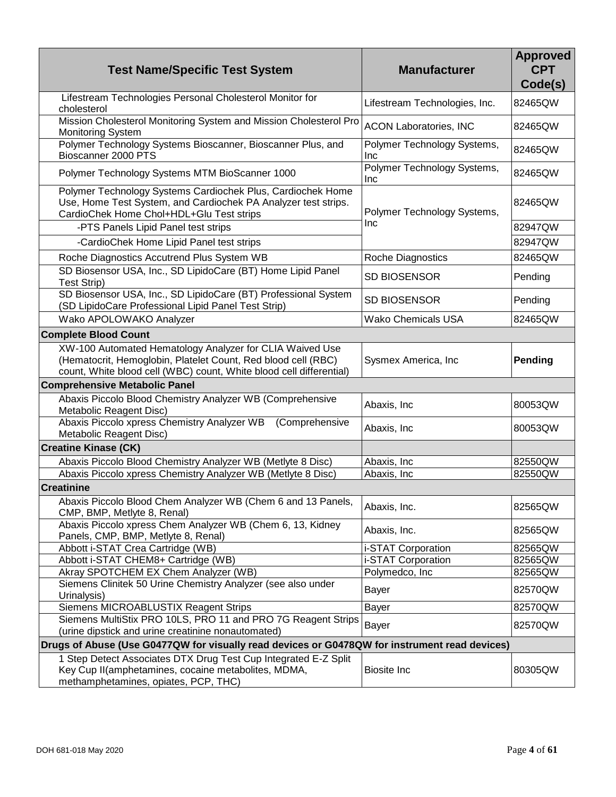| <b>Test Name/Specific Test System</b>                                                                                                                                                            | <b>Manufacturer</b>                       | <b>Approved</b><br><b>CPT</b><br>Code(s) |
|--------------------------------------------------------------------------------------------------------------------------------------------------------------------------------------------------|-------------------------------------------|------------------------------------------|
| Lifestream Technologies Personal Cholesterol Monitor for<br>cholesterol                                                                                                                          | Lifestream Technologies, Inc.             | 82465QW                                  |
| Mission Cholesterol Monitoring System and Mission Cholesterol Pro<br><b>Monitoring System</b>                                                                                                    | <b>ACON Laboratories, INC</b>             | 82465QW                                  |
| Polymer Technology Systems Bioscanner, Bioscanner Plus, and<br>Bioscanner 2000 PTS                                                                                                               | Polymer Technology Systems,<br><b>Inc</b> | 82465QW                                  |
| Polymer Technology Systems MTM BioScanner 1000                                                                                                                                                   | Polymer Technology Systems,<br><b>Inc</b> | 82465QW                                  |
| Polymer Technology Systems Cardiochek Plus, Cardiochek Home<br>Use, Home Test System, and Cardiochek PA Analyzer test strips.<br>CardioChek Home Chol+HDL+Glu Test strips                        | Polymer Technology Systems,<br>Inc        | 82465QW                                  |
| -PTS Panels Lipid Panel test strips                                                                                                                                                              |                                           | 82947QW                                  |
| -CardioChek Home Lipid Panel test strips                                                                                                                                                         |                                           | 82947QW                                  |
| Roche Diagnostics Accutrend Plus System WB                                                                                                                                                       | Roche Diagnostics                         | 82465QW                                  |
| SD Biosensor USA, Inc., SD LipidoCare (BT) Home Lipid Panel<br>Test Strip)                                                                                                                       | <b>SD BIOSENSOR</b>                       | Pending                                  |
| SD Biosensor USA, Inc., SD LipidoCare (BT) Professional System<br>(SD LipidoCare Professional Lipid Panel Test Strip)                                                                            | <b>SD BIOSENSOR</b>                       | Pending                                  |
| Wako APOLOWAKO Analyzer                                                                                                                                                                          | <b>Wako Chemicals USA</b>                 | 82465QW                                  |
| <b>Complete Blood Count</b>                                                                                                                                                                      |                                           |                                          |
| XW-100 Automated Hematology Analyzer for CLIA Waived Use<br>(Hematocrit, Hemoglobin, Platelet Count, Red blood cell (RBC)<br>count, White blood cell (WBC) count, White blood cell differential) | Sysmex America, Inc                       | Pending                                  |
| <b>Comprehensive Metabolic Panel</b>                                                                                                                                                             |                                           |                                          |
| Abaxis Piccolo Blood Chemistry Analyzer WB (Comprehensive<br>Metabolic Reagent Disc)                                                                                                             | Abaxis, Inc                               | 80053QW                                  |
| Abaxis Piccolo xpress Chemistry Analyzer WB (Comprehensive<br>Metabolic Reagent Disc)                                                                                                            | Abaxis, Inc                               | 80053QW                                  |
| <b>Creatine Kinase (CK)</b>                                                                                                                                                                      |                                           |                                          |
| Abaxis Piccolo Blood Chemistry Analyzer WB (Metlyte 8 Disc)                                                                                                                                      | Abaxis, Inc                               | 82550QW                                  |
| Abaxis Piccolo xpress Chemistry Analyzer WB (Metlyte 8 Disc)                                                                                                                                     | Abaxis, Inc                               | 82550QW                                  |
| <b>Creatinine</b>                                                                                                                                                                                |                                           |                                          |
| Abaxis Piccolo Blood Chem Analyzer WB (Chem 6 and 13 Panels,<br>CMP, BMP, Metlyte 8, Renal)                                                                                                      | Abaxis, Inc.                              | 82565QW                                  |
| Abaxis Piccolo xpress Chem Analyzer WB (Chem 6, 13, Kidney<br>Panels, CMP, BMP, Metlyte 8, Renal)                                                                                                | Abaxis, Inc.                              | 82565QW                                  |
| Abbott i-STAT Crea Cartridge (WB)                                                                                                                                                                | i-STAT Corporation                        | 82565QW                                  |
| Abbott i-STAT CHEM8+ Cartridge (WB)                                                                                                                                                              | i-STAT Corporation                        | 82565QW                                  |
| Akray SPOTCHEM EX Chem Analyzer (WB)                                                                                                                                                             | Polymedco, Inc.                           | 82565QW                                  |
| Siemens Clinitek 50 Urine Chemistry Analyzer (see also under<br>Urinalysis)                                                                                                                      | <b>Bayer</b>                              | 82570QW                                  |
| Siemens MICROABLUSTIX Reagent Strips                                                                                                                                                             | <b>Bayer</b>                              | 82570QW                                  |
| Siemens MultiStix PRO 10LS, PRO 11 and PRO 7G Reagent Strips<br>(urine dipstick and urine creatinine nonautomated)                                                                               | Bayer                                     | 82570QW                                  |
| Drugs of Abuse (Use G0477QW for visually read devices or G0478QW for instrument read devices)                                                                                                    |                                           |                                          |
| 1 Step Detect Associates DTX Drug Test Cup Integrated E-Z Split<br>Key Cup II(amphetamines, cocaine metabolites, MDMA,<br>methamphetamines, opiates, PCP, THC)                                   | <b>Biosite Inc</b>                        | 80305QW                                  |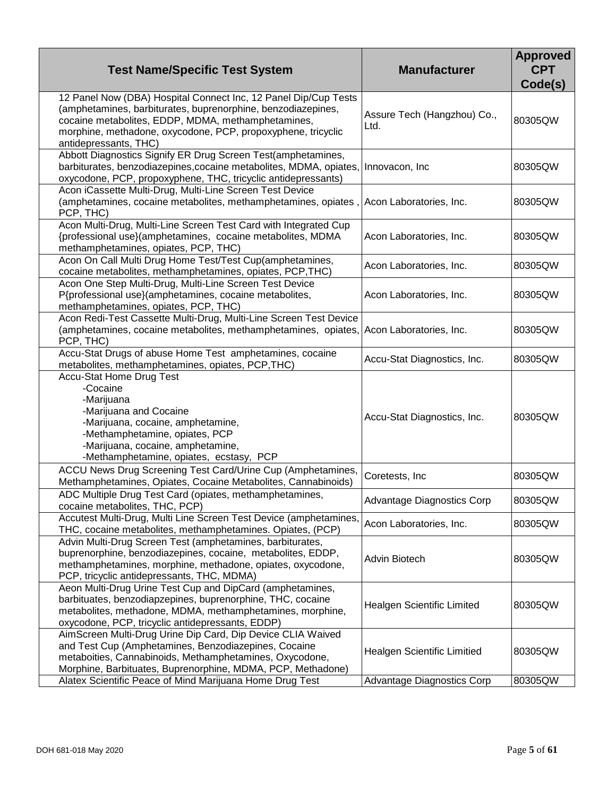| <b>Test Name/Specific Test System</b>                                                                                                                                                                                                                                          | <b>Manufacturer</b>                 | <b>Approved</b><br><b>CPT</b><br>Code(s) |
|--------------------------------------------------------------------------------------------------------------------------------------------------------------------------------------------------------------------------------------------------------------------------------|-------------------------------------|------------------------------------------|
| 12 Panel Now (DBA) Hospital Connect Inc, 12 Panel Dip/Cup Tests<br>(amphetamines, barbiturates, buprenorphine, benzodiazepines,<br>cocaine metabolites, EDDP, MDMA, methamphetamines,<br>morphine, methadone, oxycodone, PCP, propoxyphene, tricyclic<br>antidepressants, THC) | Assure Tech (Hangzhou) Co.,<br>Ltd. | 80305QW                                  |
| Abbott Diagnostics Signify ER Drug Screen Test(amphetamines,<br>barbiturates, benzodiazepines, cocaine metabolites, MDMA, opiates,<br>oxycodone, PCP, propoxyphene, THC, tricyclic antidepressants)                                                                            | Innovacon, Inc                      | 80305QW                                  |
| Acon iCassette Multi-Drug, Multi-Line Screen Test Device<br>(amphetamines, cocaine metabolites, methamphetamines, opiates,<br>PCP, THC)                                                                                                                                        | Acon Laboratories, Inc.             | 80305QW                                  |
| Acon Multi-Drug, Multi-Line Screen Test Card with Integrated Cup<br>{professional use}(amphetamines, cocaine metabolites, MDMA<br>methamphetamines, opiates, PCP, THC)                                                                                                         | Acon Laboratories, Inc.             | 80305QW                                  |
| Acon On Call Multi Drug Home Test/Test Cup(amphetamines,<br>cocaine metabolites, methamphetamines, opiates, PCP, THC)                                                                                                                                                          | Acon Laboratories, Inc.             | 80305QW                                  |
| Acon One Step Multi-Drug, Multi-Line Screen Test Device<br>P{professional use}(amphetamines, cocaine metabolites,<br>methamphetamines, opiates, PCP, THC)                                                                                                                      | Acon Laboratories, Inc.             | 80305QW                                  |
| Acon Redi-Test Cassette Multi-Drug, Multi-Line Screen Test Device<br>(amphetamines, cocaine metabolites, methamphetamines, opiates,<br>PCP, THC)                                                                                                                               | Acon Laboratories, Inc.             | 80305QW                                  |
| Accu-Stat Drugs of abuse Home Test amphetamines, cocaine<br>metabolites, methamphetamines, opiates, PCP, THC)                                                                                                                                                                  | Accu-Stat Diagnostics, Inc.         | 80305QW                                  |
| <b>Accu-Stat Home Drug Test</b><br>-Cocaine<br>-Marijuana<br>-Marijuana and Cocaine<br>-Marijuana, cocaine, amphetamine,<br>-Methamphetamine, opiates, PCP<br>-Marijuana, cocaine, amphetamine,<br>-Methamphetamine, opiates, ecstasy, PCP                                     | Accu-Stat Diagnostics, Inc.         | 80305QW                                  |
| ACCU News Drug Screening Test Card/Urine Cup (Amphetamines,<br>Methamphetamines, Opiates, Cocaine Metabolites, Cannabinoids)                                                                                                                                                   | Coretests, Inc                      | 80305QW                                  |
| ADC Multiple Drug Test Card (opiates, methamphetamines,<br>cocaine metabolites, THC, PCP)                                                                                                                                                                                      | Advantage Diagnostics Corp          | 80305QW                                  |
| Accutest Multi-Drug, Multi Line Screen Test Device (amphetamines,<br>THC, cocaine metabolites, methamphetamines. Opiates, (PCP)                                                                                                                                                | Acon Laboratories, Inc.             | 80305QW                                  |
| Advin Multi-Drug Screen Test (amphetamines, barbiturates,<br>buprenorphine, benzodiazepines, cocaine, metabolites, EDDP,<br>methamphetamines, morphine, methadone, opiates, oxycodone,<br>PCP, tricyclic antidepressants, THC, MDMA)                                           | Advin Biotech                       | 80305QW                                  |
| Aeon Multi-Drug Urine Test Cup and DipCard (amphetamines,<br>barbituates, benzodiapzepines, buprenorphine, THC, cocaine<br>metabolites, methadone, MDMA, methamphetamines, morphine,<br>oxycodone, PCP, tricyclic antidepressants, EDDP)                                       | Healgen Scientific Limited          | 80305QW                                  |
| AimScreen Multi-Drug Urine Dip Card, Dip Device CLIA Waived<br>and Test Cup (Amphetamines, Benzodiazepines, Cocaine<br>metaboities, Cannabinoids, Methamphetamines, Oxycodone,<br>Morphine, Barbituates, Buprenorphine, MDMA, PCP, Methadone)                                  | Healgen Scientific Limitied         | 80305QW                                  |
| Alatex Scientific Peace of Mind Marijuana Home Drug Test                                                                                                                                                                                                                       | <b>Advantage Diagnostics Corp</b>   | 80305QW                                  |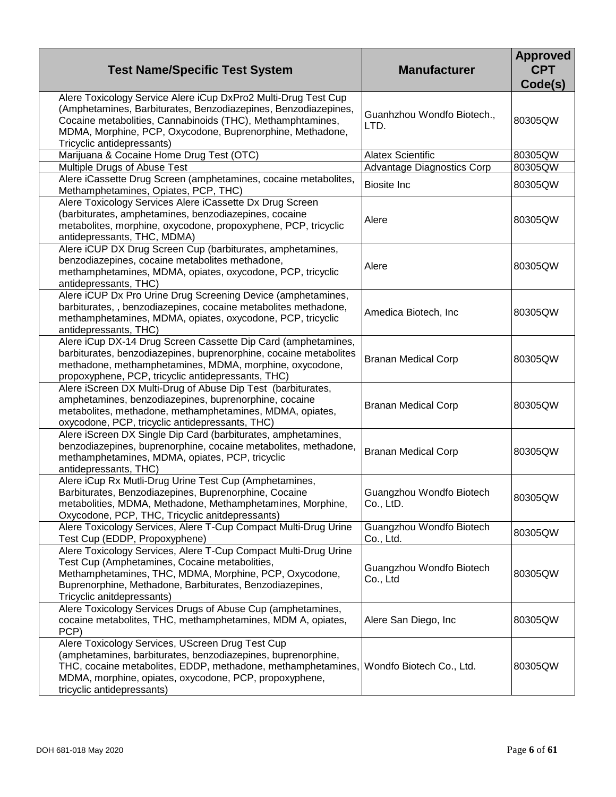| <b>Test Name/Specific Test System</b>                                                                                                                                                                                                                                                     | <b>Manufacturer</b>                   | <b>Approved</b><br><b>CPT</b><br>Code(s) |
|-------------------------------------------------------------------------------------------------------------------------------------------------------------------------------------------------------------------------------------------------------------------------------------------|---------------------------------------|------------------------------------------|
| Alere Toxicology Service Alere iCup DxPro2 Multi-Drug Test Cup<br>(Amphetamines, Barbiturates, Benzodiazepines, Benzodiazepines,<br>Cocaine metabolities, Cannabinoids (THC), Methamphtamines,<br>MDMA, Morphine, PCP, Oxycodone, Buprenorphine, Methadone,<br>Tricyclic antidepressants) | Guanhzhou Wondfo Biotech.,<br>LTD.    | 80305QW                                  |
| Marijuana & Cocaine Home Drug Test (OTC)                                                                                                                                                                                                                                                  | <b>Alatex Scientific</b>              | 80305QW                                  |
| Multiple Drugs of Abuse Test                                                                                                                                                                                                                                                              | <b>Advantage Diagnostics Corp</b>     | 80305QW                                  |
| Alere iCassette Drug Screen (amphetamines, cocaine metabolites,<br>Methamphetamines, Opiates, PCP, THC)                                                                                                                                                                                   | <b>Biosite Inc</b>                    | 80305QW                                  |
| Alere Toxicology Services Alere iCassette Dx Drug Screen<br>(barbiturates, amphetamines, benzodiazepines, cocaine<br>metabolites, morphine, oxycodone, propoxyphene, PCP, tricyclic<br>antidepressants, THC, MDMA)                                                                        | Alere                                 | 80305QW                                  |
| Alere iCUP DX Drug Screen Cup (barbiturates, amphetamines,<br>benzodiazepines, cocaine metabolites methadone,<br>methamphetamines, MDMA, opiates, oxycodone, PCP, tricyclic<br>antidepressants, THC)                                                                                      | Alere                                 | 80305QW                                  |
| Alere iCUP Dx Pro Urine Drug Screening Device (amphetamines,<br>barbiturates,, benzodiazepines, cocaine metabolites methadone,<br>methamphetamines, MDMA, opiates, oxycodone, PCP, tricyclic<br>antidepressants, THC)                                                                     | Amedica Biotech, Inc                  | 80305QW                                  |
| Alere iCup DX-14 Drug Screen Cassette Dip Card (amphetamines,<br>barbiturates, benzodiazepines, buprenorphine, cocaine metabolites<br>methadone, methamphetamines, MDMA, morphine, oxycodone,<br>propoxyphene, PCP, tricyclic antidepressants, THC)                                       | <b>Branan Medical Corp</b>            | 80305QW                                  |
| Alere iScreen DX Multi-Drug of Abuse Dip Test (barbiturates,<br>amphetamines, benzodiazepines, buprenorphine, cocaine<br>metabolites, methadone, methamphetamines, MDMA, opiates,<br>oxycodone, PCP, tricyclic antidepressants, THC)                                                      | <b>Branan Medical Corp</b>            | 80305QW                                  |
| Alere iScreen DX Single Dip Card (barbiturates, amphetamines,<br>benzodiazepines, buprenorphine, cocaine metabolites, methadone,<br>methamphetamines, MDMA, opiates, PCP, tricyclic<br>antidepressants, THC)                                                                              | <b>Branan Medical Corp</b>            | 80305QW                                  |
| Alere iCup Rx Mutli-Drug Urine Test Cup (Amphetamines,<br>Barbiturates, Benzodiazepines, Buprenorphine, Cocaine<br>metabolities, MDMA, Methadone, Methamphetamines, Morphine,<br>Oxycodone, PCP, THC, Tricyclic anitdepressants)                                                          | Guangzhou Wondfo Biotech<br>Co., LtD. | 80305QW                                  |
| Alere Toxicology Services, Alere T-Cup Compact Multi-Drug Urine<br>Test Cup (EDDP, Propoxyphene)                                                                                                                                                                                          | Guangzhou Wondfo Biotech<br>Co., Ltd. | 80305QW                                  |
| Alere Toxicology Services, Alere T-Cup Compact Multi-Drug Urine<br>Test Cup (Amphetamines, Cocaine metabolities,<br>Methamphetamines, THC, MDMA, Morphine, PCP, Oxycodone,<br>Buprenorphine, Methadone, Barbiturates, Benzodiazepines,<br>Tricyclic anitdepressants)                      | Guangzhou Wondfo Biotech<br>Co., Ltd  | 80305QW                                  |
| Alere Toxicology Services Drugs of Abuse Cup (amphetamines,<br>cocaine metabolites, THC, methamphetamines, MDM A, opiates,<br>PCP)                                                                                                                                                        | Alere San Diego, Inc.                 | 80305QW                                  |
| Alere Toxicology Services, UScreen Drug Test Cup<br>(amphetamines, barbiturates, benzodiazepines, buprenorphine,<br>THC, cocaine metabolites, EDDP, methadone, methamphetamines,<br>MDMA, morphine, opiates, oxycodone, PCP, propoxyphene,<br>tricyclic antidepressants)                  | Wondfo Biotech Co., Ltd.              | 80305QW                                  |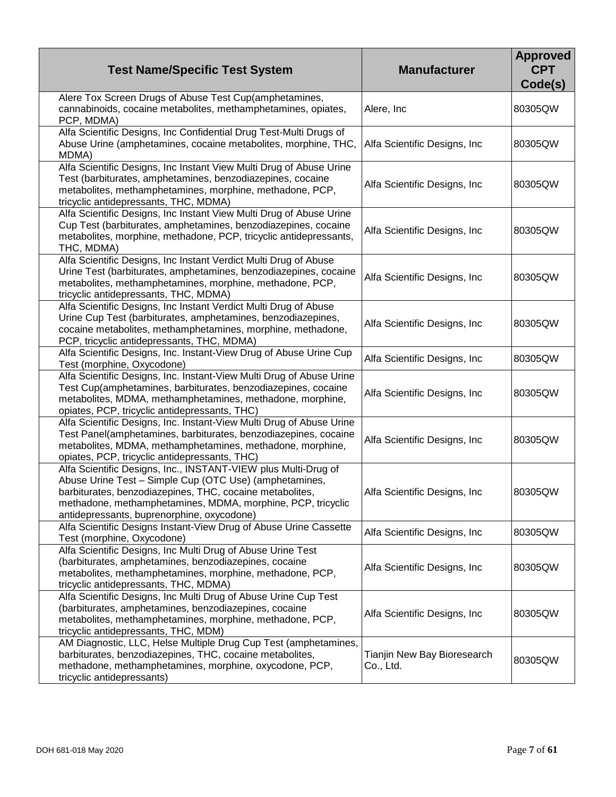| <b>Test Name/Specific Test System</b>                                                                                   | <b>Manufacturer</b>                      | <b>Approved</b><br><b>CPT</b><br>Code(s) |
|-------------------------------------------------------------------------------------------------------------------------|------------------------------------------|------------------------------------------|
| Alere Tox Screen Drugs of Abuse Test Cup(amphetamines,                                                                  |                                          |                                          |
| cannabinoids, cocaine metabolites, methamphetamines, opiates,<br>PCP, MDMA)                                             | Alere, Inc                               | 80305QW                                  |
| Alfa Scientific Designs, Inc Confidential Drug Test-Multi Drugs of                                                      |                                          |                                          |
| Abuse Urine (amphetamines, cocaine metabolites, morphine, THC,<br>MDMA)                                                 | Alfa Scientific Designs, Inc.            | 80305QW                                  |
| Alfa Scientific Designs, Inc Instant View Multi Drug of Abuse Urine                                                     |                                          |                                          |
| Test (barbiturates, amphetamines, benzodiazepines, cocaine                                                              | Alfa Scientific Designs, Inc             | 80305QW                                  |
| metabolites, methamphetamines, morphine, methadone, PCP,                                                                |                                          |                                          |
| tricyclic antidepressants, THC, MDMA)<br>Alfa Scientific Designs, Inc Instant View Multi Drug of Abuse Urine            |                                          |                                          |
| Cup Test (barbiturates, amphetamines, benzodiazepines, cocaine                                                          |                                          |                                          |
| metabolites, morphine, methadone, PCP, tricyclic antidepressants,                                                       | Alfa Scientific Designs, Inc             | 80305QW                                  |
| THC, MDMA)                                                                                                              |                                          |                                          |
| Alfa Scientific Designs, Inc Instant Verdict Multi Drug of Abuse                                                        |                                          |                                          |
| Urine Test (barbiturates, amphetamines, benzodiazepines, cocaine                                                        |                                          |                                          |
| metabolites, methamphetamines, morphine, methadone, PCP,                                                                | Alfa Scientific Designs, Inc             | 80305QW                                  |
| tricyclic antidepressants, THC, MDMA)                                                                                   |                                          |                                          |
| Alfa Scientific Designs, Inc Instant Verdict Multi Drug of Abuse                                                        |                                          |                                          |
| Urine Cup Test (barbiturates, amphetamines, benzodiazepines,                                                            | Alfa Scientific Designs, Inc             | 80305QW                                  |
| cocaine metabolites, methamphetamines, morphine, methadone,                                                             |                                          |                                          |
| PCP, tricyclic antidepressants, THC, MDMA)                                                                              |                                          |                                          |
| Alfa Scientific Designs, Inc. Instant-View Drug of Abuse Urine Cup<br>Test (morphine, Oxycodone)                        | Alfa Scientific Designs, Inc             | 80305QW                                  |
| Alfa Scientific Designs, Inc. Instant-View Multi Drug of Abuse Urine                                                    |                                          |                                          |
| Test Cup(amphetamines, barbiturates, benzodiazepines, cocaine                                                           |                                          |                                          |
| metabolites, MDMA, methamphetamines, methadone, morphine,                                                               | Alfa Scientific Designs, Inc.            | 80305QW                                  |
| opiates, PCP, tricyclic antidepressants, THC)                                                                           |                                          |                                          |
| Alfa Scientific Designs, Inc. Instant-View Multi Drug of Abuse Urine                                                    |                                          |                                          |
| Test Panel(amphetamines, barbiturates, benzodiazepines, cocaine                                                         |                                          | 80305QW                                  |
| metabolites, MDMA, methamphetamines, methadone, morphine,                                                               | Alfa Scientific Designs, Inc             |                                          |
| opiates, PCP, tricyclic antidepressants, THC)                                                                           |                                          |                                          |
| Alfa Scientific Designs, Inc., INSTANT-VIEW plus Multi-Drug of                                                          |                                          |                                          |
| Abuse Urine Test - Simple Cup (OTC Use) (amphetamines,                                                                  |                                          |                                          |
| barbiturates, benzodiazepines, THC, cocaine metabolites,<br>methadone, methamphetamines, MDMA, morphine, PCP, tricyclic | Alfa Scientific Designs, Inc             | 80305QW                                  |
| antidepressants, buprenorphine, oxycodone)                                                                              |                                          |                                          |
| Alfa Scientific Designs Instant-View Drug of Abuse Urine Cassette                                                       |                                          |                                          |
| Test (morphine, Oxycodone)                                                                                              | Alfa Scientific Designs, Inc.            | 80305QW                                  |
| Alfa Scientific Designs, Inc Multi Drug of Abuse Urine Test                                                             |                                          |                                          |
| (barbiturates, amphetamines, benzodiazepines, cocaine                                                                   |                                          |                                          |
| metabolites, methamphetamines, morphine, methadone, PCP,                                                                | Alfa Scientific Designs, Inc.            | 80305QW                                  |
| tricyclic antidepressants, THC, MDMA)                                                                                   |                                          |                                          |
| Alfa Scientific Designs, Inc Multi Drug of Abuse Urine Cup Test                                                         |                                          |                                          |
| (barbiturates, amphetamines, benzodiazepines, cocaine                                                                   | Alfa Scientific Designs, Inc.            | 80305QW                                  |
| metabolites, methamphetamines, morphine, methadone, PCP,                                                                |                                          |                                          |
| tricyclic antidepressants, THC, MDM)                                                                                    |                                          |                                          |
| AM Diagnostic, LLC, Helse Multiple Drug Cup Test (amphetamines,                                                         |                                          |                                          |
| barbiturates, benzodiazepines, THC, cocaine metabolites,<br>methadone, methamphetamines, morphine, oxycodone, PCP,      | Tianjin New Bay Bioresearch<br>Co., Ltd. | 80305QW                                  |
| tricyclic antidepressants)                                                                                              |                                          |                                          |
|                                                                                                                         |                                          |                                          |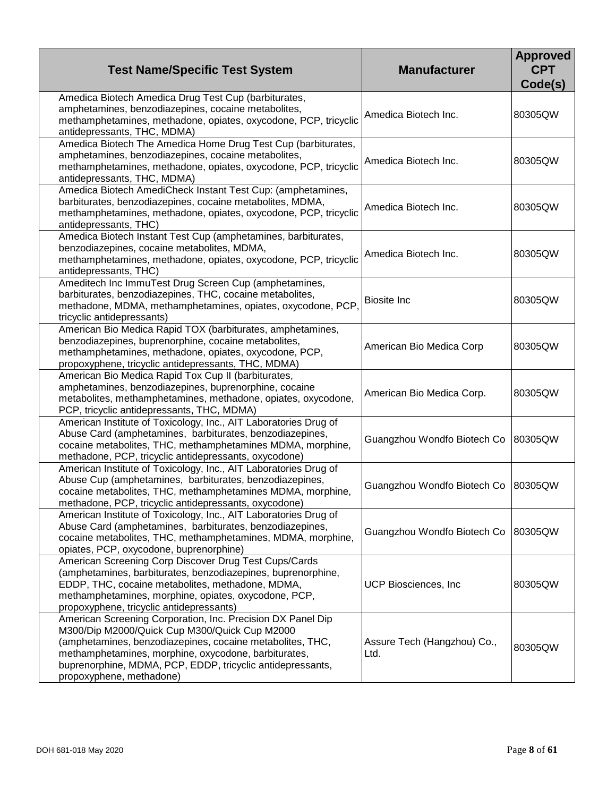| <b>Test Name/Specific Test System</b>                                                                                                                                                                                                                                                                                       | <b>Manufacturer</b>                 | <b>Approved</b><br><b>CPT</b><br>Code(s) |
|-----------------------------------------------------------------------------------------------------------------------------------------------------------------------------------------------------------------------------------------------------------------------------------------------------------------------------|-------------------------------------|------------------------------------------|
| Amedica Biotech Amedica Drug Test Cup (barbiturates,<br>amphetamines, benzodiazepines, cocaine metabolites,<br>methamphetamines, methadone, opiates, oxycodone, PCP, tricyclic<br>antidepressants, THC, MDMA)                                                                                                               | Amedica Biotech Inc.                | 80305QW                                  |
| Amedica Biotech The Amedica Home Drug Test Cup (barbiturates,<br>amphetamines, benzodiazepines, cocaine metabolites,<br>methamphetamines, methadone, opiates, oxycodone, PCP, tricyclic<br>antidepressants, THC, MDMA)                                                                                                      | Amedica Biotech Inc.                | 80305QW                                  |
| Amedica Biotech AmediCheck Instant Test Cup: (amphetamines,<br>barbiturates, benzodiazepines, cocaine metabolites, MDMA,<br>methamphetamines, methadone, opiates, oxycodone, PCP, tricyclic<br>antidepressants, THC)                                                                                                        | Amedica Biotech Inc.                | 80305QW                                  |
| Amedica Biotech Instant Test Cup (amphetamines, barbiturates,<br>benzodiazepines, cocaine metabolites, MDMA,<br>methamphetamines, methadone, opiates, oxycodone, PCP, tricyclic<br>antidepressants, THC)                                                                                                                    | Amedica Biotech Inc.                | 80305QW                                  |
| Ameditech Inc ImmuTest Drug Screen Cup (amphetamines,<br>barbiturates, benzodiazepines, THC, cocaine metabolites,<br>methadone, MDMA, methamphetamines, opiates, oxycodone, PCP,<br>tricyclic antidepressants)                                                                                                              | <b>Biosite Inc</b>                  | 80305QW                                  |
| American Bio Medica Rapid TOX (barbiturates, amphetamines,<br>benzodiazepines, buprenorphine, cocaine metabolites,<br>methamphetamines, methadone, opiates, oxycodone, PCP,<br>propoxyphene, tricyclic antidepressants, THC, MDMA)                                                                                          | American Bio Medica Corp            | 80305QW                                  |
| American Bio Medica Rapid Tox Cup II (barbiturates,<br>amphetamines, benzodiazepines, buprenorphine, cocaine<br>metabolites, methamphetamines, methadone, opiates, oxycodone,<br>PCP, tricyclic antidepressants, THC, MDMA)                                                                                                 | American Bio Medica Corp.           | 80305QW                                  |
| American Institute of Toxicology, Inc., AIT Laboratories Drug of<br>Abuse Card (amphetamines, barbiturates, benzodiazepines,<br>cocaine metabolites, THC, methamphetamines MDMA, morphine,<br>methadone, PCP, tricyclic antidepressants, oxycodone)                                                                         | Guangzhou Wondfo Biotech Co         | 80305QW                                  |
| American Institute of Toxicology, Inc., AIT Laboratories Drug of<br>Abuse Cup (amphetamines, barbiturates, benzodiazepines,<br>cocaine metabolites, THC, methamphetamines MDMA, morphine,<br>methadone, PCP, tricyclic antidepressants, oxycodone)                                                                          | Guangzhou Wondfo Biotech Co         | 80305QW                                  |
| American Institute of Toxicology, Inc., AIT Laboratories Drug of<br>Abuse Card (amphetamines, barbiturates, benzodiazepines,<br>cocaine metabolites, THC, methamphetamines, MDMA, morphine,<br>opiates, PCP, oxycodone, buprenorphine)                                                                                      | Guangzhou Wondfo Biotech Co         | 80305QW                                  |
| American Screening Corp Discover Drug Test Cups/Cards<br>(amphetamines, barbiturates, benzodiazepines, buprenorphine,<br>EDDP, THC, cocaine metabolites, methadone, MDMA,<br>methamphetamines, morphine, opiates, oxycodone, PCP,<br>propoxyphene, tricyclic antidepressants)                                               | UCP Biosciences, Inc.               | 80305QW                                  |
| American Screening Corporation, Inc. Precision DX Panel Dip<br>M300/Dip M2000/Quick Cup M300/Quick Cup M2000<br>(amphetamines, benzodiazepines, cocaine metabolites, THC,<br>methamphetamines, morphine, oxycodone, barbiturates,<br>buprenorphine, MDMA, PCP, EDDP, tricyclic antidepressants,<br>propoxyphene, methadone) | Assure Tech (Hangzhou) Co.,<br>Ltd. | 80305QW                                  |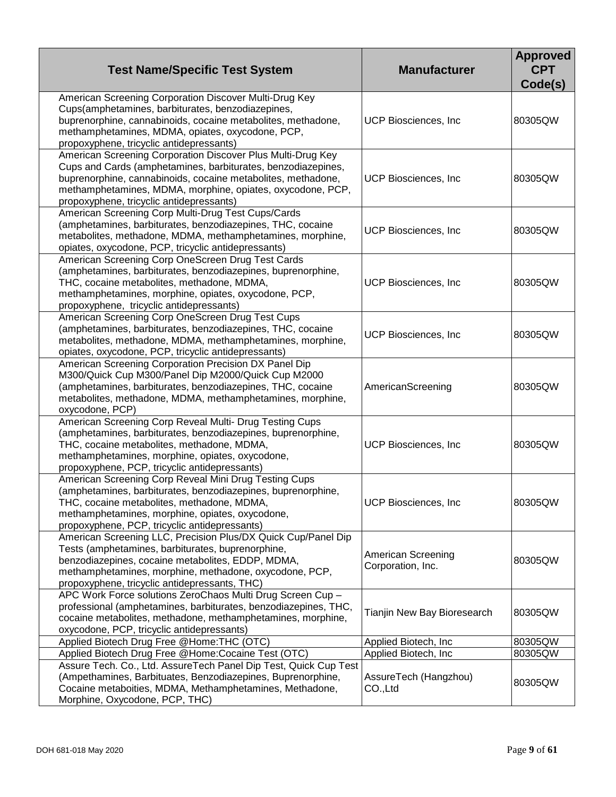| <b>Test Name/Specific Test System</b>                                                                                                                                                                                                                                                                 | <b>Manufacturer</b>                     | <b>Approved</b><br><b>CPT</b><br>Code(s) |
|-------------------------------------------------------------------------------------------------------------------------------------------------------------------------------------------------------------------------------------------------------------------------------------------------------|-----------------------------------------|------------------------------------------|
| American Screening Corporation Discover Multi-Drug Key<br>Cups(amphetamines, barbiturates, benzodiazepines,<br>buprenorphine, cannabinoids, cocaine metabolites, methadone,<br>methamphetamines, MDMA, opiates, oxycodone, PCP,<br>propoxyphene, tricyclic antidepressants)                           | <b>UCP Biosciences, Inc.</b>            | 80305QW                                  |
| American Screening Corporation Discover Plus Multi-Drug Key<br>Cups and Cards (amphetamines, barbiturates, benzodiazepines,<br>buprenorphine, cannabinoids, cocaine metabolites, methadone,<br>methamphetamines, MDMA, morphine, opiates, oxycodone, PCP,<br>propoxyphene, tricyclic antidepressants) | UCP Biosciences, Inc.                   | 80305QW                                  |
| American Screening Corp Multi-Drug Test Cups/Cards<br>(amphetamines, barbiturates, benzodiazepines, THC, cocaine<br>metabolites, methadone, MDMA, methamphetamines, morphine,<br>opiates, oxycodone, PCP, tricyclic antidepressants)                                                                  | <b>UCP Biosciences, Inc</b>             | 80305QW                                  |
| American Screening Corp OneScreen Drug Test Cards<br>(amphetamines, barbiturates, benzodiazepines, buprenorphine,<br>THC, cocaine metabolites, methadone, MDMA,<br>methamphetamines, morphine, opiates, oxycodone, PCP,<br>propoxyphene, tricyclic antidepressants)                                   | <b>UCP Biosciences, Inc</b>             | 80305QW                                  |
| American Screening Corp OneScreen Drug Test Cups<br>(amphetamines, barbiturates, benzodiazepines, THC, cocaine<br>metabolites, methadone, MDMA, methamphetamines, morphine,<br>opiates, oxycodone, PCP, tricyclic antidepressants)                                                                    | UCP Biosciences, Inc                    | 80305QW                                  |
| American Screening Corporation Precision DX Panel Dip<br>M300/Quick Cup M300/Panel Dip M2000/Quick Cup M2000<br>(amphetamines, barbiturates, benzodiazepines, THC, cocaine<br>metabolites, methadone, MDMA, methamphetamines, morphine,<br>oxycodone, PCP)                                            | AmericanScreening                       | 80305QW                                  |
| American Screening Corp Reveal Multi- Drug Testing Cups<br>(amphetamines, barbiturates, benzodiazepines, buprenorphine,<br>THC, cocaine metabolites, methadone, MDMA,<br>methamphetamines, morphine, opiates, oxycodone,<br>propoxyphene, PCP, tricyclic antidepressants)                             | <b>UCP Biosciences, Inc</b>             | 80305QW                                  |
| American Screening Corp Reveal Mini Drug Testing Cups<br>(amphetamines, barbiturates, benzodiazepines, buprenorphine,<br>THC, cocaine metabolites, methadone, MDMA,<br>methamphetamines, morphine, opiates, oxycodone,<br>propoxyphene, PCP, tricyclic antidepressants)                               | UCP Biosciences, Inc                    | 80305QW                                  |
| American Screening LLC, Precision Plus/DX Quick Cup/Panel Dip<br>Tests (amphetamines, barbiturates, buprenorphine,<br>benzodiazepines, cocaine metabolites, EDDP, MDMA,<br>methamphetamines, morphine, methadone, oxycodone, PCP,<br>propoxyphene, tricyclic antidepressants, THC)                    | American Screening<br>Corporation, Inc. | 80305QW                                  |
| APC Work Force solutions ZeroChaos Multi Drug Screen Cup -<br>professional (amphetamines, barbiturates, benzodiazepines, THC,<br>cocaine metabolites, methadone, methamphetamines, morphine,<br>oxycodone, PCP, tricyclic antidepressants)                                                            | Tianjin New Bay Bioresearch             | 80305QW                                  |
| Applied Biotech Drug Free @Home:THC (OTC)                                                                                                                                                                                                                                                             | Applied Biotech, Inc.                   | 80305QW                                  |
| Applied Biotech Drug Free @Home:Cocaine Test (OTC)                                                                                                                                                                                                                                                    | Applied Biotech, Inc.                   | 80305QW                                  |
| Assure Tech. Co., Ltd. AssureTech Panel Dip Test, Quick Cup Test<br>(Ampethamines, Barbituates, Benzodiazepines, Buprenorphine,<br>Cocaine metaboities, MDMA, Methamphetamines, Methadone,<br>Morphine, Oxycodone, PCP, THC)                                                                          | AssureTech (Hangzhou)<br>CO.,Ltd        | 80305QW                                  |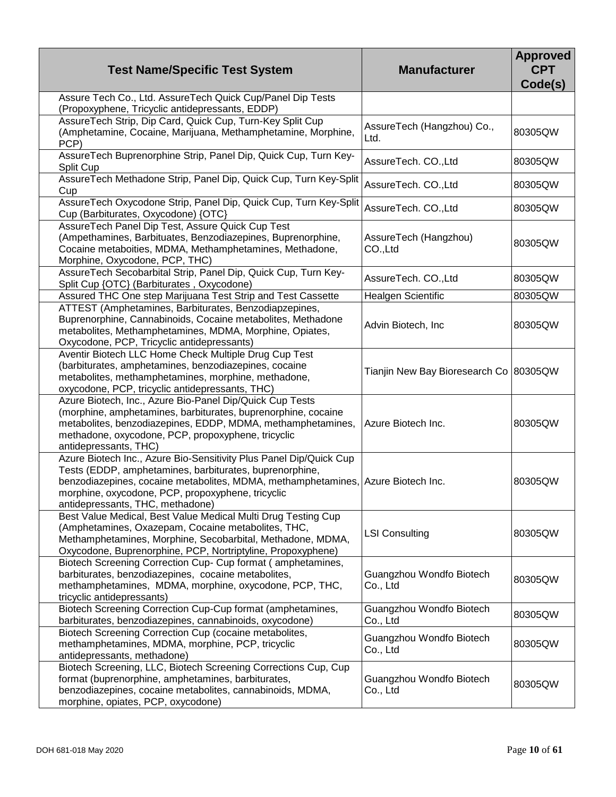| <b>Test Name/Specific Test System</b>                                                                                                                                                                                                                                                                      | <b>Manufacturer</b>                    | <b>Approved</b><br><b>CPT</b><br>Code(s) |
|------------------------------------------------------------------------------------------------------------------------------------------------------------------------------------------------------------------------------------------------------------------------------------------------------------|----------------------------------------|------------------------------------------|
| Assure Tech Co., Ltd. AssureTech Quick Cup/Panel Dip Tests<br>(Propoxyphene, Tricyclic antidepressants, EDDP)                                                                                                                                                                                              |                                        |                                          |
| AssureTech Strip, Dip Card, Quick Cup, Turn-Key Split Cup<br>(Amphetamine, Cocaine, Marijuana, Methamphetamine, Morphine,<br>PCP)                                                                                                                                                                          | AssureTech (Hangzhou) Co.,<br>Ltd.     | 80305QW                                  |
| AssureTech Buprenorphine Strip, Panel Dip, Quick Cup, Turn Key-<br>Split Cup                                                                                                                                                                                                                               | AssureTech. CO., Ltd                   | 80305QW                                  |
| AssureTech Methadone Strip, Panel Dip, Quick Cup, Turn Key-Split<br>Cup                                                                                                                                                                                                                                    | AssureTech. CO., Ltd                   | 80305QW                                  |
| AssureTech Oxycodone Strip, Panel Dip, Quick Cup, Turn Key-Split<br>Cup (Barbiturates, Oxycodone) {OTC}                                                                                                                                                                                                    | AssureTech. CO., Ltd                   | 80305QW                                  |
| AssureTech Panel Dip Test, Assure Quick Cup Test<br>(Ampethamines, Barbituates, Benzodiazepines, Buprenorphine,<br>Cocaine metaboities, MDMA, Methamphetamines, Methadone,<br>Morphine, Oxycodone, PCP, THC)                                                                                               | AssureTech (Hangzhou)<br>CO.,Ltd       | 80305QW                                  |
| AssureTech Secobarbital Strip, Panel Dip, Quick Cup, Turn Key-<br>Split Cup {OTC} (Barbiturates, Oxycodone)                                                                                                                                                                                                | AssureTech. CO., Ltd                   | 80305QW                                  |
| Assured THC One step Marijuana Test Strip and Test Cassette                                                                                                                                                                                                                                                | Healgen Scientific                     | 80305QW                                  |
| ATTEST (Amphetamines, Barbiturates, Benzodiapzepines,<br>Buprenorphine, Cannabinoids, Cocaine metabolites, Methadone<br>metabolites, Methamphetamines, MDMA, Morphine, Opiates,<br>Oxycodone, PCP, Tricyclic antidepressants)                                                                              | Advin Biotech, Inc                     | 80305QW                                  |
| Aventir Biotech LLC Home Check Multiple Drug Cup Test<br>(barbiturates, amphetamines, benzodiazepines, cocaine<br>metabolites, methamphetamines, morphine, methadone,<br>oxycodone, PCP, tricyclic antidepressants, THC)                                                                                   | Tianjin New Bay Bioresearch Co 80305QW |                                          |
| Azure Biotech, Inc., Azure Bio-Panel Dip/Quick Cup Tests<br>(morphine, amphetamines, barbiturates, buprenorphine, cocaine<br>metabolites, benzodiazepines, EDDP, MDMA, methamphetamines,<br>methadone, oxycodone, PCP, propoxyphene, tricyclic<br>antidepressants, THC)                                    | Azure Biotech Inc.                     | 80305QW                                  |
| Azure Biotech Inc., Azure Bio-Sensitivity Plus Panel Dip/Quick Cup<br>Tests (EDDP, amphetamines, barbiturates, buprenorphine,<br>benzodiazepines, cocaine metabolites, MDMA, methamphetamines, Azure Biotech Inc.<br>morphine, oxycodone, PCP, propoxyphene, tricyclic<br>antidepressants, THC, methadone) |                                        | 80305QW                                  |
| Best Value Medical, Best Value Medical Multi Drug Testing Cup<br>(Amphetamines, Oxazepam, Cocaine metabolites, THC,<br>Methamphetamines, Morphine, Secobarbital, Methadone, MDMA,<br>Oxycodone, Buprenorphine, PCP, Nortriptyline, Propoxyphene)                                                           | <b>LSI Consulting</b>                  | 80305QW                                  |
| Biotech Screening Correction Cup- Cup format (amphetamines,<br>barbiturates, benzodiazepines, cocaine metabolites,<br>methamphetamines, MDMA, morphine, oxycodone, PCP, THC,<br>tricyclic antidepressants)                                                                                                 | Guangzhou Wondfo Biotech<br>Co., Ltd   | 80305QW                                  |
| Biotech Screening Correction Cup-Cup format (amphetamines,<br>barbiturates, benzodiazepines, cannabinoids, oxycodone)                                                                                                                                                                                      | Guangzhou Wondfo Biotech<br>Co., Ltd   | 80305QW                                  |
| Biotech Screening Correction Cup (cocaine metabolites,<br>methamphetamines, MDMA, morphine, PCP, tricyclic<br>antidepressants, methadone)                                                                                                                                                                  | Guangzhou Wondfo Biotech<br>Co., Ltd   | 80305QW                                  |
| Biotech Screening, LLC, Biotech Screening Corrections Cup, Cup<br>format (buprenorphine, amphetamines, barbiturates,<br>benzodiazepines, cocaine metabolites, cannabinoids, MDMA,<br>morphine, opiates, PCP, oxycodone)                                                                                    | Guangzhou Wondfo Biotech<br>Co., Ltd   | 80305QW                                  |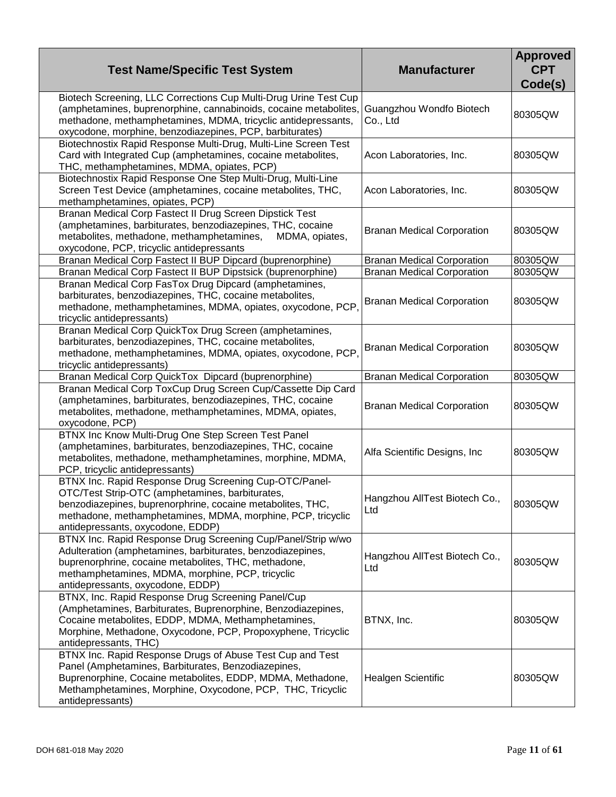| <b>Test Name/Specific Test System</b>                                                                                                                                                                                                                                       | <b>Manufacturer</b>                  | <b>Approved</b><br><b>CPT</b><br>Code(s) |
|-----------------------------------------------------------------------------------------------------------------------------------------------------------------------------------------------------------------------------------------------------------------------------|--------------------------------------|------------------------------------------|
| Biotech Screening, LLC Corrections Cup Multi-Drug Urine Test Cup<br>(amphetamines, buprenorphine, cannabinoids, cocaine metabolites,<br>methadone, methamphetamines, MDMA, tricyclic antidepressants,<br>oxycodone, morphine, benzodiazepines, PCP, barbiturates)           | Guangzhou Wondfo Biotech<br>Co., Ltd | 80305QW                                  |
| Biotechnostix Rapid Response Multi-Drug, Multi-Line Screen Test<br>Card with Integrated Cup (amphetamines, cocaine metabolites,<br>THC, methamphetamines, MDMA, opiates, PCP)                                                                                               | Acon Laboratories, Inc.              | 80305QW                                  |
| Biotechnostix Rapid Response One Step Multi-Drug, Multi-Line<br>Screen Test Device (amphetamines, cocaine metabolites, THC,<br>methamphetamines, opiates, PCP)                                                                                                              | Acon Laboratories, Inc.              | 80305QW                                  |
| Branan Medical Corp Fastect II Drug Screen Dipstick Test<br>(amphetamines, barbiturates, benzodiazepines, THC, cocaine<br>metabolites, methadone, methamphetamines,<br>MDMA, opiates,<br>oxycodone, PCP, tricyclic antidepressants                                          | <b>Branan Medical Corporation</b>    | 80305QW                                  |
| Branan Medical Corp Fastect II BUP Dipcard (buprenorphine)                                                                                                                                                                                                                  | <b>Branan Medical Corporation</b>    | 80305QW                                  |
| Branan Medical Corp Fastect II BUP Dipstsick (buprenorphine)                                                                                                                                                                                                                | <b>Branan Medical Corporation</b>    | 80305QW                                  |
| Branan Medical Corp FasTox Drug Dipcard (amphetamines,<br>barbiturates, benzodiazepines, THC, cocaine metabolites,<br>methadone, methamphetamines, MDMA, opiates, oxycodone, PCP,<br>tricyclic antidepressants)                                                             | <b>Branan Medical Corporation</b>    | 80305QW                                  |
| Branan Medical Corp QuickTox Drug Screen (amphetamines,<br>barbiturates, benzodiazepines, THC, cocaine metabolites,<br>methadone, methamphetamines, MDMA, opiates, oxycodone, PCP,<br>tricyclic antidepressants)                                                            | <b>Branan Medical Corporation</b>    | 80305QW                                  |
| Branan Medical Corp QuickTox Dipcard (buprenorphine)                                                                                                                                                                                                                        | <b>Branan Medical Corporation</b>    | 80305QW                                  |
| Branan Medical Corp ToxCup Drug Screen Cup/Cassette Dip Card<br>(amphetamines, barbiturates, benzodiazepines, THC, cocaine<br>metabolites, methadone, methamphetamines, MDMA, opiates,<br>oxycodone, PCP)                                                                   | <b>Branan Medical Corporation</b>    | 80305QW                                  |
| BTNX Inc Know Multi-Drug One Step Screen Test Panel<br>(amphetamines, barbiturates, benzodiazepines, THC, cocaine<br>metabolites, methadone, methamphetamines, morphine, MDMA,<br>PCP, tricyclic antidepressants)                                                           | Alfa Scientific Designs, Inc         | 80305QW                                  |
| BTNX Inc. Rapid Response Drug Screening Cup-OTC/Panel-<br>OTC/Test Strip-OTC (amphetamines, barbiturates,<br>benzodiazepines, buprenorphrine, cocaine metabolites, THC,<br>methadone, methamphetamines, MDMA, morphine, PCP, tricyclic<br>antidepressants, oxycodone, EDDP) | Hangzhou AllTest Biotech Co.,<br>Ltd | 80305QW                                  |
| BTNX Inc. Rapid Response Drug Screening Cup/Panel/Strip w/wo<br>Adulteration (amphetamines, barbiturates, benzodiazepines,<br>buprenorphrine, cocaine metabolites, THC, methadone,<br>methamphetamines, MDMA, morphine, PCP, tricyclic<br>antidepressants, oxycodone, EDDP) | Hangzhou AllTest Biotech Co.,<br>Ltd | 80305QW                                  |
| BTNX, Inc. Rapid Response Drug Screening Panel/Cup<br>(Amphetamines, Barbiturates, Buprenorphine, Benzodiazepines,<br>Cocaine metabolites, EDDP, MDMA, Methamphetamines,<br>Morphine, Methadone, Oxycodone, PCP, Propoxyphene, Tricyclic<br>antidepressants, THC)           | BTNX, Inc.                           | 80305QW                                  |
| BTNX Inc. Rapid Response Drugs of Abuse Test Cup and Test<br>Panel (Amphetamines, Barbiturates, Benzodiazepines,<br>Buprenorphine, Cocaine metabolites, EDDP, MDMA, Methadone,<br>Methamphetamines, Morphine, Oxycodone, PCP, THC, Tricyclic<br>antidepressants)            | <b>Healgen Scientific</b>            | 80305QW                                  |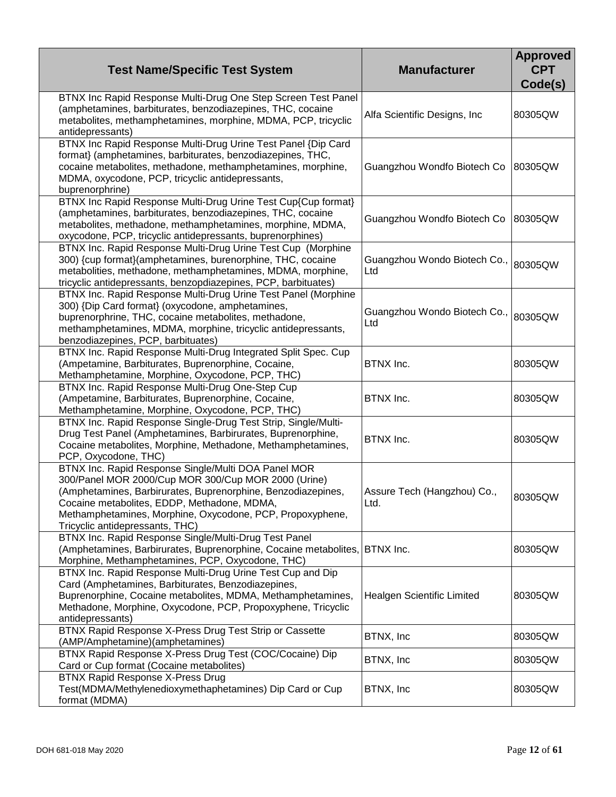| <b>Test Name/Specific Test System</b>                                                                                                                                                                                                                                                                                     | <b>Manufacturer</b>                 | <b>Approved</b><br><b>CPT</b><br>Code(s) |
|---------------------------------------------------------------------------------------------------------------------------------------------------------------------------------------------------------------------------------------------------------------------------------------------------------------------------|-------------------------------------|------------------------------------------|
| BTNX Inc Rapid Response Multi-Drug One Step Screen Test Panel<br>(amphetamines, barbiturates, benzodiazepines, THC, cocaine<br>metabolites, methamphetamines, morphine, MDMA, PCP, tricyclic<br>antidepressants)                                                                                                          | Alfa Scientific Designs, Inc.       | 80305QW                                  |
| BTNX Inc Rapid Response Multi-Drug Urine Test Panel {Dip Card<br>format} (amphetamines, barbiturates, benzodiazepines, THC,<br>cocaine metabolites, methadone, methamphetamines, morphine,<br>MDMA, oxycodone, PCP, tricyclic antidepressants,<br>buprenorphrine)                                                         | Guangzhou Wondfo Biotech Co         | 80305QW                                  |
| BTNX Inc Rapid Response Multi-Drug Urine Test Cup{Cup format}<br>(amphetamines, barbiturates, benzodiazepines, THC, cocaine<br>metabolites, methadone, methamphetamines, morphine, MDMA,<br>oxycodone, PCP, tricyclic antidepressants, buprenorphines)                                                                    | Guangzhou Wondfo Biotech Co         | 80305QW                                  |
| BTNX Inc. Rapid Response Multi-Drug Urine Test Cup (Morphine<br>300) {cup format}(amphetamines, burenorphine, THC, cocaine<br>metabolities, methadone, methamphetamines, MDMA, morphine,<br>tricyclic antidepressants, benzopdiazepines, PCP, barbituates)                                                                | Guangzhou Wondo Biotech Co.,<br>Ltd | 80305QW                                  |
| BTNX Inc. Rapid Response Multi-Drug Urine Test Panel (Morphine<br>300) {Dip Card format} (oxycodone, amphetamines,<br>buprenorphrine, THC, cocaine metabolites, methadone,<br>methamphetamines, MDMA, morphine, tricyclic antidepressants,<br>benzodiazepines, PCP, barbituates)                                          | Guangzhou Wondo Biotech Co.,<br>Ltd | 80305QW                                  |
| BTNX Inc. Rapid Response Multi-Drug Integrated Split Spec. Cup<br>(Ampetamine, Barbiturates, Buprenorphine, Cocaine,<br>Methamphetamine, Morphine, Oxycodone, PCP, THC)                                                                                                                                                   | BTNX Inc.                           | 80305QW                                  |
| BTNX Inc. Rapid Response Multi-Drug One-Step Cup<br>(Ampetamine, Barbiturates, Buprenorphine, Cocaine,<br>Methamphetamine, Morphine, Oxycodone, PCP, THC)                                                                                                                                                                 | BTNX Inc.                           | 80305QW                                  |
| BTNX Inc. Rapid Response Single-Drug Test Strip, Single/Multi-<br>Drug Test Panel (Amphetamines, Barbirurates, Buprenorphine,<br>Cocaine metabolites, Morphine, Methadone, Methamphetamines,<br>PCP, Oxycodone, THC)                                                                                                      | BTNX Inc.                           | 80305QW                                  |
| BTNX Inc. Rapid Response Single/Multi DOA Panel MOR<br>300/Panel MOR 2000/Cup MOR 300/Cup MOR 2000 (Urine)<br>(Amphetamines, Barbirurates, Buprenorphine, Benzodiazepines,<br>Cocaine metabolites, EDDP, Methadone, MDMA,<br>Methamphetamines, Morphine, Oxycodone, PCP, Propoxyphene,<br>Tricyclic antidepressants, THC) | Assure Tech (Hangzhou) Co.,<br>Ltd. | 80305QW                                  |
| BTNX Inc. Rapid Response Single/Multi-Drug Test Panel<br>(Amphetamines, Barbirurates, Buprenorphine, Cocaine metabolites, BTNX Inc.<br>Morphine, Methamphetamines, PCP, Oxycodone, THC)                                                                                                                                   |                                     | 80305QW                                  |
| BTNX Inc. Rapid Response Multi-Drug Urine Test Cup and Dip<br>Card (Amphetamines, Barbiturates, Benzodiazepines,<br>Buprenorphine, Cocaine metabolites, MDMA, Methamphetamines,<br>Methadone, Morphine, Oxycodone, PCP, Propoxyphene, Tricyclic<br>antidepressants)                                                       | <b>Healgen Scientific Limited</b>   | 80305QW                                  |
| BTNX Rapid Response X-Press Drug Test Strip or Cassette<br>(AMP/Amphetamine)(amphetamines)                                                                                                                                                                                                                                | BTNX, Inc                           | 80305QW                                  |
| BTNX Rapid Response X-Press Drug Test (COC/Cocaine) Dip<br>Card or Cup format (Cocaine metabolites)                                                                                                                                                                                                                       | BTNX, Inc                           | 80305QW                                  |
| <b>BTNX Rapid Response X-Press Drug</b><br>Test(MDMA/Methylenedioxymethaphetamines) Dip Card or Cup<br>format (MDMA)                                                                                                                                                                                                      | BTNX, Inc                           | 80305QW                                  |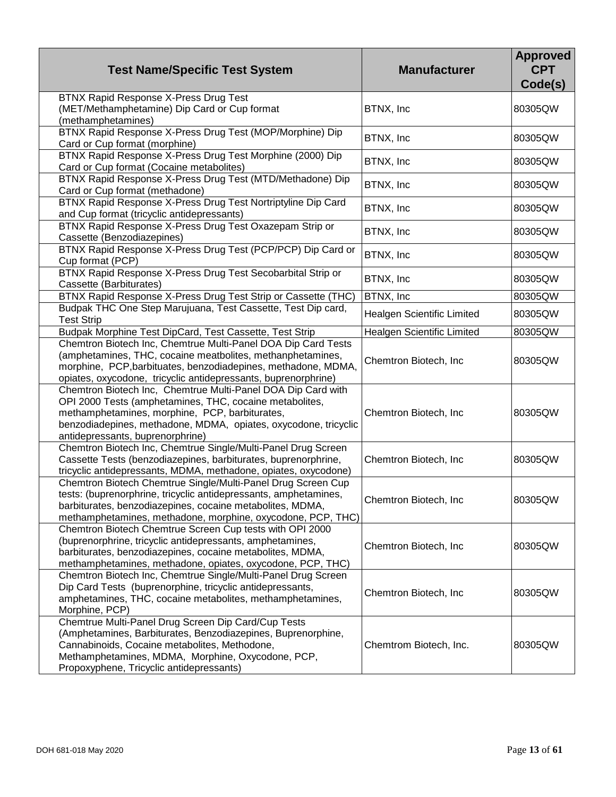| <b>Test Name/Specific Test System</b>                                                                                                                                                                                                                                            | <b>Manufacturer</b>        | <b>Approved</b><br><b>CPT</b><br>Code(s) |
|----------------------------------------------------------------------------------------------------------------------------------------------------------------------------------------------------------------------------------------------------------------------------------|----------------------------|------------------------------------------|
| BTNX Rapid Response X-Press Drug Test<br>(MET/Methamphetamine) Dip Card or Cup format<br>(methamphetamines)                                                                                                                                                                      | BTNX, Inc                  | 80305QW                                  |
| BTNX Rapid Response X-Press Drug Test (MOP/Morphine) Dip<br>Card or Cup format (morphine)                                                                                                                                                                                        | BTNX, Inc                  | 80305QW                                  |
| BTNX Rapid Response X-Press Drug Test Morphine (2000) Dip<br>Card or Cup format (Cocaine metabolites)                                                                                                                                                                            | BTNX, Inc                  | 80305QW                                  |
| BTNX Rapid Response X-Press Drug Test (MTD/Methadone) Dip<br>Card or Cup format (methadone)                                                                                                                                                                                      | BTNX, Inc                  | 80305QW                                  |
| BTNX Rapid Response X-Press Drug Test Nortriptyline Dip Card<br>and Cup format (tricyclic antidepressants)                                                                                                                                                                       | BTNX, Inc                  | 80305QW                                  |
| BTNX Rapid Response X-Press Drug Test Oxazepam Strip or<br>Cassette (Benzodiazepines)                                                                                                                                                                                            | BTNX, Inc                  | 80305QW                                  |
| BTNX Rapid Response X-Press Drug Test (PCP/PCP) Dip Card or<br>Cup format (PCP)                                                                                                                                                                                                  | BTNX, Inc                  | 80305QW                                  |
| BTNX Rapid Response X-Press Drug Test Secobarbital Strip or<br>Cassette (Barbiturates)                                                                                                                                                                                           | BTNX, Inc                  | 80305QW                                  |
| BTNX Rapid Response X-Press Drug Test Strip or Cassette (THC)                                                                                                                                                                                                                    | BTNX, Inc                  | 80305QW                                  |
| Budpak THC One Step Marujuana, Test Cassette, Test Dip card,<br><b>Test Strip</b>                                                                                                                                                                                                | Healgen Scientific Limited | 80305QW                                  |
| Budpak Morphine Test DipCard, Test Cassette, Test Strip                                                                                                                                                                                                                          | Healgen Scientific Limited | 80305QW                                  |
| Chemtron Biotech Inc, Chemtrue Multi-Panel DOA Dip Card Tests<br>(amphetamines, THC, cocaine meatbolites, methanphetamines,<br>morphine, PCP, barbituates, benzodiadepines, methadone, MDMA,<br>opiates, oxycodone, tricyclic antidepressants, buprenorphrine)                   | Chemtron Biotech, Inc.     | 80305QW                                  |
| Chemtron Biotech Inc, Chemtrue Multi-Panel DOA Dip Card with<br>OPI 2000 Tests (amphetamines, THC, cocaine metabolites,<br>methamphetamines, morphine, PCP, barbiturates,<br>benzodiadepines, methadone, MDMA, opiates, oxycodone, tricyclic<br>antidepressants, buprenorphrine) | Chemtron Biotech, Inc      | 80305QW                                  |
| Chemtron Biotech Inc, Chemtrue Single/Multi-Panel Drug Screen<br>Cassette Tests (benzodiazepines, barbiturates, buprenorphrine,<br>tricyclic antidepressants, MDMA, methadone, opiates, oxycodone)                                                                               | Chemtron Biotech, Inc      | 80305QW                                  |
| Chemtron Biotech Chemtrue Single/Multi-Panel Drug Screen Cup<br>tests: (buprenorphrine, tricyclic antidepressants, amphetamines,<br>barbiturates, benzodiazepines, cocaine metabolites, MDMA,<br>methamphetamines, methadone, morphine, oxycodone, PCP, THC)                     | Chemtron Biotech, Inc      | 80305QW                                  |
| Chemtron Biotech Chemtrue Screen Cup tests with OPI 2000<br>(buprenorphrine, tricyclic antidepressants, amphetamines,<br>barbiturates, benzodiazepines, cocaine metabolites, MDMA,<br>methamphetamines, methadone, opiates, oxycodone, PCP, THC)                                 | Chemtron Biotech, Inc.     | 80305QW                                  |
| Chemtron Biotech Inc, Chemtrue Single/Multi-Panel Drug Screen<br>Dip Card Tests (buprenorphine, tricyclic antidepressants,<br>amphetamines, THC, cocaine metabolites, methamphetamines,<br>Morphine, PCP)                                                                        | Chemtron Biotech, Inc.     | 80305QW                                  |
| Chemtrue Multi-Panel Drug Screen Dip Card/Cup Tests<br>(Amphetamines, Barbiturates, Benzodiazepines, Buprenorphine,<br>Cannabinoids, Cocaine metabolites, Methodone,<br>Methamphetamines, MDMA, Morphine, Oxycodone, PCP,<br>Propoxyphene, Tricyclic antidepressants)            | Chemtrom Biotech, Inc.     | 80305QW                                  |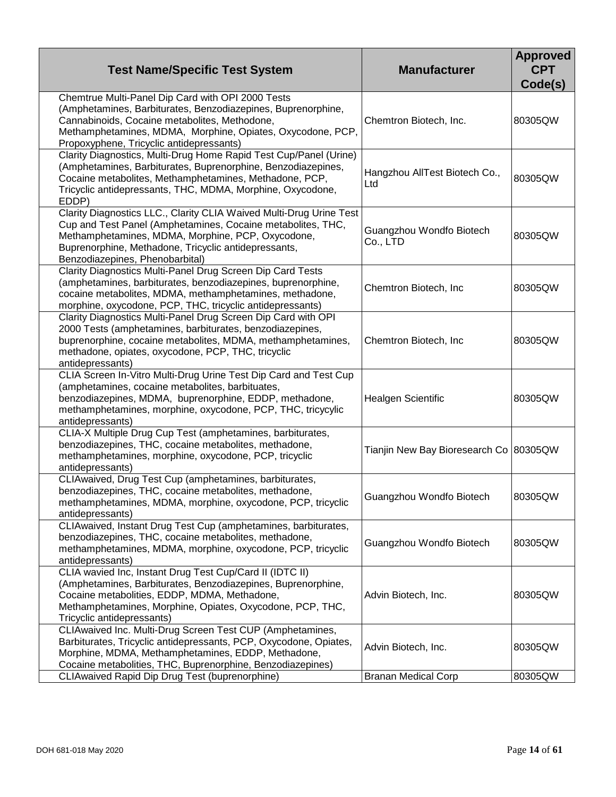| <b>Test Name/Specific Test System</b>                                                                                                                                                                                                                                              | <b>Manufacturer</b>                      | <b>Approved</b><br><b>CPT</b><br>Code(s) |
|------------------------------------------------------------------------------------------------------------------------------------------------------------------------------------------------------------------------------------------------------------------------------------|------------------------------------------|------------------------------------------|
| Chemtrue Multi-Panel Dip Card with OPI 2000 Tests<br>(Amphetamines, Barbiturates, Benzodiazepines, Buprenorphine,<br>Cannabinoids, Cocaine metabolites, Methodone,<br>Methamphetamines, MDMA, Morphine, Opiates, Oxycodone, PCP,<br>Propoxyphene, Tricyclic antidepressants)       | Chemtron Biotech, Inc.                   | 80305QW                                  |
| Clarity Diagnostics, Multi-Drug Home Rapid Test Cup/Panel (Urine)<br>(Amphetamines, Barbiturates, Buprenorphine, Benzodiazepines,<br>Cocaine metabolites, Methamphetamines, Methadone, PCP,<br>Tricyclic antidepressants, THC, MDMA, Morphine, Oxycodone,<br>EDDP)                 | Hangzhou AllTest Biotech Co.,<br>Ltd     | 80305QW                                  |
| Clarity Diagnostics LLC., Clarity CLIA Waived Multi-Drug Urine Test<br>Cup and Test Panel (Amphetamines, Cocaine metabolites, THC,<br>Methamphetamines, MDMA, Morphine, PCP, Oxycodone,<br>Buprenorphine, Methadone, Tricyclic antidepressants,<br>Benzodiazepines, Phenobarbital) | Guangzhou Wondfo Biotech<br>Co., LTD     | 80305QW                                  |
| Clarity Diagnostics Multi-Panel Drug Screen Dip Card Tests<br>(amphetamines, barbiturates, benzodiazepines, buprenorphine,<br>cocaine metabolites, MDMA, methamphetamines, methadone,<br>morphine, oxycodone, PCP, THC, tricyclic antidepressants)                                 | Chemtron Biotech, Inc                    | 80305QW                                  |
| Clarity Diagnostics Multi-Panel Drug Screen Dip Card with OPI<br>2000 Tests (amphetamines, barbiturates, benzodiazepines,<br>buprenorphine, cocaine metabolites, MDMA, methamphetamines,<br>methadone, opiates, oxycodone, PCP, THC, tricyclic<br>antidepressants)                 | Chemtron Biotech, Inc                    | 80305QW                                  |
| CLIA Screen In-Vitro Multi-Drug Urine Test Dip Card and Test Cup<br>(amphetamines, cocaine metabolites, barbituates,<br>benzodiazepines, MDMA, buprenorphine, EDDP, methadone,<br>methamphetamines, morphine, oxycodone, PCP, THC, tricycylic<br>antidepressants)                  | <b>Healgen Scientific</b>                | 80305QW                                  |
| CLIA-X Multiple Drug Cup Test (amphetamines, barbiturates,<br>benzodiazepines, THC, cocaine metabolites, methadone,<br>methamphetamines, morphine, oxycodone, PCP, tricyclic<br>antidepressants)                                                                                   | Tianjin New Bay Bioresearch Co   80305QW |                                          |
| CLIAwaived, Drug Test Cup (amphetamines, barbiturates,<br>benzodiazepines, THC, cocaine metabolites, methadone,<br>methamphetamines, MDMA, morphine, oxycodone, PCP, tricyclic<br>antidepressants)                                                                                 | Guangzhou Wondfo Biotech                 | 80305QW                                  |
| CLIAwaived, Instant Drug Test Cup (amphetamines, barbiturates,<br>benzodiazepines, THC, cocaine metabolites, methadone,<br>methamphetamines, MDMA, morphine, oxycodone, PCP, tricyclic<br>antidepressants)                                                                         | Guangzhou Wondfo Biotech                 | 80305QW                                  |
| CLIA wavied Inc, Instant Drug Test Cup/Card II (IDTC II)<br>(Amphetamines, Barbiturates, Benzodiazepines, Buprenorphine,<br>Cocaine metabolities, EDDP, MDMA, Methadone,<br>Methamphetamines, Morphine, Opiates, Oxycodone, PCP, THC,<br>Tricyclic antidepressants)                | Advin Biotech, Inc.                      | 80305QW                                  |
| CLIAwaived Inc. Multi-Drug Screen Test CUP (Amphetamines,<br>Barbiturates, Tricyclic antidepressants, PCP, Oxycodone, Opiates,<br>Morphine, MDMA, Methamphetamines, EDDP, Methadone,<br>Cocaine metabolities, THC, Buprenorphine, Benzodiazepines)                                 | Advin Biotech, Inc.                      | 80305QW                                  |
| <b>CLIAwaived Rapid Dip Drug Test (buprenorphine)</b>                                                                                                                                                                                                                              | <b>Branan Medical Corp</b>               | 80305QW                                  |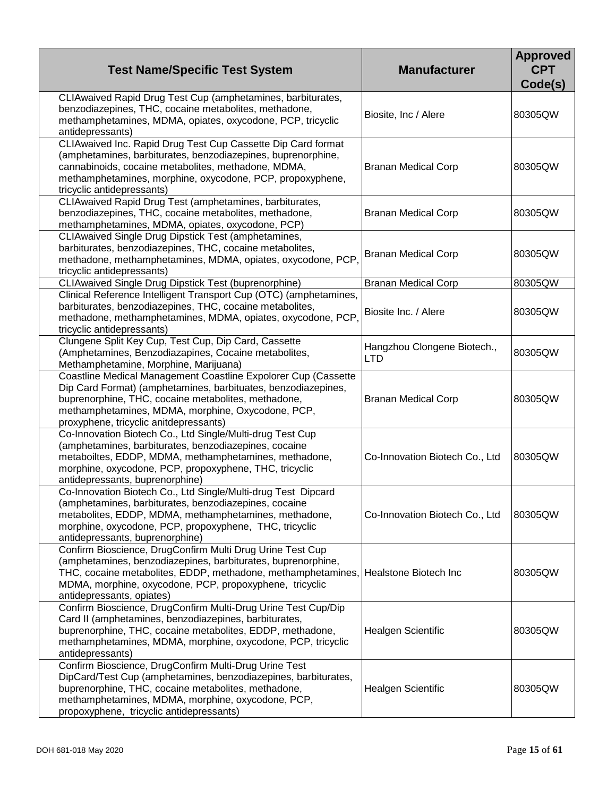| <b>Test Name/Specific Test System</b>                                                                                                                                                                                                                                                                   | <b>Manufacturer</b>                       | <b>Approved</b><br><b>CPT</b><br>Code(s) |
|---------------------------------------------------------------------------------------------------------------------------------------------------------------------------------------------------------------------------------------------------------------------------------------------------------|-------------------------------------------|------------------------------------------|
| CLIAwaived Rapid Drug Test Cup (amphetamines, barbiturates,<br>benzodiazepines, THC, cocaine metabolites, methadone,<br>methamphetamines, MDMA, opiates, oxycodone, PCP, tricyclic<br>antidepressants)                                                                                                  | Biosite, Inc / Alere                      | 80305QW                                  |
| CLIAwaived Inc. Rapid Drug Test Cup Cassette Dip Card format<br>(amphetamines, barbiturates, benzodiazepines, buprenorphine,<br>cannabinoids, cocaine metabolites, methadone, MDMA,<br>methamphetamines, morphine, oxycodone, PCP, propoxyphene,<br>tricyclic antidepressants)                          | <b>Branan Medical Corp</b>                | 80305QW                                  |
| CLIAwaived Rapid Drug Test (amphetamines, barbiturates,<br>benzodiazepines, THC, cocaine metabolites, methadone,<br>methamphetamines, MDMA, opiates, oxycodone, PCP)                                                                                                                                    | <b>Branan Medical Corp</b>                | 80305QW                                  |
| CLIAwaived Single Drug Dipstick Test (amphetamines,<br>barbiturates, benzodiazepines, THC, cocaine metabolites,<br>methadone, methamphetamines, MDMA, opiates, oxycodone, PCP,<br>tricyclic antidepressants)                                                                                            | <b>Branan Medical Corp</b>                | 80305QW                                  |
| CLIAwaived Single Drug Dipstick Test (buprenorphine)                                                                                                                                                                                                                                                    | <b>Branan Medical Corp</b>                | 80305QW                                  |
| Clinical Reference Intelligent Transport Cup (OTC) (amphetamines,<br>barbiturates, benzodiazepines, THC, cocaine metabolites,<br>methadone, methamphetamines, MDMA, opiates, oxycodone, PCP,<br>tricyclic antidepressants)                                                                              | Biosite Inc. / Alere                      | 80305QW                                  |
| Clungene Split Key Cup, Test Cup, Dip Card, Cassette<br>(Amphetamines, Benzodiazapines, Cocaine metabolites,<br>Methamphetamine, Morphine, Marijuana)                                                                                                                                                   | Hangzhou Clongene Biotech.,<br><b>LTD</b> | 80305QW                                  |
| Coastline Medical Management Coastline Expolorer Cup (Cassette<br>Dip Card Format) (amphetamines, barbituates, benzodiazepines,<br>buprenorphine, THC, cocaine metabolites, methadone,<br>methamphetamines, MDMA, morphine, Oxycodone, PCP,<br>proxyphene, tricyclic anitdepressants)                   | <b>Branan Medical Corp</b>                | 80305QW                                  |
| Co-Innovation Biotech Co., Ltd Single/Multi-drug Test Cup<br>(amphetamines, barbiturates, benzodiazepines, cocaine<br>metaboiltes, EDDP, MDMA, methamphetamines, methadone,<br>morphine, oxycodone, PCP, propoxyphene, THC, tricyclic<br>antidepressants, buprenorphine)                                | Co-Innovation Biotech Co., Ltd            | 80305QW                                  |
| Co-Innovation Biotech Co., Ltd Single/Multi-drug Test Dipcard<br>(amphetamines, barbiturates, benzodiazepines, cocaine<br>metabolites, EDDP, MDMA, methamphetamines, methadone,<br>morphine, oxycodone, PCP, propoxyphene, THC, tricyclic<br>antidepressants, buprenorphine)                            | Co-Innovation Biotech Co., Ltd            | 80305QW                                  |
| Confirm Bioscience, DrugConfirm Multi Drug Urine Test Cup<br>(amphetamines, benzodiazepines, barbiturates, buprenorphine,<br>THC, cocaine metabolites, EDDP, methadone, methamphetamines, Healstone Biotech Inc<br>MDMA, morphine, oxycodone, PCP, propoxyphene, tricyclic<br>antidepressants, opiates) |                                           | 80305QW                                  |
| Confirm Bioscience, DrugConfirm Multi-Drug Urine Test Cup/Dip<br>Card II (amphetamines, benzodiazepines, barbiturates,<br>buprenorphine, THC, cocaine metabolites, EDDP, methadone,<br>methamphetamines, MDMA, morphine, oxycodone, PCP, tricyclic<br>antidepressants)                                  | <b>Healgen Scientific</b>                 | 80305QW                                  |
| Confirm Bioscience, DrugConfirm Multi-Drug Urine Test<br>DipCard/Test Cup (amphetamines, benzodiazepines, barbiturates,<br>buprenorphine, THC, cocaine metabolites, methadone,<br>methamphetamines, MDMA, morphine, oxycodone, PCP,<br>propoxyphene, tricyclic antidepressants)                         | <b>Healgen Scientific</b>                 | 80305QW                                  |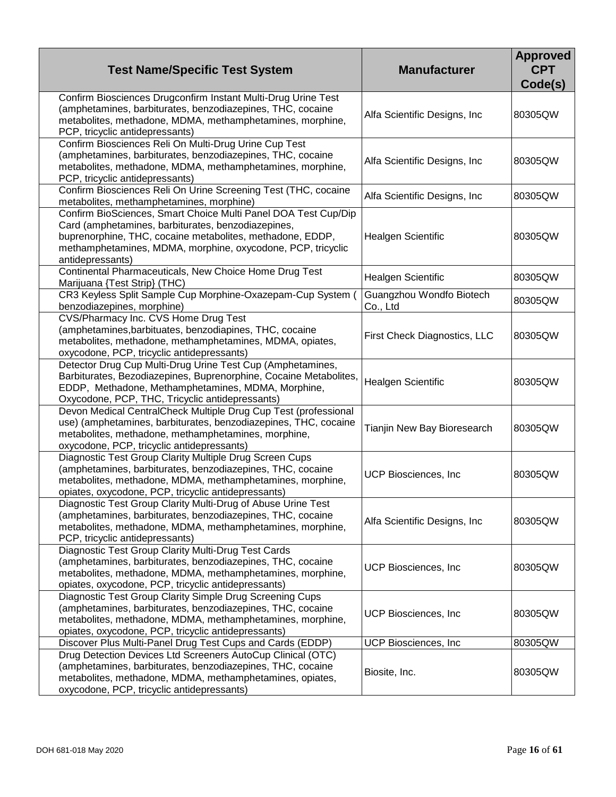| <b>Test Name/Specific Test System</b>                                                                                                                                                                                                                                | <b>Manufacturer</b>                  | <b>Approved</b><br><b>CPT</b><br>Code(s) |
|----------------------------------------------------------------------------------------------------------------------------------------------------------------------------------------------------------------------------------------------------------------------|--------------------------------------|------------------------------------------|
| Confirm Biosciences Drugconfirm Instant Multi-Drug Urine Test<br>(amphetamines, barbiturates, benzodiazepines, THC, cocaine<br>metabolites, methadone, MDMA, methamphetamines, morphine,<br>PCP, tricyclic antidepressants)                                          | Alfa Scientific Designs, Inc         | 80305QW                                  |
| Confirm Biosciences Reli On Multi-Drug Urine Cup Test<br>(amphetamines, barbiturates, benzodiazepines, THC, cocaine<br>metabolites, methadone, MDMA, methamphetamines, morphine,<br>PCP, tricyclic antidepressants)                                                  | Alfa Scientific Designs, Inc         | 80305QW                                  |
| Confirm Biosciences Reli On Urine Screening Test (THC, cocaine<br>metabolites, methamphetamines, morphine)                                                                                                                                                           | Alfa Scientific Designs, Inc.        | 80305QW                                  |
| Confirm BioSciences, Smart Choice Multi Panel DOA Test Cup/Dip<br>Card (amphetamines, barbiturates, benzodiazepines,<br>buprenorphine, THC, cocaine metabolites, methadone, EDDP,<br>methamphetamines, MDMA, morphine, oxycodone, PCP, tricyclic<br>antidepressants) | Healgen Scientific                   | 80305QW                                  |
| Continental Pharmaceuticals, New Choice Home Drug Test<br>Marijuana {Test Strip} (THC)                                                                                                                                                                               | <b>Healgen Scientific</b>            | 80305QW                                  |
| CR3 Keyless Split Sample Cup Morphine-Oxazepam-Cup System (<br>benzodiazepines, morphine)                                                                                                                                                                            | Guangzhou Wondfo Biotech<br>Co., Ltd | 80305QW                                  |
| CVS/Pharmacy Inc. CVS Home Drug Test<br>(amphetamines, barbituates, benzodiapines, THC, cocaine<br>metabolites, methadone, methamphetamines, MDMA, opiates,<br>oxycodone, PCP, tricyclic antidepressants)                                                            | First Check Diagnostics, LLC         | 80305QW                                  |
| Detector Drug Cup Multi-Drug Urine Test Cup (Amphetamines,<br>Barbiturates, Bezodiazepines, Buprenorphine, Cocaine Metabolites,<br>EDDP, Methadone, Methamphetamines, MDMA, Morphine,<br>Oxycodone, PCP, THC, Tricyclic antidepressants)                             | <b>Healgen Scientific</b>            | 80305QW                                  |
| Devon Medical CentralCheck Multiple Drug Cup Test (professional<br>use) (amphetamines, barbiturates, benzodiazepines, THC, cocaine<br>metabolites, methadone, methamphetamines, morphine,<br>oxycodone, PCP, tricyclic antidepressants)                              | Tianjin New Bay Bioresearch          | 80305QW                                  |
| Diagnostic Test Group Clarity Multiple Drug Screen Cups<br>(amphetamines, barbiturates, benzodiazepines, THC, cocaine<br>metabolites, methadone, MDMA, methamphetamines, morphine,<br>opiates, oxycodone, PCP, tricyclic antidepressants)                            | <b>UCP Biosciences, Inc</b>          | 80305QW                                  |
| Diagnostic Test Group Clarity Multi-Drug of Abuse Urine Test<br>(amphetamines, barbiturates, benzodiazepines, THC, cocaine<br>metabolites, methadone, MDMA, methamphetamines, morphine,<br>PCP, tricyclic antidepressants)                                           | Alfa Scientific Designs, Inc.        | 80305QW                                  |
| Diagnostic Test Group Clarity Multi-Drug Test Cards<br>(amphetamines, barbiturates, benzodiazepines, THC, cocaine<br>metabolites, methadone, MDMA, methamphetamines, morphine,<br>opiates, oxycodone, PCP, tricyclic antidepressants)                                | UCP Biosciences, Inc.                | 80305QW                                  |
| Diagnostic Test Group Clarity Simple Drug Screening Cups<br>(amphetamines, barbiturates, benzodiazepines, THC, cocaine<br>metabolites, methadone, MDMA, methamphetamines, morphine,<br>opiates, oxycodone, PCP, tricyclic antidepressants)                           | <b>UCP Biosciences, Inc</b>          | 80305QW                                  |
| Discover Plus Multi-Panel Drug Test Cups and Cards (EDDP)                                                                                                                                                                                                            | <b>UCP Biosciences, Inc</b>          | 80305QW                                  |
| Drug Detection Devices Ltd Screeners AutoCup Clinical (OTC)<br>(amphetamines, barbiturates, benzodiazepines, THC, cocaine<br>metabolites, methadone, MDMA, methamphetamines, opiates,<br>oxycodone, PCP, tricyclic antidepressants)                                  | Biosite, Inc.                        | 80305QW                                  |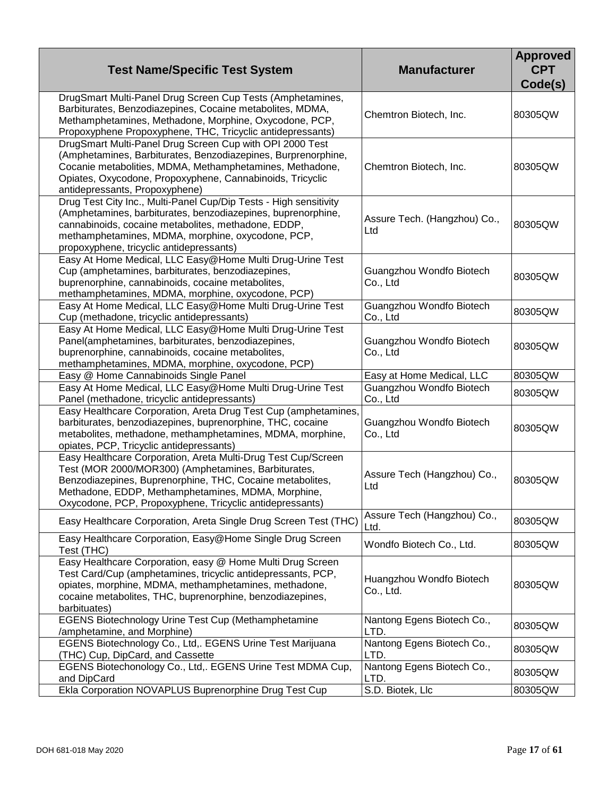| <b>Test Name/Specific Test System</b>                                                                                                                                                                                                                                                               | <b>Manufacturer</b>                   | <b>Approved</b><br><b>CPT</b><br>Code(s) |
|-----------------------------------------------------------------------------------------------------------------------------------------------------------------------------------------------------------------------------------------------------------------------------------------------------|---------------------------------------|------------------------------------------|
| DrugSmart Multi-Panel Drug Screen Cup Tests (Amphetamines,<br>Barbiturates, Benzodiazepines, Cocaine metabolites, MDMA,<br>Methamphetamines, Methadone, Morphine, Oxycodone, PCP,<br>Propoxyphene Propoxyphene, THC, Tricyclic antidepressants)                                                     | Chemtron Biotech, Inc.                | 80305QW                                  |
| DrugSmart Multi-Panel Drug Screen Cup with OPI 2000 Test<br>(Amphetamines, Barbiturates, Benzodiazepines, Burprenorphine,<br>Cocanie metabolities, MDMA, Methamphetamines, Methadone,<br>Opiates, Oxycodone, Propoxyphene, Cannabinoids, Tricyclic<br>antidepressants, Propoxyphene)                | Chemtron Biotech, Inc.                | 80305QW                                  |
| Drug Test City Inc., Multi-Panel Cup/Dip Tests - High sensitivity<br>(Amphetamines, barbiturates, benzodiazepines, buprenorphine,<br>cannabinoids, cocaine metabolites, methadone, EDDP,<br>methamphetamines, MDMA, morphine, oxycodone, PCP,<br>propoxyphene, tricyclic antidepressants)           | Assure Tech. (Hangzhou) Co.,<br>Ltd   | 80305QW                                  |
| Easy At Home Medical, LLC Easy@Home Multi Drug-Urine Test<br>Cup (amphetamines, barbiturates, benzodiazepines,<br>buprenorphine, cannabinoids, cocaine metabolites,<br>methamphetamines, MDMA, morphine, oxycodone, PCP)                                                                            | Guangzhou Wondfo Biotech<br>Co., Ltd  | 80305QW                                  |
| Easy At Home Medical, LLC Easy@Home Multi Drug-Urine Test<br>Cup (methadone, tricyclic antidepressants)                                                                                                                                                                                             | Guangzhou Wondfo Biotech<br>Co., Ltd  | 80305QW                                  |
| Easy At Home Medical, LLC Easy@Home Multi Drug-Urine Test<br>Panel(amphetamines, barbiturates, benzodiazepines,<br>buprenorphine, cannabinoids, cocaine metabolites,<br>methamphetamines, MDMA, morphine, oxycodone, PCP)                                                                           | Guangzhou Wondfo Biotech<br>Co., Ltd  | 80305QW                                  |
| Easy @ Home Cannabinoids Single Panel                                                                                                                                                                                                                                                               | Easy at Home Medical, LLC             | 80305QW                                  |
| Easy At Home Medical, LLC Easy@Home Multi Drug-Urine Test<br>Panel (methadone, tricyclic antidepressants)                                                                                                                                                                                           | Guangzhou Wondfo Biotech<br>Co., Ltd  | 80305QW                                  |
| Easy Healthcare Corporation, Areta Drug Test Cup (amphetamines,<br>barbiturates, benzodiazepines, buprenorphine, THC, cocaine<br>metabolites, methadone, methamphetamines, MDMA, morphine,<br>opiates, PCP, Tricyclic antidepressants)                                                              | Guangzhou Wondfo Biotech<br>Co., Ltd  | 80305QW                                  |
| Easy Healthcare Corporation, Areta Multi-Drug Test Cup/Screen<br>Test (MOR 2000/MOR300) (Amphetamines, Barbiturates,<br>Benzodiazepines, Buprenorphine, THC, Cocaine metabolites,<br>Methadone, EDDP, Methamphetamines, MDMA, Morphine,<br>Oxycodone, PCP, Propoxyphene, Tricyclic antidepressants) | Assure Tech (Hangzhou) Co.,<br>Ltd    | 80305QW                                  |
| Easy Healthcare Corporation, Areta Single Drug Screen Test (THC)                                                                                                                                                                                                                                    | Assure Tech (Hangzhou) Co.,<br>Ltd.   | 80305QW                                  |
| Easy Healthcare Corporation, Easy@Home Single Drug Screen<br>Test (THC)                                                                                                                                                                                                                             | Wondfo Biotech Co., Ltd.              | 80305QW                                  |
| Easy Healthcare Corporation, easy @ Home Multi Drug Screen<br>Test Card/Cup (amphetamines, tricyclic antidepressants, PCP,<br>opiates, morphine, MDMA, methamphetamines, methadone,<br>cocaine metabolites, THC, buprenorphine, benzodiazepines,<br>barbituates)                                    | Huangzhou Wondfo Biotech<br>Co., Ltd. | 80305QW                                  |
| EGENS Biotechnology Urine Test Cup (Methamphetamine<br>/amphetamine, and Morphine)                                                                                                                                                                                                                  | Nantong Egens Biotech Co.,<br>LTD.    | 80305QW                                  |
| EGENS Biotechnology Co., Ltd,. EGENS Urine Test Marijuana<br>(THC) Cup, DipCard, and Cassette                                                                                                                                                                                                       | Nantong Egens Biotech Co.,<br>LTD.    | 80305QW                                  |
| EGENS Biotechonology Co., Ltd,. EGENS Urine Test MDMA Cup,<br>and DipCard                                                                                                                                                                                                                           | Nantong Egens Biotech Co.,<br>LTD.    | 80305QW                                  |
| Ekla Corporation NOVAPLUS Buprenorphine Drug Test Cup                                                                                                                                                                                                                                               | S.D. Biotek, Llc                      | 80305QW                                  |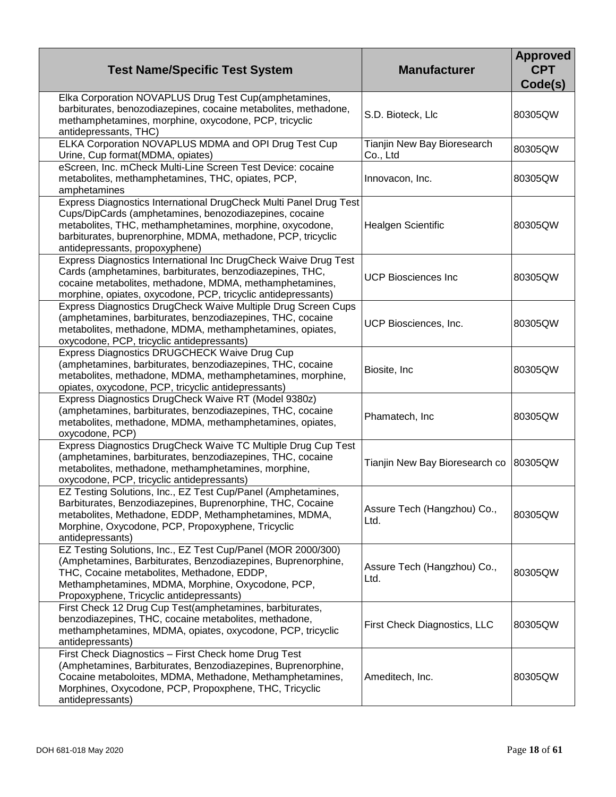| <b>Test Name/Specific Test System</b>                                                                                                                                                                                                                                                     | <b>Manufacturer</b>                     | <b>Approved</b><br><b>CPT</b><br>Code(s) |
|-------------------------------------------------------------------------------------------------------------------------------------------------------------------------------------------------------------------------------------------------------------------------------------------|-----------------------------------------|------------------------------------------|
| Elka Corporation NOVAPLUS Drug Test Cup(amphetamines,<br>barbiturates, benozodiazepines, cocaine metabolites, methadone,<br>methamphetamines, morphine, oxycodone, PCP, tricyclic<br>antidepressants, THC)                                                                                | S.D. Bioteck, Llc                       | 80305QW                                  |
| ELKA Corporation NOVAPLUS MDMA and OPI Drug Test Cup<br>Urine, Cup format(MDMA, opiates)                                                                                                                                                                                                  | Tianjin New Bay Bioresearch<br>Co., Ltd | 80305QW                                  |
| eScreen, Inc. mCheck Multi-Line Screen Test Device: cocaine<br>metabolites, methamphetamines, THC, opiates, PCP,<br>amphetamines                                                                                                                                                          | Innovacon, Inc.                         | 80305QW                                  |
| Express Diagnostics International DrugCheck Multi Panel Drug Test<br>Cups/DipCards (amphetamines, benozodiazepines, cocaine<br>metabolites, THC, methamphetamines, morphine, oxycodone,<br>barbiturates, buprenorphine, MDMA, methadone, PCP, tricyclic<br>antidepressants, propoxyphene) | Healgen Scientific                      | 80305QW                                  |
| Express Diagnostics International Inc DrugCheck Waive Drug Test<br>Cards (amphetamines, barbiturates, benzodiazepines, THC,<br>cocaine metabolites, methadone, MDMA, methamphetamines,<br>morphine, opiates, oxycodone, PCP, tricyclic antidepressants)                                   | <b>UCP Biosciences Inc</b>              | 80305QW                                  |
| Express Diagnostics DrugCheck Waive Multiple Drug Screen Cups<br>(amphetamines, barbiturates, benzodiazepines, THC, cocaine<br>metabolites, methadone, MDMA, methamphetamines, opiates,<br>oxycodone, PCP, tricyclic antidepressants)                                                     | UCP Biosciences, Inc.                   | 80305QW                                  |
| Express Diagnostics DRUGCHECK Waive Drug Cup<br>(amphetamines, barbiturates, benzodiazepines, THC, cocaine<br>metabolites, methadone, MDMA, methamphetamines, morphine,<br>opiates, oxycodone, PCP, tricyclic antidepressants)                                                            | Biosite, Inc                            | 80305QW                                  |
| Express Diagnostics DrugCheck Waive RT (Model 9380z)<br>(amphetamines, barbiturates, benzodiazepines, THC, cocaine<br>metabolites, methadone, MDMA, methamphetamines, opiates,<br>oxycodone, PCP)                                                                                         | Phamatech, Inc                          | 80305QW                                  |
| Express Diagnostics DrugCheck Waive TC Multiple Drug Cup Test<br>(amphetamines, barbiturates, benzodiazepines, THC, cocaine<br>metabolites, methadone, methamphetamines, morphine,<br>oxycodone, PCP, tricyclic antidepressants)                                                          | Tianjin New Bay Bioresearch co          | 80305QW                                  |
| EZ Testing Solutions, Inc., EZ Test Cup/Panel (Amphetamines,<br>Barbiturates, Benzodiazepines, Buprenorphine, THC, Cocaine<br>metabolites, Methadone, EDDP, Methamphetamines, MDMA,<br>Morphine, Oxycodone, PCP, Propoxyphene, Tricyclic<br>antidepressants)                              | Assure Tech (Hangzhou) Co.,<br>Ltd.     | 80305QW                                  |
| EZ Testing Solutions, Inc., EZ Test Cup/Panel (MOR 2000/300)<br>(Amphetamines, Barbiturates, Benzodiazepines, Buprenorphine,<br>THC, Cocaine metabolites, Methadone, EDDP,<br>Methamphetamines, MDMA, Morphine, Oxycodone, PCP,<br>Propoxyphene, Tricyclic antidepressants)               | Assure Tech (Hangzhou) Co.,<br>Ltd.     | 80305QW                                  |
| First Check 12 Drug Cup Test(amphetamines, barbiturates,<br>benzodiazepines, THC, cocaine metabolites, methadone,<br>methamphetamines, MDMA, opiates, oxycodone, PCP, tricyclic<br>antidepressants)                                                                                       | First Check Diagnostics, LLC            | 80305QW                                  |
| First Check Diagnostics - First Check home Drug Test<br>(Amphetamines, Barbiturates, Benzodiazepines, Buprenorphine,<br>Cocaine metaboloites, MDMA, Methadone, Methamphetamines,<br>Morphines, Oxycodone, PCP, Propoxphene, THC, Tricyclic<br>antidepressants)                            | Ameditech, Inc.                         | 80305QW                                  |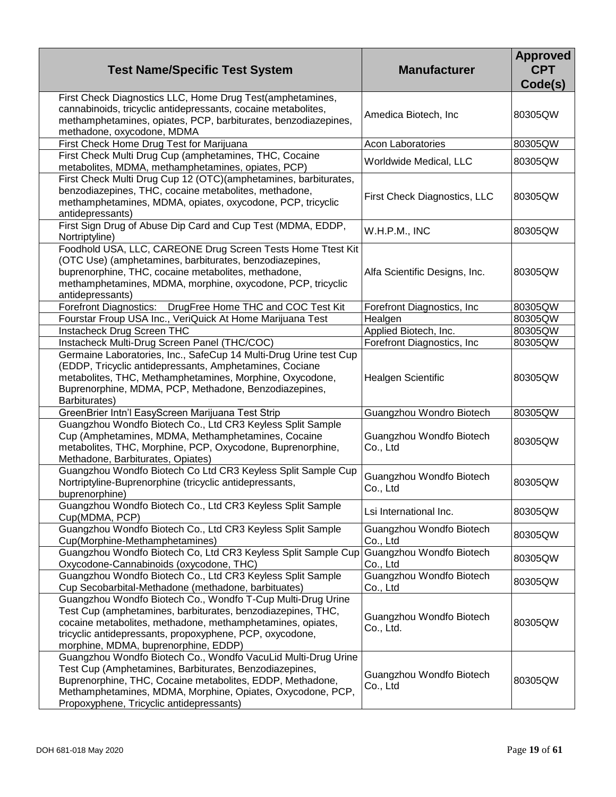| <b>Test Name/Specific Test System</b>                                                                                                                                                                                                                                                          | <b>Manufacturer</b>                   | <b>Approved</b><br><b>CPT</b><br>Code(s) |
|------------------------------------------------------------------------------------------------------------------------------------------------------------------------------------------------------------------------------------------------------------------------------------------------|---------------------------------------|------------------------------------------|
| First Check Diagnostics LLC, Home Drug Test(amphetamines,<br>cannabinoids, tricyclic antidepressants, cocaine metabolites,<br>methamphetamines, opiates, PCP, barbiturates, benzodiazepines,<br>methadone, oxycodone, MDMA                                                                     | Amedica Biotech, Inc                  | 80305QW                                  |
| First Check Home Drug Test for Marijuana                                                                                                                                                                                                                                                       | <b>Acon Laboratories</b>              | 80305QW                                  |
| First Check Multi Drug Cup (amphetamines, THC, Cocaine                                                                                                                                                                                                                                         |                                       | 80305QW                                  |
| metabolites, MDMA, methamphetamines, opiates, PCP)                                                                                                                                                                                                                                             | Worldwide Medical, LLC                |                                          |
| First Check Multi Drug Cup 12 (OTC)(amphetamines, barbiturates,<br>benzodiazepines, THC, cocaine metabolites, methadone,<br>methamphetamines, MDMA, opiates, oxycodone, PCP, tricyclic<br>antidepressants)                                                                                     | First Check Diagnostics, LLC          | 80305QW                                  |
| First Sign Drug of Abuse Dip Card and Cup Test (MDMA, EDDP,<br>Nortriptyline)                                                                                                                                                                                                                  | W.H.P.M., INC                         | 80305QW                                  |
| Foodhold USA, LLC, CAREONE Drug Screen Tests Home Ttest Kit<br>(OTC Use) (amphetamines, barbiturates, benzodiazepines,<br>buprenorphine, THC, cocaine metabolites, methadone,<br>methamphetamines, MDMA, morphine, oxycodone, PCP, tricyclic<br>antidepressants)                               | Alfa Scientific Designs, Inc.         | 80305QW                                  |
| Forefront Diagnostics:<br>DrugFree Home THC and COC Test Kit                                                                                                                                                                                                                                   | Forefront Diagnostics, Inc.           | 80305QW                                  |
| Fourstar Froup USA Inc., VeriQuick At Home Marijuana Test                                                                                                                                                                                                                                      | Healgen                               | 80305QW                                  |
| Instacheck Drug Screen THC                                                                                                                                                                                                                                                                     | Applied Biotech, Inc.                 | 80305QW                                  |
| Instacheck Multi-Drug Screen Panel (THC/COC)                                                                                                                                                                                                                                                   | Forefront Diagnostics, Inc.           | 80305QW                                  |
| Germaine Laboratories, Inc., SafeCup 14 Multi-Drug Urine test Cup<br>(EDDP, Tricyclic antidepressants, Amphetamines, Cociane<br>metabolites, THC, Methamphetamines, Morphine, Oxycodone,<br>Buprenorphine, MDMA, PCP, Methadone, Benzodiazepines,<br>Barbiturates)                             | Healgen Scientific                    | 80305QW                                  |
| GreenBrier Intn'l EasyScreen Marijuana Test Strip                                                                                                                                                                                                                                              | Guangzhou Wondro Biotech              | 80305QW                                  |
| Guangzhou Wondfo Biotech Co., Ltd CR3 Keyless Split Sample<br>Cup (Amphetamines, MDMA, Methamphetamines, Cocaine<br>metabolites, THC, Morphine, PCP, Oxycodone, Buprenorphine,<br>Methadone, Barbiturates, Opiates)                                                                            | Guangzhou Wondfo Biotech<br>Co., Ltd  | 80305QW                                  |
| Guangzhou Wondfo Biotech Co Ltd CR3 Keyless Split Sample Cup<br>Nortriptyline-Buprenorphine (tricyclic antidepressants,<br>buprenorphine)                                                                                                                                                      | Guangzhou Wondfo Biotech<br>Co., Ltd  | 80305QW                                  |
| Guangzhou Wondfo Biotech Co., Ltd CR3 Keyless Split Sample<br>Cup(MDMA, PCP)                                                                                                                                                                                                                   | Lsi International Inc.                | 80305QW                                  |
| Guangzhou Wondfo Biotech Co., Ltd CR3 Keyless Split Sample<br>Cup(Morphine-Methamphetamines)                                                                                                                                                                                                   | Guangzhou Wondfo Biotech<br>Co., Ltd  | 80305QW                                  |
| Guangzhou Wondfo Biotech Co, Ltd CR3 Keyless Split Sample Cup<br>Oxycodone-Cannabinoids (oxycodone, THC)                                                                                                                                                                                       | Guangzhou Wondfo Biotech<br>Co., Ltd  | 80305QW                                  |
| Guangzhou Wondfo Biotech Co., Ltd CR3 Keyless Split Sample<br>Cup Secobarbital-Methadone (methadone, barbituates)                                                                                                                                                                              | Guangzhou Wondfo Biotech<br>Co., Ltd  | 80305QW                                  |
| Guangzhou Wondfo Biotech Co., Wondfo T-Cup Multi-Drug Urine<br>Test Cup (amphetamines, barbiturates, benzodiazepines, THC,<br>cocaine metabolites, methadone, methamphetamines, opiates,<br>tricyclic antidepressants, propoxyphene, PCP, oxycodone,<br>morphine, MDMA, buprenorphine, EDDP)   | Guangzhou Wondfo Biotech<br>Co., Ltd. | 80305QW                                  |
| Guangzhou Wondfo Biotech Co., Wondfo VacuLid Multi-Drug Urine<br>Test Cup (Amphetamines, Barbiturates, Benzodiazepines,<br>Buprenorphine, THC, Cocaine metabolites, EDDP, Methadone,<br>Methamphetamines, MDMA, Morphine, Opiates, Oxycodone, PCP,<br>Propoxyphene, Tricyclic antidepressants) | Guangzhou Wondfo Biotech<br>Co., Ltd  | 80305QW                                  |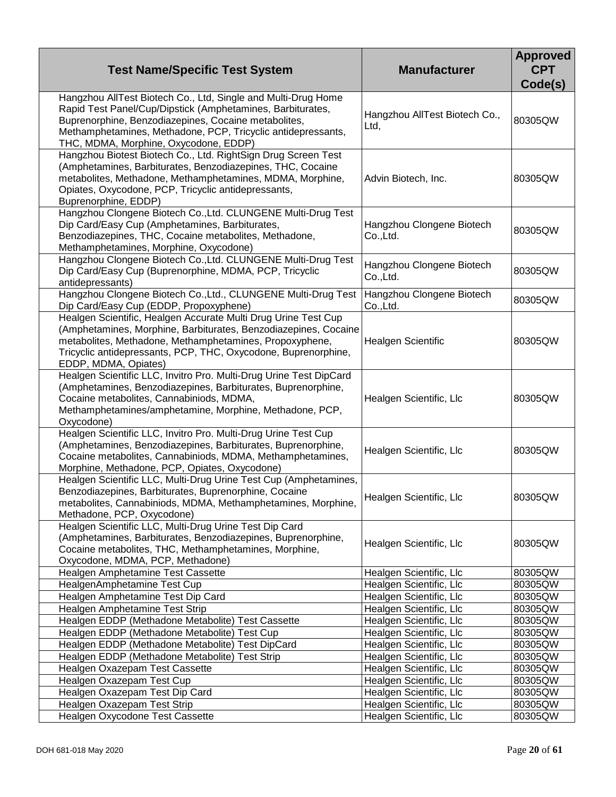| <b>Test Name/Specific Test System</b>                                                                                                                                                                                                                                                        | <b>Manufacturer</b>                    | <b>Approved</b><br><b>CPT</b><br>Code(s) |
|----------------------------------------------------------------------------------------------------------------------------------------------------------------------------------------------------------------------------------------------------------------------------------------------|----------------------------------------|------------------------------------------|
| Hangzhou AllTest Biotech Co., Ltd, Single and Multi-Drug Home<br>Rapid Test Panel/Cup/Dipstick (Amphetamines, Barbiturates,<br>Buprenorphine, Benzodiazepines, Cocaine metabolites,<br>Methamphetamines, Methadone, PCP, Tricyclic antidepressants,<br>THC, MDMA, Morphine, Oxycodone, EDDP) | Hangzhou AllTest Biotech Co.,<br>Ltd,  | 80305QW                                  |
| Hangzhou Biotest Biotech Co., Ltd. RightSign Drug Screen Test<br>(Amphetamines, Barbiturates, Benzodiazepines, THC, Cocaine<br>metabolites, Methadone, Methamphetamines, MDMA, Morphine,<br>Opiates, Oxycodone, PCP, Tricyclic antidepressants,<br>Buprenorphine, EDDP)                      | Advin Biotech, Inc.                    | 80305QW                                  |
| Hangzhou Clongene Biotech Co., Ltd. CLUNGENE Multi-Drug Test<br>Dip Card/Easy Cup (Amphetamines, Barbiturates,<br>Benzodiazepines, THC, Cocaine metabolites, Methadone,<br>Methamphetamines, Morphine, Oxycodone)                                                                            | Hangzhou Clongene Biotech<br>Co., Ltd. | 80305QW                                  |
| Hangzhou Clongene Biotech Co., Ltd. CLUNGENE Multi-Drug Test<br>Dip Card/Easy Cup (Buprenorphine, MDMA, PCP, Tricyclic<br>antidepressants)                                                                                                                                                   | Hangzhou Clongene Biotech<br>Co., Ltd. | 80305QW                                  |
| Hangzhou Clongene Biotech Co., Ltd., CLUNGENE Multi-Drug Test<br>Dip Card/Easy Cup (EDDP, Propoxyphene)                                                                                                                                                                                      | Hangzhou Clongene Biotech<br>Co.,Ltd.  | 80305QW                                  |
| Healgen Scientific, Healgen Accurate Multi Drug Urine Test Cup<br>(Amphetamines, Morphine, Barbiturates, Benzodiazepines, Cocaine<br>metabolites, Methadone, Methamphetamines, Propoxyphene,<br>Tricyclic antidepressants, PCP, THC, Oxycodone, Buprenorphine,<br>EDDP, MDMA, Opiates)       | Healgen Scientific                     | 80305QW                                  |
| Healgen Scientific LLC, Invitro Pro. Multi-Drug Urine Test DipCard<br>(Amphetamines, Benzodiazepines, Barbiturates, Buprenorphine,<br>Cocaine metabolites, Cannabiniods, MDMA,<br>Methamphetamines/amphetamine, Morphine, Methadone, PCP,<br>Oxycodone)                                      | Healgen Scientific, Llc                | 80305QW                                  |
| Healgen Scientific LLC, Invitro Pro. Multi-Drug Urine Test Cup<br>(Amphetamines, Benzodiazepines, Barbiturates, Buprenorphine,<br>Cocaine metabolites, Cannabiniods, MDMA, Methamphetamines,<br>Morphine, Methadone, PCP, Opiates, Oxycodone)                                                | Healgen Scientific, Llc                | 80305QW                                  |
| Healgen Scientific LLC, Multi-Drug Urine Test Cup (Amphetamines,<br>Benzodiazepines, Barbiturates, Buprenorphine, Cocaine<br>metabolites, Cannabiniods, MDMA, Methamphetamines, Morphine,<br>Methadone, PCP, Oxycodone)                                                                      | Healgen Scientific, Llc                | 80305QW                                  |
| Healgen Scientific LLC, Multi-Drug Urine Test Dip Card<br>(Amphetamines, Barbiturates, Benzodiazepines, Buprenorphine,<br>Cocaine metabolites, THC, Methamphetamines, Morphine,<br>Oxycodone, MDMA, PCP, Methadone)                                                                          | Healgen Scientific, Llc                | 80305QW                                  |
| Healgen Amphetamine Test Cassette                                                                                                                                                                                                                                                            | Healgen Scientific, Llc                | 80305QW                                  |
| HealgenAmphetamine Test Cup                                                                                                                                                                                                                                                                  | Healgen Scientific, Llc                | 80305QW                                  |
| Healgen Amphetamine Test Dip Card                                                                                                                                                                                                                                                            | Healgen Scientific, Llc                | 80305QW                                  |
| Healgen Amphetamine Test Strip                                                                                                                                                                                                                                                               | Healgen Scientific, Llc                | 80305QW                                  |
| Healgen EDDP (Methadone Metabolite) Test Cassette                                                                                                                                                                                                                                            | Healgen Scientific, Llc                | 80305QW                                  |
| Healgen EDDP (Methadone Metabolite) Test Cup                                                                                                                                                                                                                                                 | Healgen Scientific, Llc                | 80305QW                                  |
| Healgen EDDP (Methadone Metabolite) Test DipCard                                                                                                                                                                                                                                             | Healgen Scientific, Llc                | 80305QW                                  |
| Healgen EDDP (Methadone Metabolite) Test Strip                                                                                                                                                                                                                                               | Healgen Scientific, Llc                | 80305QW                                  |
| Healgen Oxazepam Test Cassette                                                                                                                                                                                                                                                               | Healgen Scientific, Llc                | 80305QW                                  |
| Healgen Oxazepam Test Cup                                                                                                                                                                                                                                                                    | Healgen Scientific, Llc                | 80305QW                                  |
| Healgen Oxazepam Test Dip Card                                                                                                                                                                                                                                                               | Healgen Scientific, Llc                | 80305QW                                  |
| Healgen Oxazepam Test Strip                                                                                                                                                                                                                                                                  | Healgen Scientific, Llc                | 80305QW                                  |
| Healgen Oxycodone Test Cassette                                                                                                                                                                                                                                                              | Healgen Scientific, Llc                | 80305QW                                  |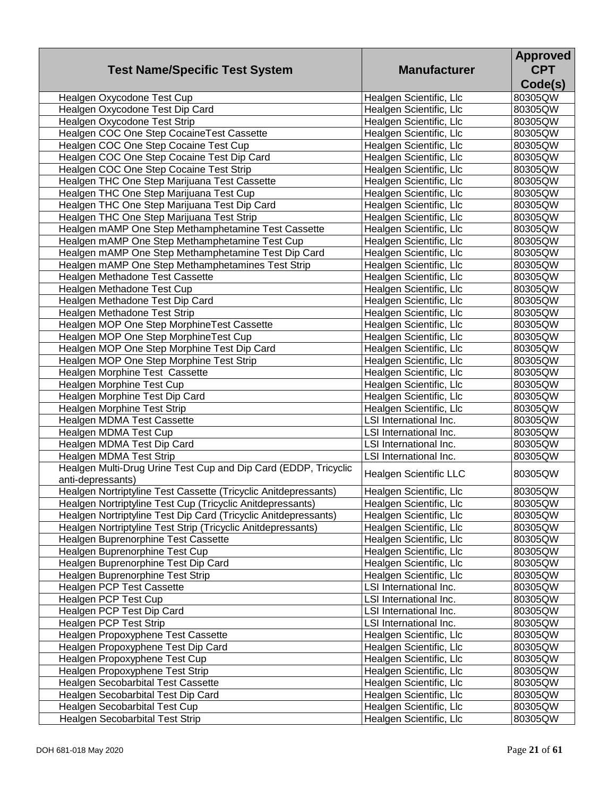| <b>Test Name/Specific Test System</b>                                                | <b>Manufacturer</b>           | <b>Approved</b><br><b>CPT</b><br>Code(s) |
|--------------------------------------------------------------------------------------|-------------------------------|------------------------------------------|
|                                                                                      |                               |                                          |
| Healgen Oxycodone Test Cup                                                           | Healgen Scientific, Llc       | 80305QW                                  |
| Healgen Oxycodone Test Dip Card                                                      | Healgen Scientific, Llc       | 80305QW                                  |
| Healgen Oxycodone Test Strip                                                         | Healgen Scientific, Llc       | 80305QW                                  |
| Healgen COC One Step Cocaine Test Cassette                                           | Healgen Scientific, Llc       | 80305QW                                  |
| Healgen COC One Step Cocaine Test Cup                                                | Healgen Scientific, Llc       | 80305QW                                  |
| Healgen COC One Step Cocaine Test Dip Card                                           | Healgen Scientific, Llc       | 80305QW                                  |
| Healgen COC One Step Cocaine Test Strip                                              | Healgen Scientific, Llc       | 80305QW                                  |
| Healgen THC One Step Marijuana Test Cassette                                         | Healgen Scientific, Llc       | 80305QW                                  |
| Healgen THC One Step Marijuana Test Cup                                              | Healgen Scientific, Llc       | 80305QW                                  |
| Healgen THC One Step Marijuana Test Dip Card                                         | Healgen Scientific, Llc       | 80305QW                                  |
| Healgen THC One Step Marijuana Test Strip                                            | Healgen Scientific, Llc       | 80305QW                                  |
| Healgen mAMP One Step Methamphetamine Test Cassette                                  | Healgen Scientific, Llc       | 80305QW                                  |
| Healgen mAMP One Step Methamphetamine Test Cup                                       | Healgen Scientific, Llc       | 80305QW                                  |
| Healgen mAMP One Step Methamphetamine Test Dip Card                                  | Healgen Scientific, Llc       | 80305QW                                  |
| Healgen mAMP One Step Methamphetamines Test Strip                                    | Healgen Scientific, Llc       | 80305QW                                  |
| Healgen Methadone Test Cassette                                                      | Healgen Scientific, Llc       | 80305QW                                  |
| Healgen Methadone Test Cup                                                           | Healgen Scientific, Llc       | 80305QW                                  |
| Healgen Methadone Test Dip Card                                                      | Healgen Scientific, Llc       | 80305QW                                  |
| Healgen Methadone Test Strip                                                         | Healgen Scientific, Llc       | 80305QW                                  |
| Healgen MOP One Step MorphineTest Cassette                                           | Healgen Scientific, Llc       | 80305QW                                  |
| Healgen MOP One Step MorphineTest Cup                                                | Healgen Scientific, Llc       | 80305QW                                  |
| Healgen MOP One Step Morphine Test Dip Card                                          | Healgen Scientific, Llc       | 80305QW                                  |
| Healgen MOP One Step Morphine Test Strip                                             | Healgen Scientific, Llc       | 80305QW                                  |
| Healgen Morphine Test Cassette                                                       | Healgen Scientific, Llc       | 80305QW                                  |
| Healgen Morphine Test Cup                                                            | Healgen Scientific, Llc       | 80305QW                                  |
| Healgen Morphine Test Dip Card                                                       | Healgen Scientific, Llc       | 80305QW                                  |
| Healgen Morphine Test Strip                                                          | Healgen Scientific, Llc       | 80305QW                                  |
| Healgen MDMA Test Cassette                                                           | LSI International Inc.        | 80305QW                                  |
| Healgen MDMA Test Cup                                                                | LSI International Inc.        | 80305QW                                  |
| Healgen MDMA Test Dip Card                                                           | LSI International Inc.        | 80305QW                                  |
| Healgen MDMA Test Strip                                                              | LSI International Inc.        | 80305QW                                  |
| Healgen Multi-Drug Urine Test Cup and Dip Card (EDDP, Tricyclic<br>anti-depressants) | <b>Healgen Scientific LLC</b> | 80305QW                                  |
| Healgen Nortriptyline Test Cassette (Tricyclic Anitdepressants)                      | Healgen Scientific, Llc       | 80305QW                                  |
| Healgen Nortriptyline Test Cup (Tricyclic Anitdepressants)                           | Healgen Scientific, Llc       | 80305QW                                  |
| Healgen Nortriptyline Test Dip Card (Tricyclic Anitdepressants)                      | Healgen Scientific, Llc       | 80305QW                                  |
| Healgen Nortriptyline Test Strip (Tricyclic Anitdepressants)                         | Healgen Scientific, Llc       | 80305QW                                  |
| Healgen Buprenorphine Test Cassette                                                  | Healgen Scientific, Llc       | 80305QW                                  |
| Healgen Buprenorphine Test Cup                                                       | Healgen Scientific, Llc       | 80305QW                                  |
| Healgen Buprenorphine Test Dip Card                                                  | Healgen Scientific, Llc       | 80305QW                                  |
| Healgen Buprenorphine Test Strip                                                     | Healgen Scientific, Llc       | 80305QW                                  |
| Healgen PCP Test Cassette                                                            | LSI International Inc.        | 80305QW                                  |
| Healgen PCP Test Cup                                                                 | LSI International Inc.        | 80305QW                                  |
| Healgen PCP Test Dip Card                                                            | LSI International Inc.        | 80305QW                                  |
| Healgen PCP Test Strip                                                               | LSI International Inc.        | 80305QW                                  |
| Healgen Propoxyphene Test Cassette                                                   | Healgen Scientific, Llc       | 80305QW                                  |
| Healgen Propoxyphene Test Dip Card                                                   | Healgen Scientific, Llc       | 80305QW                                  |
| Healgen Propoxyphene Test Cup                                                        | Healgen Scientific, Llc       | 80305QW                                  |
| Healgen Propoxyphene Test Strip                                                      | Healgen Scientific, Llc       | 80305QW                                  |
| Healgen Secobarbital Test Cassette                                                   | Healgen Scientific, Llc       | 80305QW                                  |
| Healgen Secobarbital Test Dip Card                                                   | Healgen Scientific, Llc       | 80305QW                                  |
| Healgen Secobarbital Test Cup                                                        | Healgen Scientific, Llc       | 80305QW                                  |
| <b>Healgen Secobarbital Test Strip</b>                                               | Healgen Scientific, Llc       | 80305QW                                  |
|                                                                                      |                               |                                          |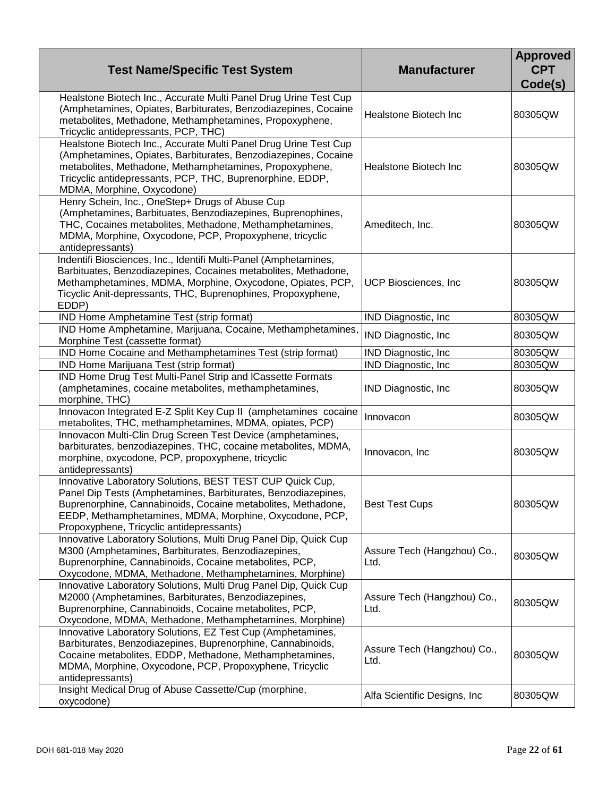| <b>Test Name/Specific Test System</b>                                                                                                                                                                                                                                                             | <b>Manufacturer</b>                 | <b>Approved</b><br><b>CPT</b><br>Code(s) |
|---------------------------------------------------------------------------------------------------------------------------------------------------------------------------------------------------------------------------------------------------------------------------------------------------|-------------------------------------|------------------------------------------|
| Healstone Biotech Inc., Accurate Multi Panel Drug Urine Test Cup<br>(Amphetamines, Opiates, Barbiturates, Benzodiazepines, Cocaine<br>metabolites, Methadone, Methamphetamines, Propoxyphene,<br>Tricyclic antidepressants, PCP, THC)                                                             | Healstone Biotech Inc               | 80305QW                                  |
| Healstone Biotech Inc., Accurate Multi Panel Drug Urine Test Cup<br>(Amphetamines, Opiates, Barbiturates, Benzodiazepines, Cocaine<br>metabolites, Methadone, Methamphetamines, Propoxyphene,<br>Tricyclic antidepressants, PCP, THC, Buprenorphine, EDDP,<br>MDMA, Morphine, Oxycodone)          | Healstone Biotech Inc               | 80305QW                                  |
| Henry Schein, Inc., OneStep+ Drugs of Abuse Cup<br>(Amphetamines, Barbituates, Benzodiazepines, Buprenophines,<br>THC, Cocaines metabolites, Methadone, Methamphetamines,<br>MDMA, Morphine, Oxycodone, PCP, Propoxyphene, tricyclic<br>antidepressants)                                          | Ameditech, Inc.                     | 80305QW                                  |
| Indentifi Biosciences, Inc., Identifi Multi-Panel (Amphetamines,<br>Barbituates, Benzodiazepines, Cocaines metabolites, Methadone,<br>Methamphetamines, MDMA, Morphine, Oxycodone, Opiates, PCP,<br>Ticyclic Anit-depressants, THC, Buprenophines, Propoxyphene,<br>EDDP)                         | UCP Biosciences, Inc.               | 80305QW                                  |
| IND Home Amphetamine Test (strip format)                                                                                                                                                                                                                                                          | IND Diagnostic, Inc.                | 80305QW                                  |
| IND Home Amphetamine, Marijuana, Cocaine, Methamphetamines,<br>Morphine Test (cassette format)                                                                                                                                                                                                    | IND Diagnostic, Inc.                | 80305QW                                  |
| IND Home Cocaine and Methamphetamines Test (strip format)                                                                                                                                                                                                                                         | IND Diagnostic, Inc                 | 80305QW                                  |
| IND Home Marijuana Test (strip format)                                                                                                                                                                                                                                                            | IND Diagnostic, Inc.                | 80305QW                                  |
| IND Home Drug Test Multi-Panel Strip and ICassette Formats<br>(amphetamines, cocaine metabolites, methamphetamines,<br>morphine, THC)                                                                                                                                                             | IND Diagnostic, Inc.                | 80305QW                                  |
| Innovacon Integrated E-Z Split Key Cup II (amphetamines cocaine<br>metabolites, THC, methamphetamines, MDMA, opiates, PCP)                                                                                                                                                                        | Innovacon                           | 80305QW                                  |
| Innovacon Multi-Clin Drug Screen Test Device (amphetamines,<br>barbiturates, benzodiazepines, THC, cocaine metabolites, MDMA,<br>morphine, oxycodone, PCP, propoxyphene, tricyclic<br>antidepressants)                                                                                            | Innovacon, Inc                      | 80305QW                                  |
| Innovative Laboratory Solutions, BEST TEST CUP Quick Cup,<br>Panel Dip Tests (Amphetamines, Barbiturates, Benzodiazepines,<br>Buprenorphine, Cannabinoids, Cocaine metabolites, Methadone,<br>EEDP, Methamphetamines, MDMA, Morphine, Oxycodone, PCP,<br>Propoxyphene, Tricyclic antidepressants) | <b>Best Test Cups</b>               | 80305QW                                  |
| Innovative Laboratory Solutions, Multi Drug Panel Dip, Quick Cup<br>M300 (Amphetamines, Barbiturates, Benzodiazepines,<br>Buprenorphine, Cannabinoids, Cocaine metabolites, PCP,<br>Oxycodone, MDMA, Methadone, Methamphetamines, Morphine)                                                       | Assure Tech (Hangzhou) Co.,<br>Ltd. | 80305QW                                  |
| Innovative Laboratory Solutions, Multi Drug Panel Dip, Quick Cup<br>M2000 (Amphetamines, Barbiturates, Benzodiazepines,<br>Buprenorphine, Cannabinoids, Cocaine metabolites, PCP,<br>Oxycodone, MDMA, Methadone, Methamphetamines, Morphine)                                                      | Assure Tech (Hangzhou) Co.,<br>Ltd. | 80305QW                                  |
| Innovative Laboratory Solutions, EZ Test Cup (Amphetamines,<br>Barbiturates, Benzodiazepines, Buprenorphine, Cannabinoids,<br>Cocaine metabolites, EDDP, Methadone, Methamphetamines,<br>MDMA, Morphine, Oxycodone, PCP, Propoxyphene, Tricyclic<br>antidepressants)                              | Assure Tech (Hangzhou) Co.,<br>Ltd. | 80305QW                                  |
| Insight Medical Drug of Abuse Cassette/Cup (morphine,<br>oxycodone)                                                                                                                                                                                                                               | Alfa Scientific Designs, Inc.       | 80305QW                                  |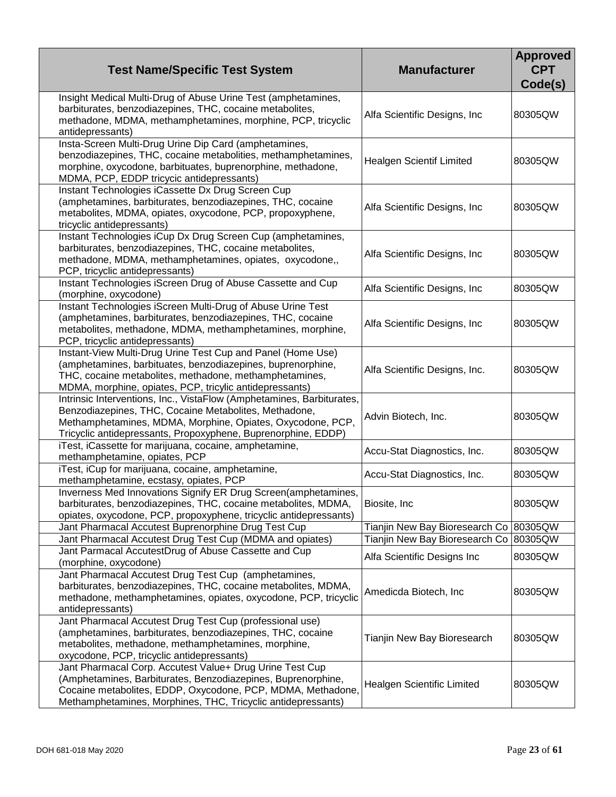| <b>Test Name/Specific Test System</b>                                                                                                                                                                                                                         | <b>Manufacturer</b>                      | <b>Approved</b><br><b>CPT</b><br>Code(s) |
|---------------------------------------------------------------------------------------------------------------------------------------------------------------------------------------------------------------------------------------------------------------|------------------------------------------|------------------------------------------|
| Insight Medical Multi-Drug of Abuse Urine Test (amphetamines,<br>barbiturates, benzodiazepines, THC, cocaine metabolites,<br>methadone, MDMA, methamphetamines, morphine, PCP, tricyclic<br>antidepressants)                                                  | Alfa Scientific Designs, Inc             | 80305QW                                  |
| Insta-Screen Multi-Drug Urine Dip Card (amphetamines,<br>benzodiazepines, THC, cocaine metabolities, methamphetamines,<br>morphine, oxycodone, barbituates, buprenorphine, methadone,<br>MDMA, PCP, EDDP tricycic antidepressants)                            | <b>Healgen Scientif Limited</b>          | 80305QW                                  |
| Instant Technologies iCassette Dx Drug Screen Cup<br>(amphetamines, barbiturates, benzodiazepines, THC, cocaine<br>metabolites, MDMA, opiates, oxycodone, PCP, propoxyphene,<br>tricyclic antidepressants)                                                    | Alfa Scientific Designs, Inc.            | 80305QW                                  |
| Instant Technologies iCup Dx Drug Screen Cup (amphetamines,<br>barbiturates, benzodiazepines, THC, cocaine metabolites,<br>methadone, MDMA, methamphetamines, opiates, oxycodone,,<br>PCP, tricyclic antidepressants)                                         | Alfa Scientific Designs, Inc             | 80305QW                                  |
| Instant Technologies iScreen Drug of Abuse Cassette and Cup<br>(morphine, oxycodone)                                                                                                                                                                          | Alfa Scientific Designs, Inc             | 80305QW                                  |
| Instant Technologies iScreen Multi-Drug of Abuse Urine Test<br>(amphetamines, barbiturates, benzodiazepines, THC, cocaine<br>metabolites, methadone, MDMA, methamphetamines, morphine,<br>PCP, tricyclic antidepressants)                                     | Alfa Scientific Designs, Inc.            | 80305QW                                  |
| Instant-View Multi-Drug Urine Test Cup and Panel (Home Use)<br>(amphetamines, barbituates, benzodiazepines, buprenorphine,<br>THC, cocaine metabolites, methadone, methamphetamines,<br>MDMA, morphine, opiates, PCP, tricylic antidepressants)               | Alfa Scientific Designs, Inc.            | 80305QW                                  |
| Intrinsic Interventions, Inc., VistaFlow (Amphetamines, Barbiturates,<br>Benzodiazepines, THC, Cocaine Metabolites, Methadone,<br>Methamphetamines, MDMA, Morphine, Opiates, Oxycodone, PCP,<br>Tricyclic antidepressants, Propoxyphene, Buprenorphine, EDDP) | Advin Biotech, Inc.                      | 80305QW                                  |
| iTest, iCassette for marijuana, cocaine, amphetamine,<br>methamphetamine, opiates, PCP                                                                                                                                                                        | Accu-Stat Diagnostics, Inc.              | 80305QW                                  |
| iTest, iCup for marijuana, cocaine, amphetamine,<br>methamphetamine, ecstasy, opiates, PCP                                                                                                                                                                    | Accu-Stat Diagnostics, Inc.              | 80305QW                                  |
| Inverness Med Innovations Signify ER Drug Screen(amphetamines,<br>barbiturates, benzodiazepines, THC, cocaine metabolites, MDMA,<br>opiates, oxycodone, PCP, propoxyphene, tricyclic antidepressants)                                                         | Biosite, Inc.                            | 80305QW                                  |
| Jant Pharmacal Accutest Buprenorphine Drug Test Cup                                                                                                                                                                                                           | Tianjin New Bay Bioresearch Co   80305QW |                                          |
| Jant Pharmacal Accutest Drug Test Cup (MDMA and opiates)                                                                                                                                                                                                      | Tianjin New Bay Bioresearch Co 80305QW   |                                          |
| Jant Parmacal AccutestDrug of Abuse Cassette and Cup<br>(morphine, oxycodone)                                                                                                                                                                                 | Alfa Scientific Designs Inc              | 80305QW                                  |
| Jant Pharmacal Accutest Drug Test Cup (amphetamines,<br>barbiturates, benzodiazepines, THC, cocaine metabolites, MDMA,<br>methadone, methamphetamines, opiates, oxycodone, PCP, tricyclic<br>antidepressants)                                                 | Amedicda Biotech, Inc                    | 80305QW                                  |
| Jant Pharmacal Accutest Drug Test Cup (professional use)<br>(amphetamines, barbiturates, benzodiazepines, THC, cocaine<br>metabolites, methadone, methamphetamines, morphine,<br>oxycodone, PCP, tricyclic antidepressants)                                   | Tianjin New Bay Bioresearch              | 80305QW                                  |
| Jant Pharmacal Corp. Accutest Value+ Drug Urine Test Cup<br>(Amphetamines, Barbiturates, Benzodiazepines, Buprenorphine,<br>Cocaine metabolites, EDDP, Oxycodone, PCP, MDMA, Methadone,<br>Methamphetamines, Morphines, THC, Tricyclic antidepressants)       | Healgen Scientific Limited               | 80305QW                                  |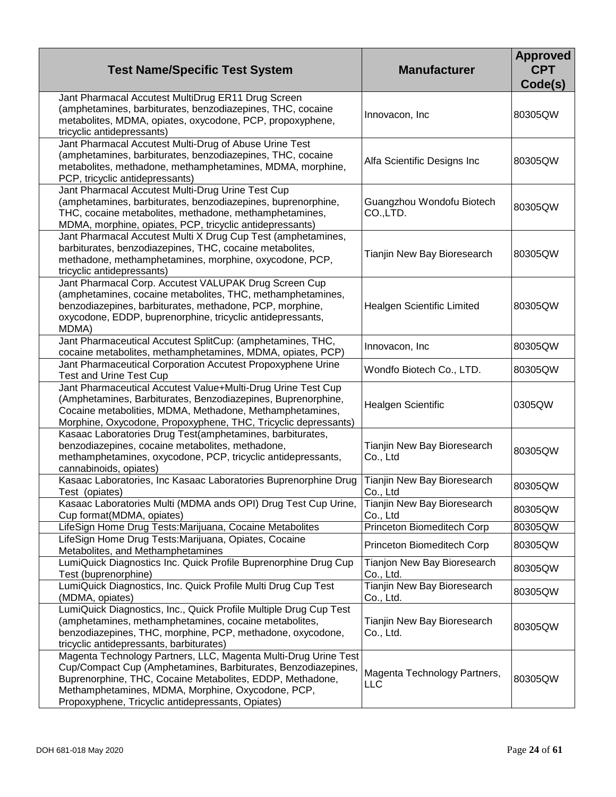| <b>Test Name/Specific Test System</b>                                                                                                                                                                                                                                                                   | <b>Manufacturer</b>                        | <b>Approved</b><br><b>CPT</b><br>Code(s) |
|---------------------------------------------------------------------------------------------------------------------------------------------------------------------------------------------------------------------------------------------------------------------------------------------------------|--------------------------------------------|------------------------------------------|
| Jant Pharmacal Accutest MultiDrug ER11 Drug Screen<br>(amphetamines, barbiturates, benzodiazepines, THC, cocaine<br>metabolites, MDMA, opiates, oxycodone, PCP, propoxyphene,<br>tricyclic antidepressants)                                                                                             | Innovacon, Inc                             | 80305QW                                  |
| Jant Pharmacal Accutest Multi-Drug of Abuse Urine Test<br>(amphetamines, barbiturates, benzodiazepines, THC, cocaine<br>metabolites, methadone, methamphetamines, MDMA, morphine,<br>PCP, tricyclic antidepressants)                                                                                    | Alfa Scientific Designs Inc                | 80305QW                                  |
| Jant Pharmacal Accutest Multi-Drug Urine Test Cup<br>(amphetamines, barbiturates, benzodiazepines, buprenorphine,<br>THC, cocaine metabolites, methadone, methamphetamines,<br>MDMA, morphine, opiates, PCP, tricyclic antidepressants)                                                                 | Guangzhou Wondofu Biotech<br>CO.,LTD.      | 80305QW                                  |
| Jant Pharmacal Accutest Multi X Drug Cup Test (amphetamines,<br>barbiturates, benzodiazepines, THC, cocaine metabolites,<br>methadone, methamphetamines, morphine, oxycodone, PCP,<br>tricyclic antidepressants)                                                                                        | Tianjin New Bay Bioresearch                | 80305QW                                  |
| Jant Pharmacal Corp. Accutest VALUPAK Drug Screen Cup<br>(amphetamines, cocaine metabolites, THC, methamphetamines,<br>benzodiazepines, barbiturates, methadone, PCP, morphine,<br>oxycodone, EDDP, buprenorphine, tricyclic antidepressants,<br>MDMA)                                                  | Healgen Scientific Limited                 | 80305QW                                  |
| Jant Pharmaceutical Accutest SplitCup: (amphetamines, THC,<br>cocaine metabolites, methamphetamines, MDMA, opiates, PCP)                                                                                                                                                                                | Innovacon, Inc                             | 80305QW                                  |
| Jant Pharmaceutical Corporation Accutest Propoxyphene Urine<br><b>Test and Urine Test Cup</b>                                                                                                                                                                                                           | Wondfo Biotech Co., LTD.                   | 80305QW                                  |
| Jant Pharmaceutical Accutest Value+Multi-Drug Urine Test Cup<br>(Amphetamines, Barbiturates, Benzodiazepines, Buprenorphine,<br>Cocaine metabolities, MDMA, Methadone, Methamphetamines,<br>Morphine, Oxycodone, Propoxyphene, THC, Tricyclic depressants)                                              | Healgen Scientific                         | 0305QW                                   |
| Kasaac Laboratories Drug Test(amphetamines, barbiturates,<br>benzodiazepines, cocaine metabolites, methadone,<br>methamphetamines, oxycodone, PCP, tricyclic antidepressants,<br>cannabinoids, opiates)                                                                                                 | Tianjin New Bay Bioresearch<br>Co., Ltd    | 80305QW                                  |
| Kasaac Laboratories, Inc Kasaac Laboratories Buprenorphine Drug<br>Test (opiates)                                                                                                                                                                                                                       | Tianjin New Bay Bioresearch<br>Co., Ltd    | 80305QW                                  |
| Kasaac Laboratories Multi (MDMA ands OPI) Drug Test Cup Urine,<br>Cup format(MDMA, opiates)                                                                                                                                                                                                             | Tianjin New Bay Bioresearch<br>Co., Ltd    | 80305QW                                  |
| LifeSign Home Drug Tests: Marijuana, Cocaine Metabolites                                                                                                                                                                                                                                                | Princeton Biomeditech Corp                 | 80305QW                                  |
| LifeSign Home Drug Tests: Marijuana, Opiates, Cocaine<br>Metabolites, and Methamphetamines                                                                                                                                                                                                              | Princeton Biomeditech Corp                 | 80305QW                                  |
| LumiQuick Diagnostics Inc. Quick Profile Buprenorphine Drug Cup<br>Test (buprenorphine)                                                                                                                                                                                                                 | Tianjon New Bay Bioresearch<br>Co., Ltd.   | 80305QW                                  |
| LumiQuick Diagnostics, Inc. Quick Profile Multi Drug Cup Test<br>(MDMA, opiates)                                                                                                                                                                                                                        | Tianjin New Bay Bioresearch<br>Co., Ltd.   | 80305QW                                  |
| LumiQuick Diagnostics, Inc., Quick Profile Multiple Drug Cup Test<br>(amphetamines, methamphetamines, cocaine metabolites,<br>benzodiazepines, THC, morphine, PCP, methadone, oxycodone,<br>tricyclic antidepressants, barbiturates)                                                                    | Tianjin New Bay Bioresearch<br>Co., Ltd.   | 80305QW                                  |
| Magenta Technology Partners, LLC, Magenta Multi-Drug Urine Test<br>Cup/Compact Cup (Amphetamines, Barbiturates, Benzodiazepines,<br>Buprenorphine, THC, Cocaine Metabolites, EDDP, Methadone,<br>Methamphetamines, MDMA, Morphine, Oxycodone, PCP,<br>Propoxyphene, Tricyclic antidepressants, Opiates) | Magenta Technology Partners,<br><b>LLC</b> | 80305QW                                  |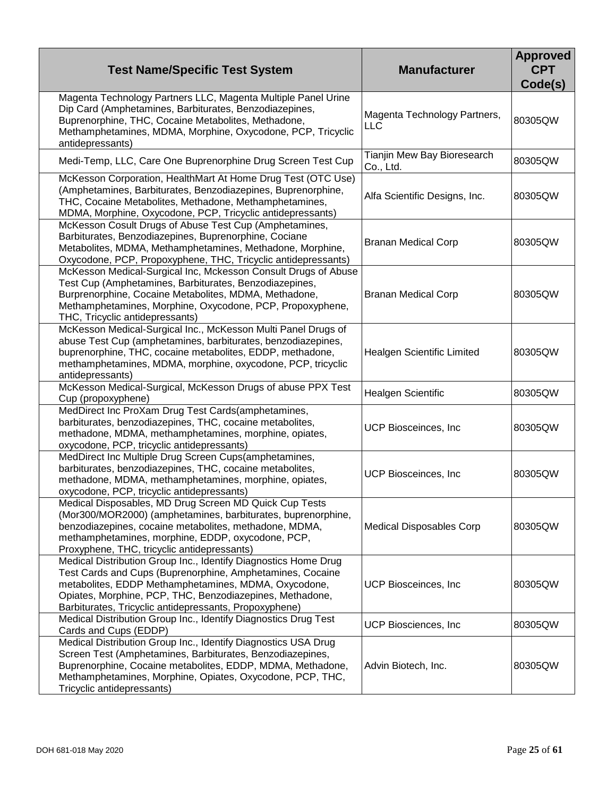| <b>Test Name/Specific Test System</b>                                                                                                                                                                                                                                                                      | <b>Manufacturer</b>                        | <b>Approved</b><br><b>CPT</b><br>Code(s) |
|------------------------------------------------------------------------------------------------------------------------------------------------------------------------------------------------------------------------------------------------------------------------------------------------------------|--------------------------------------------|------------------------------------------|
| Magenta Technology Partners LLC, Magenta Multiple Panel Urine<br>Dip Card (Amphetamines, Barbiturates, Benzodiazepines,<br>Buprenorphine, THC, Cocaine Metabolites, Methadone,<br>Methamphetamines, MDMA, Morphine, Oxycodone, PCP, Tricyclic<br>antidepressants)                                          | Magenta Technology Partners,<br><b>LLC</b> | 80305QW                                  |
| Medi-Temp, LLC, Care One Buprenorphine Drug Screen Test Cup                                                                                                                                                                                                                                                | Tianjin Mew Bay Bioresearch<br>Co., Ltd.   | 80305QW                                  |
| McKesson Corporation, HealthMart At Home Drug Test (OTC Use)<br>(Amphetamines, Barbiturates, Benzodiazepines, Buprenorphine,<br>THC, Cocaine Metabolites, Methadone, Methamphetamines,<br>MDMA, Morphine, Oxycodone, PCP, Tricyclic antidepressants)                                                       | Alfa Scientific Designs, Inc.              | 80305QW                                  |
| McKesson Cosult Drugs of Abuse Test Cup (Amphetamines,<br>Barbiturates, Benzodiazepines, Buprenorphine, Cociane<br>Metabolites, MDMA, Methamphetamines, Methadone, Morphine,<br>Oxycodone, PCP, Propoxyphene, THC, Tricyclic antidepressants)                                                              | <b>Branan Medical Corp</b>                 | 80305QW                                  |
| McKesson Medical-Surgical Inc, Mckesson Consult Drugs of Abuse<br>Test Cup (Amphetamines, Barbiturates, Benzodiazepines,<br>Burprenorphine, Cocaine Metabolites, MDMA, Methadone,<br>Methamphetamines, Morphine, Oxycodone, PCP, Propoxyphene,<br>THC, Tricyclic antidepressants)                          | <b>Branan Medical Corp</b>                 | 80305QW                                  |
| McKesson Medical-Surgical Inc., McKesson Multi Panel Drugs of<br>abuse Test Cup (amphetamines, barbiturates, benzodiazepines,<br>buprenorphine, THC, cocaine metabolites, EDDP, methadone,<br>methamphetamines, MDMA, morphine, oxycodone, PCP, tricyclic<br>antidepressants)                              | Healgen Scientific Limited                 | 80305QW                                  |
| McKesson Medical-Surgical, McKesson Drugs of abuse PPX Test<br>Cup (propoxyphene)                                                                                                                                                                                                                          | <b>Healgen Scientific</b>                  | 80305QW                                  |
| MedDirect Inc ProXam Drug Test Cards(amphetamines,<br>barbiturates, benzodiazepines, THC, cocaine metabolites,<br>methadone, MDMA, methamphetamines, morphine, opiates,<br>oxycodone, PCP, tricyclic antidepressants)                                                                                      | UCP Biosceinces, Inc                       | 80305QW                                  |
| MedDirect Inc Multiple Drug Screen Cups(amphetamines,<br>barbiturates, benzodiazepines, THC, cocaine metabolites,<br>methadone, MDMA, methamphetamines, morphine, opiates,<br>oxycodone, PCP, tricyclic antidepressants)                                                                                   | UCP Biosceinces, Inc                       | 80305QW                                  |
| Medical Disposables, MD Drug Screen MD Quick Cup Tests<br>(Mor300/MOR2000) (amphetamines, barbiturates, buprenorphine,<br>benzodiazepines, cocaine metabolites, methadone, MDMA,<br>methamphetamines, morphine, EDDP, oxycodone, PCP,<br>Proxyphene, THC, tricyclic antidepressants)                       | <b>Medical Disposables Corp</b>            | 80305QW                                  |
| Medical Distribution Group Inc., Identify Diagnostics Home Drug<br>Test Cards and Cups (Buprenorphine, Amphetamines, Cocaine<br>metabolites, EDDP Methamphetamines, MDMA, Oxycodone,<br>Opiates, Morphine, PCP, THC, Benzodiazepines, Methadone,<br>Barbiturates, Tricyclic antidepressants, Propoxyphene) | UCP Biosceinces, Inc.                      | 80305QW                                  |
| Medical Distribution Group Inc., Identify Diagnostics Drug Test<br>Cards and Cups (EDDP)                                                                                                                                                                                                                   | UCP Biosciences, Inc.                      | 80305QW                                  |
| Medical Distribution Group Inc., Identify Diagnostics USA Drug<br>Screen Test (Amphetamines, Barbiturates, Benzodiazepines,<br>Buprenorphine, Cocaine metabolites, EDDP, MDMA, Methadone,<br>Methamphetamines, Morphine, Opiates, Oxycodone, PCP, THC,<br>Tricyclic antidepressants)                       | Advin Biotech, Inc.                        | 80305QW                                  |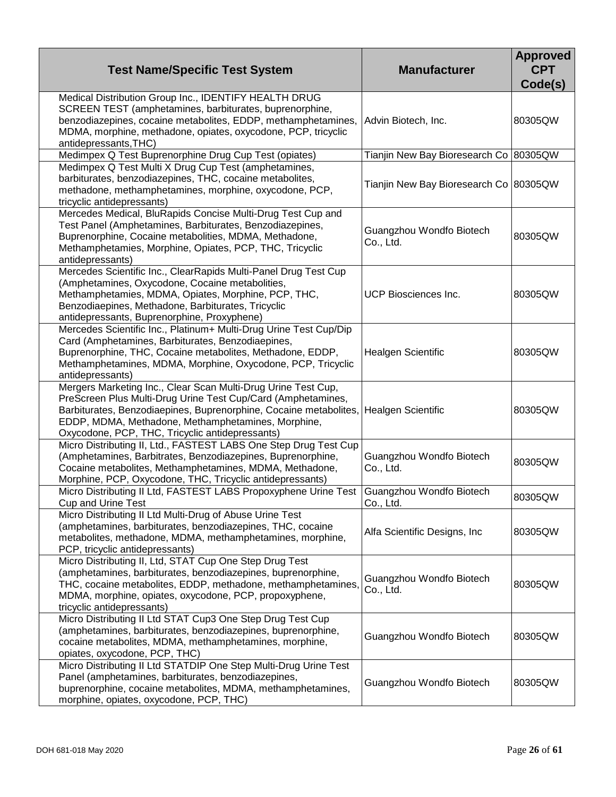| <b>Test Name/Specific Test System</b>                                                                                                                                                                                                                                                                                          | <b>Manufacturer</b>                      | <b>Approved</b><br><b>CPT</b><br>Code(s) |
|--------------------------------------------------------------------------------------------------------------------------------------------------------------------------------------------------------------------------------------------------------------------------------------------------------------------------------|------------------------------------------|------------------------------------------|
| Medical Distribution Group Inc., IDENTIFY HEALTH DRUG<br>SCREEN TEST (amphetamines, barbiturates, buprenorphine,<br>benzodiazepines, cocaine metabolites, EDDP, methamphetamines,<br>MDMA, morphine, methadone, opiates, oxycodone, PCP, tricyclic<br>antidepressants, THC)                                                    | Advin Biotech, Inc.                      | 80305QW                                  |
| Medimpex Q Test Buprenorphine Drug Cup Test (opiates)                                                                                                                                                                                                                                                                          | Tianjin New Bay Bioresearch Co   80305QW |                                          |
| Medimpex Q Test Multi X Drug Cup Test (amphetamines,<br>barbiturates, benzodiazepines, THC, cocaine metabolites,<br>methadone, methamphetamines, morphine, oxycodone, PCP,<br>tricyclic antidepressants)                                                                                                                       | Tianjin New Bay Bioresearch Co 80305QW   |                                          |
| Mercedes Medical, BluRapids Concise Multi-Drug Test Cup and<br>Test Panel (Amphetamines, Barbiturates, Benzodiazepines,<br>Buprenorphine, Cocaine metabolities, MDMA, Methadone,<br>Methamphetamies, Morphine, Opiates, PCP, THC, Tricyclic<br>antidepressants)                                                                | Guangzhou Wondfo Biotech<br>Co., Ltd.    | 80305QW                                  |
| Mercedes Scientific Inc., ClearRapids Multi-Panel Drug Test Cup<br>(Amphetamines, Oxycodone, Cocaine metabolities,<br>Methamphetamies, MDMA, Opiates, Morphine, PCP, THC,<br>Benzodiaepines, Methadone, Barbiturates, Tricyclic<br>antidepressants, Buprenorphine, Proxyphene)                                                 | UCP Biosciences Inc.                     | 80305QW                                  |
| Mercedes Scientific Inc., Platinum+ Multi-Drug Urine Test Cup/Dip<br>Card (Amphetamines, Barbiturates, Benzodiaepines,<br>Buprenorphine, THC, Cocaine metabolites, Methadone, EDDP,<br>Methamphetamines, MDMA, Morphine, Oxycodone, PCP, Tricyclic<br>antidepressants)                                                         | Healgen Scientific                       | 80305QW                                  |
| Mergers Marketing Inc., Clear Scan Multi-Drug Urine Test Cup,<br>PreScreen Plus Multi-Drug Urine Test Cup/Card (Amphetamines,<br>Barbiturates, Benzodiaepines, Buprenorphine, Cocaine metabolites, Healgen Scientific<br>EDDP, MDMA, Methadone, Methamphetamines, Morphine,<br>Oxycodone, PCP, THC, Tricyclic antidepressants) |                                          | 80305QW                                  |
| Micro Distributing II, Ltd., FASTEST LABS One Step Drug Test Cup<br>(Amphetamines, Barbitrates, Benzodiazepines, Buprenorphine,<br>Cocaine metabolites, Methamphetamines, MDMA, Methadone,<br>Morphine, PCP, Oxycodone, THC, Tricyclic antidepressants)                                                                        | Guangzhou Wondfo Biotech<br>Co., Ltd.    | 80305QW                                  |
| Micro Distributing II Ltd, FASTEST LABS Propoxyphene Urine Test<br>Cup and Urine Test                                                                                                                                                                                                                                          | Guangzhou Wondfo Biotech<br>Co., Ltd.    | 80305QW                                  |
| Micro Distributing II Ltd Multi-Drug of Abuse Urine Test<br>(amphetamines, barbiturates, benzodiazepines, THC, cocaine<br>metabolites, methadone, MDMA, methamphetamines, morphine,<br>PCP, tricyclic antidepressants)                                                                                                         | Alfa Scientific Designs, Inc.            | 80305QW                                  |
| Micro Distributing II, Ltd, STAT Cup One Step Drug Test<br>(amphetamines, barbiturates, benzodiazepines, buprenorphine,<br>THC, cocaine metabolites, EDDP, methadone, methamphetamines,<br>MDMA, morphine, opiates, oxycodone, PCP, propoxyphene,<br>tricyclic antidepressants)                                                | Guangzhou Wondfo Biotech<br>Co., Ltd.    | 80305QW                                  |
| Micro Distributing II Ltd STAT Cup3 One Step Drug Test Cup<br>(amphetamines, barbiturates, benzodiazepines, buprenorphine,<br>cocaine metabolites, MDMA, methamphetamines, morphine,<br>opiates, oxycodone, PCP, THC)                                                                                                          | Guangzhou Wondfo Biotech                 | 80305QW                                  |
| Micro Distributing II Ltd STATDIP One Step Multi-Drug Urine Test<br>Panel (amphetamines, barbiturates, benzodiazepines,<br>buprenorphine, cocaine metabolites, MDMA, methamphetamines,<br>morphine, opiates, oxycodone, PCP, THC)                                                                                              | Guangzhou Wondfo Biotech                 | 80305QW                                  |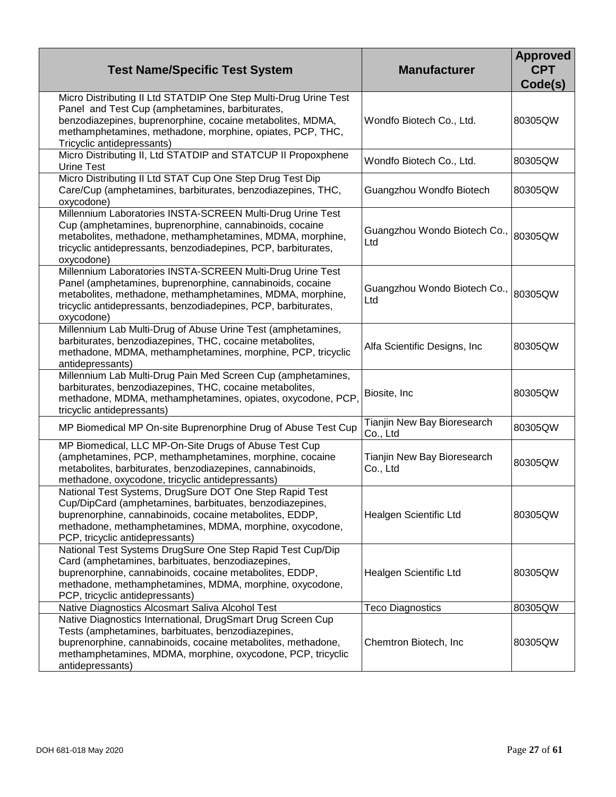| <b>Test Name/Specific Test System</b>                                                                                                                                                                                                                                        | <b>Manufacturer</b>                     | <b>Approved</b><br><b>CPT</b><br>Code(s) |
|------------------------------------------------------------------------------------------------------------------------------------------------------------------------------------------------------------------------------------------------------------------------------|-----------------------------------------|------------------------------------------|
| Micro Distributing II Ltd STATDIP One Step Multi-Drug Urine Test<br>Panel and Test Cup (amphetamines, barbiturates,<br>benzodiazepines, buprenorphine, cocaine metabolites, MDMA,<br>methamphetamines, methadone, morphine, opiates, PCP, THC,<br>Tricyclic antidepressants) | Wondfo Biotech Co., Ltd.                | 80305QW                                  |
| Micro Distributing II, Ltd STATDIP and STATCUP II Propoxphene<br><b>Urine Test</b>                                                                                                                                                                                           | Wondfo Biotech Co., Ltd.                | 80305QW                                  |
| Micro Distributing II Ltd STAT Cup One Step Drug Test Dip<br>Care/Cup (amphetamines, barbiturates, benzodiazepines, THC,<br>oxycodone)                                                                                                                                       | Guangzhou Wondfo Biotech                | 80305QW                                  |
| Millennium Laboratories INSTA-SCREEN Multi-Drug Urine Test<br>Cup (amphetamines, buprenorphine, cannabinoids, cocaine<br>metabolites, methadone, methamphetamines, MDMA, morphine,<br>tricyclic antidepressants, benzodiadepines, PCP, barbiturates,<br>oxycodone)           | Guangzhou Wondo Biotech Co.,<br>Ltd     | 80305QW                                  |
| Millennium Laboratories INSTA-SCREEN Multi-Drug Urine Test<br>Panel (amphetamines, buprenorphine, cannabinoids, cocaine<br>metabolites, methadone, methamphetamines, MDMA, morphine,<br>tricyclic antidepressants, benzodiadepines, PCP, barbiturates,<br>oxycodone)         | Guangzhou Wondo Biotech Co.,<br>Ltd     | 80305QW                                  |
| Millennium Lab Multi-Drug of Abuse Urine Test (amphetamines,<br>barbiturates, benzodiazepines, THC, cocaine metabolites,<br>methadone, MDMA, methamphetamines, morphine, PCP, tricyclic<br>antidepressants)                                                                  | Alfa Scientific Designs, Inc.           | 80305QW                                  |
| Millennium Lab Multi-Drug Pain Med Screen Cup (amphetamines,<br>barbiturates, benzodiazepines, THC, cocaine metabolites,<br>methadone, MDMA, methamphetamines, opiates, oxycodone, PCP,<br>tricyclic antidepressants)                                                        | Biosite, Inc                            | 80305QW                                  |
| MP Biomedical MP On-site Buprenorphine Drug of Abuse Test Cup                                                                                                                                                                                                                | Tianjin New Bay Bioresearch<br>Co., Ltd | 80305QW                                  |
| MP Biomedical, LLC MP-On-Site Drugs of Abuse Test Cup<br>(amphetamines, PCP, methamphetamines, morphine, cocaine<br>metabolites, barbiturates, benzodiazepines, cannabinoids,<br>methadone, oxycodone, tricyclic antidepressants)                                            | Tianjin New Bay Bioresearch<br>Co., Ltd | 80305QW                                  |
| National Test Systems, DrugSure DOT One Step Rapid Test<br>Cup/DipCard (amphetamines, barbituates, benzodiazepines,<br>buprenorphine, cannabinoids, cocaine metabolites, EDDP,<br>methadone, methamphetamines, MDMA, morphine, oxycodone,<br>PCP, tricyclic antidepressants) | Healgen Scientific Ltd                  | 80305QW                                  |
| National Test Systems DrugSure One Step Rapid Test Cup/Dip<br>Card (amphetamines, barbituates, benzodiazepines,<br>buprenorphine, cannabinoids, cocaine metabolites, EDDP,<br>methadone, methamphetamines, MDMA, morphine, oxycodone,<br>PCP, tricyclic antidepressants)     | Healgen Scientific Ltd                  | 80305QW                                  |
| Native Diagnostics Alcosmart Saliva Alcohol Test                                                                                                                                                                                                                             | <b>Teco Diagnostics</b>                 | 80305QW                                  |
| Native Diagnostics International, DrugSmart Drug Screen Cup<br>Tests (amphetamines, barbituates, benzodiazepines,<br>buprenorphine, cannabinoids, cocaine metabolites, methadone,<br>methamphetamines, MDMA, morphine, oxycodone, PCP, tricyclic<br>antidepressants)         | Chemtron Biotech, Inc.                  | 80305QW                                  |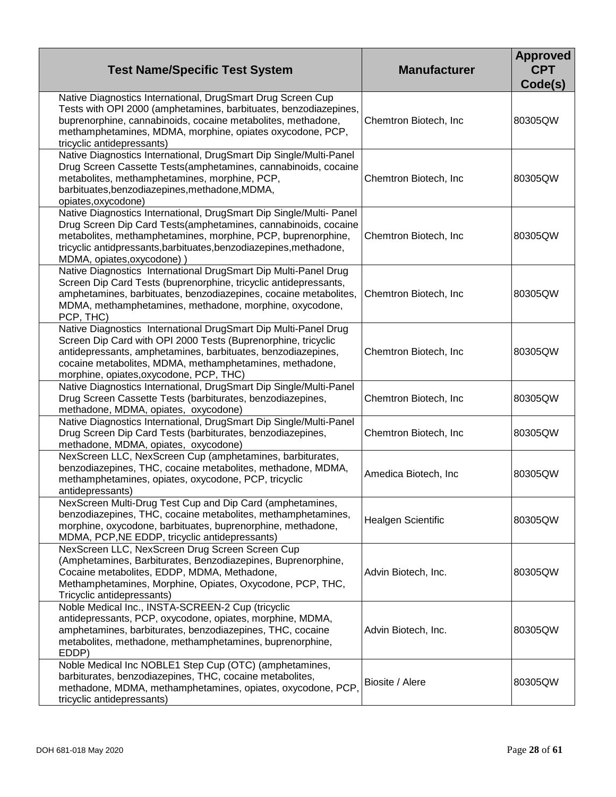| <b>Test Name/Specific Test System</b>                                                                                                                                                                                                                                                                       | <b>Manufacturer</b>    | <b>Approved</b><br><b>CPT</b><br>Code(s) |
|-------------------------------------------------------------------------------------------------------------------------------------------------------------------------------------------------------------------------------------------------------------------------------------------------------------|------------------------|------------------------------------------|
| Native Diagnostics International, DrugSmart Drug Screen Cup<br>Tests with OPI 2000 (amphetamines, barbituates, benzodiazepines,<br>buprenorphine, cannabinoids, cocaine metabolites, methadone,<br>methamphetamines, MDMA, morphine, opiates oxycodone, PCP,<br>tricyclic antidepressants)                  | Chemtron Biotech, Inc. | 80305QW                                  |
| Native Diagnostics International, DrugSmart Dip Single/Multi-Panel<br>Drug Screen Cassette Tests(amphetamines, cannabinoids, cocaine<br>metabolites, methamphetamines, morphine, PCP,<br>barbituates, benzodiazepines, methadone, MDMA,<br>opiates, oxycodone)                                              | Chemtron Biotech, Inc. | 80305QW                                  |
| Native Diagnostics International, DrugSmart Dip Single/Multi- Panel<br>Drug Screen Dip Card Tests (amphetamines, cannabinoids, cocaine<br>metabolites, methamphetamines, morphine, PCP, buprenorphine,<br>tricyclic antidpressants, barbituates, benzodiazepines, methadone,<br>MDMA, opiates, oxycodone) ) | Chemtron Biotech, Inc  | 80305QW                                  |
| Native Diagnostics International DrugSmart Dip Multi-Panel Drug<br>Screen Dip Card Tests (buprenorphine, tricyclic antidepressants,<br>amphetamines, barbituates, benzodiazepines, cocaine metabolites,<br>MDMA, methamphetamines, methadone, morphine, oxycodone,<br>PCP, THC)                             | Chemtron Biotech, Inc. | 80305QW                                  |
| Native Diagnostics International DrugSmart Dip Multi-Panel Drug<br>Screen Dip Card with OPI 2000 Tests (Buprenorphine, tricyclic<br>antidepressants, amphetamines, barbituates, benzodiazepines,<br>cocaine metabolites, MDMA, methamphetamines, methadone,<br>morphine, opiates, oxycodone, PCP, THC)      | Chemtron Biotech, Inc  | 80305QW                                  |
| Native Diagnostics International, DrugSmart Dip Single/Multi-Panel<br>Drug Screen Cassette Tests (barbiturates, benzodiazepines,<br>methadone, MDMA, opiates, oxycodone)                                                                                                                                    | Chemtron Biotech, Inc. | 80305QW                                  |
| Native Diagnostics International, DrugSmart Dip Single/Multi-Panel<br>Drug Screen Dip Card Tests (barbiturates, benzodiazepines,<br>methadone, MDMA, opiates, oxycodone)                                                                                                                                    | Chemtron Biotech, Inc. | 80305QW                                  |
| NexScreen LLC, NexScreen Cup (amphetamines, barbiturates,<br>benzodiazepines, THC, cocaine metabolites, methadone, MDMA,<br>methamphetamines, opiates, oxycodone, PCP, tricyclic<br>antidepressants)                                                                                                        | Amedica Biotech, Inc   | 80305QW                                  |
| NexScreen Multi-Drug Test Cup and Dip Card (amphetamines,<br>benzodiazepines, THC, cocaine metabolites, methamphetamines,<br>morphine, oxycodone, barbituates, buprenorphine, methadone,<br>MDMA, PCP, NE EDDP, tricyclic antidepressants)                                                                  | Healgen Scientific     | 80305QW                                  |
| NexScreen LLC, NexScreen Drug Screen Screen Cup<br>(Amphetamines, Barbiturates, Benzodiazepines, Buprenorphine,<br>Cocaine metabolites, EDDP, MDMA, Methadone,<br>Methamphetamines, Morphine, Opiates, Oxycodone, PCP, THC,<br>Tricyclic antidepressants)                                                   | Advin Biotech, Inc.    | 80305QW                                  |
| Noble Medical Inc., INSTA-SCREEN-2 Cup (tricyclic<br>antidepressants, PCP, oxycodone, opiates, morphine, MDMA,<br>amphetamines, barbiturates, benzodiazepines, THC, cocaine<br>metabolites, methadone, methamphetamines, buprenorphine,<br>EDDP)                                                            | Advin Biotech, Inc.    | 80305QW                                  |
| Noble Medical Inc NOBLE1 Step Cup (OTC) (amphetamines,<br>barbiturates, benzodiazepines, THC, cocaine metabolites,<br>methadone, MDMA, methamphetamines, opiates, oxycodone, PCP,<br>tricyclic antidepressants)                                                                                             | Biosite / Alere        | 80305QW                                  |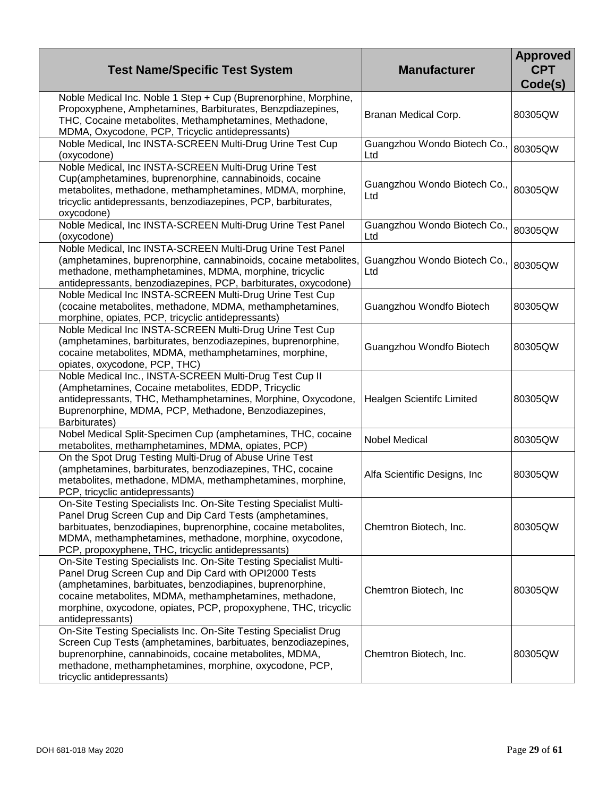| <b>Test Name/Specific Test System</b>                                                                                                                                                                                                                                                                                                      | <b>Manufacturer</b>                 | <b>Approved</b><br><b>CPT</b><br>Code(s) |
|--------------------------------------------------------------------------------------------------------------------------------------------------------------------------------------------------------------------------------------------------------------------------------------------------------------------------------------------|-------------------------------------|------------------------------------------|
| Noble Medical Inc. Noble 1 Step + Cup (Buprenorphine, Morphine,<br>Propoxyphene, Amphetamines, Barbiturates, Benzpdiazepines,<br>THC, Cocaine metabolites, Methamphetamines, Methadone,<br>MDMA, Oxycodone, PCP, Tricyclic antidepressants)                                                                                                | Branan Medical Corp.                | 80305QW                                  |
| Noble Medical, Inc INSTA-SCREEN Multi-Drug Urine Test Cup<br>(oxycodone)                                                                                                                                                                                                                                                                   | Guangzhou Wondo Biotech Co.,<br>Ltd | 80305QW                                  |
| Noble Medical, Inc INSTA-SCREEN Multi-Drug Urine Test<br>Cup(amphetamines, buprenorphine, cannabinoids, cocaine<br>metabolites, methadone, methamphetamines, MDMA, morphine,<br>tricyclic antidepressants, benzodiazepines, PCP, barbiturates,<br>oxycodone)                                                                               | Guangzhou Wondo Biotech Co.,<br>Ltd | 80305QW                                  |
| Noble Medical, Inc INSTA-SCREEN Multi-Drug Urine Test Panel<br>(oxycodone)                                                                                                                                                                                                                                                                 | Guangzhou Wondo Biotech Co.,<br>Ltd | 80305QW                                  |
| Noble Medical, Inc INSTA-SCREEN Multi-Drug Urine Test Panel<br>(amphetamines, buprenorphine, cannabinoids, cocaine metabolites,<br>methadone, methamphetamines, MDMA, morphine, tricyclic<br>antidepressants, benzodiazepines, PCP, barbiturates, oxycodone)                                                                               | Guangzhou Wondo Biotech Co.,<br>Ltd | 80305QW                                  |
| Noble Medical Inc INSTA-SCREEN Multi-Drug Urine Test Cup<br>(cocaine metabolites, methadone, MDMA, methamphetamines,<br>morphine, opiates, PCP, tricyclic antidepressants)                                                                                                                                                                 | Guangzhou Wondfo Biotech            | 80305QW                                  |
| Noble Medical Inc INSTA-SCREEN Multi-Drug Urine Test Cup<br>(amphetamines, barbiturates, benzodiazepines, buprenorphine,<br>cocaine metabolites, MDMA, methamphetamines, morphine,<br>opiates, oxycodone, PCP, THC)                                                                                                                        | Guangzhou Wondfo Biotech            | 80305QW                                  |
| Noble Medical Inc., INSTA-SCREEN Multi-Drug Test Cup II<br>(Amphetamines, Cocaine metabolites, EDDP, Tricyclic<br>antidepressants, THC, Methamphetamines, Morphine, Oxycodone,<br>Buprenorphine, MDMA, PCP, Methadone, Benzodiazepines,<br>Barbiturates)                                                                                   | Healgen Scientifc Limited           | 80305QW                                  |
| Nobel Medical Split-Specimen Cup (amphetamines, THC, cocaine<br>metabolites, methamphetamines, MDMA, opiates, PCP)                                                                                                                                                                                                                         | <b>Nobel Medical</b>                | 80305QW                                  |
| On the Spot Drug Testing Multi-Drug of Abuse Urine Test<br>(amphetamines, barbiturates, benzodiazepines, THC, cocaine<br>metabolites, methadone, MDMA, methamphetamines, morphine,<br>PCP, tricyclic antidepressants)                                                                                                                      | Alfa Scientific Designs, Inc        | 80305QW                                  |
| On-Site Testing Specialists Inc. On-Site Testing Specialist Multi-<br>Panel Drug Screen Cup and Dip Card Tests (amphetamines,<br>barbituates, benzodiapines, buprenorphine, cocaine metabolites,<br>MDMA, methamphetamines, methadone, morphine, oxycodone,<br>PCP, propoxyphene, THC, tricyclic antidepressants)                          | Chemtron Biotech, Inc.              | 80305QW                                  |
| On-Site Testing Specialists Inc. On-Site Testing Specialist Multi-<br>Panel Drug Screen Cup and Dip Card with OPI2000 Tests<br>(amphetamines, barbituates, benzodiapines, buprenorphine,<br>cocaine metabolites, MDMA, methamphetamines, methadone,<br>morphine, oxycodone, opiates, PCP, propoxyphene, THC, tricyclic<br>antidepressants) | Chemtron Biotech, Inc.              | 80305QW                                  |
| On-Site Testing Specialists Inc. On-Site Testing Specialist Drug<br>Screen Cup Tests (amphetamines, barbituates, benzodiazepines,<br>buprenorphine, cannabinoids, cocaine metabolites, MDMA,<br>methadone, methamphetamines, morphine, oxycodone, PCP,<br>tricyclic antidepressants)                                                       | Chemtron Biotech, Inc.              | 80305QW                                  |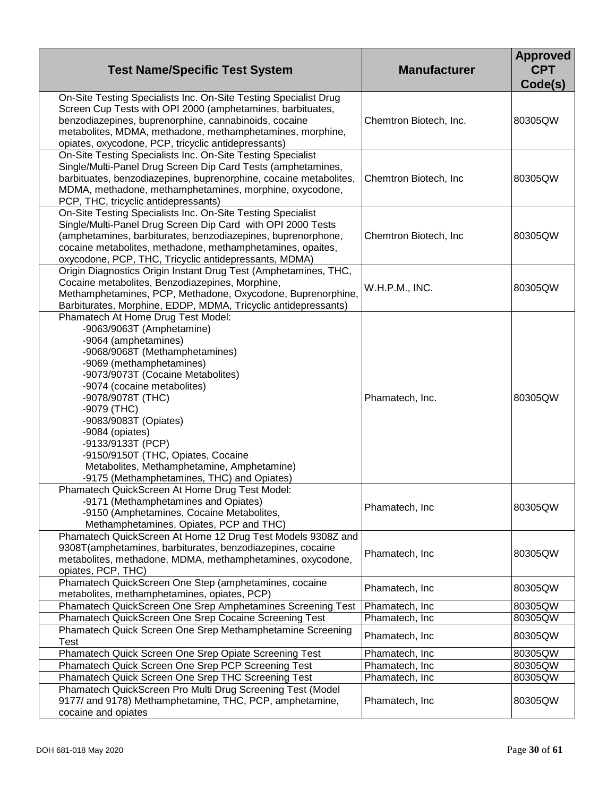| <b>Test Name/Specific Test System</b>                                                                                                                                                                                                                                                                                                                                                                                                                            | <b>Manufacturer</b>    | <b>Approved</b><br><b>CPT</b><br>Code(s) |
|------------------------------------------------------------------------------------------------------------------------------------------------------------------------------------------------------------------------------------------------------------------------------------------------------------------------------------------------------------------------------------------------------------------------------------------------------------------|------------------------|------------------------------------------|
| On-Site Testing Specialists Inc. On-Site Testing Specialist Drug<br>Screen Cup Tests with OPI 2000 (amphetamines, barbituates,<br>benzodiazepines, buprenorphine, cannabinoids, cocaine<br>metabolites, MDMA, methadone, methamphetamines, morphine,<br>opiates, oxycodone, PCP, tricyclic antidepressants)                                                                                                                                                      | Chemtron Biotech, Inc. | 80305QW                                  |
| On-Site Testing Specialists Inc. On-Site Testing Specialist<br>Single/Multi-Panel Drug Screen Dip Card Tests (amphetamines,<br>barbituates, benzodiazepines, buprenorphine, cocaine metabolites,<br>MDMA, methadone, methamphetamines, morphine, oxycodone,<br>PCP, THC, tricyclic antidepressants)                                                                                                                                                              | Chemtron Biotech, Inc  | 80305QW                                  |
| On-Site Testing Specialists Inc. On-Site Testing Specialist<br>Single/Multi-Panel Drug Screen Dip Card with OPI 2000 Tests<br>(amphetamines, barbiturates, benzodiazepines, buprenorphone,<br>cocaine metabolites, methadone, methamphetamines, opaites,<br>oxycodone, PCP, THC, Tricyclic antidepressants, MDMA)                                                                                                                                                | Chemtron Biotech, Inc  | 80305QW                                  |
| Origin Diagnostics Origin Instant Drug Test (Amphetamines, THC,<br>Cocaine metabolites, Benzodiazepines, Morphine,<br>Methamphetamines, PCP, Methadone, Oxycodone, Buprenorphine,<br>Barbiturates, Morphine, EDDP, MDMA, Tricyclic antidepressants)                                                                                                                                                                                                              | W.H.P.M., INC.         | 80305QW                                  |
| Phamatech At Home Drug Test Model:<br>-9063/9063T (Amphetamine)<br>-9064 (amphetamines)<br>-9068/9068T (Methamphetamines)<br>-9069 (methamphetamines)<br>-9073/9073T (Cocaine Metabolites)<br>-9074 (cocaine metabolites)<br>-9078/9078T (THC)<br>-9079 (THC)<br>-9083/9083T (Opiates)<br>-9084 (opiates)<br>-9133/9133T (PCP)<br>-9150/9150T (THC, Opiates, Cocaine<br>Metabolites, Methamphetamine, Amphetamine)<br>-9175 (Methamphetamines, THC) and Opiates) | Phamatech, Inc.        | 80305QW                                  |
| Phamatech QuickScreen At Home Drug Test Model:<br>-9171 (Methamphetamines and Opiates)<br>-9150 (Amphetamines, Cocaine Metabolites,<br>Methamphetamines, Opiates, PCP and THC)                                                                                                                                                                                                                                                                                   | Phamatech, Inc         | 80305QW                                  |
| Phamatech QuickScreen At Home 12 Drug Test Models 9308Z and<br>9308T(amphetamines, barbiturates, benzodiazepines, cocaine<br>metabolites, methadone, MDMA, methamphetamines, oxycodone,<br>opiates, PCP, THC)                                                                                                                                                                                                                                                    | Phamatech, Inc         | 80305QW                                  |
| Phamatech QuickScreen One Step (amphetamines, cocaine<br>metabolites, methamphetamines, opiates, PCP)                                                                                                                                                                                                                                                                                                                                                            | Phamatech, Inc         | 80305QW                                  |
| Phamatech QuickScreen One Srep Amphetamines Screening Test                                                                                                                                                                                                                                                                                                                                                                                                       | Phamatech, Inc.        | 80305QW                                  |
| Phamatech QuickScreen One Srep Cocaine Screening Test                                                                                                                                                                                                                                                                                                                                                                                                            | Phamatech, Inc.        | 80305QW                                  |
| Phamatech Quick Screen One Srep Methamphetamine Screening<br>Test                                                                                                                                                                                                                                                                                                                                                                                                | Phamatech, Inc.        | 80305QW                                  |
| Phamatech Quick Screen One Srep Opiate Screening Test                                                                                                                                                                                                                                                                                                                                                                                                            | Phamatech, Inc.        | 80305QW                                  |
| Phamatech Quick Screen One Srep PCP Screening Test                                                                                                                                                                                                                                                                                                                                                                                                               | Phamatech, Inc         | 80305QW                                  |
| Phamatech Quick Screen One Srep THC Screening Test                                                                                                                                                                                                                                                                                                                                                                                                               | Phamatech, Inc         | 80305QW                                  |
| Phamatech QuickScreen Pro Multi Drug Screening Test (Model<br>9177/ and 9178) Methamphetamine, THC, PCP, amphetamine,<br>cocaine and opiates                                                                                                                                                                                                                                                                                                                     | Phamatech, Inc.        | 80305QW                                  |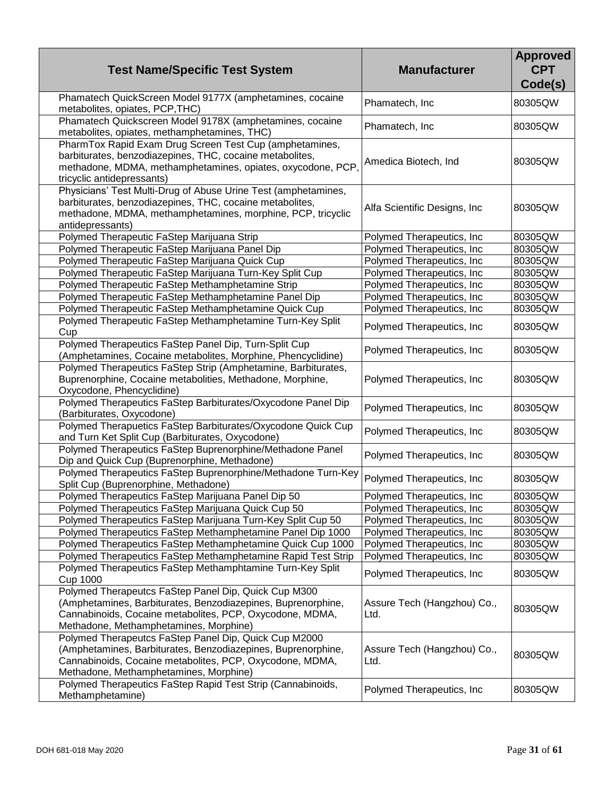| <b>Test Name/Specific Test System</b>                                                                                                                                                                                       | <b>Manufacturer</b>                 | <b>Approved</b><br><b>CPT</b><br>Code(s) |
|-----------------------------------------------------------------------------------------------------------------------------------------------------------------------------------------------------------------------------|-------------------------------------|------------------------------------------|
| Phamatech QuickScreen Model 9177X (amphetamines, cocaine<br>metabolites, opiates, PCP, THC)                                                                                                                                 | Phamatech, Inc                      | 80305QW                                  |
| Phamatech Quickscreen Model 9178X (amphetamines, cocaine<br>metabolites, opiates, methamphetamines, THC)                                                                                                                    | Phamatech, Inc                      | 80305QW                                  |
| PharmTox Rapid Exam Drug Screen Test Cup (amphetamines,<br>barbiturates, benzodiazepines, THC, cocaine metabolites,<br>methadone, MDMA, methamphetamines, opiates, oxycodone, PCP,<br>tricyclic antidepressants)            | Amedica Biotech, Ind                | 80305QW                                  |
| Physicians' Test Multi-Drug of Abuse Urine Test (amphetamines,<br>barbiturates, benzodiazepines, THC, cocaine metabolites,<br>methadone, MDMA, methamphetamines, morphine, PCP, tricyclic<br>antidepressants)               | Alfa Scientific Designs, Inc        | 80305QW                                  |
| Polymed Therapeutic FaStep Marijuana Strip                                                                                                                                                                                  | Polymed Therapeutics, Inc.          | 80305QW                                  |
| Polymed Therapeutic FaStep Marijuana Panel Dip                                                                                                                                                                              | Polymed Therapeutics, Inc.          | 80305QW                                  |
| Polymed Therapeutic FaStep Marijuana Quick Cup                                                                                                                                                                              | Polymed Therapeutics, Inc.          | 80305QW                                  |
| Polymed Therapeutic FaStep Marijuana Turn-Key Split Cup                                                                                                                                                                     | Polymed Therapeutics, Inc.          | 80305QW                                  |
| Polymed Therapeutic FaStep Methamphetamine Strip                                                                                                                                                                            | Polymed Therapeutics, Inc.          | 80305QW                                  |
| Polymed Therapeutic FaStep Methamphetamine Panel Dip                                                                                                                                                                        | Polymed Therapeutics, Inc.          | 80305QW                                  |
| Polymed Therapeutic FaStep Methamphetamine Quick Cup                                                                                                                                                                        | Polymed Therapeutics, Inc.          | 80305QW                                  |
| Polymed Therapeutic FaStep Methamphetamine Turn-Key Split<br>Cup                                                                                                                                                            | Polymed Therapeutics, Inc.          | 80305QW                                  |
| Polymed Therapeutics FaStep Panel Dip, Turn-Split Cup<br>(Amphetamines, Cocaine metabolites, Morphine, Phencyclidine)                                                                                                       | Polymed Therapeutics, Inc.          | 80305QW                                  |
| Polymed Therapeutics FaStep Strip (Amphetamine, Barbiturates,<br>Buprenorphine, Cocaine metabolities, Methadone, Morphine,<br>Oxycodone, Phencyclidine)                                                                     | Polymed Therapeutics, Inc.          | 80305QW                                  |
| Polymed Therapeutics FaStep Barbiturates/Oxycodone Panel Dip<br>(Barbiturates, Oxycodone)                                                                                                                                   | Polymed Therapeutics, Inc.          | 80305QW                                  |
| Polymed Therapuetics FaStep Barbiturates/Oxycodone Quick Cup<br>and Turn Ket Split Cup (Barbiturates, Oxycodone)                                                                                                            | Polymed Therapeutics, Inc.          | 80305QW                                  |
| Polymed Therapeutics FaStep Buprenorphine/Methadone Panel<br>Dip and Quick Cup (Buprenorphine, Methadone)                                                                                                                   | Polymed Therapeutics, Inc.          | 80305QW                                  |
| Polymed Therapeutics FaStep Buprenorphine/Methadone Turn-Key<br>Split Cup (Buprenorphine, Methadone)                                                                                                                        | Polymed Therapeutics, Inc           | 80305QW                                  |
| Polymed Therapeutics FaStep Marijuana Panel Dip 50                                                                                                                                                                          | Polymed Therapeutics, Inc           | 80305QW                                  |
| Polymed Therapeutics FaStep Marijuana Quick Cup 50                                                                                                                                                                          | Polymed Therapeutics, Inc.          | 80305QW                                  |
| Polymed Therapeutics FaStep Marijuana Turn-Key Split Cup 50                                                                                                                                                                 | Polymed Therapeutics, Inc.          | 80305QW                                  |
| Polymed Therapeutics FaStep Methamphetamine Panel Dip 1000                                                                                                                                                                  | Polymed Therapeutics, Inc.          | 80305QW                                  |
| Polymed Therapeutics FaStep Methamphetamine Quick Cup 1000                                                                                                                                                                  | Polymed Therapeutics, Inc.          | 80305QW                                  |
| Polymed Therapeutics FaStep Methamphetamine Rapid Test Strip                                                                                                                                                                | Polymed Therapeutics, Inc.          | 80305QW                                  |
| Polymed Therapeutics FaStep Methamphtamine Turn-Key Split<br><b>Cup 1000</b>                                                                                                                                                | Polymed Therapeutics, Inc.          | 80305QW                                  |
| Polymed Therapeutcs FaStep Panel Dip, Quick Cup M300<br>(Amphetamines, Barbiturates, Benzodiazepines, Buprenorphine,<br>Cannabinoids, Cocaine metabolites, PCP, Oxycodone, MDMA,<br>Methadone, Methamphetamines, Morphine)  | Assure Tech (Hangzhou) Co.,<br>Ltd. | 80305QW                                  |
| Polymed Therapeutcs FaStep Panel Dip, Quick Cup M2000<br>(Amphetamines, Barbiturates, Benzodiazepines, Buprenorphine,<br>Cannabinoids, Cocaine metabolites, PCP, Oxycodone, MDMA,<br>Methadone, Methamphetamines, Morphine) | Assure Tech (Hangzhou) Co.,<br>Ltd. | 80305QW                                  |
| Polymed Therapeutics FaStep Rapid Test Strip (Cannabinoids,<br>Methamphetamine)                                                                                                                                             | Polymed Therapeutics, Inc.          | 80305QW                                  |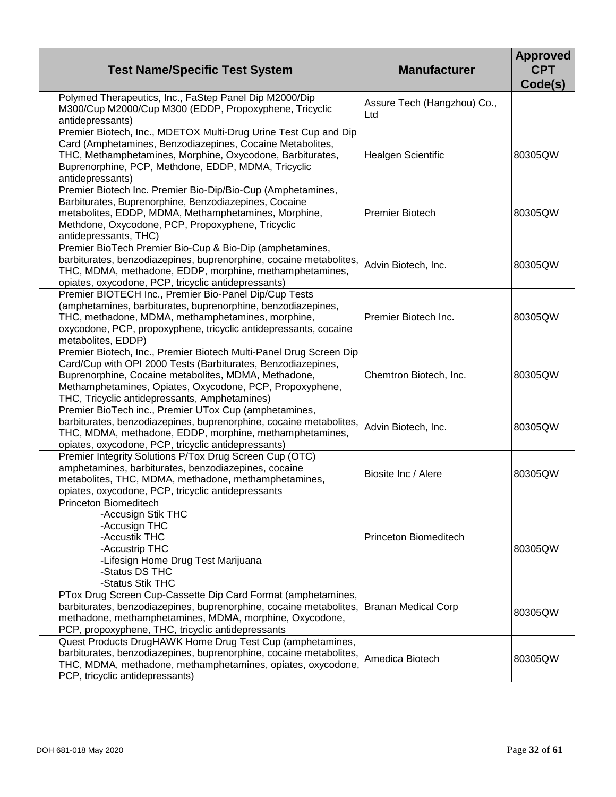| <b>Test Name/Specific Test System</b>                                                                                                                                                                                                                                                                   | <b>Manufacturer</b>                | <b>Approved</b><br><b>CPT</b><br>Code(s) |
|---------------------------------------------------------------------------------------------------------------------------------------------------------------------------------------------------------------------------------------------------------------------------------------------------------|------------------------------------|------------------------------------------|
| Polymed Therapeutics, Inc., FaStep Panel Dip M2000/Dip<br>M300/Cup M2000/Cup M300 (EDDP, Propoxyphene, Tricyclic<br>antidepressants)                                                                                                                                                                    | Assure Tech (Hangzhou) Co.,<br>Ltd |                                          |
| Premier Biotech, Inc., MDETOX Multi-Drug Urine Test Cup and Dip<br>Card (Amphetamines, Benzodiazepines, Cocaine Metabolites,<br>THC, Methamphetamines, Morphine, Oxycodone, Barbiturates,<br>Buprenorphine, PCP, Methdone, EDDP, MDMA, Tricyclic<br>antidepressants)                                    | <b>Healgen Scientific</b>          | 80305QW                                  |
| Premier Biotech Inc. Premier Bio-Dip/Bio-Cup (Amphetamines,<br>Barbiturates, Buprenorphine, Benzodiazepines, Cocaine<br>metabolites, EDDP, MDMA, Methamphetamines, Morphine,<br>Methdone, Oxycodone, PCP, Propoxyphene, Tricyclic<br>antidepressants, THC)                                              | <b>Premier Biotech</b>             | 80305QW                                  |
| Premier BioTech Premier Bio-Cup & Bio-Dip (amphetamines,<br>barbiturates, benzodiazepines, buprenorphine, cocaine metabolites,<br>THC, MDMA, methadone, EDDP, morphine, methamphetamines,<br>opiates, oxycodone, PCP, tricyclic antidepressants)                                                        | Advin Biotech, Inc.                | 80305QW                                  |
| Premier BIOTECH Inc., Premier Bio-Panel Dip/Cup Tests<br>(amphetamines, barbiturates, buprenorphine, benzodiazepines,<br>THC, methadone, MDMA, methamphetamines, morphine,<br>oxycodone, PCP, propoxyphene, tricyclic antidepressants, cocaine<br>metabolites, EDDP)                                    | Premier Biotech Inc.               | 80305QW                                  |
| Premier Biotech, Inc., Premier Biotech Multi-Panel Drug Screen Dip<br>Card/Cup with OPI 2000 Tests (Barbiturates, Benzodiazepines,<br>Buprenorphine, Cocaine metabolites, MDMA, Methadone,<br>Methamphetamines, Opiates, Oxycodone, PCP, Propoxyphene,<br>THC, Tricyclic antidepressants, Amphetamines) | Chemtron Biotech, Inc.             | 80305QW                                  |
| Premier BioTech inc., Premier UTox Cup (amphetamines,<br>barbiturates, benzodiazepines, buprenorphine, cocaine metabolites,<br>THC, MDMA, methadone, EDDP, morphine, methamphetamines,<br>opiates, oxycodone, PCP, tricyclic antidepressants)                                                           | Advin Biotech, Inc.                | 80305QW                                  |
| Premier Integrity Solutions P/Tox Drug Screen Cup (OTC)<br>amphetamines, barbiturates, benzodiazepines, cocaine<br>metabolites, THC, MDMA, methadone, methamphetamines,<br>opiates, oxycodone, PCP, tricyclic antidepressants                                                                           | Biosite Inc / Alere                | 80305QW                                  |
| Princeton Biomeditech<br>-Accusign Stik THC<br>-Accusign THC<br>-Accustik THC<br>-Accustrip THC<br>-Lifesign Home Drug Test Marijuana<br>-Status DS THC<br>-Status Stik THC                                                                                                                             | Princeton Biomeditech              | 80305QW                                  |
| PTox Drug Screen Cup-Cassette Dip Card Format (amphetamines,<br>barbiturates, benzodiazepines, buprenorphine, cocaine metabolites,<br>methadone, methamphetamines, MDMA, morphine, Oxycodone,<br>PCP, propoxyphene, THC, tricyclic antidepressants                                                      | <b>Branan Medical Corp</b>         | 80305QW                                  |
| Quest Products DrugHAWK Home Drug Test Cup (amphetamines,<br>barbiturates, benzodiazepines, buprenorphine, cocaine metabolites,<br>THC, MDMA, methadone, methamphetamines, opiates, oxycodone,<br>PCP, tricyclic antidepressants)                                                                       | Amedica Biotech                    | 80305QW                                  |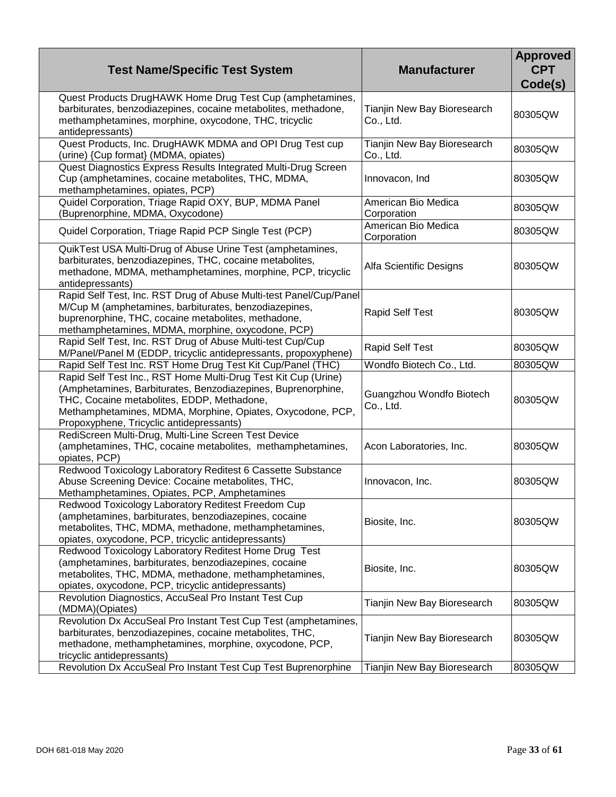| <b>Test Name/Specific Test System</b>                                                                                                                                                                                                                                                  | <b>Manufacturer</b>                      | <b>Approved</b><br><b>CPT</b><br>Code(s) |
|----------------------------------------------------------------------------------------------------------------------------------------------------------------------------------------------------------------------------------------------------------------------------------------|------------------------------------------|------------------------------------------|
| Quest Products DrugHAWK Home Drug Test Cup (amphetamines,<br>barbiturates, benzodiazepines, cocaine metabolites, methadone,<br>methamphetamines, morphine, oxycodone, THC, tricyclic<br>antidepressants)                                                                               | Tianjin New Bay Bioresearch<br>Co., Ltd. | 80305QW                                  |
| Quest Products, Inc. DrugHAWK MDMA and OPI Drug Test cup<br>(urine) {Cup format} (MDMA, opiates)                                                                                                                                                                                       | Tianjin New Bay Bioresearch<br>Co., Ltd. | 80305QW                                  |
| Quest Diagnostics Express Results Integrated Multi-Drug Screen<br>Cup (amphetamines, cocaine metabolites, THC, MDMA,<br>methamphetamines, opiates, PCP)                                                                                                                                | Innovacon, Ind                           | 80305QW                                  |
| Quidel Corporation, Triage Rapid OXY, BUP, MDMA Panel<br>(Buprenorphine, MDMA, Oxycodone)                                                                                                                                                                                              | American Bio Medica<br>Corporation       | 80305QW                                  |
| Quidel Corporation, Triage Rapid PCP Single Test (PCP)                                                                                                                                                                                                                                 | American Bio Medica<br>Corporation       | 80305QW                                  |
| QuikTest USA Multi-Drug of Abuse Urine Test (amphetamines,<br>barbiturates, benzodiazepines, THC, cocaine metabolites,<br>methadone, MDMA, methamphetamines, morphine, PCP, tricyclic<br>antidepressants)                                                                              | Alfa Scientific Designs                  | 80305QW                                  |
| Rapid Self Test, Inc. RST Drug of Abuse Multi-test Panel/Cup/Panel<br>M/Cup M (amphetamines, barbiturates, benzodiazepines,<br>buprenorphine, THC, cocaine metabolites, methadone,<br>methamphetamines, MDMA, morphine, oxycodone, PCP)                                                | <b>Rapid Self Test</b>                   | 80305QW                                  |
| Rapid Self Test, Inc. RST Drug of Abuse Multi-test Cup/Cup<br>M/Panel/Panel M (EDDP, tricyclic antidepressants, propoxyphene)                                                                                                                                                          | <b>Rapid Self Test</b>                   | 80305QW                                  |
| Rapid Self Test Inc. RST Home Drug Test Kit Cup/Panel (THC)                                                                                                                                                                                                                            | Wondfo Biotech Co., Ltd.                 | 80305QW                                  |
| Rapid Self Test Inc., RST Home Multi-Drug Test Kit Cup (Urine)<br>(Amphetamines, Barbiturates, Benzodiazepines, Buprenorphine,<br>THC, Cocaine metabolites, EDDP, Methadone,<br>Methamphetamines, MDMA, Morphine, Opiates, Oxycodone, PCP,<br>Propoxyphene, Tricyclic antidepressants) | Guangzhou Wondfo Biotech<br>Co., Ltd.    | 80305QW                                  |
| RediScreen Multi-Drug, Multi-Line Screen Test Device<br>(amphetamines, THC, cocaine metabolites, methamphetamines,<br>opiates, PCP)                                                                                                                                                    | Acon Laboratories, Inc.                  | 80305QW                                  |
| Redwood Toxicology Laboratory Reditest 6 Cassette Substance<br>Abuse Screening Device: Cocaine metabolites, THC,<br>Methamphetamines, Opiates, PCP, Amphetamines                                                                                                                       | Innovacon, Inc.                          | 80305QW                                  |
| Redwood Toxicology Laboratory Reditest Freedom Cup<br>(amphetamines, barbiturates, benzodiazepines, cocaine<br>metabolites, THC, MDMA, methadone, methamphetamines,<br>opiates, oxycodone, PCP, tricyclic antidepressants)                                                             | Biosite, Inc.                            | 80305QW                                  |
| Redwood Toxicology Laboratory Reditest Home Drug Test<br>(amphetamines, barbiturates, benzodiazepines, cocaine<br>metabolites, THC, MDMA, methadone, methamphetamines,<br>opiates, oxycodone, PCP, tricyclic antidepressants)                                                          | Biosite, Inc.                            | 80305QW                                  |
| Revolution Diagnostics, AccuSeal Pro Instant Test Cup<br>(MDMA)(Opiates)                                                                                                                                                                                                               | Tianjin New Bay Bioresearch              | 80305QW                                  |
| Revolution Dx AccuSeal Pro Instant Test Cup Test (amphetamines,<br>barbiturates, benzodiazepines, cocaine metabolites, THC,<br>methadone, methamphetamines, morphine, oxycodone, PCP,<br>tricyclic antidepressants)                                                                    | Tianjin New Bay Bioresearch              | 80305QW                                  |
| Revolution Dx AccuSeal Pro Instant Test Cup Test Buprenorphine                                                                                                                                                                                                                         | Tianjin New Bay Bioresearch              | 80305QW                                  |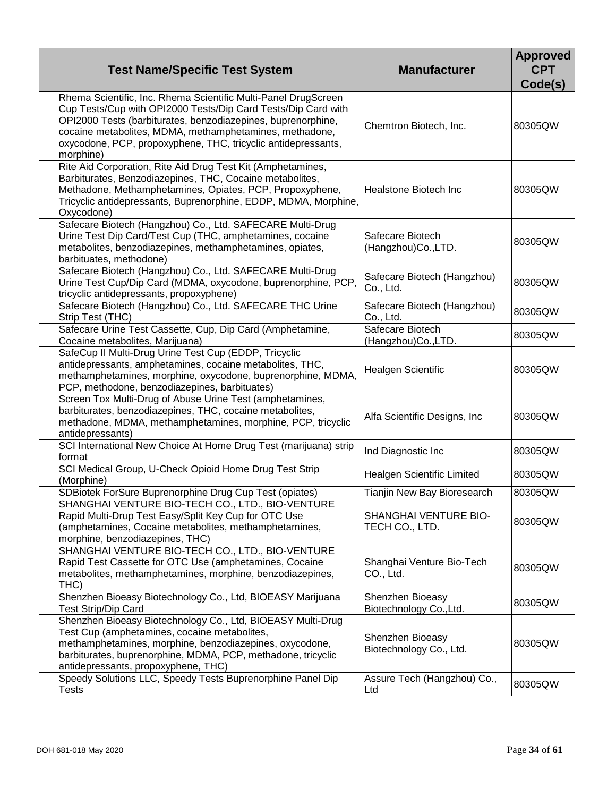| <b>Test Name/Specific Test System</b>                                                                                                                                                                                                                                                                                                    | <b>Manufacturer</b>                         | <b>Approved</b><br><b>CPT</b><br>Code(s) |
|------------------------------------------------------------------------------------------------------------------------------------------------------------------------------------------------------------------------------------------------------------------------------------------------------------------------------------------|---------------------------------------------|------------------------------------------|
| Rhema Scientific, Inc. Rhema Scientific Multi-Panel DrugScreen<br>Cup Tests/Cup with OPI2000 Tests/Dip Card Tests/Dip Card with<br>OPI2000 Tests (barbiturates, benzodiazepines, buprenorphine,<br>cocaine metabolites, MDMA, methamphetamines, methadone,<br>oxycodone, PCP, propoxyphene, THC, tricyclic antidepressants,<br>morphine) | Chemtron Biotech, Inc.                      | 80305QW                                  |
| Rite Aid Corporation, Rite Aid Drug Test Kit (Amphetamines,<br>Barbiturates, Benzodiazepines, THC, Cocaine metabolites,<br>Methadone, Methamphetamines, Opiates, PCP, Propoxyphene,<br>Tricyclic antidepressants, Buprenorphine, EDDP, MDMA, Morphine,<br>Oxycodone)                                                                     | Healstone Biotech Inc                       | 80305QW                                  |
| Safecare Biotech (Hangzhou) Co., Ltd. SAFECARE Multi-Drug<br>Urine Test Dip Card/Test Cup (THC, amphetamines, cocaine<br>metabolites, benzodiazepines, methamphetamines, opiates,<br>barbituates, methodone)                                                                                                                             | Safecare Biotech<br>(Hangzhou)Co., LTD.     | 80305QW                                  |
| Safecare Biotech (Hangzhou) Co., Ltd. SAFECARE Multi-Drug<br>Urine Test Cup/Dip Card (MDMA, oxycodone, buprenorphine, PCP,<br>tricyclic antidepressants, propoxyphene)                                                                                                                                                                   | Safecare Biotech (Hangzhou)<br>Co., Ltd.    | 80305QW                                  |
| Safecare Biotech (Hangzhou) Co., Ltd. SAFECARE THC Urine<br>Strip Test (THC)                                                                                                                                                                                                                                                             | Safecare Biotech (Hangzhou)<br>Co., Ltd.    | 80305QW                                  |
| Safecare Urine Test Cassette, Cup, Dip Card (Amphetamine,<br>Cocaine metabolites, Marijuana)                                                                                                                                                                                                                                             | Safecare Biotech<br>(Hangzhou)Co., LTD.     | 80305QW                                  |
| SafeCup II Multi-Drug Urine Test Cup (EDDP, Tricyclic<br>antidepressants, amphetamines, cocaine metabolites, THC,<br>methamphetamines, morphine, oxycodone, buprenorphine, MDMA,<br>PCP, methodone, benzodiazepines, barbituates)                                                                                                        | Healgen Scientific                          | 80305QW                                  |
| Screen Tox Multi-Drug of Abuse Urine Test (amphetamines,<br>barbiturates, benzodiazepines, THC, cocaine metabolites,<br>methadone, MDMA, methamphetamines, morphine, PCP, tricyclic<br>antidepressants)                                                                                                                                  | Alfa Scientific Designs, Inc.               | 80305QW                                  |
| SCI International New Choice At Home Drug Test (marijuana) strip<br>format                                                                                                                                                                                                                                                               | Ind Diagnostic Inc                          | 80305QW                                  |
| SCI Medical Group, U-Check Opioid Home Drug Test Strip<br>(Morphine)                                                                                                                                                                                                                                                                     | Healgen Scientific Limited                  | 80305QW                                  |
| SDBiotek ForSure Buprenorphine Drug Cup Test (opiates)                                                                                                                                                                                                                                                                                   | Tianjin New Bay Bioresearch                 | 80305QW                                  |
| SHANGHAI VENTURE BIO-TECH CO., LTD., BIO-VENTURE<br>Rapid Multi-Drup Test Easy/Split Key Cup for OTC Use<br>(amphetamines, Cocaine metabolites, methamphetamines,<br>morphine, benzodiazepines, THC)                                                                                                                                     | SHANGHAI VENTURE BIO-<br>TECH CO., LTD.     | 80305QW                                  |
| SHANGHAI VENTURE BIO-TECH CO., LTD., BIO-VENTURE<br>Rapid Test Cassette for OTC Use (amphetamines, Cocaine<br>metabolites, methamphetamines, morphine, benzodiazepines,<br>THC)                                                                                                                                                          | Shanghai Venture Bio-Tech<br>CO., Ltd.      | 80305QW                                  |
| Shenzhen Bioeasy Biotechnology Co., Ltd, BIOEASY Marijuana<br><b>Test Strip/Dip Card</b>                                                                                                                                                                                                                                                 | Shenzhen Bioeasy<br>Biotechnology Co., Ltd. | 80305QW                                  |
| Shenzhen Bioeasy Biotechnology Co., Ltd, BIOEASY Multi-Drug<br>Test Cup (amphetamines, cocaine metabolites,<br>methamphetamines, morphine, benzodiazepines, oxycodone,<br>barbiturates, buprenorphine, MDMA, PCP, methadone, tricyclic<br>antidepressants, propoxyphene, THC)                                                            | Shenzhen Bioeasy<br>Biotechnology Co., Ltd. | 80305QW                                  |
| Speedy Solutions LLC, Speedy Tests Buprenorphine Panel Dip<br><b>Tests</b>                                                                                                                                                                                                                                                               | Assure Tech (Hangzhou) Co.,<br>Ltd          | 80305QW                                  |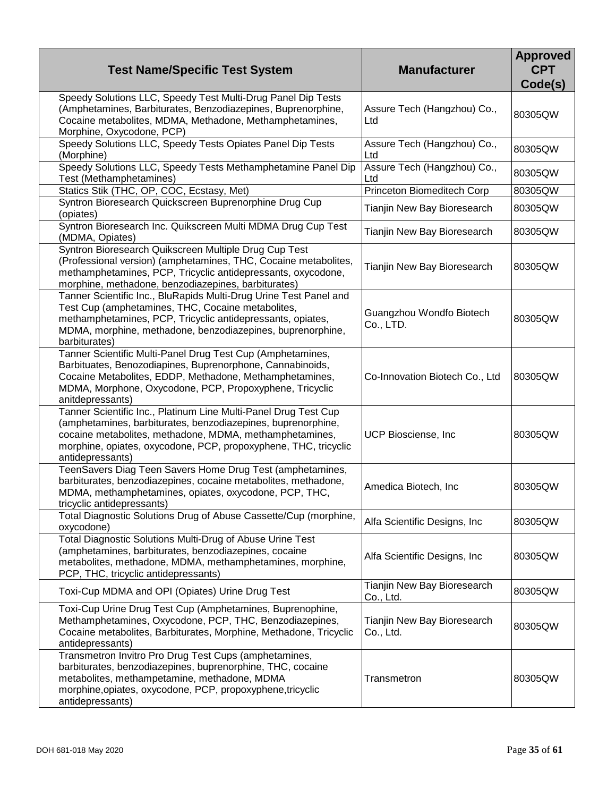| <b>Test Name/Specific Test System</b>                                                                                                                                                                                                                                             | <b>Manufacturer</b>                      | <b>Approved</b><br><b>CPT</b><br>Code(s) |
|-----------------------------------------------------------------------------------------------------------------------------------------------------------------------------------------------------------------------------------------------------------------------------------|------------------------------------------|------------------------------------------|
| Speedy Solutions LLC, Speedy Test Multi-Drug Panel Dip Tests<br>(Amphetamines, Barbiturates, Benzodiazepines, Buprenorphine,<br>Cocaine metabolites, MDMA, Methadone, Methamphetamines,<br>Morphine, Oxycodone, PCP)                                                              | Assure Tech (Hangzhou) Co.,<br>Ltd       | 80305QW                                  |
| Speedy Solutions LLC, Speedy Tests Opiates Panel Dip Tests<br>(Morphine)                                                                                                                                                                                                          | Assure Tech (Hangzhou) Co.,<br>Ltd       | 80305QW                                  |
| Speedy Solutions LLC, Speedy Tests Methamphetamine Panel Dip<br>Test (Methamphetamines)                                                                                                                                                                                           | Assure Tech (Hangzhou) Co.,<br>Ltd       | 80305QW                                  |
| Statics Stik (THC, OP, COC, Ecstasy, Met)                                                                                                                                                                                                                                         | Princeton Biomeditech Corp               | 80305QW                                  |
| Syntron Bioresearch Quickscreen Buprenorphine Drug Cup<br>(opiates)                                                                                                                                                                                                               | Tianjin New Bay Bioresearch              | 80305QW                                  |
| Syntron Bioresearch Inc. Quikscreen Multi MDMA Drug Cup Test<br>(MDMA, Opiates)                                                                                                                                                                                                   | Tianjin New Bay Bioresearch              | 80305QW                                  |
| Syntron Bioresearch Quikscreen Multiple Drug Cup Test<br>(Professional version) (amphetamines, THC, Cocaine metabolites,<br>methamphetamines, PCP, Tricyclic antidepressants, oxycodone,<br>morphine, methadone, benzodiazepines, barbiturates)                                   | Tianjin New Bay Bioresearch              | 80305QW                                  |
| Tanner Scientific Inc., BluRapids Multi-Drug Urine Test Panel and<br>Test Cup (amphetamines, THC, Cocaine metabolites,<br>methamphetamines, PCP, Tricyclic antidepressants, opiates,<br>MDMA, morphine, methadone, benzodiazepines, buprenorphine,<br>barbiturates)               | Guangzhou Wondfo Biotech<br>Co., LTD.    | 80305QW                                  |
| Tanner Scientific Multi-Panel Drug Test Cup (Amphetamines,<br>Barbituates, Benozodiapines, Buprenorphone, Cannabinoids,<br>Cocaine Metabolites, EDDP, Methadone, Methamphetamines,<br>MDMA, Morphone, Oxycodone, PCP, Propoxyphene, Tricyclic<br>anitdepressants)                 | Co-Innovation Biotech Co., Ltd           | 80305QW                                  |
| Tanner Scientific Inc., Platinum Line Multi-Panel Drug Test Cup<br>(amphetamines, barbiturates, benzodiazepines, buprenorphine,<br>cocaine metabolites, methadone, MDMA, methamphetamines,<br>morphine, opiates, oxycodone, PCP, propoxyphene, THC, tricyclic<br>antidepressants) | UCP Biosciense, Inc                      | 80305QW                                  |
| TeenSavers Diag Teen Savers Home Drug Test (amphetamines,<br>barbiturates, benzodiazepines, cocaine metabolites, methadone,<br>MDMA, methamphetamines, opiates, oxycodone, PCP, THC,<br>tricyclic antidepressants)                                                                | Amedica Biotech, Inc                     | 80305QW                                  |
| Total Diagnostic Solutions Drug of Abuse Cassette/Cup (morphine,<br>oxycodone)                                                                                                                                                                                                    | Alfa Scientific Designs, Inc             | 80305QW                                  |
| Total Diagnostic Solutions Multi-Drug of Abuse Urine Test<br>(amphetamines, barbiturates, benzodiazepines, cocaine<br>metabolites, methadone, MDMA, methamphetamines, morphine,<br>PCP, THC, tricyclic antidepressants)                                                           | Alfa Scientific Designs, Inc             | 80305QW                                  |
| Toxi-Cup MDMA and OPI (Opiates) Urine Drug Test                                                                                                                                                                                                                                   | Tianjin New Bay Bioresearch<br>Co., Ltd. | 80305QW                                  |
| Toxi-Cup Urine Drug Test Cup (Amphetamines, Buprenophine,<br>Methamphetamines, Oxycodone, PCP, THC, Benzodiazepines,<br>Cocaine metabolites, Barbiturates, Morphine, Methadone, Tricyclic<br>antidepressants)                                                                     | Tianjin New Bay Bioresearch<br>Co., Ltd. | 80305QW                                  |
| Transmetron Invitro Pro Drug Test Cups (amphetamines,<br>barbiturates, benzodiazepines, buprenorphine, THC, cocaine<br>metabolites, methampetamine, methadone, MDMA<br>morphine, opiates, oxycodone, PCP, propoxyphene, tricyclic<br>antidepressants)                             | Transmetron                              | 80305QW                                  |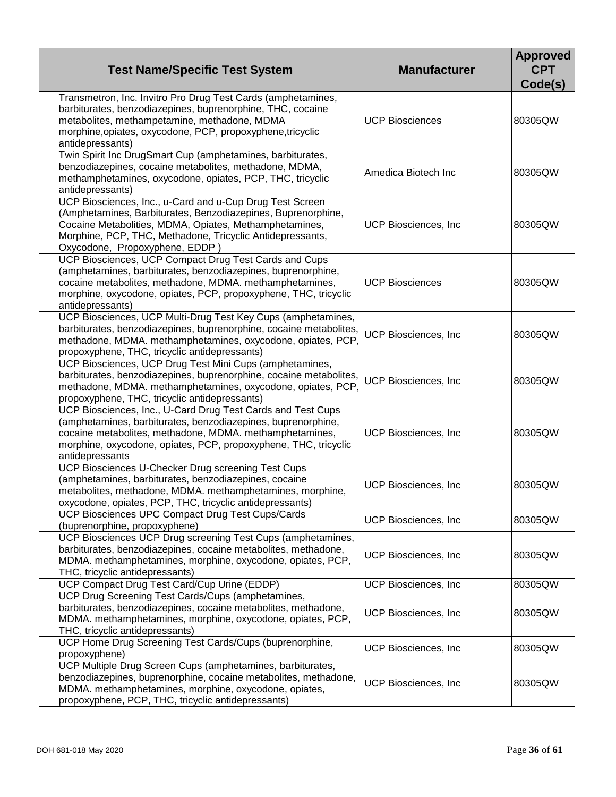| <b>Test Name/Specific Test System</b>                                                                                                                                                                                                                                             | <b>Manufacturer</b>         | <b>Approved</b><br><b>CPT</b><br>Code(s) |
|-----------------------------------------------------------------------------------------------------------------------------------------------------------------------------------------------------------------------------------------------------------------------------------|-----------------------------|------------------------------------------|
| Transmetron, Inc. Invitro Pro Drug Test Cards (amphetamines,<br>barbiturates, benzodiazepines, buprenorphine, THC, cocaine<br>metabolites, methampetamine, methadone, MDMA<br>morphine, opiates, oxycodone, PCP, propoxyphene, tricyclic<br>antidepressants)                      | <b>UCP Biosciences</b>      | 80305QW                                  |
| Twin Spirit Inc DrugSmart Cup (amphetamines, barbiturates,<br>benzodiazepines, cocaine metabolites, methadone, MDMA,<br>methamphetamines, oxycodone, opiates, PCP, THC, tricyclic<br>antidepressants)                                                                             | Amedica Biotech Inc         | 80305QW                                  |
| UCP Biosciences, Inc., u-Card and u-Cup Drug Test Screen<br>(Amphetamines, Barbiturates, Benzodiazepines, Buprenorphine,<br>Cocaine Metabolities, MDMA, Opiates, Methamphetamines,<br>Morphine, PCP, THC, Methadone, Tricyclic Antidepressants,<br>Oxycodone, Propoxyphene, EDDP) | UCP Biosciences, Inc.       | 80305QW                                  |
| UCP Biosciences, UCP Compact Drug Test Cards and Cups<br>(amphetamines, barbiturates, benzodiazepines, buprenorphine,<br>cocaine metabolites, methadone, MDMA. methamphetamines,<br>morphine, oxycodone, opiates, PCP, propoxyphene, THC, tricyclic<br>antidepressants)           | <b>UCP Biosciences</b>      | 80305QW                                  |
| UCP Biosciences, UCP Multi-Drug Test Key Cups (amphetamines,<br>barbiturates, benzodiazepines, buprenorphine, cocaine metabolites,<br>methadone, MDMA. methamphetamines, oxycodone, opiates, PCP,<br>propoxyphene, THC, tricyclic antidepressants)                                | <b>UCP Biosciences, Inc</b> | 80305QW                                  |
| UCP Biosciences, UCP Drug Test Mini Cups (amphetamines,<br>barbiturates, benzodiazepines, buprenorphine, cocaine metabolites,<br>methadone, MDMA. methamphetamines, oxycodone, opiates, PCP,<br>propoxyphene, THC, tricyclic antidepressants)                                     | <b>UCP Biosciences, Inc</b> | 80305QW                                  |
| UCP Biosciences, Inc., U-Card Drug Test Cards and Test Cups<br>(amphetamines, barbiturates, benzodiazepines, buprenorphine,<br>cocaine metabolites, methadone, MDMA. methamphetamines,<br>morphine, oxycodone, opiates, PCP, propoxyphene, THC, tricyclic<br>antidepressants      | <b>UCP Biosciences, Inc</b> | 80305QW                                  |
| UCP Biosciences U-Checker Drug screening Test Cups<br>(amphetamines, barbiturates, benzodiazepines, cocaine<br>metabolites, methadone, MDMA. methamphetamines, morphine,<br>oxycodone, opiates, PCP, THC, tricyclic antidepressants)                                              | UCP Biosciences, Inc.       | 80305QW                                  |
| UCP Biosciences UPC Compact Drug Test Cups/Cards<br>(buprenorphine, propoxyphene)                                                                                                                                                                                                 | UCP Biosciences, Inc.       | 80305QW                                  |
| UCP Biosciences UCP Drug screening Test Cups (amphetamines,<br>barbiturates, benzodiazepines, cocaine metabolites, methadone,<br>MDMA. methamphetamines, morphine, oxycodone, opiates, PCP,<br>THC, tricyclic antidepressants)                                                    | UCP Biosciences, Inc.       | 80305QW                                  |
| UCP Compact Drug Test Card/Cup Urine (EDDP)                                                                                                                                                                                                                                       | UCP Biosciences, Inc.       | 80305QW                                  |
| UCP Drug Screening Test Cards/Cups (amphetamines,<br>barbiturates, benzodiazepines, cocaine metabolites, methadone,<br>MDMA. methamphetamines, morphine, oxycodone, opiates, PCP,<br>THC, tricyclic antidepressants)                                                              | UCP Biosciences, Inc.       | 80305QW                                  |
| UCP Home Drug Screening Test Cards/Cups (buprenorphine,<br>propoxyphene)                                                                                                                                                                                                          | UCP Biosciences, Inc.       | 80305QW                                  |
| UCP Multiple Drug Screen Cups (amphetamines, barbiturates,<br>benzodiazepines, buprenorphine, cocaine metabolites, methadone,<br>MDMA. methamphetamines, morphine, oxycodone, opiates,<br>propoxyphene, PCP, THC, tricyclic antidepressants)                                      | UCP Biosciences, Inc.       | 80305QW                                  |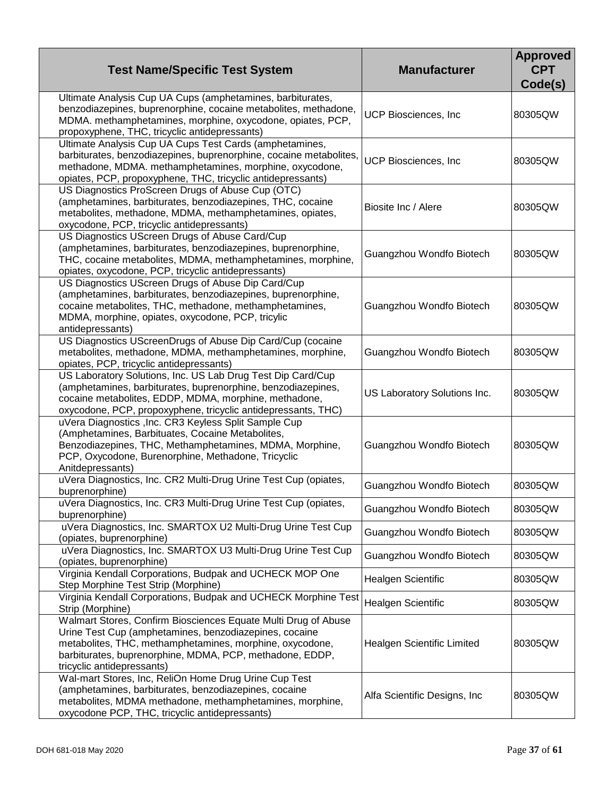| <b>Test Name/Specific Test System</b>                                                                                                                                                                                                                                          | <b>Manufacturer</b>           | <b>Approved</b><br><b>CPT</b><br>Code(s) |
|--------------------------------------------------------------------------------------------------------------------------------------------------------------------------------------------------------------------------------------------------------------------------------|-------------------------------|------------------------------------------|
| Ultimate Analysis Cup UA Cups (amphetamines, barbiturates,<br>benzodiazepines, buprenorphine, cocaine metabolites, methadone,<br>MDMA. methamphetamines, morphine, oxycodone, opiates, PCP,<br>propoxyphene, THC, tricyclic antidepressants)                                   | UCP Biosciences, Inc          | 80305QW                                  |
| Ultimate Analysis Cup UA Cups Test Cards (amphetamines,<br>barbiturates, benzodiazepines, buprenorphine, cocaine metabolites,<br>methadone, MDMA. methamphetamines, morphine, oxycodone,<br>opiates, PCP, propoxyphene, THC, tricyclic antidepressants)                        | <b>UCP Biosciences, Inc</b>   | 80305QW                                  |
| US Diagnostics ProScreen Drugs of Abuse Cup (OTC)<br>(amphetamines, barbiturates, benzodiazepines, THC, cocaine<br>metabolites, methadone, MDMA, methamphetamines, opiates,<br>oxycodone, PCP, tricyclic antidepressants)                                                      | Biosite Inc / Alere           | 80305QW                                  |
| US Diagnostics UScreen Drugs of Abuse Card/Cup<br>(amphetamines, barbiturates, benzodiazepines, buprenorphine,<br>THC, cocaine metabolites, MDMA, methamphetamines, morphine,<br>opiates, oxycodone, PCP, tricyclic antidepressants)                                           | Guangzhou Wondfo Biotech      | 80305QW                                  |
| US Diagnostics UScreen Drugs of Abuse Dip Card/Cup<br>(amphetamines, barbiturates, benzodiazepines, buprenorphine,<br>cocaine metabolites, THC, methadone, methamphetamines,<br>MDMA, morphine, opiates, oxycodone, PCP, tricylic<br>antidepressants)                          | Guangzhou Wondfo Biotech      | 80305QW                                  |
| US Diagnostics UScreenDrugs of Abuse Dip Card/Cup (cocaine<br>metabolites, methadone, MDMA, methamphetamines, morphine,<br>opiates, PCP, tricyclic antidepressants)                                                                                                            | Guangzhou Wondfo Biotech      | 80305QW                                  |
| US Laboratory Solutions, Inc. US Lab Drug Test Dip Card/Cup<br>(amphetamines, barbiturates, buprenorphine, benzodiazepines,<br>cocaine metabolites, EDDP, MDMA, morphine, methadone,<br>oxycodone, PCP, propoxyphene, tricyclic antidepressants, THC)                          | US Laboratory Solutions Inc.  | 80305QW                                  |
| uVera Diagnostics , Inc. CR3 Keyless Split Sample Cup<br>(Amphetamines, Barbituates, Cocaine Metabolites,<br>Benzodiazepines, THC, Methamphetamines, MDMA, Morphine,<br>PCP, Oxycodone, Burenorphine, Methadone, Tricyclic<br>Anitdepressants)                                 | Guangzhou Wondfo Biotech      | 80305QW                                  |
| uVera Diagnostics, Inc. CR2 Multi-Drug Urine Test Cup (opiates,<br>buprenorphine)                                                                                                                                                                                              | Guangzhou Wondfo Biotech      | 80305QW                                  |
| uVera Diagnostics, Inc. CR3 Multi-Drug Urine Test Cup (opiates,<br>buprenorphine)                                                                                                                                                                                              | Guangzhou Wondfo Biotech      | 80305QW                                  |
| uVera Diagnostics, Inc. SMARTOX U2 Multi-Drug Urine Test Cup<br>(opiates, buprenorphine)                                                                                                                                                                                       | Guangzhou Wondfo Biotech      | 80305QW                                  |
| uVera Diagnostics, Inc. SMARTOX U3 Multi-Drug Urine Test Cup<br>(opiates, buprenorphine)                                                                                                                                                                                       | Guangzhou Wondfo Biotech      | 80305QW                                  |
| Virginia Kendall Corporations, Budpak and UCHECK MOP One<br>Step Morphine Test Strip (Morphine)                                                                                                                                                                                | Healgen Scientific            | 80305QW                                  |
| Virginia Kendall Corporations, Budpak and UCHECK Morphine Test<br>Strip (Morphine)                                                                                                                                                                                             | <b>Healgen Scientific</b>     | 80305QW                                  |
| Walmart Stores, Confirm Biosciences Equate Multi Drug of Abuse<br>Urine Test Cup (amphetamines, benzodiazepines, cocaine<br>metabolites, THC, methamphetamines, morphine, oxycodone,<br>barbiturates, buprenorphine, MDMA, PCP, methadone, EDDP,<br>tricyclic antidepressants) | Healgen Scientific Limited    | 80305QW                                  |
| Wal-mart Stores, Inc, ReliOn Home Drug Urine Cup Test<br>(amphetamines, barbiturates, benzodiazepines, cocaine<br>metabolites, MDMA methadone, methamphetamines, morphine,<br>oxycodone PCP, THC, tricyclic antidepressants)                                                   | Alfa Scientific Designs, Inc. | 80305QW                                  |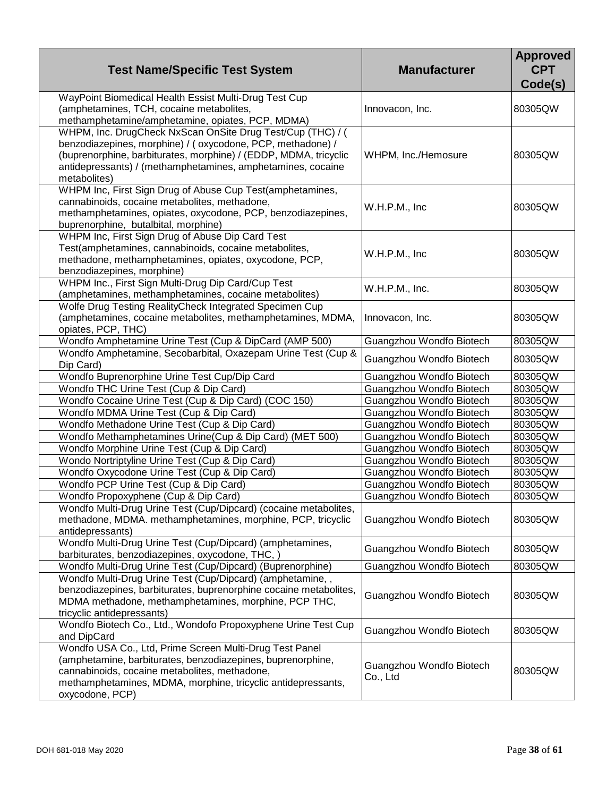| <b>Test Name/Specific Test System</b>                                                                                                                                                                                                                                       | <b>Manufacturer</b>                  | <b>Approved</b><br><b>CPT</b><br>Code(s) |
|-----------------------------------------------------------------------------------------------------------------------------------------------------------------------------------------------------------------------------------------------------------------------------|--------------------------------------|------------------------------------------|
| WayPoint Biomedical Health Essist Multi-Drug Test Cup<br>(amphetamines, TCH, cocaine metabolites,<br>methamphetamine/amphetamine, opiates, PCP, MDMA)                                                                                                                       | Innovacon, Inc.                      | 80305QW                                  |
| WHPM, Inc. DrugCheck NxScan OnSite Drug Test/Cup (THC) / (<br>benzodiazepines, morphine) / (oxycodone, PCP, methadone) /<br>(buprenorphine, barbiturates, morphine) / (EDDP, MDMA, tricyclic<br>antidepressants) / (methamphetamines, amphetamines, cocaine<br>metabolites) | WHPM, Inc./Hemosure                  | 80305QW                                  |
| WHPM Inc, First Sign Drug of Abuse Cup Test(amphetamines,<br>cannabinoids, cocaine metabolites, methadone,<br>methamphetamines, opiates, oxycodone, PCP, benzodiazepines,<br>buprenorphine, butalbital, morphine)                                                           | W.H.P.M., Inc                        | 80305QW                                  |
| WHPM Inc, First Sign Drug of Abuse Dip Card Test<br>Test(amphetamines, cannabinoids, cocaine metabolites,<br>methadone, methamphetamines, opiates, oxycodone, PCP,<br>benzodiazepines, morphine)                                                                            | W.H.P.M., Inc                        | 80305QW                                  |
| WHPM Inc., First Sign Multi-Drug Dip Card/Cup Test<br>(amphetamines, methamphetamines, cocaine metabolites)                                                                                                                                                                 | W.H.P.M., Inc.                       | 80305QW                                  |
| Wolfe Drug Testing RealityCheck Integrated Specimen Cup<br>(amphetamines, cocaine metabolites, methamphetamines, MDMA,<br>opiates, PCP, THC)                                                                                                                                | Innovacon, Inc.                      | 80305QW                                  |
| Wondfo Amphetamine Urine Test (Cup & DipCard (AMP 500)                                                                                                                                                                                                                      | Guangzhou Wondfo Biotech             | 80305QW                                  |
| Wondfo Amphetamine, Secobarbital, Oxazepam Urine Test (Cup &<br>Dip Card)                                                                                                                                                                                                   | Guangzhou Wondfo Biotech             | 80305QW                                  |
| Wondfo Buprenorphine Urine Test Cup/Dip Card                                                                                                                                                                                                                                | Guangzhou Wondfo Biotech             | 80305QW                                  |
| Wondfo THC Urine Test (Cup & Dip Card)                                                                                                                                                                                                                                      | Guangzhou Wondfo Biotech             | 80305QW                                  |
| Wondfo Cocaine Urine Test (Cup & Dip Card) (COC 150)                                                                                                                                                                                                                        | Guangzhou Wondfo Biotech             | 80305QW                                  |
| Wondfo MDMA Urine Test (Cup & Dip Card)                                                                                                                                                                                                                                     | Guangzhou Wondfo Biotech             | 80305QW                                  |
| Wondfo Methadone Urine Test (Cup & Dip Card)                                                                                                                                                                                                                                | Guangzhou Wondfo Biotech             | 80305QW                                  |
| Wondfo Methamphetamines Urine(Cup & Dip Card) (MET 500)                                                                                                                                                                                                                     | Guangzhou Wondfo Biotech             | 80305QW                                  |
| Wondfo Morphine Urine Test (Cup & Dip Card)                                                                                                                                                                                                                                 | Guangzhou Wondfo Biotech             | 80305QW                                  |
| Wondo Nortriptyline Urine Test (Cup & Dip Card)                                                                                                                                                                                                                             | Guangzhou Wondfo Biotech             | 80305QW                                  |
| Wondfo Oxycodone Urine Test (Cup & Dip Card)                                                                                                                                                                                                                                | Guangzhou Wondfo Biotech             | 80305QW                                  |
| Wondfo PCP Urine Test (Cup & Dip Card)                                                                                                                                                                                                                                      | Guangzhou Wondfo Biotech             | 80305QW                                  |
| Wondfo Propoxyphene (Cup & Dip Card)                                                                                                                                                                                                                                        | Guangzhou Wondfo Biotech             | 80305QW                                  |
| Wondfo Multi-Drug Urine Test (Cup/Dipcard) (cocaine metabolites,<br>methadone, MDMA. methamphetamines, morphine, PCP, tricyclic<br>antidepressants)                                                                                                                         | Guangzhou Wondfo Biotech             | 80305QW                                  |
| Wondfo Multi-Drug Urine Test (Cup/Dipcard) (amphetamines,<br>barbiturates, benzodiazepines, oxycodone, THC,                                                                                                                                                                 | Guangzhou Wondfo Biotech             | 80305QW                                  |
| Wondfo Multi-Drug Urine Test (Cup/Dipcard) (Buprenorphine)                                                                                                                                                                                                                  | Guangzhou Wondfo Biotech             | 80305QW                                  |
| Wondfo Multi-Drug Urine Test (Cup/Dipcard) (amphetamine, ,<br>benzodiazepines, barbiturates, buprenorphine cocaine metabolites,<br>MDMA methadone, methamphetamines, morphine, PCP THC,<br>tricyclic antidepressants)                                                       | Guangzhou Wondfo Biotech             | 80305QW                                  |
| Wondfo Biotech Co., Ltd., Wondofo Propoxyphene Urine Test Cup<br>and DipCard                                                                                                                                                                                                | Guangzhou Wondfo Biotech             | 80305QW                                  |
| Wondfo USA Co., Ltd, Prime Screen Multi-Drug Test Panel<br>(amphetamine, barbiturates, benzodiazepines, buprenorphine,<br>cannabinoids, cocaine metabolites, methadone,<br>methamphetamines, MDMA, morphine, tricyclic antidepressants,<br>oxycodone, PCP)                  | Guangzhou Wondfo Biotech<br>Co., Ltd | 80305QW                                  |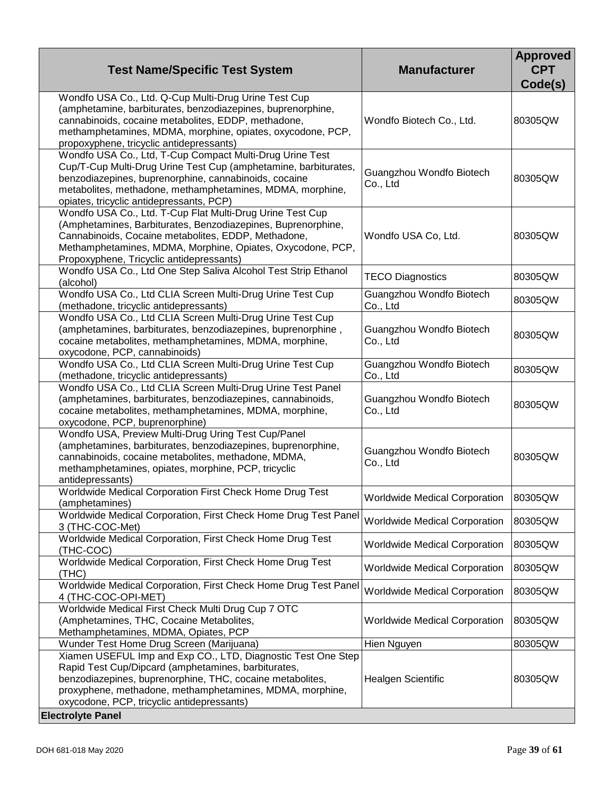| <b>Test Name/Specific Test System</b>                                                                                                                                                                                                                                                         | <b>Manufacturer</b>                  | <b>Approved</b><br><b>CPT</b><br>Code(s) |
|-----------------------------------------------------------------------------------------------------------------------------------------------------------------------------------------------------------------------------------------------------------------------------------------------|--------------------------------------|------------------------------------------|
| Wondfo USA Co., Ltd. Q-Cup Multi-Drug Urine Test Cup<br>(amphetamine, barbiturates, benzodiazepines, buprenorphine,<br>cannabinoids, cocaine metabolites, EDDP, methadone,<br>methamphetamines, MDMA, morphine, opiates, oxycodone, PCP,<br>propoxyphene, tricyclic antidepressants)          | Wondfo Biotech Co., Ltd.             | 80305QW                                  |
| Wondfo USA Co., Ltd, T-Cup Compact Multi-Drug Urine Test<br>Cup/T-Cup Multi-Drug Urine Test Cup (amphetamine, barbiturates,<br>benzodiazepines, buprenorphine, cannabinoids, cocaine<br>metabolites, methadone, methamphetamines, MDMA, morphine,<br>opiates, tricyclic antidepressants, PCP) | Guangzhou Wondfo Biotech<br>Co., Ltd | 80305QW                                  |
| Wondfo USA Co., Ltd. T-Cup Flat Multi-Drug Urine Test Cup<br>(Amphetamines, Barbiturates, Benzodiazepines, Buprenorphine,<br>Cannabinoids, Cocaine metabolites, EDDP, Methadone,<br>Methamphetamines, MDMA, Morphine, Opiates, Oxycodone, PCP,<br>Propoxyphene, Tricyclic antidepressants)    | Wondfo USA Co, Ltd.                  | 80305QW                                  |
| Wondfo USA Co., Ltd One Step Saliva Alcohol Test Strip Ethanol<br>(alcohol)                                                                                                                                                                                                                   | <b>TECO Diagnostics</b>              | 80305QW                                  |
| Wondfo USA Co., Ltd CLIA Screen Multi-Drug Urine Test Cup<br>(methadone, tricyclic antidepressants)                                                                                                                                                                                           | Guangzhou Wondfo Biotech<br>Co., Ltd | 80305QW                                  |
| Wondfo USA Co., Ltd CLIA Screen Multi-Drug Urine Test Cup<br>(amphetamines, barbiturates, benzodiazepines, buprenorphine,<br>cocaine metabolites, methamphetamines, MDMA, morphine,<br>oxycodone, PCP, cannabinoids)                                                                          | Guangzhou Wondfo Biotech<br>Co., Ltd | 80305QW                                  |
| Wondfo USA Co., Ltd CLIA Screen Multi-Drug Urine Test Cup<br>(methadone, tricyclic antidepressants)                                                                                                                                                                                           | Guangzhou Wondfo Biotech<br>Co., Ltd | 80305QW                                  |
| Wondfo USA Co., Ltd CLIA Screen Multi-Drug Urine Test Panel<br>(amphetamines, barbiturates, benzodiazepines, cannabinoids,<br>cocaine metabolites, methamphetamines, MDMA, morphine,<br>oxycodone, PCP, buprenorphine)                                                                        | Guangzhou Wondfo Biotech<br>Co., Ltd | 80305QW                                  |
| Wondfo USA, Preview Multi-Drug Uring Test Cup/Panel<br>(amphetamines, barbiturates, benzodiazepines, buprenorphine,<br>cannabinoids, cocaine metabolites, methadone, MDMA,<br>methamphetamines, opiates, morphine, PCP, tricyclic<br>antidepressants)                                         | Guangzhou Wondfo Biotech<br>Co., Ltd | 80305QW                                  |
| Worldwide Medical Corporation First Check Home Drug Test<br>(amphetamines)                                                                                                                                                                                                                    | <b>Worldwide Medical Corporation</b> | 80305QW                                  |
| Worldwide Medical Corporation, First Check Home Drug Test Panel<br>3 (THC-COC-Met)                                                                                                                                                                                                            | Worldwide Medical Corporation        | 80305QW                                  |
| Worldwide Medical Corporation, First Check Home Drug Test<br>(THC-COC)                                                                                                                                                                                                                        | <b>Worldwide Medical Corporation</b> | 80305QW                                  |
| Worldwide Medical Corporation, First Check Home Drug Test<br>(THC)                                                                                                                                                                                                                            | <b>Worldwide Medical Corporation</b> | 80305QW                                  |
| Worldwide Medical Corporation, First Check Home Drug Test Panel<br>4 (THC-COC-OPI-MET)                                                                                                                                                                                                        | <b>Worldwide Medical Corporation</b> | 80305QW                                  |
| Worldwide Medical First Check Multi Drug Cup 7 OTC<br>(Amphetamines, THC, Cocaine Metabolites,<br>Methamphetamines, MDMA, Opiates, PCP                                                                                                                                                        | <b>Worldwide Medical Corporation</b> | 80305QW                                  |
| Wunder Test Home Drug Screen (Marijuana)                                                                                                                                                                                                                                                      | Hien Nguyen                          | 80305QW                                  |
| Xiamen USEFUL Imp and Exp CO., LTD, Diagnostic Test One Step<br>Rapid Test Cup/Dipcard (amphetamines, barbiturates,<br>benzodiazepines, buprenorphine, THC, cocaine metabolites,<br>proxyphene, methadone, methamphetamines, MDMA, morphine,<br>oxycodone, PCP, tricyclic antidepressants)    | <b>Healgen Scientific</b>            | 80305QW                                  |
| <b>Electrolyte Panel</b>                                                                                                                                                                                                                                                                      |                                      |                                          |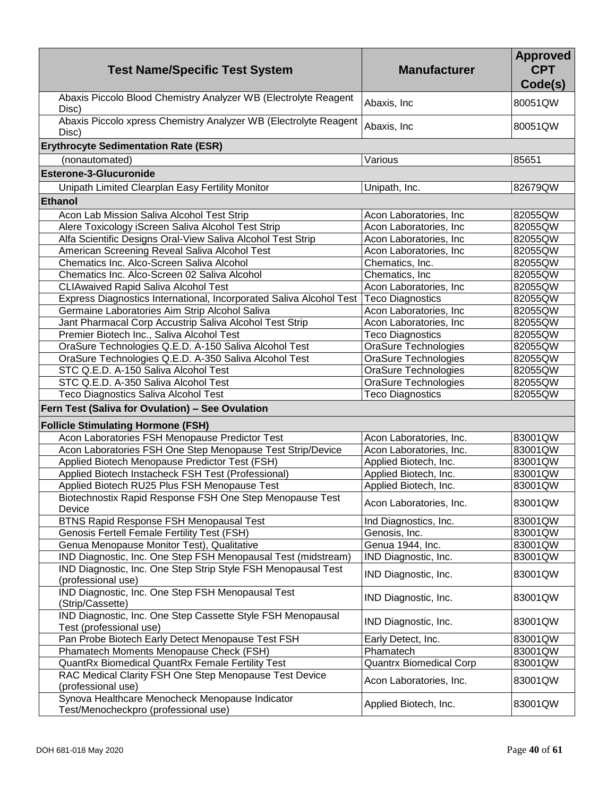| <b>Test Name/Specific Test System</b>                                                   | <b>Manufacturer</b>            | <b>Approved</b><br><b>CPT</b><br>Code(s) |
|-----------------------------------------------------------------------------------------|--------------------------------|------------------------------------------|
| Abaxis Piccolo Blood Chemistry Analyzer WB (Electrolyte Reagent<br>Disc)                | Abaxis, Inc                    | 80051QW                                  |
| Abaxis Piccolo xpress Chemistry Analyzer WB (Electrolyte Reagent<br>Disc)               | Abaxis, Inc                    | 80051QW                                  |
| <b>Erythrocyte Sedimentation Rate (ESR)</b>                                             |                                |                                          |
| (nonautomated)                                                                          | Various                        | 85651                                    |
| <b>Esterone-3-Glucuronide</b>                                                           |                                |                                          |
| Unipath Limited Clearplan Easy Fertility Monitor                                        | Unipath, Inc.                  | 82679QW                                  |
| <b>Ethanol</b>                                                                          |                                |                                          |
| Acon Lab Mission Saliva Alcohol Test Strip                                              | Acon Laboratories, Inc         | 82055QW                                  |
| Alere Toxicology iScreen Saliva Alcohol Test Strip                                      | Acon Laboratories, Inc         | 82055QW                                  |
| Alfa Scientific Designs Oral-View Saliva Alcohol Test Strip                             | Acon Laboratories, Inc         | 82055QW                                  |
| American Screening Reveal Saliva Alcohol Test                                           | Acon Laboratories, Inc.        | 82055QW                                  |
| Chematics Inc. Alco-Screen Saliva Alcohol                                               | Chematics, Inc.                | 82055QW                                  |
| Chematics Inc. Alco-Screen 02 Saliva Alcohol                                            | Chematics, Inc.                | 82055QW                                  |
| <b>CLIAwaived Rapid Saliva Alcohol Test</b>                                             | Acon Laboratories, Inc         | 82055QW                                  |
| Express Diagnostics International, Incorporated Saliva Alcohol Test                     | <b>Teco Diagnostics</b>        | 82055QW                                  |
| Germaine Laboratories Aim Strip Alcohol Saliva                                          | Acon Laboratories, Inc         | 82055QW                                  |
| Jant Pharmacal Corp Accustrip Saliva Alcohol Test Strip                                 | Acon Laboratories, Inc         | 82055QW                                  |
| Premier Biotech Inc., Saliva Alcohol Test                                               | <b>Teco Diagnostics</b>        | 82055QW                                  |
| OraSure Technologies Q.E.D. A-150 Saliva Alcohol Test                                   | <b>OraSure Technologies</b>    | 82055QW                                  |
| OraSure Technologies Q.E.D. A-350 Saliva Alcohol Test                                   | <b>OraSure Technologies</b>    | 82055QW                                  |
| STC Q.E.D. A-150 Saliva Alcohol Test                                                    | <b>OraSure Technologies</b>    | 82055QW                                  |
| STC Q.E.D. A-350 Saliva Alcohol Test                                                    | OraSure Technologies           | 82055QW                                  |
| <b>Teco Diagnostics Saliva Alcohol Test</b>                                             | <b>Teco Diagnostics</b>        | 82055QW                                  |
| Fern Test (Saliva for Ovulation) - See Ovulation                                        |                                |                                          |
|                                                                                         |                                |                                          |
| <b>Follicle Stimulating Hormone (FSH)</b>                                               |                                |                                          |
| Acon Laboratories FSH Menopause Predictor Test                                          | Acon Laboratories, Inc.        | 83001QW                                  |
| Acon Laboratories FSH One Step Menopause Test Strip/Device                              | Acon Laboratories, Inc.        | 83001QW                                  |
| Applied Biotech Menopause Predictor Test (FSH)                                          | Applied Biotech, Inc.          | 83001QW                                  |
| Applied Biotech Instacheck FSH Test (Professional)                                      | Applied Biotech, Inc.          | 83001QW                                  |
| Applied Biotech RU25 Plus FSH Menopause Test                                            | Applied Biotech, Inc.          | 83001QW                                  |
| Biotechnostix Rapid Response FSH One Step Menopause Test<br><b>Device</b>               | Acon Laboratories, Inc.        | 83001QW                                  |
| <b>BTNS Rapid Response FSH Menopausal Test</b>                                          | Ind Diagnostics, Inc.          | 83001QW                                  |
| <b>Genosis Fertell Female Fertility Test (FSH)</b>                                      | Genosis, Inc.                  | 83001QW                                  |
| Genua Menopause Monitor Test), Qualitative                                              | Genua 1944, Inc.               | 83001QW                                  |
| IND Diagnostic, Inc. One Step FSH Menopausal Test (midstream)                           | IND Diagnostic, Inc.           | 83001QW                                  |
| IND Diagnostic, Inc. One Step Strip Style FSH Menopausal Test<br>(professional use)     | IND Diagnostic, Inc.           | 83001QW                                  |
| IND Diagnostic, Inc. One Step FSH Menopausal Test<br>(Strip/Cassette)                   | IND Diagnostic, Inc.           | 83001QW                                  |
| IND Diagnostic, Inc. One Step Cassette Style FSH Menopausal<br>Test (professional use)  | IND Diagnostic, Inc.           | 83001QW                                  |
| Pan Probe Biotech Early Detect Menopause Test FSH                                       | Early Detect, Inc.             | 83001QW                                  |
| Phamatech Moments Menopause Check (FSH)                                                 | Phamatech                      | 83001QW                                  |
| QuantRx Biomedical QuantRx Female Fertility Test                                        | <b>Quantrx Biomedical Corp</b> | 83001QW                                  |
| RAC Medical Clarity FSH One Step Menopause Test Device                                  |                                |                                          |
| (professional use)                                                                      | Acon Laboratories, Inc.        | 83001QW                                  |
| Synova Healthcare Menocheck Menopause Indicator<br>Test/Menocheckpro (professional use) | Applied Biotech, Inc.          | 83001QW                                  |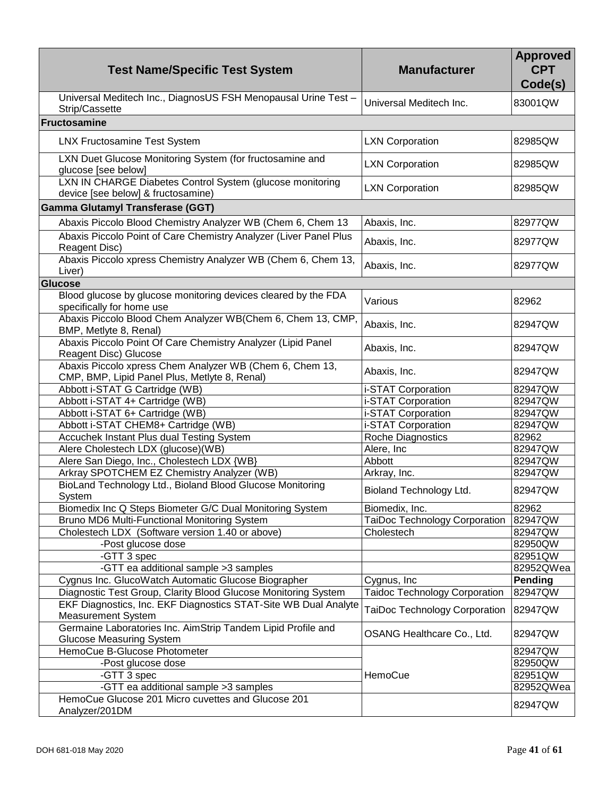| <b>Test Name/Specific Test System</b>                                                                     | <b>Manufacturer</b>                  | <b>Approved</b><br><b>CPT</b><br>Code(s) |
|-----------------------------------------------------------------------------------------------------------|--------------------------------------|------------------------------------------|
| Universal Meditech Inc., DiagnosUS FSH Menopausal Urine Test -<br>Strip/Cassette                          | Universal Meditech Inc.              | 83001QW                                  |
| <b>Fructosamine</b>                                                                                       |                                      |                                          |
| <b>LNX Fructosamine Test System</b>                                                                       | <b>LXN Corporation</b>               | 82985QW                                  |
| LXN Duet Glucose Monitoring System (for fructosamine and<br>glucose [see below]                           | <b>LXN Corporation</b>               | 82985QW                                  |
| LXN IN CHARGE Diabetes Control System (glucose monitoring<br>device [see below] & fructosamine)           | <b>LXN Corporation</b>               | 82985QW                                  |
| <b>Gamma Glutamyl Transferase (GGT)</b>                                                                   |                                      |                                          |
| Abaxis Piccolo Blood Chemistry Analyzer WB (Chem 6, Chem 13                                               | Abaxis, Inc.                         | 82977QW                                  |
| Abaxis Piccolo Point of Care Chemistry Analyzer (Liver Panel Plus                                         |                                      |                                          |
| Reagent Disc)<br>Abaxis Piccolo xpress Chemistry Analyzer WB (Chem 6, Chem 13,                            | Abaxis, Inc.                         | 82977QW                                  |
| Liver)                                                                                                    | Abaxis, Inc.                         | 82977QW                                  |
| <b>Glucose</b>                                                                                            |                                      |                                          |
| Blood glucose by glucose monitoring devices cleared by the FDA<br>specifically for home use               | Various                              | 82962                                    |
| Abaxis Piccolo Blood Chem Analyzer WB(Chem 6, Chem 13, CMP,<br>BMP, Metlyte 8, Renal)                     | Abaxis, Inc.                         | 82947QW                                  |
| Abaxis Piccolo Point Of Care Chemistry Analyzer (Lipid Panel<br>Reagent Disc) Glucose                     | Abaxis, Inc.                         | 82947QW                                  |
| Abaxis Piccolo xpress Chem Analyzer WB (Chem 6, Chem 13,<br>CMP, BMP, Lipid Panel Plus, Metlyte 8, Renal) | Abaxis, Inc.                         | 82947QW                                  |
| Abbott i-STAT G Cartridge (WB)                                                                            | i-STAT Corporation                   | 82947QW                                  |
| Abbott i-STAT 4+ Cartridge (WB)                                                                           | i-STAT Corporation                   | 82947QW                                  |
| Abbott i-STAT 6+ Cartridge (WB)                                                                           | i-STAT Corporation                   | 82947QW                                  |
| Abbott i-STAT CHEM8+ Cartridge (WB)                                                                       | i-STAT Corporation                   | 82947QW                                  |
| Accuchek Instant Plus dual Testing System                                                                 | Roche Diagnostics                    | 82962                                    |
| Alere Cholestech LDX (glucose)(WB)                                                                        | Alere, Inc                           | 82947QW                                  |
| Alere San Diego, Inc., Cholestech LDX {WB}                                                                | Abbott                               | 82947QW                                  |
| Arkray SPOTCHEM EZ Chemistry Analyzer (WB)                                                                | Arkray, Inc.                         | 82947QW                                  |
| BioLand Technology Ltd., Bioland Blood Glucose Monitoring<br>System                                       | Bioland Technology Ltd.              | 82947QW                                  |
| Biomedix Inc Q Steps Biometer G/C Dual Monitoring System                                                  | Biomedix, Inc.                       | 82962                                    |
| Bruno MD6 Multi-Functional Monitoring System                                                              | TaiDoc Technology Corporation        | 82947QW                                  |
| Cholestech LDX (Software version 1.40 or above)                                                           | Cholestech                           | 82947QW                                  |
| -Post glucose dose                                                                                        |                                      | 82950QW                                  |
| -GTT 3 spec                                                                                               |                                      | 82951QW                                  |
| -GTT ea additional sample > 3 samples                                                                     |                                      | 82952QWea                                |
| Cygnus Inc. GlucoWatch Automatic Glucose Biographer                                                       | Cygnus, Inc.                         | Pending                                  |
| Diagnostic Test Group, Clarity Blood Glucose Monitoring System                                            | <b>Taidoc Technology Corporation</b> | 82947QW                                  |
| EKF Diagnostics, Inc. EKF Diagnostics STAT-Site WB Dual Analyte<br><b>Measurement System</b>              | <b>TaiDoc Technology Corporation</b> | 82947QW                                  |
| Germaine Laboratories Inc. AimStrip Tandem Lipid Profile and<br><b>Glucose Measuring System</b>           | OSANG Healthcare Co., Ltd.           | 82947QW                                  |
| HemoCue B-Glucose Photometer                                                                              |                                      | 82947QW                                  |
| -Post glucose dose                                                                                        |                                      | 82950QW                                  |
| -GTT 3 spec                                                                                               | HemoCue                              | 82951QW                                  |
| -GTT ea additional sample >3 samples                                                                      |                                      | 82952QWea                                |
| HemoCue Glucose 201 Micro cuvettes and Glucose 201                                                        |                                      |                                          |
| Analyzer/201DM                                                                                            |                                      | 82947QW                                  |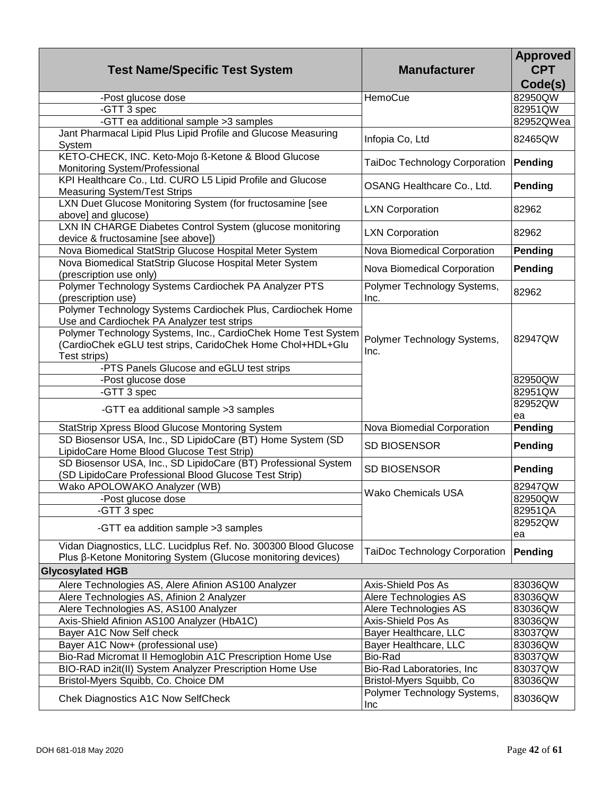| <b>Test Name/Specific Test System</b>                                                                                                                                                                                                                                                                | <b>Manufacturer</b>                  | <b>Approved</b><br><b>CPT</b><br>Code(s) |
|------------------------------------------------------------------------------------------------------------------------------------------------------------------------------------------------------------------------------------------------------------------------------------------------------|--------------------------------------|------------------------------------------|
| -Post glucose dose                                                                                                                                                                                                                                                                                   | HemoCue                              | 82950QW                                  |
| -GTT 3 spec                                                                                                                                                                                                                                                                                          |                                      | 82951QW                                  |
| -GTT ea additional sample >3 samples                                                                                                                                                                                                                                                                 |                                      | 82952QWea                                |
| Jant Pharmacal Lipid Plus Lipid Profile and Glucose Measuring<br>System                                                                                                                                                                                                                              | Infopia Co, Ltd                      | 82465QW                                  |
| KETO-CHECK, INC. Keto-Mojo ß-Ketone & Blood Glucose<br>Monitoring System/Professional                                                                                                                                                                                                                | <b>TaiDoc Technology Corporation</b> | Pending                                  |
| KPI Healthcare Co., Ltd. CURO L5 Lipid Profile and Glucose<br><b>Measuring System/Test Strips</b>                                                                                                                                                                                                    | OSANG Healthcare Co., Ltd.           | Pending                                  |
| LXN Duet Glucose Monitoring System (for fructosamine [see<br>above] and glucose)                                                                                                                                                                                                                     | <b>LXN Corporation</b>               | 82962                                    |
| LXN IN CHARGE Diabetes Control System (glucose monitoring<br>device & fructosamine [see above])                                                                                                                                                                                                      | <b>LXN Corporation</b>               | 82962                                    |
| Nova Biomedical StatStrip Glucose Hospital Meter System                                                                                                                                                                                                                                              | Nova Biomedical Corporation          | Pending                                  |
| Nova Biomedical StatStrip Glucose Hospital Meter System<br>(prescription use only)                                                                                                                                                                                                                   | Nova Biomedical Corporation          | Pending                                  |
| Polymer Technology Systems Cardiochek PA Analyzer PTS<br>(prescription use)                                                                                                                                                                                                                          | Polymer Technology Systems,<br>Inc.  | 82962                                    |
| Polymer Technology Systems Cardiochek Plus, Cardiochek Home<br>Use and Cardiochek PA Analyzer test strips<br>Polymer Technology Systems, Inc., CardioChek Home Test System<br>(CardioChek eGLU test strips, CaridoChek Home Chol+HDL+Glu<br>Test strips)<br>-PTS Panels Glucose and eGLU test strips | Polymer Technology Systems,<br>Inc.  | 82947QW                                  |
| -Post glucose dose                                                                                                                                                                                                                                                                                   |                                      | 82950QW                                  |
| -GTT 3 spec                                                                                                                                                                                                                                                                                          |                                      | 82951QW                                  |
| -GTT ea additional sample > 3 samples                                                                                                                                                                                                                                                                |                                      | 82952QW<br>ea                            |
| StatStrip Xpress Blood Glucose Montoring System                                                                                                                                                                                                                                                      | Nova Biomedial Corporation           | <b>Pending</b>                           |
| SD Biosensor USA, Inc., SD LipidoCare (BT) Home System (SD<br>LipidoCare Home Blood Glucose Test Strip)                                                                                                                                                                                              | <b>SD BIOSENSOR</b>                  | Pending                                  |
| SD Biosensor USA, Inc., SD LipidoCare (BT) Professional System<br>(SD LipidoCare Professional Blood Glucose Test Strip)                                                                                                                                                                              | <b>SD BIOSENSOR</b>                  | Pending                                  |
| Wako APOLOWAKO Analyzer (WB)<br>-Post glucose dose                                                                                                                                                                                                                                                   | <b>Wako Chemicals USA</b>            | 82947QW<br>82950QW                       |
| -GTT 3 spec<br>-GTT ea addition sample >3 samples                                                                                                                                                                                                                                                    |                                      | 82951QA<br>82952QW<br>ea                 |
| Vidan Diagnostics, LLC. Lucidplus Ref. No. 300300 Blood Glucose<br>Plus β-Ketone Monitoring System (Glucose monitoring devices)                                                                                                                                                                      | TaiDoc Technology Corporation        | Pending                                  |
| <b>Glycosylated HGB</b>                                                                                                                                                                                                                                                                              |                                      |                                          |
| Alere Technologies AS, Alere Afinion AS100 Analyzer                                                                                                                                                                                                                                                  | Axis-Shield Pos As                   | 83036QW                                  |
| Alere Technologies AS, Afinion 2 Analyzer                                                                                                                                                                                                                                                            | Alere Technologies AS                | 83036QW                                  |
| Alere Technologies AS, AS100 Analyzer                                                                                                                                                                                                                                                                | Alere Technologies AS                | 83036QW                                  |
| Axis-Shield Afinion AS100 Analyzer (HbA1C)                                                                                                                                                                                                                                                           | <b>Axis-Shield Pos As</b>            | 83036QW                                  |
| Bayer A1C Now Self check                                                                                                                                                                                                                                                                             | Bayer Healthcare, LLC                | 83037QW                                  |
| Bayer A1C Now+ (professional use)                                                                                                                                                                                                                                                                    | Bayer Healthcare, LLC                | 83036QW                                  |
| Bio-Rad Micromat II Hemoglobin A1C Prescription Home Use                                                                                                                                                                                                                                             | Bio-Rad                              | 83037QW                                  |
| BIO-RAD in2it(II) System Analyzer Prescription Home Use                                                                                                                                                                                                                                              | Bio-Rad Laboratories, Inc            | 83037QW                                  |
| Bristol-Myers Squibb, Co. Choice DM                                                                                                                                                                                                                                                                  | Bristol-Myers Squibb, Co             | 83036QW                                  |
| Chek Diagnostics A1C Now SelfCheck                                                                                                                                                                                                                                                                   | Polymer Technology Systems,<br>Inc   | 83036QW                                  |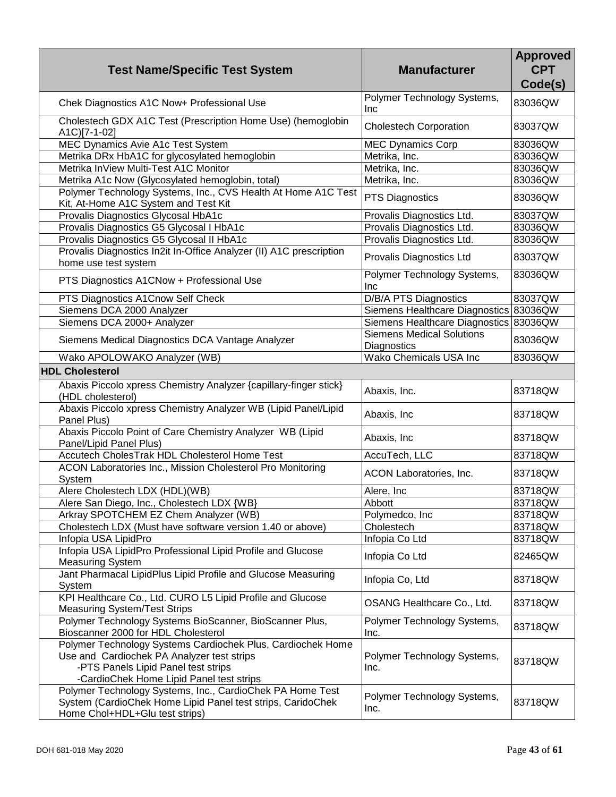| <b>Test Name/Specific Test System</b>                                                                                                                                                        | <b>Manufacturer</b>                             | <b>Approved</b><br><b>CPT</b><br>Code(s) |
|----------------------------------------------------------------------------------------------------------------------------------------------------------------------------------------------|-------------------------------------------------|------------------------------------------|
| Chek Diagnostics A1C Now+ Professional Use                                                                                                                                                   | Polymer Technology Systems,<br>Inc              | 83036QW                                  |
| Cholestech GDX A1C Test (Prescription Home Use) (hemoglobin<br>A1C)[7-1-02]                                                                                                                  | <b>Cholestech Corporation</b>                   | 83037QW                                  |
| MEC Dynamics Avie A1c Test System                                                                                                                                                            | <b>MEC Dynamics Corp</b>                        | 83036QW                                  |
| Metrika DRx HbA1C for glycosylated hemoglobin                                                                                                                                                | Metrika, Inc.                                   | 83036QW                                  |
| Metrika InView Multi-Test A1C Monitor                                                                                                                                                        | Metrika, Inc.                                   | 83036QW                                  |
| Metrika A1c Now (Glycosylated hemoglobin, total)                                                                                                                                             | Metrika, Inc.                                   | 83036QW                                  |
| Polymer Technology Systems, Inc., CVS Health At Home A1C Test<br>Kit, At-Home A1C System and Test Kit                                                                                        | <b>PTS Diagnostics</b>                          | 83036QW                                  |
| Provalis Diagnostics Glycosal HbA1c                                                                                                                                                          | Provalis Diagnostics Ltd.                       | 83037QW                                  |
| Provalis Diagnostics G5 Glycosal I HbA1c                                                                                                                                                     | Provalis Diagnostics Ltd.                       | 83036QW                                  |
| Provalis Diagnostics G5 Glycosal II HbA1c                                                                                                                                                    | Provalis Diagnostics Ltd.                       | 83036QW                                  |
| Provalis Diagnostics In2it In-Office Analyzer (II) A1C prescription<br>home use test system                                                                                                  | Provalis Diagnostics Ltd                        | 83037QW                                  |
| PTS Diagnostics A1CNow + Professional Use                                                                                                                                                    | Polymer Technology Systems,<br>Inc              | 83036QW                                  |
| PTS Diagnostics A1Cnow Self Check                                                                                                                                                            | D/B/A PTS Diagnostics                           | 83037QW                                  |
| Siemens DCA 2000 Analyzer                                                                                                                                                                    | Siemens Healthcare Diagnostics 83036QW          |                                          |
| Siemens DCA 2000+ Analyzer                                                                                                                                                                   | Siemens Healthcare Diagnostics 83036QW          |                                          |
| Siemens Medical Diagnostics DCA Vantage Analyzer                                                                                                                                             | <b>Siemens Medical Solutions</b><br>Diagnostics | 83036QW                                  |
| Wako APOLOWAKO Analyzer (WB)                                                                                                                                                                 | Wako Chemicals USA Inc                          | 83036QW                                  |
| <b>HDL Cholesterol</b>                                                                                                                                                                       |                                                 |                                          |
| Abaxis Piccolo xpress Chemistry Analyzer {capillary-finger stick}                                                                                                                            |                                                 |                                          |
| (HDL cholesterol)                                                                                                                                                                            | Abaxis, Inc.                                    | 83718QW                                  |
| Abaxis Piccolo xpress Chemistry Analyzer WB (Lipid Panel/Lipid<br>Panel Plus)                                                                                                                | Abaxis, Inc                                     | 83718QW                                  |
| Abaxis Piccolo Point of Care Chemistry Analyzer WB (Lipid<br>Panel/Lipid Panel Plus)                                                                                                         | Abaxis, Inc                                     | 83718QW                                  |
| Accutech CholesTrak HDL Cholesterol Home Test                                                                                                                                                | AccuTech, LLC                                   | 83718QW                                  |
| ACON Laboratories Inc., Mission Cholesterol Pro Monitoring<br>System                                                                                                                         | ACON Laboratories, Inc.                         | 83718QW                                  |
| Alere Cholestech LDX (HDL)(WB)                                                                                                                                                               | Alere, Inc.                                     | 83718QW                                  |
| Alere San Diego, Inc., Cholestech LDX {WB}                                                                                                                                                   | Abbott                                          | 83718QW                                  |
| Arkray SPOTCHEM EZ Chem Analyzer (WB)                                                                                                                                                        | Polymedco, Inc.                                 | 83718QW                                  |
| Cholestech LDX (Must have software version 1.40 or above)                                                                                                                                    | Cholestech                                      | 83718QW                                  |
| Infopia USA LipidPro                                                                                                                                                                         | Infopia Co Ltd                                  | 83718QW                                  |
| Infopia USA LipidPro Professional Lipid Profile and Glucose<br><b>Measuring System</b>                                                                                                       | Infopia Co Ltd                                  | 82465QW                                  |
| Jant Pharmacal LipidPlus Lipid Profile and Glucose Measuring<br>System                                                                                                                       | Infopia Co, Ltd                                 | 83718QW                                  |
| KPI Healthcare Co., Ltd. CURO L5 Lipid Profile and Glucose<br><b>Measuring System/Test Strips</b>                                                                                            | OSANG Healthcare Co., Ltd.                      | 83718QW                                  |
| Polymer Technology Systems BioScanner, BioScanner Plus,<br>Bioscanner 2000 for HDL Cholesterol                                                                                               | Polymer Technology Systems,<br>Inc.             | 83718QW                                  |
| Polymer Technology Systems Cardiochek Plus, Cardiochek Home<br>Use and Cardiochek PA Analyzer test strips<br>-PTS Panels Lipid Panel test strips<br>-CardioChek Home Lipid Panel test strips | Polymer Technology Systems,<br>Inc.             | 83718QW                                  |
| Polymer Technology Systems, Inc., CardioChek PA Home Test<br>System (CardioChek Home Lipid Panel test strips, CaridoChek<br>Home Chol+HDL+Glu test strips)                                   | Polymer Technology Systems,<br>Inc.             | 83718QW                                  |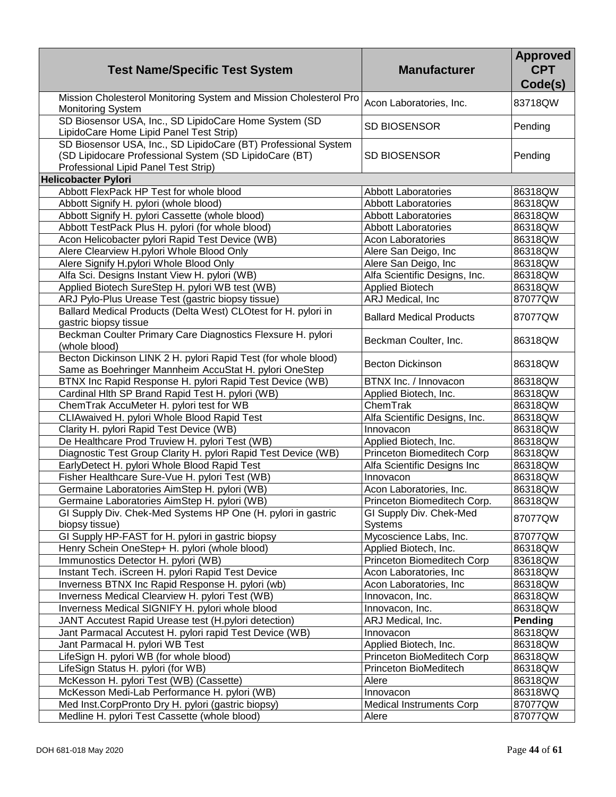| <b>Test Name/Specific Test System</b>                                                                                                                            | <b>Manufacturer</b>                       | <b>Approved</b><br><b>CPT</b><br>Code(s) |
|------------------------------------------------------------------------------------------------------------------------------------------------------------------|-------------------------------------------|------------------------------------------|
| Mission Cholesterol Monitoring System and Mission Cholesterol Pro<br><b>Monitoring System</b>                                                                    | Acon Laboratories, Inc.                   | 83718QW                                  |
| SD Biosensor USA, Inc., SD LipidoCare Home System (SD<br>LipidoCare Home Lipid Panel Test Strip)                                                                 | <b>SD BIOSENSOR</b>                       | Pending                                  |
| SD Biosensor USA, Inc., SD LipidoCare (BT) Professional System<br>(SD Lipidocare Professional System (SD LipidoCare (BT)<br>Professional Lipid Panel Test Strip) | SD BIOSENSOR                              | Pending                                  |
| <b>Helicobacter Pylori</b>                                                                                                                                       |                                           |                                          |
| Abbott FlexPack HP Test for whole blood                                                                                                                          | <b>Abbott Laboratories</b>                | 86318QW                                  |
| Abbott Signify H. pylori (whole blood)                                                                                                                           | <b>Abbott Laboratories</b>                | 86318QW                                  |
| Abbott Signify H. pylori Cassette (whole blood)                                                                                                                  | <b>Abbott Laboratories</b>                | 86318QW                                  |
| Abbott TestPack Plus H. pylori (for whole blood)                                                                                                                 | <b>Abbott Laboratories</b>                | 86318QW                                  |
| Acon Helicobacter pylori Rapid Test Device (WB)                                                                                                                  | <b>Acon Laboratories</b>                  | 86318QW                                  |
| Alere Clearview H.pylori Whole Blood Only                                                                                                                        | Alere San Deigo, Inc                      | 86318QW                                  |
| Alere Signify H.pylori Whole Blood Only                                                                                                                          | Alere San Deigo, Inc                      | 86318QW                                  |
| Alfa Sci. Designs Instant View H. pylori (WB)                                                                                                                    | Alfa Scientific Designs, Inc.             | 86318QW                                  |
| Applied Biotech SureStep H. pylori WB test (WB)                                                                                                                  | <b>Applied Biotech</b>                    | 86318QW                                  |
| ARJ Pylo-Plus Urease Test (gastric biopsy tissue)                                                                                                                | ARJ Medical, Inc                          | 87077QW                                  |
| Ballard Medical Products (Delta West) CLOtest for H. pylori in<br>gastric biopsy tissue                                                                          | <b>Ballard Medical Products</b>           | 87077QW                                  |
| Beckman Coulter Primary Care Diagnostics Flexsure H. pylori<br>(whole blood)                                                                                     | Beckman Coulter, Inc.                     | 86318QW                                  |
| Becton Dickinson LINK 2 H. pylori Rapid Test (for whole blood)<br>Same as Boehringer Mannheim AccuStat H. pylori OneStep                                         | <b>Becton Dickinson</b>                   | 86318QW                                  |
| BTNX Inc Rapid Response H. pylori Rapid Test Device (WB)                                                                                                         | BTNX Inc. / Innovacon                     | 86318QW                                  |
| Cardinal HIth SP Brand Rapid Test H. pylori (WB)                                                                                                                 | Applied Biotech, Inc.                     | 86318QW                                  |
| ChemTrak AccuMeter H. pylori test for WB                                                                                                                         | ChemTrak                                  | 86318QW                                  |
| CLIAwaived H. pylori Whole Blood Rapid Test                                                                                                                      | Alfa Scientific Designs, Inc.             | 86318QW                                  |
| Clarity H. pylori Rapid Test Device (WB)                                                                                                                         | Innovacon                                 | 86318QW                                  |
| De Healthcare Prod Truview H. pylori Test (WB)                                                                                                                   | Applied Biotech, Inc.                     | 86318QW                                  |
| Diagnostic Test Group Clarity H. pylori Rapid Test Device (WB)                                                                                                   | Princeton Biomeditech Corp                | 86318QW                                  |
| EarlyDetect H. pylori Whole Blood Rapid Test                                                                                                                     | Alfa Scientific Designs Inc               | 86318QW                                  |
| Fisher Healthcare Sure-Vue H. pylori Test (WB)                                                                                                                   | Innovacon                                 | 86318QW                                  |
| Germaine Laboratories AimStep H. pylori (WB)                                                                                                                     | Acon Laboratories, Inc.                   | 86318QW                                  |
| Germaine Laboratories AimStep H. pylori (WB)                                                                                                                     | Princeton Biomeditech Corp.               | 86318QW                                  |
| GI Supply Div. Chek-Med Systems HP One (H. pylori in gastric<br>biopsy tissue)                                                                                   | GI Supply Div. Chek-Med<br><b>Systems</b> | 87077QW                                  |
| GI Supply HP-FAST for H. pylori in gastric biopsy                                                                                                                | Mycoscience Labs, Inc.                    | 87077QW                                  |
| Henry Schein OneStep+ H. pylori (whole blood)                                                                                                                    | Applied Biotech, Inc.                     | 86318QW                                  |
| Immunostics Detector H. pylori (WB)                                                                                                                              | Princeton Biomeditech Corp                | 83618QW                                  |
| Instant Tech. iScreen H. pylori Rapid Test Device                                                                                                                | Acon Laboratories, Inc.                   | 86318QW                                  |
| Inverness BTNX Inc Rapid Response H. pylori (wb)                                                                                                                 | Acon Laboratories, Inc                    | 86318QW                                  |
| Inverness Medical Clearview H. pylori Test (WB)                                                                                                                  | Innovacon, Inc.                           | 86318QW                                  |
| Inverness Medical SIGNIFY H. pylori whole blood                                                                                                                  | Innovacon, Inc.                           | 86318QW                                  |
| JANT Accutest Rapid Urease test (H.pylori detection)                                                                                                             | ARJ Medical, Inc.                         | Pending                                  |
| Jant Parmacal Accutest H. pylori rapid Test Device (WB)                                                                                                          | Innovacon                                 | 86318QW                                  |
| Jant Parmacal H. pylori WB Test                                                                                                                                  | Applied Biotech, Inc.                     | 86318QW                                  |
| LifeSign H. pylori WB (for whole blood)                                                                                                                          | Princeton BioMeditech Corp                | 86318QW                                  |
| LifeSign Status H. pylori (for WB)                                                                                                                               | Princeton BioMeditech                     | 86318QW                                  |
| McKesson H. pylori Test (WB) (Cassette)                                                                                                                          | Alere                                     | 86318QW                                  |
| McKesson Medi-Lab Performance H. pylori (WB)                                                                                                                     | Innovacon                                 | 86318WQ                                  |
| Med Inst.CorpPronto Dry H. pylori (gastric biopsy)                                                                                                               | Medical Instruments Corp                  | 87077QW                                  |
| Medline H. pylori Test Cassette (whole blood)                                                                                                                    | Alere                                     | 87077QW                                  |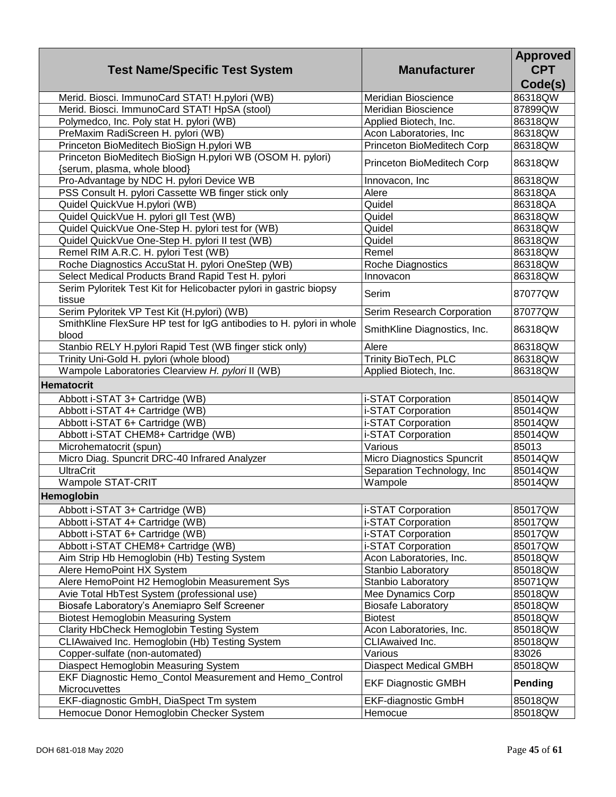| <b>Test Name/Specific Test System</b>                                                      | <b>Manufacturer</b>                      | <b>Approved</b><br><b>CPT</b><br>Code(s) |
|--------------------------------------------------------------------------------------------|------------------------------------------|------------------------------------------|
| Merid. Biosci. ImmunoCard STAT! H.pylori (WB)                                              | Meridian Bioscience                      | 86318QW                                  |
| Merid. Biosci. ImmunoCard STAT! HpSA (stool)                                               | Meridian Bioscience                      | 87899QW                                  |
| Polymedco, Inc. Poly stat H. pylori (WB)                                                   | Applied Biotech, Inc.                    | 86318QW                                  |
| PreMaxim RadiScreen H. pylori (WB)                                                         | Acon Laboratories, Inc                   | 86318QW                                  |
| Princeton BioMeditech BioSign H.pylori WB                                                  | Princeton BioMeditech Corp               | 86318QW                                  |
| Princeton BioMeditech BioSign H.pylori WB (OSOM H. pylori)<br>{serum, plasma, whole blood} | Princeton BioMeditech Corp               | 86318QW                                  |
| Pro-Advantage by NDC H. pylori Device WB                                                   | Innovacon, Inc                           | 86318QW                                  |
| PSS Consult H. pylori Cassette WB finger stick only                                        | Alere                                    | 86318QA                                  |
| Quidel QuickVue H.pylori (WB)                                                              | Quidel                                   | 86318QA                                  |
| Quidel QuickVue H. pylori gll Test (WB)                                                    | Quidel                                   | 86318QW                                  |
| Quidel QuickVue One-Step H. pylori test for (WB)                                           | Quidel                                   | 86318QW                                  |
| Quidel QuickVue One-Step H. pylori II test (WB)                                            | Quidel                                   | 86318QW                                  |
| Remel RIM A.R.C. H. pylori Test (WB)                                                       | Remel                                    | 86318QW                                  |
| Roche Diagnostics AccuStat H. pylori OneStep (WB)                                          | Roche Diagnostics                        | 86318QW                                  |
| Select Medical Products Brand Rapid Test H. pylori                                         | Innovacon                                | 86318QW                                  |
| Serim Pyloritek Test Kit for Helicobacter pylori in gastric biopsy<br>tissue               | Serim                                    | 87077QW                                  |
| Serim Pyloritek VP Test Kit (H.pylori) (WB)                                                | Serim Research Corporation               | 87077QW                                  |
| SmithKline FlexSure HP test for IgG antibodies to H. pylori in whole<br>blood              | SmithKline Diagnostics, Inc.             | 86318QW                                  |
| Stanbio RELY H.pylori Rapid Test (WB finger stick only)                                    | Alere                                    | 86318QW                                  |
| Trinity Uni-Gold H. pylori (whole blood)                                                   | Trinity BioTech, PLC                     | 86318QW                                  |
| Wampole Laboratories Clearview H. pylori II (WB)                                           | Applied Biotech, Inc.                    | 86318QW                                  |
| <b>Hematocrit</b>                                                                          |                                          |                                          |
|                                                                                            |                                          | 85014QW                                  |
| Abbott i-STAT 3+ Cartridge (WB)                                                            | i-STAT Corporation<br>i-STAT Corporation | 85014QW                                  |
| Abbott i-STAT 4+ Cartridge (WB)<br>Abbott i-STAT 6+ Cartridge (WB)                         | i-STAT Corporation                       | 85014QW                                  |
| Abbott i-STAT CHEM8+ Cartridge (WB)                                                        | i-STAT Corporation                       | 85014QW                                  |
| Microhematocrit (spun)                                                                     | Various                                  | 85013                                    |
| Micro Diag. Spuncrit DRC-40 Infrared Analyzer                                              | Micro Diagnostics Spuncrit               | 85014QW                                  |
| <b>UltraCrit</b>                                                                           | Separation Technology, Inc.              | 85014QW                                  |
| Wampole STAT-CRIT                                                                          | Wampole                                  | 85014QW                                  |
|                                                                                            |                                          |                                          |
| <b>Hemoglobin</b>                                                                          |                                          |                                          |
| Abbott i-STAT 3+ Cartridge (WB)                                                            | i-STAT Corporation                       | 85017QW                                  |
| Abbott i-STAT 4+ Cartridge (WB)                                                            | i-STAT Corporation                       | 85017QW                                  |
| Abbott i-STAT 6+ Cartridge (WB)                                                            | i-STAT Corporation                       | 85017QW                                  |
| Abbott i-STAT CHEM8+ Cartridge (WB)                                                        | i-STAT Corporation                       | 85017QW                                  |
| Aim Strip Hb Hemoglobin (Hb) Testing System                                                | Acon Laboratories, Inc.                  | 85018QW                                  |
| Alere HemoPoint HX System                                                                  | Stanbio Laboratory                       | 85018QW                                  |
| Alere HemoPoint H2 Hemoglobin Measurement Sys                                              | Stanbio Laboratory                       | 85071QW                                  |
| Avie Total HbTest System (professional use)                                                | Mee Dynamics Corp                        | 85018QW                                  |
| Biosafe Laboratory's Anemiapro Self Screener                                               | <b>Biosafe Laboratory</b>                | 85018QW                                  |
| <b>Biotest Hemoglobin Measuring System</b>                                                 | <b>Biotest</b>                           | 85018QW                                  |
| Clarity HbCheck Hemoglobin Testing System                                                  | Acon Laboratories, Inc.                  | 85018QW                                  |
| CLIAwaived Inc. Hemoglobin (Hb) Testing System                                             | CLIAwaived Inc.<br>Various               | 85018QW<br>83026                         |
| Copper-sulfate (non-automated)                                                             | <b>Diaspect Medical GMBH</b>             |                                          |
| Diaspect Hemoglobin Measuring System                                                       |                                          | 85018QW                                  |
| EKF Diagnostic Hemo_Contol Measurement and Hemo_Control<br>Microcuvettes                   | <b>EKF Diagnostic GMBH</b>               | Pending                                  |
| EKF-diagnostic GmbH, DiaSpect Tm system                                                    | <b>EKF-diagnostic GmbH</b>               | 85018QW                                  |
| Hemocue Donor Hemoglobin Checker System                                                    | Hemocue                                  | 85018QW                                  |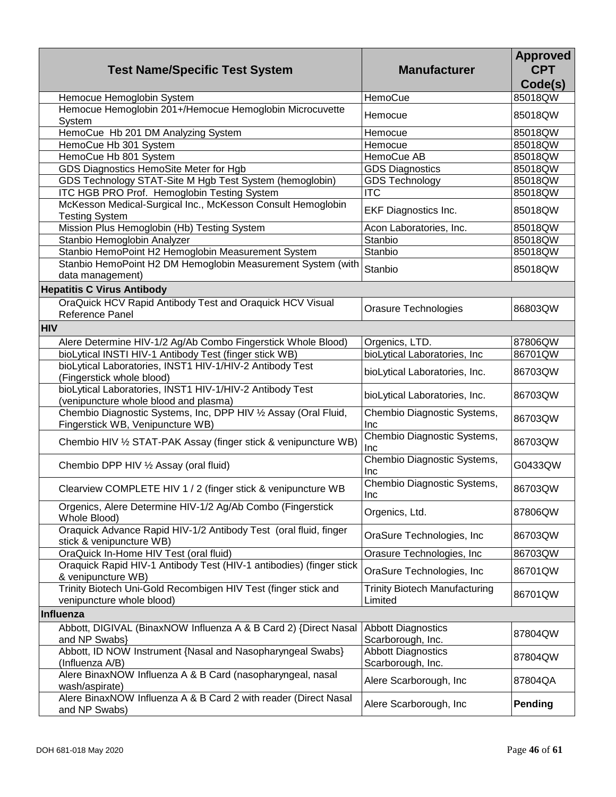| <b>Test Name/Specific Test System</b>                                                               | <b>Manufacturer</b>                             | <b>Approved</b><br><b>CPT</b><br>Code(s) |
|-----------------------------------------------------------------------------------------------------|-------------------------------------------------|------------------------------------------|
| Hemocue Hemoglobin System                                                                           | HemoCue                                         | 85018QW                                  |
| Hemocue Hemoglobin 201+/Hemocue Hemoglobin Microcuvette<br>System                                   | Hemocue                                         | 85018QW                                  |
| HemoCue Hb 201 DM Analyzing System                                                                  | Hemocue                                         | 85018QW                                  |
| HemoCue Hb 301 System                                                                               | Hemocue                                         | 85018QW                                  |
| HemoCue Hb 801 System                                                                               | HemoCue AB                                      | 85018QW                                  |
| GDS Diagnostics HemoSite Meter for Hgb                                                              | <b>GDS Diagnostics</b>                          | 85018QW                                  |
| GDS Technology STAT-Site M Hgb Test System (hemoglobin)                                             | <b>GDS Technology</b>                           | 85018QW                                  |
| ITC HGB PRO Prof. Hemoglobin Testing System                                                         | <b>ITC</b>                                      | 85018QW                                  |
| McKesson Medical-Surgical Inc., McKesson Consult Hemoglobin<br><b>Testing System</b>                | <b>EKF Diagnostics Inc.</b>                     | 85018QW                                  |
| Mission Plus Hemoglobin (Hb) Testing System                                                         | Acon Laboratories, Inc.                         | 85018QW                                  |
| Stanbio Hemoglobin Analyzer                                                                         | Stanbio                                         | 85018QW                                  |
| Stanbio HemoPoint H2 Hemoglobin Measurement System                                                  | Stanbio                                         | 85018QW                                  |
| Stanbio HemoPoint H2 DM Hemoglobin Measurement System (with<br>data management)                     | Stanbio                                         | 85018QW                                  |
| <b>Hepatitis C Virus Antibody</b>                                                                   |                                                 |                                          |
| OraQuick HCV Rapid Antibody Test and Oraquick HCV Visual<br>Reference Panel                         | <b>Orasure Technologies</b>                     | 86803QW                                  |
| <b>HIV</b>                                                                                          |                                                 |                                          |
| Alere Determine HIV-1/2 Ag/Ab Combo Fingerstick Whole Blood)                                        | Orgenics, LTD.                                  | 87806QW                                  |
| bioLytical INSTI HIV-1 Antibody Test (finger stick WB)                                              | bioLytical Laboratories, Inc.                   | 86701QW                                  |
| bioLytical Laboratories, INST1 HIV-1/HIV-2 Antibody Test<br>(Fingerstick whole blood)               | bioLytical Laboratories, Inc.                   | 86703QW                                  |
| bioLytical Laboratories, INST1 HIV-1/HIV-2 Antibody Test<br>(venipuncture whole blood and plasma)   | bioLytical Laboratories, Inc.                   | 86703QW                                  |
| Chembio Diagnostic Systems, Inc, DPP HIV 1/2 Assay (Oral Fluid,<br>Fingerstick WB, Venipuncture WB) | Chembio Diagnostic Systems,<br>Inc              | 86703QW                                  |
| Chembio HIV 1/2 STAT-PAK Assay (finger stick & venipuncture WB)                                     | Chembio Diagnostic Systems,<br>Inc              | 86703QW                                  |
| Chembio DPP HIV 1/2 Assay (oral fluid)                                                              | Chembio Diagnostic Systems,<br>Inc              | G0433QW                                  |
| Clearview COMPLETE HIV 1 / 2 (finger stick & venipuncture WB                                        | Chembio Diagnostic Systems,<br>Inc              | 86703QW                                  |
| Orgenics, Alere Determine HIV-1/2 Ag/Ab Combo (Fingerstick<br>Whole Blood)                          | Orgenics, Ltd.                                  | 87806QW                                  |
| Oraquick Advance Rapid HIV-1/2 Antibody Test (oral fluid, finger<br>stick & venipuncture WB)        | OraSure Technologies, Inc.                      | 86703QW                                  |
| OraQuick In-Home HIV Test (oral fluid)                                                              | Orasure Technologies, Inc                       | 86703QW                                  |
| Oraquick Rapid HIV-1 Antibody Test (HIV-1 antibodies) (finger stick<br>& venipuncture WB)           | OraSure Technologies, Inc.                      | 86701QW                                  |
| Trinity Biotech Uni-Gold Recombigen HIV Test (finger stick and<br>venipuncture whole blood)         | <b>Trinity Biotech Manufacturing</b><br>Limited | 86701QW                                  |
| Influenza                                                                                           |                                                 |                                          |
| Abbott, DIGIVAL (BinaxNOW Influenza A & B Card 2) {Direct Nasal<br>and NP Swabs}                    | <b>Abbott Diagnostics</b><br>Scarborough, Inc.  | 87804QW                                  |
| Abbott, ID NOW Instrument {Nasal and Nasopharyngeal Swabs}<br>(Influenza A/B)                       | <b>Abbott Diagnostics</b><br>Scarborough, Inc.  | 87804QW                                  |
| Alere BinaxNOW Influenza A & B Card (nasopharyngeal, nasal<br>wash/aspirate)                        | Alere Scarborough, Inc.                         | 87804QA                                  |
| Alere BinaxNOW Influenza A & B Card 2 with reader (Direct Nasal<br>and NP Swabs)                    | Alere Scarborough, Inc.                         | Pending                                  |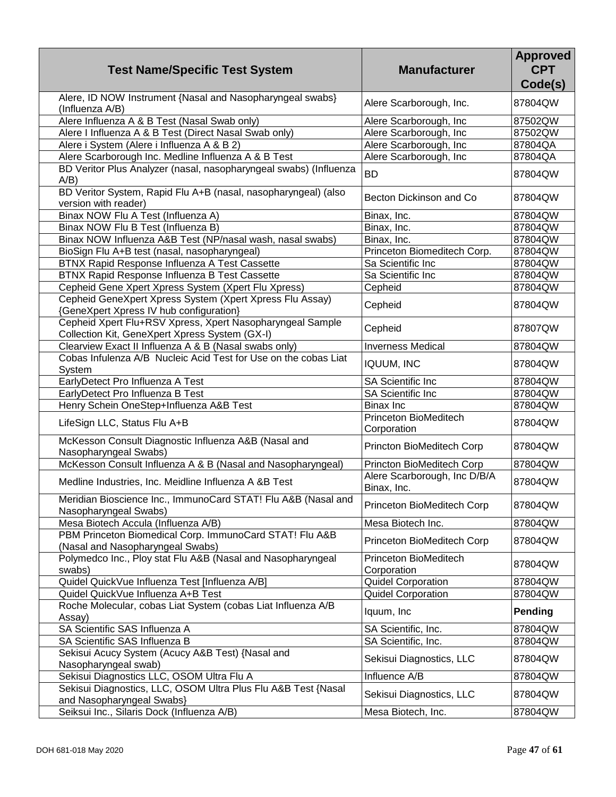| <b>Test Name/Specific Test System</b>                                                                       | <b>Manufacturer</b>                         | <b>Approved</b><br><b>CPT</b><br>Code(s) |
|-------------------------------------------------------------------------------------------------------------|---------------------------------------------|------------------------------------------|
| Alere, ID NOW Instrument {Nasal and Nasopharyngeal swabs}<br>(Influenza A/B)                                | Alere Scarborough, Inc.                     | 87804QW                                  |
| Alere Influenza A & B Test (Nasal Swab only)                                                                | Alere Scarborough, Inc                      | 87502QW                                  |
| Alere I Influenza A & B Test (Direct Nasal Swab only)                                                       | Alere Scarborough, Inc                      | 87502QW                                  |
| Alere i System (Alere i Influenza A & B 2)                                                                  | Alere Scarborough, Inc                      | 87804QA                                  |
| Alere Scarborough Inc. Medline Influenza A & B Test                                                         | Alere Scarborough, Inc                      | 87804QA                                  |
| BD Veritor Plus Analyzer (nasal, nasopharyngeal swabs) (Influenza<br>$A/B$ )                                | <b>BD</b>                                   | 87804QW                                  |
| BD Veritor System, Rapid Flu A+B (nasal, nasopharyngeal) (also<br>version with reader)                      | Becton Dickinson and Co                     | 87804QW                                  |
| Binax NOW Flu A Test (Influenza A)                                                                          | Binax, Inc.                                 | 87804QW                                  |
| Binax NOW Flu B Test (Influenza B)                                                                          | Binax, Inc.                                 | 87804QW                                  |
| Binax NOW Influenza A&B Test (NP/nasal wash, nasal swabs)                                                   | Binax, Inc.                                 | 87804QW                                  |
| BioSign Flu A+B test (nasal, nasopharyngeal)                                                                | Princeton Biomeditech Corp.                 | 87804QW                                  |
| BTNX Rapid Response Influenza A Test Cassette                                                               | Sa Scientific Inc                           | 87804QW                                  |
| BTNX Rapid Response Influenza B Test Cassette                                                               | Sa Scientific Inc                           | 87804QW                                  |
| Cepheid Gene Xpert Xpress System (Xpert Flu Xpress)                                                         | Cepheid                                     | 87804QW                                  |
| Cepheid GeneXpert Xpress System (Xpert Xpress Flu Assay)<br>{GeneXpert Xpress IV hub configuration}         | Cepheid                                     | 87804QW                                  |
| Cepheid Xpert Flu+RSV Xpress, Xpert Nasopharyngeal Sample<br>Collection Kit, GeneXpert Xpress System (GX-I) | Cepheid                                     | 87807QW                                  |
| Clearview Exact II Influenza A & B (Nasal swabs only)                                                       | <b>Inverness Medical</b>                    | 87804QW                                  |
| Cobas Infulenza A/B Nucleic Acid Test for Use on the cobas Liat<br>System                                   | <b>IQUUM, INC</b>                           | 87804QW                                  |
| EarlyDetect Pro Influenza A Test                                                                            | <b>SA Scientific Inc</b>                    | 87804QW                                  |
| EarlyDetect Pro Influenza B Test                                                                            | SA Scientific Inc                           | 87804QW                                  |
| Henry Schein OneStep+Influenza A&B Test                                                                     | <b>Binax Inc</b>                            | 87804QW                                  |
| LifeSign LLC, Status Flu A+B                                                                                | Princeton BioMeditech<br>Corporation        | 87804QW                                  |
| McKesson Consult Diagnostic Influenza A&B (Nasal and<br>Nasopharyngeal Swabs)                               | Princton BioMeditech Corp                   | 87804QW                                  |
| McKesson Consult Influenza A & B (Nasal and Nasopharyngeal)                                                 | Princton BioMeditech Corp                   | 87804QW                                  |
| Medline Industries, Inc. Meidline Influenza A &B Test                                                       | Alere Scarborough, Inc D/B/A<br>Binax, Inc. | 87804QW                                  |
| Meridian Bioscience Inc., ImmunoCard STAT! Flu A&B (Nasal and<br>Nasopharyngeal Swabs)                      | Princeton BioMeditech Corp                  | 87804QW                                  |
| Mesa Biotech Accula (Influenza A/B)                                                                         | Mesa Biotech Inc.                           | 87804QW                                  |
| PBM Princeton Biomedical Corp. ImmunoCard STAT! Flu A&B<br>(Nasal and Nasopharyngeal Swabs)                 | Princeton BioMeditech Corp                  | 87804QW                                  |
| Polymedco Inc., Ploy stat Flu A&B (Nasal and Nasopharyngeal<br>swabs)                                       | Princeton BioMeditech<br>Corporation        | 87804QW                                  |
| Quidel QuickVue Influenza Test [Influenza A/B]                                                              | <b>Quidel Corporation</b>                   | 87804QW                                  |
| Quidel QuickVue Influenza A+B Test                                                                          | <b>Quidel Corporation</b>                   | 87804QW                                  |
| Roche Molecular, cobas Liat System (cobas Liat Influenza A/B<br>Assay)                                      | Iquum, Inc                                  | Pending                                  |
| SA Scientific SAS Influenza A                                                                               | SA Scientific, Inc.                         | 87804QW                                  |
| SA Scientific SAS Influenza B                                                                               | SA Scientific, Inc.                         | 87804QW                                  |
| Sekisui Acucy System (Acucy A&B Test) {Nasal and<br>Nasopharyngeal swab)                                    | Sekisui Diagnostics, LLC                    | 87804QW                                  |
| Sekisui Diagnostics LLC, OSOM Ultra Flu A                                                                   | Influence A/B                               | 87804QW                                  |
| Sekisui Diagnostics, LLC, OSOM Ultra Plus Flu A&B Test {Nasal<br>and Nasopharyngeal Swabs}                  | Sekisui Diagnostics, LLC                    | 87804QW                                  |
| Seiksui Inc., Silaris Dock (Influenza A/B)                                                                  | Mesa Biotech, Inc.                          | 87804QW                                  |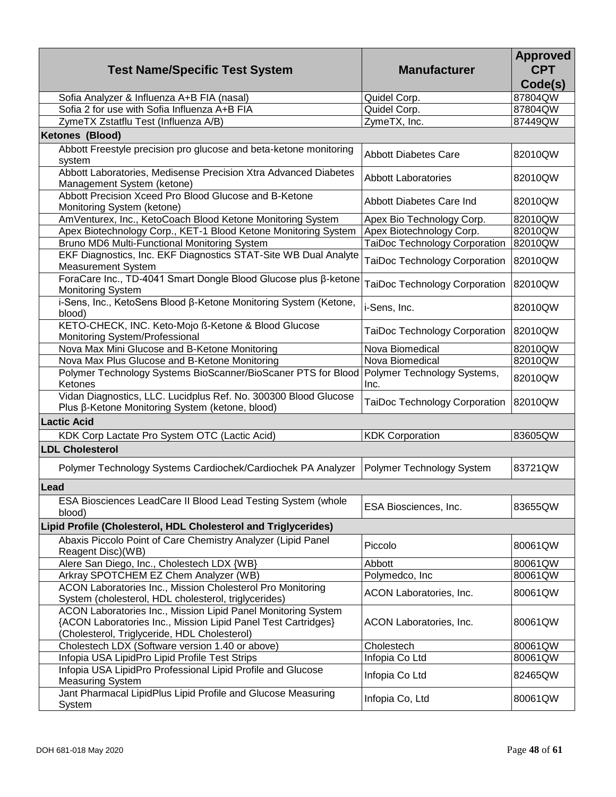| <b>Test Name/Specific Test System</b>                                                                              | <b>Manufacturer</b>                  | <b>Approved</b><br><b>CPT</b> |
|--------------------------------------------------------------------------------------------------------------------|--------------------------------------|-------------------------------|
| Sofia Analyzer & Influenza A+B FIA (nasal)                                                                         | Quidel Corp.                         | Code(s)<br>87804QW            |
| Sofia 2 for use with Sofia Influenza A+B FIA                                                                       | Quidel Corp.                         | 87804QW                       |
| ZymeTX Zstatflu Test (Influenza A/B)                                                                               | ZymeTX, Inc.                         | 87449QW                       |
| <b>Ketones (Blood)</b>                                                                                             |                                      |                               |
| Abbott Freestyle precision pro glucose and beta-ketone monitoring                                                  |                                      |                               |
| system                                                                                                             | <b>Abbott Diabetes Care</b>          | 82010QW                       |
| Abbott Laboratories, Medisense Precision Xtra Advanced Diabetes                                                    |                                      |                               |
| Management System (ketone)                                                                                         | <b>Abbott Laboratories</b>           | 82010QW                       |
| Abbott Precision Xceed Pro Blood Glucose and B-Ketone                                                              | Abbott Diabetes Care Ind             | 82010QW                       |
| Monitoring System (ketone)                                                                                         |                                      |                               |
| AmVenturex, Inc., KetoCoach Blood Ketone Monitoring System                                                         | Apex Bio Technology Corp.            | 82010QW                       |
| Apex Biotechnology Corp., KET-1 Blood Ketone Monitoring System                                                     | Apex Biotechnology Corp.             | 82010QW                       |
| Bruno MD6 Multi-Functional Monitoring System                                                                       | TaiDoc Technology Corporation        | 82010QW                       |
| EKF Diagnostics, Inc. EKF Diagnostics STAT-Site WB Dual Analyte                                                    | TaiDoc Technology Corporation        | 82010QW                       |
| <b>Measurement System</b>                                                                                          |                                      |                               |
| ForaCare Inc., TD-4041 Smart Dongle Blood Glucose plus β-ketone                                                    | TaiDoc Technology Corporation        | 82010QW                       |
| <b>Monitoring System</b>                                                                                           |                                      |                               |
| i-Sens, Inc., KetoSens Blood B-Ketone Monitoring System (Ketone,                                                   | i-Sens, Inc.                         | 82010QW                       |
| blood)                                                                                                             |                                      |                               |
| KETO-CHECK, INC. Keto-Mojo ß-Ketone & Blood Glucose                                                                | <b>TaiDoc Technology Corporation</b> | 82010QW                       |
| Monitoring System/Professional<br>Nova Max Mini Glucose and B-Ketone Monitoring                                    | Nova Biomedical                      |                               |
|                                                                                                                    | Nova Biomedical                      | 82010QW<br>82010QW            |
| Nova Max Plus Glucose and B-Ketone Monitoring<br>Polymer Technology Systems BioScanner/BioScaner PTS for Blood     | Polymer Technology Systems,          |                               |
| Ketones                                                                                                            | Inc.                                 | 82010QW                       |
| Vidan Diagnostics, LLC. Lucidplus Ref. No. 300300 Blood Glucose<br>Plus β-Ketone Monitoring System (ketone, blood) | TaiDoc Technology Corporation        | 82010QW                       |
| <b>Lactic Acid</b>                                                                                                 |                                      |                               |
| KDK Corp Lactate Pro System OTC (Lactic Acid)                                                                      | <b>KDK Corporation</b>               | 83605QW                       |
| <b>LDL Cholesterol</b>                                                                                             |                                      |                               |
|                                                                                                                    |                                      |                               |
| Polymer Technology Systems Cardiochek/Cardiochek PA Analyzer                                                       | Polymer Technology System            | 83721QW                       |
| Lead                                                                                                               |                                      |                               |
|                                                                                                                    |                                      |                               |
| ESA Biosciences LeadCare II Blood Lead Testing System (whole<br>blood)                                             | ESA Biosciences, Inc.                | 83655QW                       |
| Lipid Profile (Cholesterol, HDL Cholesterol and Triglycerides)                                                     |                                      |                               |
| Abaxis Piccolo Point of Care Chemistry Analyzer (Lipid Panel                                                       |                                      |                               |
| Reagent Disc)(WB)                                                                                                  | Piccolo                              | 80061QW                       |
| Alere San Diego, Inc., Cholestech LDX {WB}                                                                         | Abbott                               | 80061QW                       |
| Arkray SPOTCHEM EZ Chem Analyzer (WB)                                                                              | Polymedco, Inc                       | 80061QW                       |
| ACON Laboratories Inc., Mission Cholesterol Pro Monitoring                                                         |                                      |                               |
| System (cholesterol, HDL cholesterol, triglycerides)                                                               | ACON Laboratories, Inc.              | 80061QW                       |
| ACON Laboratories Inc., Mission Lipid Panel Monitoring System                                                      |                                      |                               |
| {ACON Laboratories Inc., Mission Lipid Panel Test Cartridges}                                                      | ACON Laboratories, Inc.              | 80061QW                       |
| (Cholesterol, Triglyceride, HDL Cholesterol)                                                                       |                                      |                               |
| Cholestech LDX (Software version 1.40 or above)                                                                    | Cholestech                           | 80061QW                       |
| Infopia USA LipidPro Lipid Profile Test Strips                                                                     | Infopia Co Ltd                       | 80061QW                       |
| Infopia USA LipidPro Professional Lipid Profile and Glucose                                                        | Infopia Co Ltd                       | 82465QW                       |
| <b>Measuring System</b>                                                                                            |                                      |                               |
| Jant Pharmacal LipidPlus Lipid Profile and Glucose Measuring                                                       | Infopia Co, Ltd                      | 80061QW                       |
| System                                                                                                             |                                      |                               |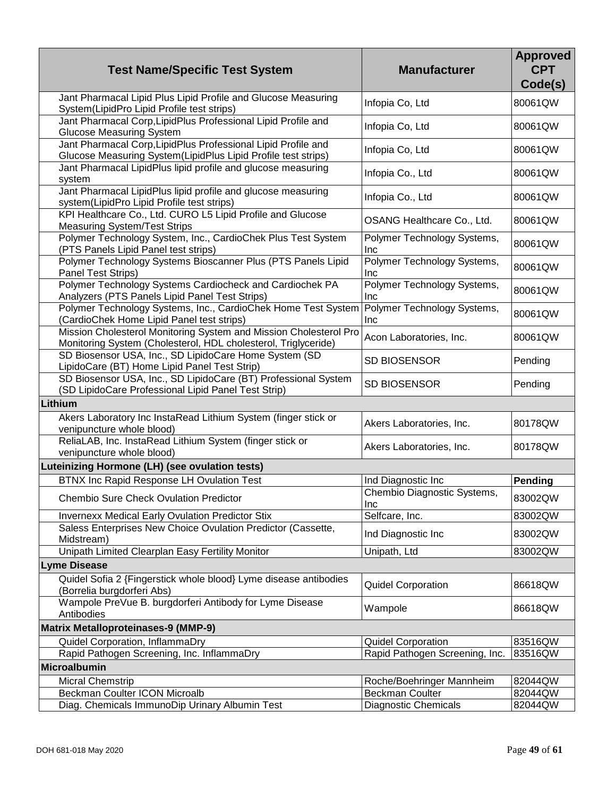| <b>Test Name/Specific Test System</b>                                                                                               | <b>Manufacturer</b>                | <b>Approved</b><br><b>CPT</b><br>Code(s) |
|-------------------------------------------------------------------------------------------------------------------------------------|------------------------------------|------------------------------------------|
| Jant Pharmacal Lipid Plus Lipid Profile and Glucose Measuring<br>System(LipidPro Lipid Profile test strips)                         | Infopia Co, Ltd                    | 80061QW                                  |
| Jant Pharmacal Corp, LipidPlus Professional Lipid Profile and<br><b>Glucose Measuring System</b>                                    | Infopia Co, Ltd                    | 80061QW                                  |
| Jant Pharmacal Corp, LipidPlus Professional Lipid Profile and<br>Glucose Measuring System(LipidPlus Lipid Profile test strips)      | Infopia Co, Ltd                    | 80061QW                                  |
| Jant Pharmacal LipidPlus lipid profile and glucose measuring<br>system                                                              | Infopia Co., Ltd                   | 80061QW                                  |
| Jant Pharmacal LipidPlus lipid profile and glucose measuring<br>system(LipidPro Lipid Profile test strips)                          | Infopia Co., Ltd                   | 80061QW                                  |
| KPI Healthcare Co., Ltd. CURO L5 Lipid Profile and Glucose<br><b>Measuring System/Test Strips</b>                                   | OSANG Healthcare Co., Ltd.         | 80061QW                                  |
| Polymer Technology System, Inc., CardioChek Plus Test System<br>(PTS Panels Lipid Panel test strips)                                | Polymer Technology Systems,<br>Inc | 80061QW                                  |
| Polymer Technology Systems Bioscanner Plus (PTS Panels Lipid<br>Panel Test Strips)                                                  | Polymer Technology Systems,<br>Inc | 80061QW                                  |
| Polymer Technology Systems Cardiocheck and Cardiochek PA<br>Analyzers (PTS Panels Lipid Panel Test Strips)                          | Polymer Technology Systems,<br>Inc | 80061QW                                  |
| Polymer Technology Systems, Inc., CardioChek Home Test System<br>(CardioChek Home Lipid Panel test strips)                          | Polymer Technology Systems,<br>Inc | 80061QW                                  |
| Mission Cholesterol Monitoring System and Mission Cholesterol Pro<br>Monitoring System (Cholesterol, HDL cholesterol, Triglyceride) | Acon Laboratories, Inc.            | 80061QW                                  |
| SD Biosensor USA, Inc., SD LipidoCare Home System (SD<br>LipidoCare (BT) Home Lipid Panel Test Strip)                               | SD BIOSENSOR                       | Pending                                  |
| SD Biosensor USA, Inc., SD LipidoCare (BT) Professional System<br>(SD LipidoCare Professional Lipid Panel Test Strip)               | <b>SD BIOSENSOR</b>                | Pending                                  |
| Lithium                                                                                                                             |                                    |                                          |
| Akers Laboratory Inc InstaRead Lithium System (finger stick or<br>venipuncture whole blood)                                         | Akers Laboratories, Inc.           | 80178QW                                  |
| ReliaLAB, Inc. InstaRead Lithium System (finger stick or<br>venipuncture whole blood)                                               | Akers Laboratories, Inc.           | 80178QW                                  |
| Luteinizing Hormone (LH) (see ovulation tests)                                                                                      |                                    |                                          |
| <b>BTNX Inc Rapid Response LH Ovulation Test</b>                                                                                    | Ind Diagnostic Inc                 | <b>Pending</b>                           |
| Chembio Sure Check Ovulation Predictor                                                                                              | Chembio Diagnostic Systems,<br>Inc | 83002QW                                  |
| <b>Invernexx Medical Early Ovulation Predictor Stix</b>                                                                             | Selfcare, Inc.                     | 83002QW                                  |
| Saless Enterprises New Choice Ovulation Predictor (Cassette,<br>Midstream)                                                          | Ind Diagnostic Inc                 | 83002QW                                  |
| Unipath Limited Clearplan Easy Fertility Monitor                                                                                    | Unipath, Ltd                       | 83002QW                                  |
| <b>Lyme Disease</b>                                                                                                                 |                                    |                                          |
| Quidel Sofia 2 {Fingerstick whole blood} Lyme disease antibodies<br>(Borrelia burgdorferi Abs)                                      | <b>Quidel Corporation</b>          | 86618QW                                  |
| Wampole PreVue B. burgdorferi Antibody for Lyme Disease<br>Antibodies                                                               | Wampole                            | 86618QW                                  |
| <b>Matrix Metalloproteinases-9 (MMP-9)</b>                                                                                          |                                    |                                          |
| Quidel Corporation, InflammaDry                                                                                                     | <b>Quidel Corporation</b>          | 83516QW                                  |
| Rapid Pathogen Screening, Inc. InflammaDry                                                                                          | Rapid Pathogen Screening, Inc.     | 83516QW                                  |
| <b>Microalbumin</b>                                                                                                                 |                                    |                                          |
| <b>Micral Chemstrip</b>                                                                                                             | Roche/Boehringer Mannheim          | 82044QW                                  |
| Beckman Coulter ICON Microalb                                                                                                       | <b>Beckman Coulter</b>             | 82044QW                                  |
| Diag. Chemicals ImmunoDip Urinary Albumin Test                                                                                      | <b>Diagnostic Chemicals</b>        | 82044QW                                  |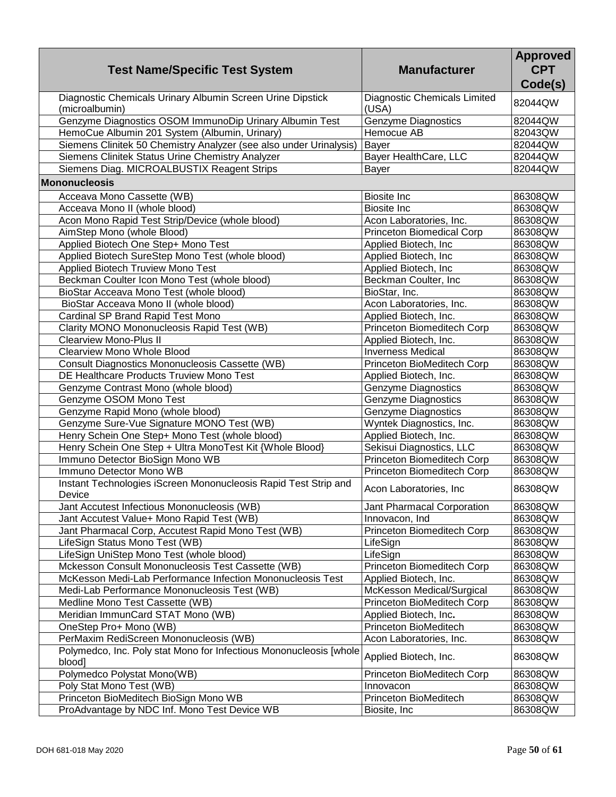| <b>Test Name/Specific Test System</b>                                        | <b>Manufacturer</b>                   | <b>Approved</b><br><b>CPT</b><br>Code(s) |
|------------------------------------------------------------------------------|---------------------------------------|------------------------------------------|
| Diagnostic Chemicals Urinary Albumin Screen Urine Dipstick<br>(microalbumin) | Diagnostic Chemicals Limited<br>(USA) | 82044QW                                  |
| Genzyme Diagnostics OSOM ImmunoDip Urinary Albumin Test                      | Genzyme Diagnostics                   | 82044QW                                  |
| HemoCue Albumin 201 System (Albumin, Urinary)                                | Hemocue AB                            | 82043QW                                  |
| Siemens Clinitek 50 Chemistry Analyzer (see also under Urinalysis)           | <b>Bayer</b>                          | 82044QW                                  |
| Siemens Clinitek Status Urine Chemistry Analyzer                             | Bayer HealthCare, LLC                 | 82044QW                                  |
| Siemens Diag. MICROALBUSTIX Reagent Strips                                   | Bayer                                 | 82044QW                                  |
| <b>Mononucleosis</b>                                                         |                                       |                                          |
| Acceava Mono Cassette (WB)                                                   | <b>Biosite Inc</b>                    | 86308QW                                  |
| Acceava Mono II (whole blood)                                                | <b>Biosite Inc</b>                    | 86308QW                                  |
| Acon Mono Rapid Test Strip/Device (whole blood)                              | Acon Laboratories, Inc.               | 86308QW                                  |
| AimStep Mono (whole Blood)                                                   | <b>Princeton Biomedical Corp</b>      | 86308QW                                  |
| Applied Biotech One Step+ Mono Test                                          | Applied Biotech, Inc                  | 86308QW                                  |
| Applied Biotech SureStep Mono Test (whole blood)                             | Applied Biotech, Inc                  | 86308QW                                  |
| Applied Biotech Truview Mono Test                                            | Applied Biotech, Inc                  | 86308QW                                  |
| Beckman Coulter Icon Mono Test (whole blood)                                 | Beckman Coulter, Inc                  | 86308QW                                  |
| BioStar Acceava Mono Test (whole blood)                                      | BioStar, Inc.                         | 86308QW                                  |
| BioStar Acceava Mono II (whole blood)                                        | Acon Laboratories, Inc.               | 86308QW                                  |
| Cardinal SP Brand Rapid Test Mono                                            | Applied Biotech, Inc.                 | 86308QW                                  |
| Clarity MONO Mononucleosis Rapid Test (WB)                                   | Princeton Biomeditech Corp            | 86308QW                                  |
| <b>Clearview Mono-Plus II</b>                                                | Applied Biotech, Inc.                 | 86308QW                                  |
| <b>Clearview Mono Whole Blood</b>                                            | <b>Inverness Medical</b>              | 86308QW                                  |
| <b>Consult Diagnostics Mononucleosis Cassette (WB)</b>                       | Princeton BioMeditech Corp            | 86308QW                                  |
| DE Healthcare Products Truview Mono Test                                     | Applied Biotech, Inc.                 | 86308QW                                  |
| Genzyme Contrast Mono (whole blood)                                          | <b>Genzyme Diagnostics</b>            | 86308QW                                  |
| Genzyme OSOM Mono Test                                                       | <b>Genzyme Diagnostics</b>            | 86308QW                                  |
| Genzyme Rapid Mono (whole blood)                                             | <b>Genzyme Diagnostics</b>            | 86308QW                                  |
| Genzyme Sure-Vue Signature MONO Test (WB)                                    | Wyntek Diagnostics, Inc.              | 86308QW                                  |
| Henry Schein One Step+ Mono Test (whole blood)                               | Applied Biotech, Inc.                 | 86308QW                                  |
| Henry Schein One Step + Ultra MonoTest Kit {Whole Blood}                     | Sekisui Diagnostics, LLC              | 86308QW                                  |
| Immuno Detector BioSign Mono WB                                              | Princeton Biomeditech Corp            | 86308QW                                  |
| Immuno Detector Mono WB                                                      | Princeton Biomeditech Corp            | 86308QW                                  |
| Instant Technologies iScreen Mononucleosis Rapid Test Strip and<br>Device    | Acon Laboratories, Inc                | 86308QW                                  |
| Jant Accutest Infectious Mononucleosis (WB)                                  | Jant Pharmacal Corporation            | 86308QW                                  |
| Jant Accutest Value+ Mono Rapid Test (WB)                                    | Innovacon, Ind                        | 86308QW                                  |
| Jant Pharmacal Corp, Accutest Rapid Mono Test (WB)                           | Princeton Biomeditech Corp            | 86308QW                                  |
| LifeSign Status Mono Test (WB)                                               | LifeSign                              | 86308QW                                  |
| LifeSign UniStep Mono Test (whole blood)                                     | LifeSign                              | 86308QW                                  |
| Mckesson Consult Mononucleosis Test Cassette (WB)                            | Princeton Biomeditech Corp            | 86308QW                                  |
| McKesson Medi-Lab Performance Infection Mononucleosis Test                   | Applied Biotech, Inc.                 | 86308QW                                  |
| Medi-Lab Performance Mononucleosis Test (WB)                                 | McKesson Medical/Surgical             | 86308QW                                  |
| Medline Mono Test Cassette (WB)                                              | Princeton BioMeditech Corp            | 86308QW                                  |
| Meridian ImmunCard STAT Mono (WB)                                            | Applied Biotech, Inc.                 | 86308QW                                  |
| OneStep Pro+ Mono (WB)                                                       | Princeton BioMeditech                 | 86308QW                                  |
| PerMaxim RediScreen Mononucleosis (WB)                                       | Acon Laboratories, Inc.               | 86308QW                                  |
| Polymedco, Inc. Poly stat Mono for Infectious Mononucleosis [whole<br>blood] | Applied Biotech, Inc.                 | 86308QW                                  |
| Polymedco Polystat Mono(WB)                                                  | Princeton BioMeditech Corp            | 86308QW                                  |
| Poly Stat Mono Test (WB)                                                     | Innovacon                             | 86308QW                                  |
| Princeton BioMeditech BioSign Mono WB                                        | Princeton BioMeditech                 | 86308QW                                  |
| ProAdvantage by NDC Inf. Mono Test Device WB                                 | Biosite, Inc                          | 86308QW                                  |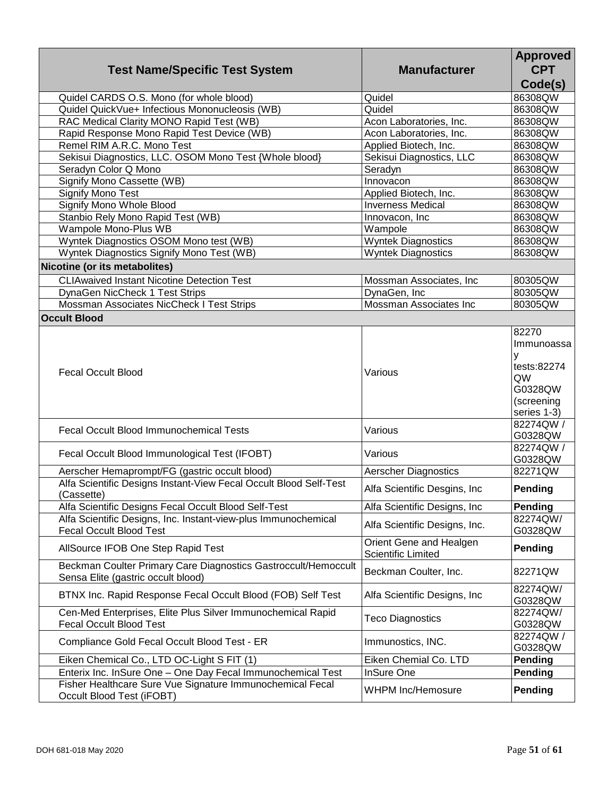| <b>Test Name/Specific Test System</b>                                                                | <b>Manufacturer</b>                                  | <b>Approved</b><br><b>CPT</b><br>Code(s)                                     |
|------------------------------------------------------------------------------------------------------|------------------------------------------------------|------------------------------------------------------------------------------|
| Quidel CARDS O.S. Mono (for whole blood)                                                             | Quidel                                               | 86308QW                                                                      |
| Quidel QuickVue+ Infectious Mononucleosis (WB)                                                       | Quidel                                               | 86308QW                                                                      |
| RAC Medical Clarity MONO Rapid Test (WB)                                                             | Acon Laboratories, Inc.                              | 86308QW                                                                      |
| Rapid Response Mono Rapid Test Device (WB)                                                           | Acon Laboratories, Inc.                              | 86308QW                                                                      |
| Remel RIM A.R.C. Mono Test                                                                           | Applied Biotech, Inc.                                | 86308QW                                                                      |
| Sekisui Diagnostics, LLC. OSOM Mono Test {Whole blood}                                               | Sekisui Diagnostics, LLC                             | 86308QW                                                                      |
| Seradyn Color Q Mono                                                                                 | Seradyn                                              | 86308QW                                                                      |
| Signify Mono Cassette (WB)                                                                           | Innovacon                                            | 86308QW                                                                      |
| <b>Signify Mono Test</b>                                                                             | Applied Biotech, Inc.                                | 86308QW                                                                      |
| Signify Mono Whole Blood                                                                             | <b>Inverness Medical</b>                             | 86308QW                                                                      |
| Stanbio Rely Mono Rapid Test (WB)                                                                    | Innovacon, Inc                                       | 86308QW                                                                      |
| Wampole Mono-Plus WB                                                                                 | Wampole                                              | 86308QW                                                                      |
| Wyntek Diagnostics OSOM Mono test (WB)                                                               | <b>Wyntek Diagnostics</b>                            | 86308QW                                                                      |
| Wyntek Diagnostics Signify Mono Test (WB)                                                            | <b>Wyntek Diagnostics</b>                            | 86308QW                                                                      |
| Nicotine (or its metabolites)                                                                        |                                                      |                                                                              |
| <b>CLIAwaived Instant Nicotine Detection Test</b>                                                    | Mossman Associates, Inc                              | 80305QW                                                                      |
| DynaGen NicCheck 1 Test Strips                                                                       | DynaGen, Inc                                         | 80305QW                                                                      |
| Mossman Associates NicCheck I Test Strips                                                            | Mossman Associates Inc                               | 80305QW                                                                      |
| <b>Occult Blood</b>                                                                                  |                                                      |                                                                              |
|                                                                                                      |                                                      | 82270                                                                        |
| <b>Fecal Occult Blood</b>                                                                            | Various                                              | Immunoassa<br>y<br>tests:82274<br>QW<br>G0328QW<br>(screening<br>series 1-3) |
| <b>Fecal Occult Blood Immunochemical Tests</b>                                                       | Various                                              | 82274QW /<br>G0328QW                                                         |
| Fecal Occult Blood Immunological Test (IFOBT)                                                        | Various                                              | 82274QW /<br>G0328QW                                                         |
| Aerscher Hemaprompt/FG (gastric occult blood)                                                        | <b>Aerscher Diagnostics</b>                          | 82271QW                                                                      |
| Alfa Scientific Designs Instant-View Fecal Occult Blood Self-Test<br>(Cassette)                      | Alfa Scientific Desgins, Inc                         | Pending                                                                      |
| Alfa Scientific Designs Fecal Occult Blood Self-Test                                                 | Alfa Scientific Designs, Inc.                        | Pending                                                                      |
| Alfa Scientific Designs, Inc. Instant-view-plus Immunochemical<br><b>Fecal Occult Blood Test</b>     | Alfa Scientific Designs, Inc.                        | 82274QW/<br>G0328QW                                                          |
| AllSource IFOB One Step Rapid Test                                                                   | Orient Gene and Healgen<br><b>Scientific Limited</b> | Pending                                                                      |
| Beckman Coulter Primary Care Diagnostics Gastroccult/Hemoccult<br>Sensa Elite (gastric occult blood) | Beckman Coulter, Inc.                                | 82271QW                                                                      |
| BTNX Inc. Rapid Response Fecal Occult Blood (FOB) Self Test                                          | Alfa Scientific Designs, Inc                         | 82274QW/<br>G0328QW                                                          |
| Cen-Med Enterprises, Elite Plus Silver Immunochemical Rapid<br><b>Fecal Occult Blood Test</b>        | <b>Teco Diagnostics</b>                              | 82274QW/<br>G0328QW                                                          |
| Compliance Gold Fecal Occult Blood Test - ER                                                         | Immunostics, INC.                                    | 82274QW /<br>G0328QW                                                         |
| Eiken Chemical Co., LTD OC-Light S FIT (1)                                                           | Eiken Chemial Co. LTD                                | Pending                                                                      |
| Enterix Inc. InSure One - One Day Fecal Immunochemical Test                                          | InSure One                                           | Pending                                                                      |
| Fisher Healthcare Sure Vue Signature Immunochemical Fecal<br>Occult Blood Test (iFOBT)               | <b>WHPM Inc/Hemosure</b>                             | Pending                                                                      |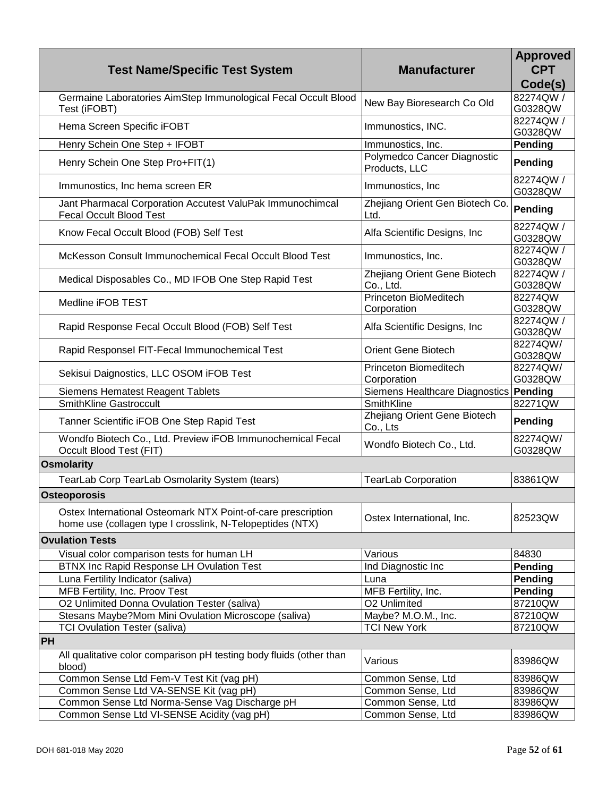| <b>Test Name/Specific Test System</b>                                                                                     | <b>Manufacturer</b>                          | <b>Approved</b><br><b>CPT</b><br>Code(s) |
|---------------------------------------------------------------------------------------------------------------------------|----------------------------------------------|------------------------------------------|
| Germaine Laboratories AimStep Immunological Fecal Occult Blood<br>Test (iFOBT)                                            | New Bay Bioresearch Co Old                   | 82274QW /<br>G0328QW                     |
| Hema Screen Specific iFOBT                                                                                                | Immunostics, INC.                            | 82274QW /<br>G0328QW                     |
| Henry Schein One Step + IFOBT                                                                                             | Immunostics, Inc.                            | Pending                                  |
| Henry Schein One Step Pro+FIT(1)                                                                                          | Polymedco Cancer Diagnostic<br>Products, LLC | Pending                                  |
| Immunostics, Inc hema screen ER                                                                                           | Immunostics, Inc.                            | 82274QW /<br>G0328QW                     |
| Jant Pharmacal Corporation Accutest ValuPak Immunochimcal<br><b>Fecal Occult Blood Test</b>                               | Zhejiang Orient Gen Biotech Co.<br>Ltd.      | Pending                                  |
| Know Fecal Occult Blood (FOB) Self Test                                                                                   | Alfa Scientific Designs, Inc.                | 82274QW /<br>G0328QW                     |
| McKesson Consult Immunochemical Fecal Occult Blood Test                                                                   | Immunostics, Inc.                            | 82274QW /<br>G0328QW                     |
| Medical Disposables Co., MD IFOB One Step Rapid Test                                                                      | Zhejiang Orient Gene Biotech<br>Co., Ltd.    | 82274QW /<br>G0328QW                     |
| Medline iFOB TEST                                                                                                         | Princeton BioMeditech<br>Corporation         | 82274QW<br>G0328QW                       |
| Rapid Response Fecal Occult Blood (FOB) Self Test                                                                         | Alfa Scientific Designs, Inc.                | 82274QW /<br>G0328QW                     |
| Rapid Responsel FIT-Fecal Immunochemical Test                                                                             | <b>Orient Gene Biotech</b>                   | 82274QW/<br>G0328QW                      |
| Sekisui Daignostics, LLC OSOM iFOB Test                                                                                   | <b>Princeton Biomeditech</b><br>Corporation  | 82274QW/<br>G0328QW                      |
| <b>Siemens Hematest Reagent Tablets</b>                                                                                   | Siemens Healthcare Diagnostics   Pending     |                                          |
| <b>SmithKline Gastroccult</b>                                                                                             | SmithKline                                   | 82271QW                                  |
| Tanner Scientific iFOB One Step Rapid Test                                                                                | Zhejiang Orient Gene Biotech<br>Co., Lts     | Pending                                  |
| Wondfo Biotech Co., Ltd. Preview iFOB Immunochemical Fecal<br>Occult Blood Test (FIT)                                     | Wondfo Biotech Co., Ltd.                     | 82274QW/<br>G0328QW                      |
| <b>Osmolarity</b>                                                                                                         |                                              |                                          |
| TearLab Corp TearLab Osmolarity System (tears)                                                                            | <b>TearLab Corporation</b>                   | 83861QW                                  |
| <b>Osteoporosis</b>                                                                                                       |                                              |                                          |
| Ostex International Osteomark NTX Point-of-care prescription<br>home use (collagen type I crosslink, N-Telopeptides (NTX) | Ostex International, Inc.                    | 82523QW                                  |
| <b>Ovulation Tests</b>                                                                                                    |                                              |                                          |
| Visual color comparison tests for human LH                                                                                | Various                                      | 84830                                    |
| <b>BTNX Inc Rapid Response LH Ovulation Test</b>                                                                          | Ind Diagnostic Inc                           | Pending                                  |
| Luna Fertility Indicator (saliva)                                                                                         | Luna                                         | Pending                                  |
| MFB Fertility, Inc. Proov Test                                                                                            | MFB Fertility, Inc.                          | Pending                                  |
| O2 Unlimited Donna Ovulation Tester (saliva)                                                                              | O2 Unlimited                                 | 87210QW                                  |
| Stesans Maybe?Mom Mini Ovulation Microscope (saliva)                                                                      | Maybe? M.O.M., Inc.                          | 87210QW                                  |
| <b>TCI Ovulation Tester (saliva)</b>                                                                                      | <b>TCI New York</b>                          | 87210QW                                  |
| <b>PH</b>                                                                                                                 |                                              |                                          |
| All qualitative color comparison pH testing body fluids (other than<br>blood)                                             | Various                                      | 83986QW                                  |
| Common Sense Ltd Fem-V Test Kit (vag pH)                                                                                  | Common Sense, Ltd                            | 83986QW                                  |
| Common Sense Ltd VA-SENSE Kit (vag pH)                                                                                    | Common Sense, Ltd                            | 83986QW                                  |
| Common Sense Ltd Norma-Sense Vag Discharge pH                                                                             | Common Sense, Ltd                            | 83986QW                                  |
| Common Sense Ltd VI-SENSE Acidity (vag pH)                                                                                | Common Sense, Ltd                            | 83986QW                                  |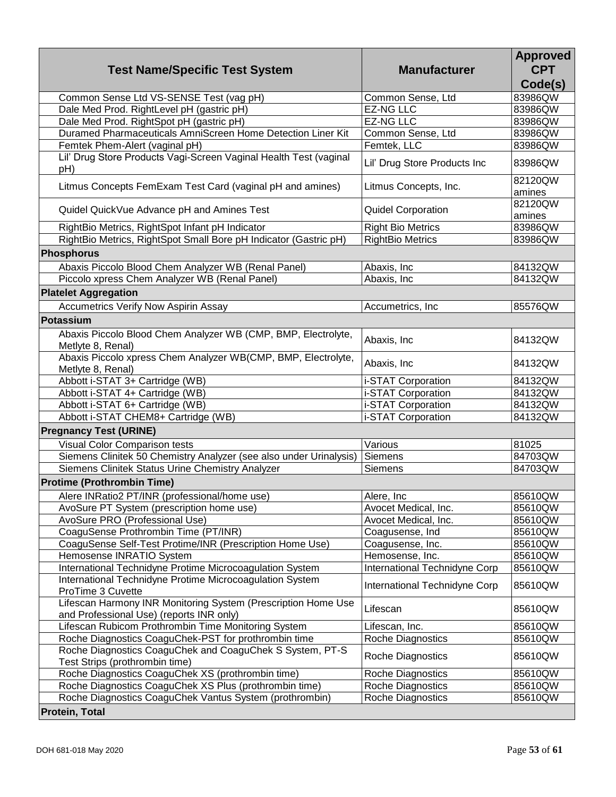| <b>Test Name/Specific Test System</b>                                                                     | <b>Manufacturer</b>           | <b>Approved</b><br><b>CPT</b><br>Code(s) |
|-----------------------------------------------------------------------------------------------------------|-------------------------------|------------------------------------------|
| Common Sense Ltd VS-SENSE Test (vag pH)                                                                   | Common Sense, Ltd             | 83986QW                                  |
| Dale Med Prod. RightLevel pH (gastric pH)                                                                 | <b>EZ-NG LLC</b>              | 83986QW                                  |
| Dale Med Prod. RightSpot pH (gastric pH)                                                                  | <b>EZ-NG LLC</b>              | 83986QW                                  |
| Duramed Pharmaceuticals AmniScreen Home Detection Liner Kit                                               | Common Sense, Ltd             | 83986QW                                  |
| Femtek Phem-Alert (vaginal pH)                                                                            | Femtek, LLC                   | 83986QW                                  |
| Lil' Drug Store Products Vagi-Screen Vaginal Health Test (vaginal<br>pH)                                  | Lil' Drug Store Products Inc  | 83986QW                                  |
| Litmus Concepts FemExam Test Card (vaginal pH and amines)                                                 | Litmus Concepts, Inc.         | 82120QW<br>amines                        |
| Quidel QuickVue Advance pH and Amines Test                                                                | <b>Quidel Corporation</b>     | 82120QW<br>amines                        |
| RightBio Metrics, RightSpot Infant pH Indicator                                                           | <b>Right Bio Metrics</b>      | 83986QW                                  |
| RightBio Metrics, RightSpot Small Bore pH Indicator (Gastric pH)                                          | <b>RightBio Metrics</b>       | 83986QW                                  |
| <b>Phosphorus</b>                                                                                         |                               |                                          |
| Abaxis Piccolo Blood Chem Analyzer WB (Renal Panel)                                                       | Abaxis, Inc                   | 84132QW                                  |
| Piccolo xpress Chem Analyzer WB (Renal Panel)                                                             | Abaxis, Inc                   | 84132QW                                  |
| <b>Platelet Aggregation</b>                                                                               |                               |                                          |
| Accumetrics Verify Now Aspirin Assay                                                                      | Accumetrics, Inc.             | 85576QW                                  |
| <b>Potassium</b>                                                                                          |                               |                                          |
| Abaxis Piccolo Blood Chem Analyzer WB (CMP, BMP, Electrolyte,<br>Metlyte 8, Renal)                        | Abaxis, Inc                   | 84132QW                                  |
| Abaxis Piccolo xpress Chem Analyzer WB(CMP, BMP, Electrolyte,<br>Metlyte 8, Renal)                        | Abaxis, Inc                   | 84132QW                                  |
| Abbott i-STAT 3+ Cartridge (WB)                                                                           | i-STAT Corporation            | 84132QW                                  |
| Abbott i-STAT 4+ Cartridge (WB)                                                                           | i-STAT Corporation            | 84132QW                                  |
| Abbott i-STAT 6+ Cartridge (WB)                                                                           | i-STAT Corporation            | 84132QW                                  |
| Abbott i-STAT CHEM8+ Cartridge (WB)                                                                       | i-STAT Corporation            | 84132QW                                  |
| <b>Pregnancy Test (URINE)</b>                                                                             |                               |                                          |
| <b>Visual Color Comparison tests</b>                                                                      | Various                       | 81025                                    |
| Siemens Clinitek 50 Chemistry Analyzer (see also under Urinalysis)                                        | Siemens                       | 84703QW                                  |
| Siemens Clinitek Status Urine Chemistry Analyzer                                                          | Siemens                       | 84703QW                                  |
| <b>Protime (Prothrombin Time)</b>                                                                         |                               |                                          |
| Alere INRatio2 PT/INR (professional/home use)                                                             | Alere, Inc                    | 85610QW                                  |
| AvoSure PT System (prescription home use)                                                                 | Avocet Medical, Inc.          | 85610QW                                  |
| AvoSure PRO (Professional Use)                                                                            | Avocet Medical, Inc.          | 85610QW                                  |
| CoaguSense Prothrombin Time (PT/INR)                                                                      | Coagusense, Ind               | 85610QW                                  |
| CoaguSense Self-Test Protime/INR (Prescription Home Use)                                                  | Coagusense, Inc.              | 85610QW                                  |
| Hemosense INRATIO System                                                                                  | Hemosense, Inc.               | 85610QW                                  |
| International Technidyne Protime Microcoagulation System                                                  | International Technidyne Corp | 85610QW                                  |
| International Technidyne Protime Microcoagulation System<br>ProTime 3 Cuvette                             | International Technidyne Corp | 85610QW                                  |
| Lifescan Harmony INR Monitoring System (Prescription Home Use<br>and Professional Use) (reports INR only) | Lifescan                      | 85610QW                                  |
| Lifescan Rubicom Prothrombin Time Monitoring System                                                       | Lifescan, Inc.                | 85610QW                                  |
| Roche Diagnostics CoaguChek-PST for prothrombin time                                                      | Roche Diagnostics             | 85610QW                                  |
| Roche Diagnostics CoaguChek and CoaguChek S System, PT-S<br>Test Strips (prothrombin time)                | Roche Diagnostics             | 85610QW                                  |
| Roche Diagnostics CoaguChek XS (prothrombin time)                                                         | <b>Roche Diagnostics</b>      | 85610QW                                  |
| Roche Diagnostics CoaguChek XS Plus (prothrombin time)                                                    | Roche Diagnostics             | 85610QW                                  |
| Roche Diagnostics CoaguChek Vantus System (prothrombin)                                                   | <b>Roche Diagnostics</b>      | 85610QW                                  |
| <b>Protein, Total</b>                                                                                     |                               |                                          |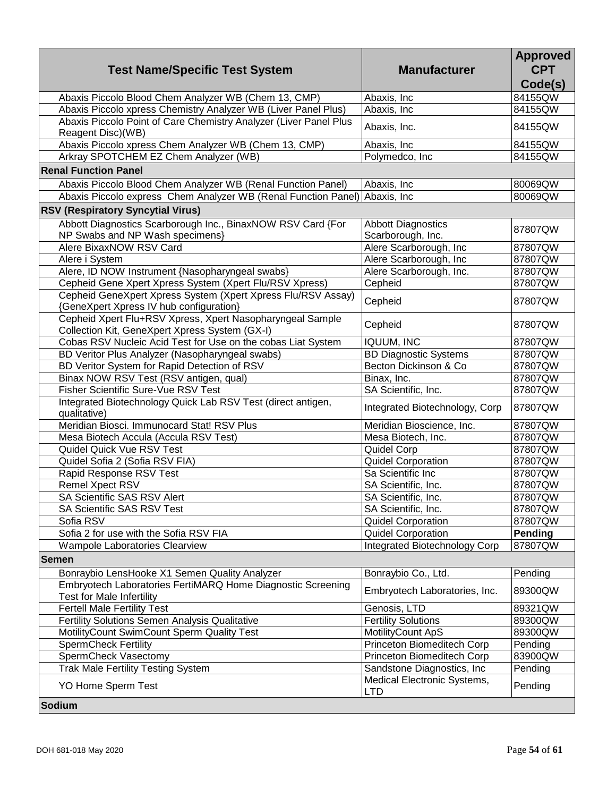| <b>Test Name/Specific Test System</b>                                                                       | <b>Manufacturer</b>                       | <b>Approved</b><br><b>CPT</b><br>Code(s) |
|-------------------------------------------------------------------------------------------------------------|-------------------------------------------|------------------------------------------|
| Abaxis Piccolo Blood Chem Analyzer WB (Chem 13, CMP)                                                        | Abaxis, Inc                               | 84155QW                                  |
| Abaxis Piccolo xpress Chemistry Analyzer WB (Liver Panel Plus)                                              | Abaxis, Inc                               | 84155QW                                  |
| Abaxis Piccolo Point of Care Chemistry Analyzer (Liver Panel Plus<br>Reagent Disc)(WB)                      | Abaxis, Inc.                              | 84155QW                                  |
| Abaxis Piccolo xpress Chem Analyzer WB (Chem 13, CMP)                                                       | Abaxis, Inc                               | 84155QW                                  |
| Arkray SPOTCHEM EZ Chem Analyzer (WB)                                                                       | Polymedco, Inc                            | 84155QW                                  |
| <b>Renal Function Panel</b>                                                                                 |                                           |                                          |
| Abaxis Piccolo Blood Chem Analyzer WB (Renal Function Panel)                                                | Abaxis, Inc                               | 80069QW                                  |
| Abaxis Piccolo express Chem Analyzer WB (Renal Function Panel) Abaxis, Inc                                  |                                           | 80069QW                                  |
| <b>RSV (Respiratory Syncytial Virus)</b>                                                                    |                                           |                                          |
| Abbott Diagnostics Scarborough Inc., BinaxNOW RSV Card {For                                                 | <b>Abbott Diagnostics</b>                 | 87807QW                                  |
| NP Swabs and NP Wash specimens}                                                                             | Scarborough, Inc.                         |                                          |
| Alere BixaxNOW RSV Card                                                                                     | Alere Scarborough, Inc                    | 87807QW                                  |
| Alere i System                                                                                              | Alere Scarborough, Inc                    | 87807QW                                  |
| Alere, ID NOW Instrument {Nasopharyngeal swabs}                                                             | Alere Scarborough, Inc.                   | 87807QW                                  |
| Cepheid Gene Xpert Xpress System (Xpert Flu/RSV Xpress)                                                     | Cepheid                                   | 87807QW                                  |
| Cepheid GeneXpert Xpress System (Xpert Xpress Flu/RSV Assay)<br>{GeneXpert Xpress IV hub configuration}     | Cepheid                                   | 87807QW                                  |
| Cepheid Xpert Flu+RSV Xpress, Xpert Nasopharyngeal Sample<br>Collection Kit, GeneXpert Xpress System (GX-I) | Cepheid                                   | 87807QW                                  |
| Cobas RSV Nucleic Acid Test for Use on the cobas Liat System                                                | <b>IQUUM, INC</b>                         | 87807QW                                  |
| BD Veritor Plus Analyzer (Nasopharyngeal swabs)                                                             | <b>BD Diagnostic Systems</b>              | 87807QW                                  |
| BD Veritor System for Rapid Detection of RSV                                                                | Becton Dickinson & Co                     | 87807QW                                  |
| Binax NOW RSV Test (RSV antigen, qual)                                                                      | Binax, Inc.                               | 87807QW                                  |
| Fisher Scientific Sure-Vue RSV Test                                                                         | SA Scientific, Inc.                       | 87807QW                                  |
| Integrated Biotechnology Quick Lab RSV Test (direct antigen,<br>qualitative)                                | Integrated Biotechnology, Corp            | 87807QW                                  |
| Meridian Biosci. Immunocard Stat! RSV Plus                                                                  | Meridian Bioscience, Inc.                 | 87807QW                                  |
| Mesa Biotech Accula (Accula RSV Test)                                                                       | Mesa Biotech, Inc.                        | 87807QW                                  |
| Quidel Quick Vue RSV Test                                                                                   | Quidel Corp                               | 87807QW                                  |
| Quidel Sofia 2 (Sofia RSV FIA)                                                                              | Quidel Corporation                        | 87807QW                                  |
| Rapid Response RSV Test                                                                                     | Sa Scientific Inc                         | 87807QW                                  |
| Remel Xpect RSV                                                                                             | SA Scientific, Inc.                       | 87807QW                                  |
| SA Scientific SAS RSV Alert                                                                                 | SA Scientific, Inc.                       | 87807QW                                  |
| SA Scientific SAS RSV Test                                                                                  | SA Scientific, Inc.                       | 87807QW                                  |
| Sofia RSV                                                                                                   | <b>Quidel Corporation</b>                 | 87807QW                                  |
| Sofia 2 for use with the Sofia RSV FIA                                                                      | Quidel Corporation                        | Pending                                  |
| Wampole Laboratories Clearview                                                                              | Integrated Biotechnology Corp             | 87807QW                                  |
| <b>Semen</b>                                                                                                |                                           |                                          |
| Bonraybio LensHooke X1 Semen Quality Analyzer                                                               | Bonraybio Co., Ltd.                       | Pending                                  |
| Embryotech Laboratories FertiMARQ Home Diagnostic Screening<br><b>Test for Male Infertility</b>             | Embryotech Laboratories, Inc.             | 89300QW                                  |
| <b>Fertell Male Fertility Test</b>                                                                          | Genosis, LTD                              | 89321QW                                  |
| Fertility Solutions Semen Analysis Qualitative                                                              | <b>Fertility Solutions</b>                | 89300QW                                  |
| MotilityCount SwimCount Sperm Quality Test                                                                  | MotilityCount ApS                         | 89300QW                                  |
| <b>SpermCheck Fertility</b>                                                                                 | Princeton Biomeditech Corp                | Pending                                  |
| SpermCheck Vasectomy                                                                                        | Princeton Biomeditech Corp                | 83900QW                                  |
| <b>Trak Male Fertility Testing System</b>                                                                   | Sandstone Diagnostics, Inc.               | Pending                                  |
| YO Home Sperm Test                                                                                          | Medical Electronic Systems,<br><b>LTD</b> | Pending                                  |
| Sodium                                                                                                      |                                           |                                          |
|                                                                                                             |                                           |                                          |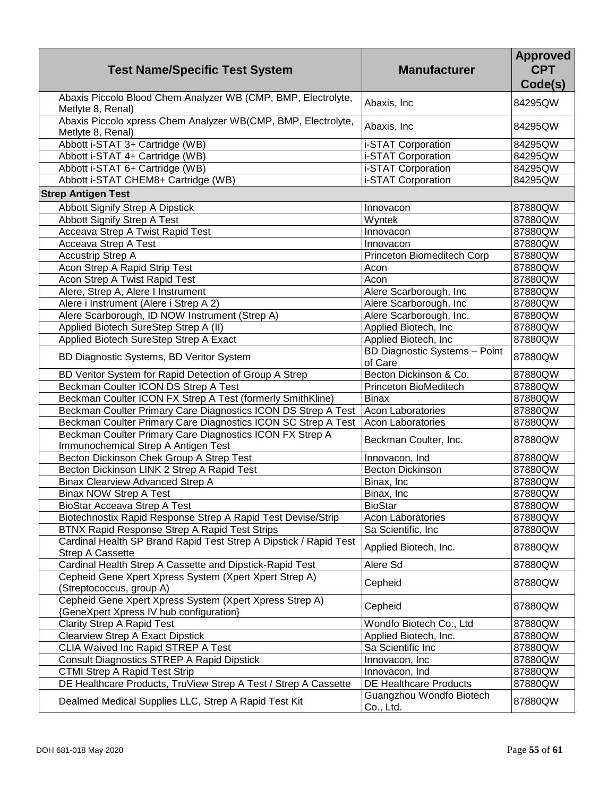| <b>Test Name/Specific Test System</b>                                                              | <b>Manufacturer</b>                             | <b>Approved</b><br><b>CPT</b><br>Code(s) |
|----------------------------------------------------------------------------------------------------|-------------------------------------------------|------------------------------------------|
| Abaxis Piccolo Blood Chem Analyzer WB (CMP, BMP, Electrolyte,<br>Metlyte 8, Renal)                 | Abaxis, Inc                                     | 84295QW                                  |
| Abaxis Piccolo xpress Chem Analyzer WB(CMP, BMP, Electrolyte,<br>Metlyte 8, Renal)                 | Abaxis, Inc                                     | 84295QW                                  |
| Abbott i-STAT 3+ Cartridge (WB)                                                                    | i-STAT Corporation                              | 84295QW                                  |
| Abbott i-STAT 4+ Cartridge (WB)                                                                    | i-STAT Corporation                              | 84295QW                                  |
| Abbott i-STAT 6+ Cartridge (WB)                                                                    | i-STAT Corporation                              | 84295QW                                  |
| Abbott i-STAT CHEM8+ Cartridge (WB)                                                                | i-STAT Corporation                              | 84295QW                                  |
| <b>Strep Antigen Test</b>                                                                          |                                                 |                                          |
| <b>Abbott Signify Strep A Dipstick</b>                                                             | Innovacon                                       | 87880QW                                  |
| Abbott Signify Strep A Test                                                                        | Wyntek                                          | 87880QW                                  |
| Acceava Strep A Twist Rapid Test                                                                   | Innovacon                                       | 87880QW                                  |
| Acceava Strep A Test                                                                               | Innovacon                                       | 87880QW                                  |
| <b>Accustrip Strep A</b>                                                                           | Princeton Biomeditech Corp                      | 87880QW                                  |
| Acon Strep A Rapid Strip Test                                                                      | Acon                                            | 87880QW                                  |
| Acon Strep A Twist Rapid Test                                                                      | Acon                                            | 87880QW                                  |
| Alere, Strep A, Alere I Instrument                                                                 | Alere Scarborough, Inc                          | 87880QW                                  |
| Alere i Instrument (Alere i Strep A 2)                                                             | Alere Scarborough, Inc                          | 87880QW                                  |
| Alere Scarborough, ID NOW Instrument (Strep A)                                                     | Alere Scarborough, Inc.                         | 87880QW                                  |
| Applied Biotech SureStep Strep A (II)                                                              | Applied Biotech, Inc                            | 87880QW                                  |
| Applied Biotech SureStep Strep A Exact                                                             | Applied Biotech, Inc                            | 87880QW                                  |
| BD Diagnostic Systems, BD Veritor System                                                           | <b>BD Diagnostic Systems - Point</b><br>of Care | 87880QW                                  |
| BD Veritor System for Rapid Detection of Group A Strep                                             | Becton Dickinson & Co.                          | 87880QW                                  |
| Beckman Coulter ICON DS Strep A Test                                                               | Princeton BioMeditech                           | 87880QW                                  |
| Beckman Coulter ICON FX Strep A Test (formerly SmithKline)                                         | <b>Binax</b>                                    | 87880QW                                  |
| Beckman Coulter Primary Care Diagnostics ICON DS Strep A Test                                      | <b>Acon Laboratories</b>                        | 87880QW                                  |
| Beckman Coulter Primary Care Diagnostics ICON SC Strep A Test                                      | <b>Acon Laboratories</b>                        | 87880QW                                  |
| Beckman Coulter Primary Care Diagnostics ICON FX Strep A<br>Immunochemical Strep A Antigen Test    | Beckman Coulter, Inc.                           | 87880QW                                  |
| Becton Dickinson Chek Group A Strep Test                                                           | Innovacon, Ind                                  | 87880QW                                  |
| Becton Dickinson LINK 2 Strep A Rapid Test                                                         | <b>Becton Dickinson</b>                         | 87880QW                                  |
| <b>Binax Clearview Advanced Strep A</b>                                                            | Binax, Inc                                      | 87880QW                                  |
| <b>Binax NOW Strep A Test</b>                                                                      | Binax, Inc.                                     | 87880QW                                  |
| BioStar Acceava Strep A Test                                                                       | <b>BioStar</b>                                  | 87880QW                                  |
| Biotechnostix Rapid Response Strep A Rapid Test Devise/Strip                                       | Acon Laboratories                               | 87880QW                                  |
| BTNX Rapid Response Strep A Rapid Test Strips                                                      | Sa Scientific, Inc.                             | 87880QW                                  |
| Cardinal Health SP Brand Rapid Test Strep A Dipstick / Rapid Test<br><b>Strep A Cassette</b>       | Applied Biotech, Inc.                           | 87880QW                                  |
| Cardinal Health Strep A Cassette and Dipstick-Rapid Test                                           | Alere Sd                                        | 87880QW                                  |
| Cepheid Gene Xpert Xpress System (Xpert Xpert Strep A)<br>(Streptococcus, group A)                 | Cepheid                                         | 87880QW                                  |
| Cepheid Gene Xpert Xpress System (Xpert Xpress Strep A)<br>{GeneXpert Xpress IV hub configuration} | Cepheid                                         | 87880QW                                  |
| <b>Clarity Strep A Rapid Test</b>                                                                  | Wondfo Biotech Co., Ltd                         | 87880QW                                  |
| <b>Clearview Strep A Exact Dipstick</b>                                                            | Applied Biotech, Inc.                           | 87880QW                                  |
| CLIA Waived Inc Rapid STREP A Test                                                                 | Sa Scientific Inc                               | 87880QW                                  |
| <b>Consult Diagnostics STREP A Rapid Dipstick</b>                                                  | Innovacon, Inc                                  | 87880QW                                  |
| <b>CTMI Strep A Rapid Test Strip</b>                                                               | Innovacon, Ind                                  | 87880QW                                  |
| DE Healthcare Products, TruView Strep A Test / Strep A Cassette                                    | DE Healthcare Products                          | 87880QW                                  |
| Dealmed Medical Supplies LLC, Strep A Rapid Test Kit                                               | Guangzhou Wondfo Biotech<br>Co., Ltd.           | 87880QW                                  |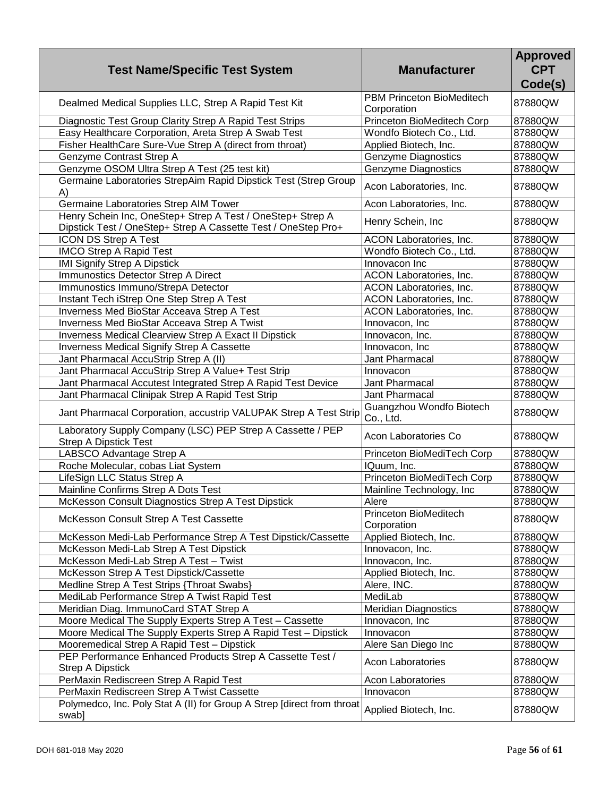| <b>Test Name/Specific Test System</b>                                                                                       | <b>Manufacturer</b>                             | <b>Approved</b><br><b>CPT</b><br>Code(s) |
|-----------------------------------------------------------------------------------------------------------------------------|-------------------------------------------------|------------------------------------------|
| Dealmed Medical Supplies LLC, Strep A Rapid Test Kit                                                                        | <b>PBM Princeton BioMeditech</b><br>Corporation | 87880QW                                  |
| Diagnostic Test Group Clarity Strep A Rapid Test Strips                                                                     | Princeton BioMeditech Corp                      | 87880QW                                  |
| Easy Healthcare Corporation, Areta Strep A Swab Test                                                                        | Wondfo Biotech Co., Ltd.                        | 87880QW                                  |
| Fisher HealthCare Sure-Vue Strep A (direct from throat)                                                                     | Applied Biotech, Inc.                           | 87880QW                                  |
| Genzyme Contrast Strep A                                                                                                    | <b>Genzyme Diagnostics</b>                      | 87880QW                                  |
| Genzyme OSOM Ultra Strep A Test (25 test kit)                                                                               | <b>Genzyme Diagnostics</b>                      | 87880QW                                  |
| Germaine Laboratories StrepAim Rapid Dipstick Test (Strep Group<br>A)                                                       | Acon Laboratories, Inc.                         | 87880QW                                  |
| Germaine Laboratories Strep AIM Tower                                                                                       | Acon Laboratories, Inc.                         | 87880QW                                  |
| Henry Schein Inc, OneStep+ Strep A Test / OneStep+ Strep A<br>Dipstick Test / OneStep+ Strep A Cassette Test / OneStep Pro+ | Henry Schein, Inc                               | 87880QW                                  |
| ICON DS Strep A Test                                                                                                        | ACON Laboratories, Inc.                         | 87880QW                                  |
| <b>IMCO Strep A Rapid Test</b>                                                                                              | Wondfo Biotech Co., Ltd.                        | 87880QW                                  |
| <b>IMI Signify Strep A Dipstick</b>                                                                                         | Innovacon Inc                                   | 87880QW                                  |
| Immunostics Detector Strep A Direct                                                                                         | ACON Laboratories, Inc.                         | 87880QW                                  |
| Immunostics Immuno/StrepA Detector                                                                                          | ACON Laboratories, Inc.                         | 87880QW                                  |
| Instant Tech iStrep One Step Strep A Test                                                                                   | ACON Laboratories, Inc.                         | 87880QW                                  |
| Inverness Med BioStar Acceava Strep A Test                                                                                  | <b>ACON Laboratories, Inc.</b>                  | 87880QW                                  |
| <b>Inverness Med BioStar Acceava Strep A Twist</b>                                                                          | Innovacon, Inc                                  | 87880QW                                  |
| Inverness Medical Clearview Strep A Exact II Dipstick                                                                       | Innovacon, Inc.                                 | 87880QW                                  |
| <b>Inverness Medical Signify Strep A Cassette</b>                                                                           | Innovacon, Inc                                  | 87880QW                                  |
| Jant Pharmacal AccuStrip Strep A (II)                                                                                       | Jant Pharmacal                                  | 87880QW                                  |
| Jant Pharmacal AccuStrip Strep A Value+ Test Strip                                                                          | Innovacon                                       | 87880QW                                  |
| Jant Pharmacal Accutest Integrated Strep A Rapid Test Device                                                                | Jant Pharmacal                                  | 87880QW                                  |
| Jant Pharmacal Clinipak Strep A Rapid Test Strip                                                                            | Jant Pharmacal                                  | 87880QW                                  |
| Jant Pharmacal Corporation, accustrip VALUPAK Strep A Test Strip                                                            | Guangzhou Wondfo Biotech<br>Co., Ltd.           | 87880QW                                  |
| Laboratory Supply Company (LSC) PEP Strep A Cassette / PEP<br><b>Strep A Dipstick Test</b>                                  | Acon Laboratories Co                            | 87880QW                                  |
| LABSCO Advantage Strep A                                                                                                    | Princeton BioMediTech Corp                      | 87880QW                                  |
| Roche Molecular, cobas Liat System                                                                                          | IQuum, Inc.                                     | 87880QW                                  |
| LifeSign LLC Status Strep A                                                                                                 | Princeton BioMediTech Corp                      | 87880QW                                  |
| Mainline Confirms Strep A Dots Test                                                                                         | Mainline Technology, Inc.                       | 87880QW                                  |
| McKesson Consult Diagnostics Strep A Test Dipstick                                                                          | Alere                                           | 87880QW                                  |
| McKesson Consult Strep A Test Cassette                                                                                      | Princeton BioMeditech<br>Corporation            | 87880QW                                  |
| McKesson Medi-Lab Performance Strep A Test Dipstick/Cassette                                                                | Applied Biotech, Inc.                           | 87880QW                                  |
| McKesson Medi-Lab Strep A Test Dipstick                                                                                     | Innovacon, Inc.                                 | 87880QW                                  |
| McKesson Medi-Lab Strep A Test - Twist                                                                                      | Innovacon, Inc.                                 | 87880QW                                  |
| McKesson Strep A Test Dipstick/Cassette                                                                                     | Applied Biotech, Inc.                           | 87880QW                                  |
| Medline Strep A Test Strips {Throat Swabs}                                                                                  | Alere, INC.                                     | 87880QW                                  |
| MediLab Performance Strep A Twist Rapid Test                                                                                | MediLab                                         | 87880QW                                  |
| Meridian Diag. ImmunoCard STAT Strep A                                                                                      | <b>Meridian Diagnostics</b>                     | 87880QW                                  |
| Moore Medical The Supply Experts Strep A Test - Cassette                                                                    | Innovacon, Inc                                  | 87880QW                                  |
| Moore Medical The Supply Experts Strep A Rapid Test - Dipstick                                                              | Innovacon                                       | 87880QW                                  |
| Mooremedical Strep A Rapid Test - Dipstick                                                                                  | Alere San Diego Inc                             | 87880QW                                  |
| PEP Performance Enhanced Products Strep A Cassette Test /<br><b>Strep A Dipstick</b>                                        | <b>Acon Laboratories</b>                        | 87880QW                                  |
| PerMaxin Rediscreen Strep A Rapid Test                                                                                      | Acon Laboratories                               | 87880QW                                  |
| PerMaxin Rediscreen Strep A Twist Cassette                                                                                  | Innovacon                                       | 87880QW                                  |
| Polymedco, Inc. Poly Stat A (II) for Group A Strep [direct from throat<br>swab]                                             | Applied Biotech, Inc.                           | 87880QW                                  |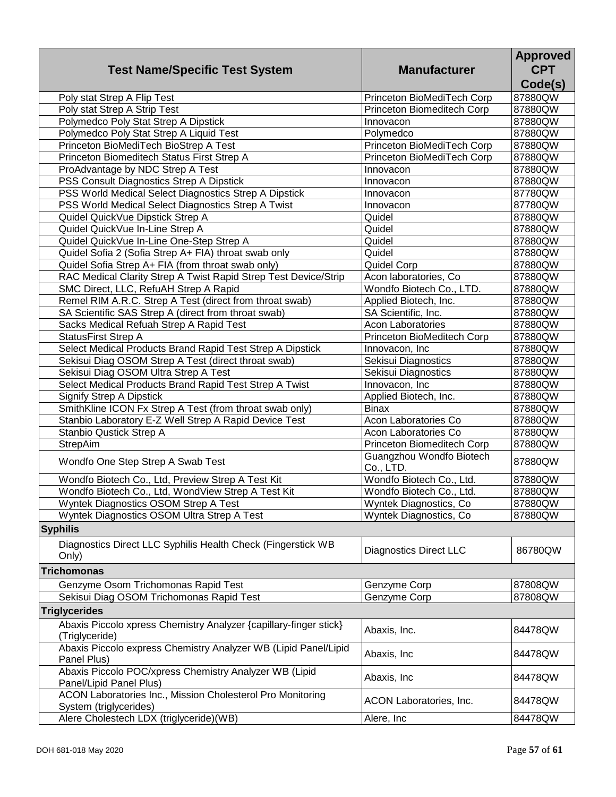| <b>Test Name/Specific Test System</b>                                                | <b>Manufacturer</b>                   | <b>Approved</b><br><b>CPT</b><br>Code(s) |
|--------------------------------------------------------------------------------------|---------------------------------------|------------------------------------------|
| Poly stat Strep A Flip Test                                                          | Princeton BioMediTech Corp            | 87880QW                                  |
| Poly stat Strep A Strip Test                                                         | Princeton Biomeditech Corp            | 87880QW                                  |
| Polymedco Poly Stat Strep A Dipstick                                                 | Innovacon                             | 87880QW                                  |
| Polymedco Poly Stat Strep A Liquid Test                                              | Polymedco                             | 87880QW                                  |
| Princeton BioMediTech BioStrep A Test                                                | Princeton BioMediTech Corp            | 87880QW                                  |
| Princeton Biomeditech Status First Strep A                                           | Princeton BioMediTech Corp            | 87880QW                                  |
| ProAdvantage by NDC Strep A Test                                                     | Innovacon                             | 87880QW                                  |
| PSS Consult Diagnostics Strep A Dipstick                                             | Innovacon                             | 87880QW                                  |
| PSS World Medical Select Diagnostics Strep A Dipstick                                | Innovacon                             | 87780QW                                  |
| PSS World Medical Select Diagnostics Strep A Twist                                   | Innovacon                             | 87780QW                                  |
| Quidel QuickVue Dipstick Strep A                                                     | Quidel                                | 87880QW                                  |
| Quidel QuickVue In-Line Strep A                                                      | Quidel                                | 87880QW                                  |
| Quidel QuickVue In-Line One-Step Strep A                                             | Quidel                                | 87880QW                                  |
| Quidel Sofia 2 (Sofia Strep A+ FIA) throat swab only                                 | Quidel                                | 87880QW                                  |
| Quidel Sofia Strep A+ FIA (from throat swab only)                                    | Quidel Corp                           | 87880QW                                  |
| RAC Medical Clarity Strep A Twist Rapid Strep Test Device/Strip                      | Acon laboratories, Co                 | 87880QW                                  |
| SMC Direct, LLC, RefuAH Strep A Rapid                                                | Wondfo Biotech Co., LTD.              | 87880QW                                  |
| Remel RIM A.R.C. Strep A Test (direct from throat swab)                              | Applied Biotech, Inc.                 | 87880QW                                  |
| SA Scientific SAS Strep A (direct from throat swab)                                  | SA Scientific, Inc.                   | 87880QW                                  |
| Sacks Medical Refuah Strep A Rapid Test                                              | <b>Acon Laboratories</b>              | 87880QW                                  |
| StatusFirst Strep A                                                                  | Princeton BioMeditech Corp            | 87880QW                                  |
| Select Medical Products Brand Rapid Test Strep A Dipstick                            | Innovacon, Inc                        | 87880QW                                  |
| Sekisui Diag OSOM Strep A Test (direct throat swab)                                  | Sekisui Diagnostics                   | 87880QW                                  |
| Sekisui Diag OSOM Ultra Strep A Test                                                 | Sekisui Diagnostics                   | 87880QW                                  |
| Select Medical Products Brand Rapid Test Strep A Twist                               | Innovacon, Inc                        | 87880QW                                  |
| <b>Signify Strep A Dipstick</b>                                                      | Applied Biotech, Inc.                 | 87880QW                                  |
| SmithKline ICON Fx Strep A Test (from throat swab only)                              | <b>Binax</b>                          | 87880QW                                  |
| Stanbio Laboratory E-Z Well Strep A Rapid Device Test                                | Acon Laboratories Co                  | 87880QW                                  |
| Stanbio Qustick Strep A                                                              | Acon Laboratories Co                  | 87880QW                                  |
| StrepAim                                                                             | Princeton Biomeditech Corp            | 87880QW                                  |
| Wondfo One Step Strep A Swab Test                                                    | Guangzhou Wondfo Biotech<br>Co., LTD. | 87880QW                                  |
| Wondfo Biotech Co., Ltd, Preview Strep A Test Kit                                    | Wondfo Biotech Co., Ltd.              | 87880QW                                  |
| Wondfo Biotech Co., Ltd, WondView Strep A Test Kit                                   | Wondfo Biotech Co., Ltd.              | 87880QW                                  |
| Wyntek Diagnostics OSOM Strep A Test                                                 | Wyntek Diagnostics, Co                | 87880QW                                  |
| Wyntek Diagnostics OSOM Ultra Strep A Test                                           | Wyntek Diagnostics, Co.               | 87880QW                                  |
| <b>Syphilis</b>                                                                      |                                       |                                          |
| Diagnostics Direct LLC Syphilis Health Check (Fingerstick WB<br>Only)                | <b>Diagnostics Direct LLC</b>         | 86780QW                                  |
| <b>Trichomonas</b>                                                                   |                                       |                                          |
| Genzyme Osom Trichomonas Rapid Test                                                  | Genzyme Corp                          | 87808QW                                  |
| Sekisui Diag OSOM Trichomonas Rapid Test                                             | Genzyme Corp                          | 87808QW                                  |
| <b>Triglycerides</b>                                                                 |                                       |                                          |
| Abaxis Piccolo xpress Chemistry Analyzer {capillary-finger stick}                    |                                       |                                          |
| (Triglyceride)                                                                       | Abaxis, Inc.                          | 84478QW                                  |
| Abaxis Piccolo express Chemistry Analyzer WB (Lipid Panel/Lipid<br>Panel Plus)       | Abaxis, Inc                           | 84478QW                                  |
| Abaxis Piccolo POC/xpress Chemistry Analyzer WB (Lipid<br>Panel/Lipid Panel Plus)    | Abaxis, Inc                           | 84478QW                                  |
| ACON Laboratories Inc., Mission Cholesterol Pro Monitoring<br>System (triglycerides) | ACON Laboratories, Inc.               | 84478QW                                  |
| Alere Cholestech LDX (triglyceride)(WB)                                              | Alere, Inc                            | 84478QW                                  |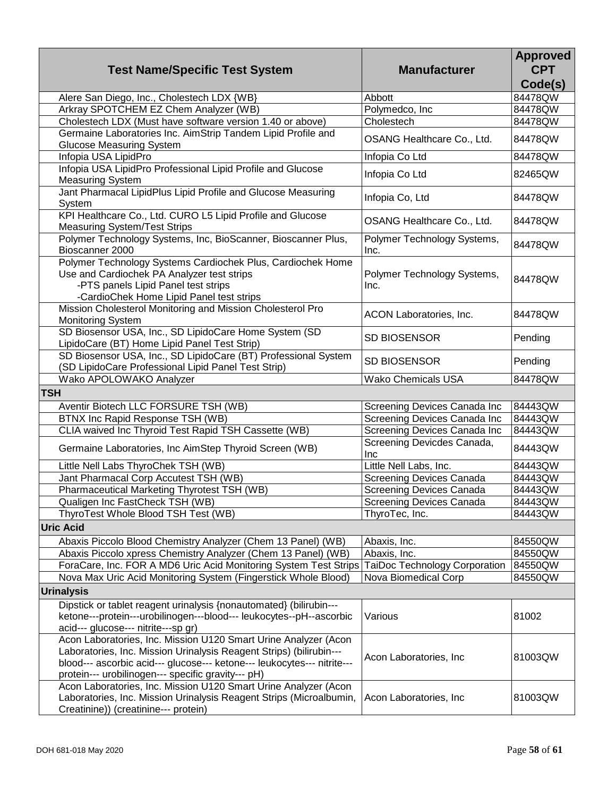| <b>Test Name/Specific Test System</b>                                                                                                                                                                                                                                   | <b>Manufacturer</b>                      | <b>Approved</b><br><b>CPT</b><br>Code(s) |
|-------------------------------------------------------------------------------------------------------------------------------------------------------------------------------------------------------------------------------------------------------------------------|------------------------------------------|------------------------------------------|
| Alere San Diego, Inc., Cholestech LDX {WB}                                                                                                                                                                                                                              | Abbott                                   | 84478QW                                  |
| Arkray SPOTCHEM EZ Chem Analyzer (WB)                                                                                                                                                                                                                                   | Polymedco, Inc                           | 84478QW                                  |
| Cholestech LDX (Must have software version 1.40 or above)                                                                                                                                                                                                               | Cholestech                               | 84478QW                                  |
| Germaine Laboratories Inc. AimStrip Tandem Lipid Profile and<br><b>Glucose Measuring System</b>                                                                                                                                                                         | OSANG Healthcare Co., Ltd.               | 84478QW                                  |
| Infopia USA LipidPro                                                                                                                                                                                                                                                    | Infopia Co Ltd                           | 84478QW                                  |
| Infopia USA LipidPro Professional Lipid Profile and Glucose<br><b>Measuring System</b>                                                                                                                                                                                  | Infopia Co Ltd                           | 82465QW                                  |
| Jant Pharmacal LipidPlus Lipid Profile and Glucose Measuring<br>System                                                                                                                                                                                                  | Infopia Co, Ltd                          | 84478QW                                  |
| KPI Healthcare Co., Ltd. CURO L5 Lipid Profile and Glucose<br><b>Measuring System/Test Strips</b>                                                                                                                                                                       | OSANG Healthcare Co., Ltd.               | 84478QW                                  |
| Polymer Technology Systems, Inc, BioScanner, Bioscanner Plus,<br>Bioscanner 2000                                                                                                                                                                                        | Polymer Technology Systems,<br>Inc.      | 84478QW                                  |
| Polymer Technology Systems Cardiochek Plus, Cardiochek Home<br>Use and Cardiochek PA Analyzer test strips<br>-PTS panels Lipid Panel test strips<br>-CardioChek Home Lipid Panel test strips                                                                            | Polymer Technology Systems,<br>Inc.      | 84478QW                                  |
| Mission Cholesterol Monitoring and Mission Cholesterol Pro<br>Monitoring System                                                                                                                                                                                         | ACON Laboratories, Inc.                  | 84478QW                                  |
| SD Biosensor USA, Inc., SD LipidoCare Home System (SD<br>LipidoCare (BT) Home Lipid Panel Test Strip)                                                                                                                                                                   | <b>SD BIOSENSOR</b>                      | Pending                                  |
| SD Biosensor USA, Inc., SD LipidoCare (BT) Professional System<br>(SD LipidoCare Professional Lipid Panel Test Strip)                                                                                                                                                   | <b>SD BIOSENSOR</b>                      | Pending                                  |
| Wako APOLOWAKO Analyzer                                                                                                                                                                                                                                                 | <b>Wako Chemicals USA</b>                | 84478QW                                  |
| <b>TSH</b>                                                                                                                                                                                                                                                              |                                          |                                          |
| Aventir Biotech LLC FORSURE TSH (WB)                                                                                                                                                                                                                                    | Screening Devices Canada Inc             | 84443QW                                  |
| BTNX Inc Rapid Response TSH (WB)                                                                                                                                                                                                                                        | Screening Devices Canada Inc             | 84443QW                                  |
| CLIA waived Inc Thyroid Test Rapid TSH Cassette (WB)                                                                                                                                                                                                                    | Screening Devices Canada Inc             | 84443QW                                  |
| Germaine Laboratories, Inc AimStep Thyroid Screen (WB)                                                                                                                                                                                                                  | Screening Devicdes Canada,<br><b>Inc</b> | 84443QW                                  |
| Little Nell Labs ThyroChek TSH (WB)                                                                                                                                                                                                                                     | Little Nell Labs, Inc.                   | 84443QW                                  |
| Jant Pharmacal Corp Accutest TSH (WB)                                                                                                                                                                                                                                   | <b>Screening Devices Canada</b>          | 84443QW                                  |
| Pharmaceutical Marketing Thyrotest TSH (WB)                                                                                                                                                                                                                             | <b>Screening Devices Canada</b>          | 84443QW                                  |
| Qualigen Inc FastCheck TSH (WB)                                                                                                                                                                                                                                         | Screening Devices Canada                 | 84443QW                                  |
| ThyroTest Whole Blood TSH Test (WB)                                                                                                                                                                                                                                     | ThyroTec, Inc.                           | 84443QW                                  |
| <b>Uric Acid</b>                                                                                                                                                                                                                                                        |                                          |                                          |
| Abaxis Piccolo Blood Chemistry Analyzer (Chem 13 Panel) (WB)                                                                                                                                                                                                            | Abaxis, Inc.                             | 84550QW                                  |
| Abaxis Piccolo xpress Chemistry Analyzer (Chem 13 Panel) (WB)                                                                                                                                                                                                           | Abaxis, Inc.                             | 84550QW                                  |
| ForaCare, Inc. FOR A MD6 Uric Acid Monitoring System Test Strips                                                                                                                                                                                                        | TaiDoc Technology Corporation            | 84550QW                                  |
| Nova Max Uric Acid Monitoring System (Fingerstick Whole Blood)                                                                                                                                                                                                          | Nova Biomedical Corp                     | 84550QW                                  |
| <b>Urinalysis</b>                                                                                                                                                                                                                                                       |                                          |                                          |
| Dipstick or tablet reagent urinalysis {nonautomated} (bilirubin---                                                                                                                                                                                                      |                                          |                                          |
| ketone---protein---urobilinogen---blood--- leukocytes--pH--ascorbic<br>acid--- glucose--- nitrite---sp gr)                                                                                                                                                              | Various                                  | 81002                                    |
| Acon Laboratories, Inc. Mission U120 Smart Urine Analyzer (Acon<br>Laboratories, Inc. Mission Urinalysis Reagent Strips) (bilirubin---<br>blood--- ascorbic acid--- glucose--- ketone--- leukocytes--- nitrite---<br>protein--- urobilinogen--- specific gravity--- pH) | Acon Laboratories, Inc.                  | 81003QW                                  |
| Acon Laboratories, Inc. Mission U120 Smart Urine Analyzer (Acon<br>Laboratories, Inc. Mission Urinalysis Reagent Strips (Microalbumin,<br>Creatinine)) (creatinine--- protein)                                                                                          | Acon Laboratories, Inc.                  | 81003QW                                  |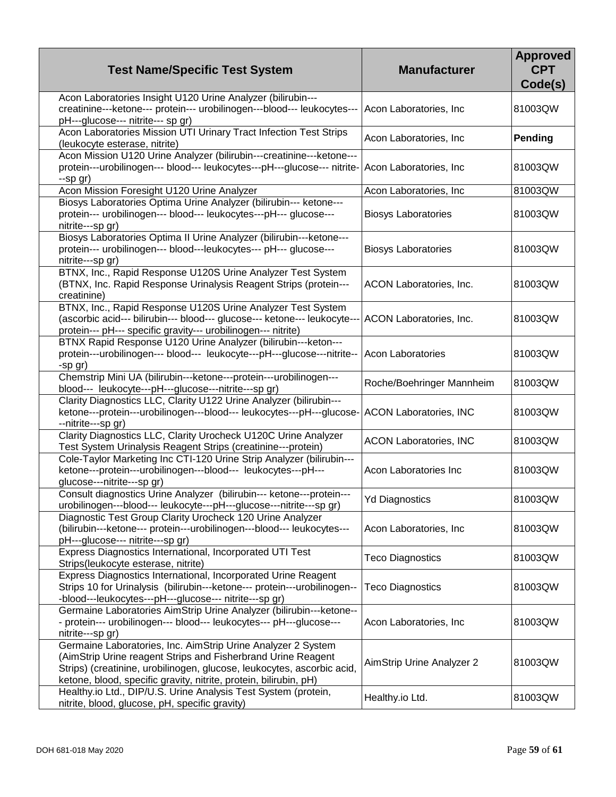| <b>Test Name/Specific Test System</b>                                                                                                                                                                                                                                       | <b>Manufacturer</b>           | <b>Approved</b><br><b>CPT</b><br>Code(s) |
|-----------------------------------------------------------------------------------------------------------------------------------------------------------------------------------------------------------------------------------------------------------------------------|-------------------------------|------------------------------------------|
| Acon Laboratories Insight U120 Urine Analyzer (bilirubin---<br>creatinine---ketone--- protein--- urobilinogen---blood--- leukocytes---<br>pH---glucose--- nitrite--- sp gr)                                                                                                 | Acon Laboratories, Inc.       | 81003QW                                  |
| Acon Laboratories Mission UTI Urinary Tract Infection Test Strips<br>(leukocyte esterase, nitrite)                                                                                                                                                                          | Acon Laboratories, Inc        | Pending                                  |
| Acon Mission U120 Urine Analyzer (bilirubin---creatinine---ketone---<br>protein---urobilinogen--- blood--- leukocytes---pH---glucose--- nitrite- Acon Laboratories, Inc<br>--sp gr)                                                                                         |                               | 81003QW                                  |
| Acon Mission Foresight U120 Urine Analyzer                                                                                                                                                                                                                                  | Acon Laboratories, Inc        | 81003QW                                  |
| Biosys Laboratories Optima Urine Analyzer (bilirubin--- ketone---<br>protein--- urobilinogen--- blood--- leukocytes---pH--- glucose---<br>nitrite---sp gr)                                                                                                                  | <b>Biosys Laboratories</b>    | 81003QW                                  |
| Biosys Laboratories Optima II Urine Analyzer (bilirubin---ketone---<br>protein--- urobilinogen--- blood---leukocytes--- pH--- glucose---<br>nitrite---sp gr)                                                                                                                | <b>Biosys Laboratories</b>    | 81003QW                                  |
| BTNX, Inc., Rapid Response U120S Urine Analyzer Test System<br>(BTNX, Inc. Rapid Response Urinalysis Reagent Strips (protein---<br>creatinine)                                                                                                                              | ACON Laboratories, Inc.       | 81003QW                                  |
| BTNX, Inc., Rapid Response U120S Urine Analyzer Test System<br>(ascorbic acid--- bilirubin--- blood--- glucose--- ketone--- leukocyte--- ACON Laboratories, Inc.<br>protein--- pH--- specific gravity--- urobilinogen--- nitrite)                                           |                               | 81003QW                                  |
| BTNX Rapid Response U120 Urine Analyzer (bilirubin---keton---<br>protein---urobilinogen--- blood--- leukocyte---pH---glucose---nitrite--<br>-sp gr)                                                                                                                         | Acon Laboratories             | 81003QW                                  |
| Chemstrip Mini UA (bilirubin---ketone---protein---urobilinogen---<br>blood--- leukocyte---pH---glucose---nitrite---sp gr)                                                                                                                                                   | Roche/Boehringer Mannheim     | 81003QW                                  |
| Clarity Diagnostics LLC, Clarity U122 Urine Analyzer (bilirubin---<br>ketone---protein---urobilinogen---blood--- leukocytes---pH---glucose- ACON Laboratories, INC<br>--nitrite---sp gr)                                                                                    |                               | 81003QW                                  |
| Clarity Diagnostics LLC, Clarity Urocheck U120C Urine Analyzer<br>Test System Urinalysis Reagent Strips (creatinine---protein)                                                                                                                                              | <b>ACON Laboratories, INC</b> | 81003QW                                  |
| Cole-Taylor Marketing Inc CTI-120 Urine Strip Analyzer (bilirubin---<br>ketone---protein---urobilinogen---blood--- leukocytes---pH---<br>glucose---nitrite---sp gr)                                                                                                         | Acon Laboratories Inc         | 81003QW                                  |
| Consult diagnostics Urine Analyzer (bilirubin--- ketone---protein---<br>urobilinogen---blood--- leukocyte---pH---glucose---nitrite---sp gr)                                                                                                                                 | <b>Yd Diagnostics</b>         | 81003QW                                  |
| Diagnostic Test Group Clarity Urocheck 120 Urine Analyzer<br>(bilirubin---ketone--- protein---urobilinogen---blood--- leukocytes---<br>pH---glucose--- nitrite---sp gr)                                                                                                     | Acon Laboratories, Inc        | 81003QW                                  |
| Express Diagnostics International, Incorporated UTI Test<br>Strips(leukocyte esterase, nitrite)                                                                                                                                                                             | <b>Teco Diagnostics</b>       | 81003QW                                  |
| Express Diagnostics International, Incorporated Urine Reagent<br>Strips 10 for Urinalysis (bilirubin---ketone--- protein---urobilinogen--<br>-blood---leukocytes---pH---glucose--- nitrite---sp gr)                                                                         | <b>Teco Diagnostics</b>       | 81003QW                                  |
| Germaine Laboratories AimStrip Urine Analyzer (bilirubin---ketone--<br>- protein--- urobilinogen--- blood--- leukocytes--- pH---glucose---<br>nitrite---sp gr)                                                                                                              | Acon Laboratories, Inc        | 81003QW                                  |
| Germaine Laboratories, Inc. AimStrip Urine Analyzer 2 System<br>(AimStrip Urine reagent Strips and Fisherbrand Urine Reagent<br>Strips) (creatinine, urobilinogen, glucose, leukocytes, ascorbic acid,<br>ketone, blood, specific gravity, nitrite, protein, bilirubin, pH) | AimStrip Urine Analyzer 2     | 81003QW                                  |
| Healthy.io Ltd., DIP/U.S. Urine Analysis Test System (protein,<br>nitrite, blood, glucose, pH, specific gravity)                                                                                                                                                            | Healthy.io Ltd.               | 81003QW                                  |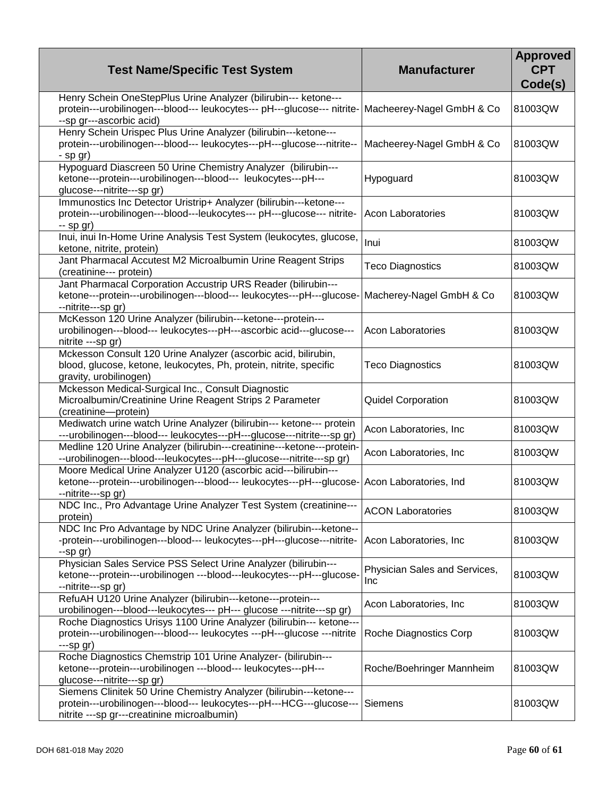| <b>Test Name/Specific Test System</b>                                                                                                                                                      | <b>Manufacturer</b>                  | <b>Approved</b><br><b>CPT</b><br>Code(s) |
|--------------------------------------------------------------------------------------------------------------------------------------------------------------------------------------------|--------------------------------------|------------------------------------------|
| Henry Schein OneStepPlus Urine Analyzer (bilirubin--- ketone---<br>protein---urobilinogen---blood--- leukocytes--- pH---glucose--- nitrite-<br>--sp gr---ascorbic acid)                    | Macheerey-Nagel GmbH & Co            | 81003QW                                  |
| Henry Schein Urispec Plus Urine Analyzer (bilirubin---ketone---<br>protein---urobilinogen---blood--- leukocytes---pH---glucose---nitrite--<br>- sp gr)                                     | Macheerey-Nagel GmbH & Co            | 81003QW                                  |
| Hypoguard Diascreen 50 Urine Chemistry Analyzer (bilirubin---<br>ketone---protein---urobilinogen---blood--- leukocytes---pH---<br>glucose---nitrite---sp gr)                               | Hypoguard                            | 81003QW                                  |
| Immunostics Inc Detector Uristrip+ Analyzer (bilirubin---ketone---<br>protein---urobilinogen---blood---leukocytes--- pH---glucose--- nitrite-<br>$-$ sp gr)                                | <b>Acon Laboratories</b>             | 81003QW                                  |
| Inui, inui In-Home Urine Analysis Test System (leukocytes, glucose,<br>ketone, nitrite, protein)                                                                                           | Inui                                 | 81003QW                                  |
| Jant Pharmacal Accutest M2 Microalbumin Urine Reagent Strips<br>(creatinine--- protein)                                                                                                    | <b>Teco Diagnostics</b>              | 81003QW                                  |
| Jant Pharmacal Corporation Accustrip URS Reader (bilirubin---<br>ketone---protein---urobilinogen---blood--- leukocytes---pH---glucose-<br>--nitrite---sp gr)                               | Macherey-Nagel GmbH & Co             | 81003QW                                  |
| McKesson 120 Urine Analyzer (bilirubin---ketone---protein---<br>urobilinogen---blood--- leukocytes---pH---ascorbic acid---glucose---<br>nitrite ---sp gr)                                  | <b>Acon Laboratories</b>             | 81003QW                                  |
| Mckesson Consult 120 Urine Analyzer (ascorbic acid, bilirubin,<br>blood, glucose, ketone, leukocytes, Ph, protein, nitrite, specific<br>gravity, urobilinogen)                             | <b>Teco Diagnostics</b>              | 81003QW                                  |
| Mckesson Medical-Surgical Inc., Consult Diagnostic<br>Microalbumin/Creatinine Urine Reagent Strips 2 Parameter<br>(creatinine--protein)                                                    | Quidel Corporation                   | 81003QW                                  |
| Mediwatch urine watch Urine Analyzer (bilirubin--- ketone--- protein<br>---urobilinogen---blood--- leukocytes---pH---glucose---nitrite---sp gr)                                            | Acon Laboratories, Inc               | 81003QW                                  |
| Medline 120 Urine Analyzer (bilirubin---creatinine---ketone---protein-<br>--urobilinogen---blood---leukocytes---pH---glucose---nitrite---sp gr)                                            | Acon Laboratories, Inc               | 81003QW                                  |
| Moore Medical Urine Analyzer U120 (ascorbic acid---bilirubin---<br>ketone---protein---urobilinogen---blood--- leukocytes---pH---glucose-<br>--nitrite---sp gr)                             | Acon Laboratories, Ind               | 81003QW                                  |
| NDC Inc., Pro Advantage Urine Analyzer Test System (creatinine---<br>protein)                                                                                                              | <b>ACON Laboratories</b>             | 81003QW                                  |
| NDC Inc Pro Advantage by NDC Urine Analyzer (bilirubin---ketone--<br>-protein---urobilinogen---blood--- leukocytes---pH---glucose---nitrite-<br>$-$ sp gr $)$                              | Acon Laboratories, Inc               | 81003QW                                  |
| Physician Sales Service PSS Select Urine Analyzer (bilirubin---<br>ketone---protein---urobilinogen ---blood---leukocytes---pH---glucose-<br>--nitrite---sp gr)                             | Physician Sales and Services,<br>Inc | 81003QW                                  |
| RefuAH U120 Urine Analyzer (bilirubin---ketone---protein---<br>urobilinogen---blood---leukocytes--- pH--- glucose ---nitrite---sp gr)                                                      | Acon Laboratories, Inc               | 81003QW                                  |
| Roche Diagnostics Urisys 1100 Urine Analyzer (bilirubin--- ketone---<br>protein---urobilinogen---blood--- leukocytes ---pH---glucose ---nitrite<br>$--$ sp gr $)$                          | Roche Diagnostics Corp               | 81003QW                                  |
| Roche Diagnostics Chemstrip 101 Urine Analyzer- (bilirubin---<br>ketone---protein---urobilinogen ---blood--- leukocytes---pH---<br>glucose---nitrite---sp gr)                              | Roche/Boehringer Mannheim            | 81003QW                                  |
| Siemens Clinitek 50 Urine Chemistry Analyzer (bilirubin---ketone---<br>protein---urobilinogen---blood--- leukocytes---pH---HCG---glucose---<br>nitrite ---sp gr---creatinine microalbumin) | Siemens                              | 81003QW                                  |